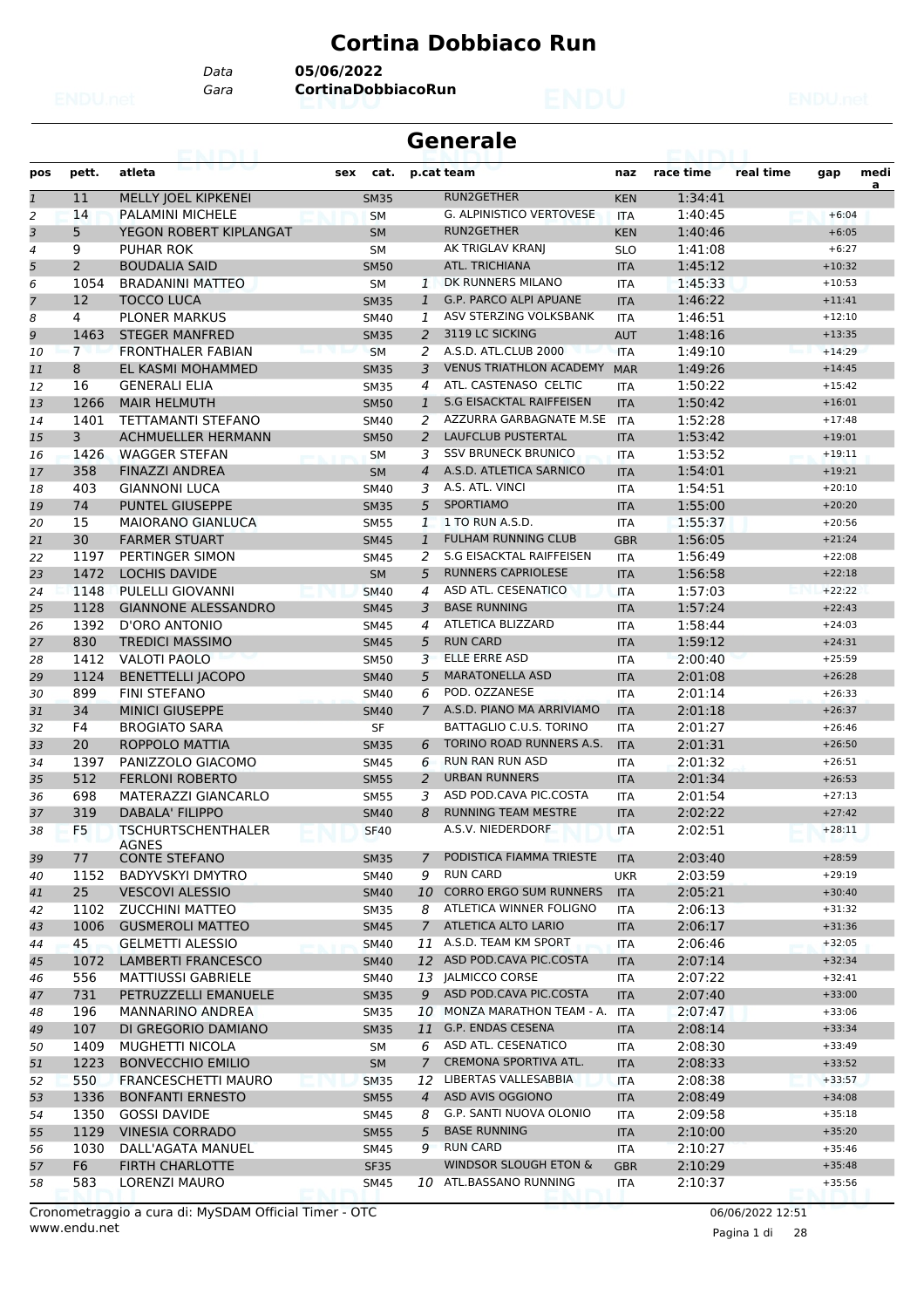# **Cortina Dobbiaco Run**

*Gara* **CortinaDobbiacoRun** *Data* **05/06/2022**

| <b>Generale</b> |  |
|-----------------|--|
|-----------------|--|

| pos            | pett.          | atleta                                    | sex<br>cat. |                | p.cat team                       | naz        | race time          | real time | gap                  | medi |
|----------------|----------------|-------------------------------------------|-------------|----------------|----------------------------------|------------|--------------------|-----------|----------------------|------|
| $\mathbf{1}$   | 11             | MELLY JOEL KIPKENEI                       | <b>SM35</b> |                | RUN2GETHER                       | <b>KEN</b> | 1:34:41            |           |                      | a    |
| $\overline{a}$ | 14             | PALAMINI MICHELE                          | <b>SM</b>   |                | <b>G. ALPINISTICO VERTOVESE</b>  | <b>ITA</b> | 1:40:45            |           | $+6:04$              |      |
| 3              | 5              | YEGON ROBERT KIPLANGAT                    | <b>SM</b>   |                | RUN2GETHER                       | <b>KEN</b> | 1:40:46            |           | $+6:05$              |      |
| $\overline{4}$ | 9              | <b>PUHAR ROK</b>                          | <b>SM</b>   |                | AK TRIGLAV KRANI                 | <b>SLO</b> | 1:41:08            |           | $+6:27$              |      |
| 5              | $\overline{2}$ | <b>BOUDALIA SAID</b>                      | <b>SM50</b> |                | ATL. TRICHIANA                   | <b>ITA</b> | 1:45:12            |           | $+10:32$             |      |
| 6              | 1054           | <b>BRADANINI MATTEO</b>                   | <b>SM</b>   | $\mathbf{1}$   | DK RUNNERS MILANO                | ITA        | 1:45:33            |           | $+10:53$             |      |
| $\overline{7}$ | 12             | <b>TOCCO LUCA</b>                         | <b>SM35</b> | $\mathbf{1}$   | <b>G.P. PARCO ALPI APUANE</b>    | <b>ITA</b> | 1:46:22            |           | $+11:41$             |      |
| 8              | 4              | <b>PLONER MARKUS</b>                      | <b>SM40</b> | 1              | ASV STERZING VOLKSBANK           | ITA        | 1:46:51            |           | $+12:10$             |      |
| 9              | 1463           | <b>STEGER MANFRED</b>                     | <b>SM35</b> | $\overline{2}$ | 3119 LC SICKING                  | <b>AUT</b> | 1:48:16            |           | $+13:35$             |      |
| 10             | $\overline{7}$ | <b>FRONTHALER FABIAN</b>                  | <b>SM</b>   | 2              | A.S.D. ATL.CLUB 2000             | <b>ITA</b> | 1:49:10            |           | $+14:29$             |      |
| 11             | 8              | EL KASMI MOHAMMED                         | <b>SM35</b> | 3              | <b>VENUS TRIATHLON ACADEMY</b>   | <b>MAR</b> | 1:49:26            |           | $+14:45$             |      |
| 12             | 16             | <b>GENERALI ELIA</b>                      | <b>SM35</b> | 4              | ATL. CASTENASO CELTIC            | ITA        | 1:50:22            |           | $+15:42$             |      |
| 13             | 1266           | <b>MAIR HELMUTH</b>                       | <b>SM50</b> | $\mathbf{1}$   | <b>S.G EISACKTAL RAIFFEISEN</b>  | <b>ITA</b> | 1:50:42            |           | $+16:01$             |      |
| 14             | 1401           | TETTAMANTI STEFANO                        | <b>SM40</b> | 2              | AZZURRA GARBAGNATE M.SE          | <b>ITA</b> | 1:52:28            |           | $+17:48$             |      |
| 15             | 3              | <b>ACHMUELLER HERMANN</b>                 | <b>SM50</b> | $\overline{2}$ | LAUFCLUB PUSTERTAL               | <b>ITA</b> | 1:53:42            |           | $+19:01$             |      |
| 16             | 1426           | <b>WAGGER STEFAN</b>                      | <b>SM</b>   | 3              | <b>SSV BRUNECK BRUNICO</b>       | <b>ITA</b> | 1:53:52            |           | $+19:11$             |      |
| 17             | 358            | <b>FINAZZI ANDREA</b>                     | <b>SM</b>   | $\overline{4}$ | A.S.D. ATLETICA SARNICO          | <b>ITA</b> | 1:54:01            |           | $+19:21$             |      |
| 18             | 403            | <b>GIANNONI LUCA</b>                      | <b>SM40</b> | 3              | A.S. ATL. VINCI                  | ITA        | 1:54:51            |           | $+20:10$             |      |
| 19             | 74             | <b>PUNTEL GIUSEPPE</b>                    | <b>SM35</b> | 5              | <b>SPORTIAMO</b>                 | <b>ITA</b> | 1:55:00            |           | $+20:20$             |      |
| 20             | 15             | <b>MAIORANO GIANLUCA</b>                  | <b>SM55</b> | 1              | 1 TO RUN A.S.D.                  | <b>ITA</b> | 1:55:37            |           | $+20:56$             |      |
| 21             | 30             | <b>FARMER STUART</b>                      | <b>SM45</b> | $\mathbf{1}$   | <b>FULHAM RUNNING CLUB</b>       | <b>GBR</b> | 1:56:05            |           | $+21:24$             |      |
| 22             | 1197           | PERTINGER SIMON                           | <b>SM45</b> | 2              | <b>S.G EISACKTAL RAIFFEISEN</b>  | <b>ITA</b> | 1:56:49            |           | $+22:08$             |      |
| 23             | 1472           | <b>LOCHIS DAVIDE</b>                      | <b>SM</b>   | 5              | RUNNERS CAPRIOLESE               | <b>ITA</b> | 1:56:58            |           | $+22:18$             |      |
|                | 1148           | PULELLI GIOVANNI                          |             | 4              | ASD ATL. CESENATICO              |            | 1:57:03            |           | $+22:22$             |      |
| 24             |                |                                           | <b>SM40</b> |                | <b>BASE RUNNING</b>              | <b>ITA</b> |                    |           |                      |      |
| 25             | 1128<br>1392   | <b>GIANNONE ALESSANDRO</b>                | <b>SM45</b> | 3              | ATLETICA BLIZZARD                | <b>ITA</b> | 1:57:24<br>1:58:44 |           | $+22:43$<br>$+24:03$ |      |
| 26             |                | D'ORO ANTONIO                             | <b>SM45</b> | 4              | <b>RUN CARD</b>                  | <b>ITA</b> |                    |           |                      |      |
| 27             | 830            | <b>TREDICI MASSIMO</b>                    | <b>SM45</b> | 5              | <b>ELLE ERRE ASD</b>             | <b>ITA</b> | 1:59:12            |           | $+24:31$             |      |
| 28             | 1412           | <b>VALOTI PAOLO</b>                       | <b>SM50</b> | 3              |                                  | <b>ITA</b> | 2:00:40            |           | $+25:59$             |      |
| 29             | 1124           | <b>BENETTELLI JACOPO</b>                  | <b>SM40</b> | 5              | <b>MARATONELLA ASD</b>           | <b>ITA</b> | 2:01:08            |           | $+26:28$             |      |
| 30             | 899            | <b>FINI STEFANO</b>                       | <b>SM40</b> | 6              | POD. OZZANESE                    | <b>ITA</b> | 2:01:14            |           | $+26:33$             |      |
| 31             | 34             | <b>MINICI GIUSEPPE</b>                    | <b>SM40</b> | $\overline{7}$ | A.S.D. PIANO MA ARRIVIAMO        | <b>ITA</b> | 2:01:18            |           | $+26:37$             |      |
| 32             | F4             | <b>BROGIATO SARA</b>                      | <b>SF</b>   |                | BATTAGLIO C.U.S. TORINO          | <b>ITA</b> | 2:01:27            |           | $+26:46$             |      |
| 33             | 20             | ROPPOLO MATTIA                            | <b>SM35</b> | 6              | TORINO ROAD RUNNERS A.S.         | <b>ITA</b> | 2:01:31            |           | $+26:50$             |      |
| 34             | 1397           | PANIZZOLO GIACOMO                         | <b>SM45</b> | 6              | <b>RUN RAN RUN ASD</b>           | <b>ITA</b> | 2:01:32            |           | $+26:51$             |      |
| 35             | 512            | <b>FERLONI ROBERTO</b>                    | <b>SM55</b> | 2              | <b>URBAN RUNNERS</b>             | <b>ITA</b> | 2:01:34            |           | $+26:53$             |      |
| 36             | 698            | MATERAZZI GIANCARLO                       | <b>SM55</b> | 3              | ASD POD.CAVA PIC.COSTA           | ITA        | 2:01:54            |           | $+27:13$             |      |
| 37             | 319            | <b>DABALA' FILIPPO</b>                    | <b>SM40</b> | 8              | <b>RUNNING TEAM MESTRE</b>       | <b>ITA</b> | 2:02:22            |           | $+27:42$             |      |
| 38             | F <sub>5</sub> | <b>TSCHURTSCHENTHALER</b><br><b>AGNES</b> | <b>SF40</b> |                | A.S.V. NIEDERDORF                | <b>ITA</b> | 2:02:51            |           | $+28:11$             |      |
| 39             | 77             | <b>CONTE STEFANO</b>                      | <b>SM35</b> | 7              | PODISTICA FIAMMA TRIESTE         | <b>ITA</b> | 2:03:40            |           | $+28:59$             |      |
| 40             | 1152           | <b>BADYVSKYI DMYTRO</b>                   | <b>SM40</b> | 9              | <b>RUN CARD</b>                  | <b>UKR</b> | 2:03:59            |           | $+29:19$             |      |
| 41             | 25             | <b>VESCOVI ALESSIO</b>                    | <b>SM40</b> | 10             | <b>CORRO ERGO SUM RUNNERS</b>    | <b>ITA</b> | 2:05:21            |           | $+30:40$             |      |
| 42             | 1102           | <b>ZUCCHINI MATTEO</b>                    | <b>SM35</b> | 8              | ATLETICA WINNER FOLIGNO          | ITA        | 2:06:13            |           | $+31:32$             |      |
| 43             | 1006           | <b>GUSMEROLI MATTEO</b>                   | <b>SM45</b> | $\overline{7}$ | ATLETICA ALTO LARIO              | <b>ITA</b> | 2:06:17            |           | $+31:36$             |      |
| 44             | 45             | <b>GELMETTI ALESSIO</b>                   | <b>SM40</b> |                | 11 A.S.D. TEAM KM SPORT          | ITA        | 2:06:46            |           | $+32:05$             |      |
| 45             | 1072           | LAMBERTI FRANCESCO                        | <b>SM40</b> |                | 12 ASD POD.CAVA PIC.COSTA        | <b>ITA</b> | 2:07:14            |           | $+32:34$             |      |
| 46             | 556            | <b>MATTIUSSI GABRIELE</b>                 | SM40        | 13             | <b>JALMICCO CORSE</b>            | ITA        | 2:07:22            |           | $+32:41$             |      |
| 47             | 731            | PETRUZZELLI EMANUELE                      | <b>SM35</b> | 9              | ASD POD.CAVA PIC.COSTA           | <b>ITA</b> | 2:07:40            |           | $+33:00$             |      |
| 48             | 196            | MANNARINO ANDREA                          | <b>SM35</b> | 10             | MONZA MARATHON TEAM - A.         | ITA        | 2:07:47            |           | $+33:06$             |      |
| 49             | 107            | DI GREGORIO DAMIANO                       | <b>SM35</b> |                | 11 G.P. ENDAS CESENA             | <b>ITA</b> | 2:08:14            |           | $+33:34$             |      |
| 50             | 1409           | MUGHETTI NICOLA                           | SM          | 6              | ASD ATL. CESENATICO              | ITA        | 2:08:30            |           | $+33:49$             |      |
| 51             | 1223           | <b>BONVECCHIO EMILIO</b>                  | <b>SM</b>   | $\overline{7}$ | CREMONA SPORTIVA ATL.            | <b>ITA</b> | 2:08:33            |           | $+33:52$             |      |
| 52             | 550            | <b>FRANCESCHETTI MAURO</b>                | <b>SM35</b> | 12             | LIBERTAS VALLESABBIA             | ITA        | 2:08:38            |           | $+33:57$             |      |
| 53             | 1336           | <b>BONFANTI ERNESTO</b>                   | <b>SM55</b> | $\overline{4}$ | ASD AVIS OGGIONO                 | <b>ITA</b> | 2:08:49            |           | $+34:08$             |      |
| 54             | 1350           | <b>GOSSI DAVIDE</b>                       | <b>SM45</b> | 8              | G.P. SANTI NUOVA OLONIO          | ITA        | 2:09:58            |           | $+35:18$             |      |
| 55             | 1129           | <b>VINESIA CORRADO</b>                    | <b>SM55</b> | 5              | <b>BASE RUNNING</b>              | <b>ITA</b> | 2:10:00            |           | $+35:20$             |      |
| 56             | 1030           | DALL'AGATA MANUEL                         | SM45        | 9              | <b>RUN CARD</b>                  | ITA        | 2:10:27            |           | $+35:46$             |      |
| 57             | F <sub>6</sub> | <b>FIRTH CHARLOTTE</b>                    | <b>SF35</b> |                | <b>WINDSOR SLOUGH ETON &amp;</b> | <b>GBR</b> | 2:10:29            |           | $+35:48$             |      |
| 58             | 583            | LORENZI MAURO                             | <b>SM45</b> |                | 10 ATL.BASSANO RUNNING           | ITA        | 2:10:37            |           | $+35:56$             |      |
|                |                |                                           |             |                |                                  |            |                    |           |                      |      |

www.endu.net Cronometraggio a cura di: MySDAM Official Timer - OTC 06/06/2022 12:51

Pagina 1 di 28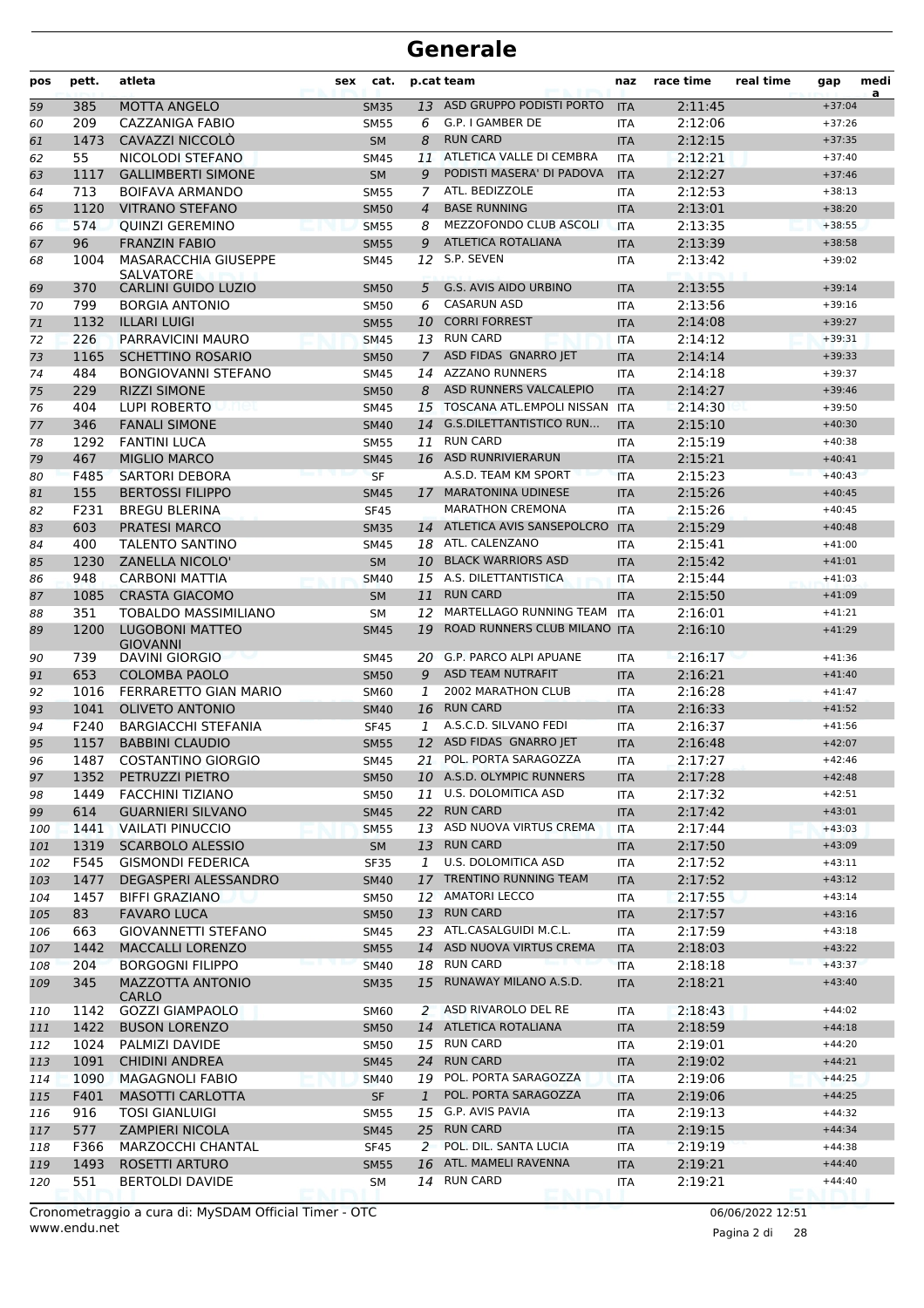| pos | pett. | atleta                                          | sex | cat.        |                | p.cat team                   | naz        | race time | real time | gap      | medi<br>a |
|-----|-------|-------------------------------------------------|-----|-------------|----------------|------------------------------|------------|-----------|-----------|----------|-----------|
| 59  | 385   | <b>MOTTA ANGELO</b>                             |     | <b>SM35</b> | 13             | ASD GRUPPO PODISTI PORTO     | <b>ITA</b> | 2:11:45   |           | $+37:04$ |           |
| 60  | 209   | CAZZANIGA FABIO                                 |     | <b>SM55</b> | 6              | G.P. I GAMBER DE             | <b>ITA</b> | 2:12:06   |           | $+37:26$ |           |
| 61  | 1473  | CAVAZZI NICCOLÒ                                 |     | <b>SM</b>   | 8              | <b>RUN CARD</b>              | <b>ITA</b> | 2:12:15   |           | $+37:35$ |           |
| 62  | 55    | NICOLODI STEFANO                                |     | <b>SM45</b> | 11             | ATLETICA VALLE DI CEMBRA     | <b>ITA</b> | 2:12:21   |           | $+37:40$ |           |
| 63  | 1117  | <b>GALLIMBERTI SIMONE</b>                       |     | <b>SM</b>   | 9              | PODISTI MASERA' DI PADOVA    | <b>ITA</b> | 2:12:27   |           | $+37:46$ |           |
| 64  | 713   | BOIFAVA ARMANDO                                 |     | <b>SM55</b> | 7              | ATL. BEDIZZOLE               | <b>ITA</b> | 2:12:53   |           | $+38:13$ |           |
| 65  | 1120  | <b>VITRANO STEFANO</b>                          |     | <b>SM50</b> | $\overline{4}$ | <b>BASE RUNNING</b>          | <b>ITA</b> | 2:13:01   |           | $+38:20$ |           |
| 66  | 574   | <b>QUINZI GEREMINO</b>                          |     | <b>SM55</b> | 8              | MEZZOFONDO CLUB ASCOLI       | <b>ITA</b> | 2:13:35   |           | $+38:55$ |           |
| 67  | 96    | <b>FRANZIN FABIO</b>                            |     | <b>SM55</b> | 9              | <b>ATLETICA ROTALIANA</b>    | <b>ITA</b> | 2:13:39   |           | $+38:58$ |           |
| 68  | 1004  | <b>MASARACCHIA GIUSEPPE</b><br><b>SALVATORE</b> |     | <b>SM45</b> | 12             | S.P. SEVEN                   | <b>ITA</b> | 2:13:42   |           | $+39:02$ |           |
| 69  | 370   | <b>CARLINI GUIDO LUZIO</b>                      |     | <b>SM50</b> | 5              | <b>G.S. AVIS AIDO URBINO</b> | <b>ITA</b> | 2:13:55   |           | $+39:14$ |           |
| 70  | 799   | <b>BORGIA ANTONIO</b>                           |     | <b>SM50</b> | 6              | <b>CASARUN ASD</b>           | <b>ITA</b> | 2:13:56   |           | $+39:16$ |           |
| 71  | 1132  | <b>ILLARI LUIGI</b>                             |     | <b>SM55</b> | 10             | <b>CORRI FORREST</b>         | <b>ITA</b> | 2:14:08   |           | $+39:27$ |           |
| 72  | 226   | PARRAVICINI MAURO                               |     | <b>SM45</b> |                | 13 RUN CARD                  | <b>ITA</b> | 2:14:12   |           | $+39:31$ |           |
| 73  | 1165  | <b>SCHETTINO ROSARIO</b>                        |     | <b>SM50</b> | $\overline{7}$ | ASD FIDAS GNARRO JET         | <b>ITA</b> | 2:14:14   |           | $+39:33$ |           |
| 74  | 484   | <b>BONGIOVANNI STEFANO</b>                      |     | <b>SM45</b> | 14             | <b>AZZANO RUNNERS</b>        | <b>ITA</b> | 2:14:18   |           | $+39:37$ |           |
| 75  | 229   | <b>RIZZI SIMONE</b>                             |     | <b>SM50</b> | 8              | ASD RUNNERS VALCALEPIO       | <b>ITA</b> | 2:14:27   |           | $+39:46$ |           |
| 76  | 404   | LUPI ROBERTO<br>ne.                             |     | SM45        | 15             | TOSCANA ATL.EMPOLI NISSAN    | <b>ITA</b> | 2:14:30   |           | $+39:50$ |           |
| 77  | 346   | <b>FANALI SIMONE</b>                            |     | <b>SM40</b> |                | 14 G.S.DILETTANTISTICO RUN   | <b>ITA</b> | 2:15:10   |           | $+40:30$ |           |
| 78  | 1292  | <b>FANTINI LUCA</b>                             |     | <b>SM55</b> | 11             | <b>RUN CARD</b>              | <b>ITA</b> | 2:15:19   |           | $+40:38$ |           |
| 79  | 467   | <b>MIGLIO MARCO</b>                             |     | <b>SM45</b> |                | 16 ASD RUNRIVIERARUN         | <b>ITA</b> | 2:15:21   |           | $+40:41$ |           |
| 80  | F485  | <b>SARTORI DEBORA</b>                           |     | <b>SF</b>   |                | A.S.D. TEAM KM SPORT         | <b>ITA</b> | 2:15:23   |           | $+40:43$ |           |
| 81  | 155   | <b>BERTOSSI FILIPPO</b>                         |     | <b>SM45</b> | 17             | <b>MARATONINA UDINESE</b>    | <b>ITA</b> | 2:15:26   |           | $+40:45$ |           |
| 82  | F231  | <b>BREGU BLERINA</b>                            |     | <b>SF45</b> |                | <b>MARATHON CREMONA</b>      | <b>ITA</b> | 2:15:26   |           | $+40:45$ |           |
| 83  | 603   | <b>PRATESI MARCO</b>                            |     | <b>SM35</b> |                | 14 ATLETICA AVIS SANSEPOLCRO | <b>ITA</b> | 2:15:29   |           | $+40:48$ |           |
| 84  | 400   | <b>TALENTO SANTINO</b>                          |     | <b>SM45</b> |                | 18 ATL. CALENZANO            | <b>ITA</b> | 2:15:41   |           | $+41:00$ |           |
| 85  | 1230  | <b>ZANELLA NICOLO'</b>                          |     | <b>SM</b>   |                | 10 BLACK WARRIORS ASD        | <b>ITA</b> | 2:15:42   |           | $+41:01$ |           |
| 86  | 948   | <b>CARBONI MATTIA</b>                           |     | <b>SM40</b> | 15             | A.S. DILETTANTISTICA         | <b>ITA</b> | 2:15:44   |           | $+41:03$ |           |
| 87  | 1085  | <b>CRASTA GIACOMO</b>                           |     | <b>SM</b>   | 11             | <b>RUN CARD</b>              | <b>ITA</b> | 2:15:50   |           | $+41:09$ |           |
| 88  | 351   | <b>TOBALDO MASSIMILIANO</b>                     |     | <b>SM</b>   | 12             | MARTELLAGO RUNNING TEAM      | <b>ITA</b> | 2:16:01   |           | $+41:21$ |           |
| 89  | 1200  | <b>LUGOBONI MATTEO</b>                          |     | <b>SM45</b> | 19             | ROAD RUNNERS CLUB MILANO ITA |            | 2:16:10   |           | $+41:29$ |           |
|     |       | <b>GIOVANNI</b>                                 |     |             |                |                              |            |           |           |          |           |
| 90  | 739   | <b>DAVINI GIORGIO</b>                           |     | <b>SM45</b> |                | 20 G.P. PARCO ALPI APUANE    | <b>ITA</b> | 2:16:17   |           | $+41:36$ |           |
| 91  | 653   | <b>COLOMBA PAOLO</b>                            |     | <b>SM50</b> | 9              | <b>ASD TEAM NUTRAFIT</b>     | <b>ITA</b> | 2:16:21   |           | $+41:40$ |           |
| 92  | 1016  | FERRARETTO GIAN MARIO                           |     | <b>SM60</b> | 1              | 2002 MARATHON CLUB           | <b>ITA</b> | 2:16:28   |           | $+41:47$ |           |
| 93  | 1041  | <b>OLIVETO ANTONIO</b>                          |     | <b>SM40</b> | 16             | <b>RUN CARD</b>              | <b>ITA</b> | 2:16:33   |           | $+41:52$ |           |
| 94  | F240  | <b>BARGIACCHI STEFANIA</b>                      |     | <b>SF45</b> | 1              | A.S.C.D. SILVANO FEDI        | <b>ITA</b> | 2:16:37   |           | $+41:56$ |           |
| 95  | 1157  | <b>BABBINI CLAUDIO</b>                          |     | <b>SM55</b> | 12             | ASD FIDAS GNARRO JET         | <b>ITA</b> | 2:16:48   |           | $+42:07$ |           |
| 96  | 1487  | <b>COSTANTINO GIORGIO</b>                       |     | <b>SM45</b> | 21             | POL. PORTA SARAGOZZA         | <b>ITA</b> | 2:17:27   |           | $+42:46$ |           |
| 97  | 1352  | PETRUZZI PIETRO                                 |     | <b>SM50</b> |                | 10 A.S.D. OLYMPIC RUNNERS    | <b>ITA</b> | 2:17:28   |           | $+42:48$ |           |
| 98  | 1449  | <b>FACCHINI TIZIANO</b>                         |     | <b>SM50</b> |                | 11 U.S. DOLOMITICA ASD       | ITA        | 2:17:32   |           | $+42:51$ |           |
| 99  | 614   | <b>GUARNIERI SILVANO</b>                        |     | <b>SM45</b> |                | 22 RUN CARD                  | <b>ITA</b> | 2:17:42   |           | $+43:01$ |           |
| 100 | 1441  | <b>VAILATI PINUCCIO</b>                         |     | <b>SM55</b> | 13             | ASD NUOVA VIRTUS CREMA       | <b>ITA</b> | 2:17:44   |           | $+43:03$ |           |
| 101 | 1319  | <b>SCARBOLO ALESSIO</b>                         |     | SM          |                | 13 RUN CARD                  | <b>ITA</b> | 2:17:50   |           | $+43:09$ |           |
| 102 | F545  | <b>GISMONDI FEDERICA</b>                        |     | <b>SF35</b> | $\mathbf{1}$   | U.S. DOLOMITICA ASD          | ITA        | 2:17:52   |           | $+43:11$ |           |
| 103 | 1477  | DEGASPERI ALESSANDRO                            |     | <b>SM40</b> | 17             | TRENTINO RUNNING TEAM        | <b>ITA</b> | 2:17:52   |           | $+43:12$ |           |
| 104 | 1457  | BIFFI GRAZIANO                                  |     | <b>SM50</b> |                | 12 AMATORI LECCO             | ITA        | 2:17:55   |           | $+43:14$ |           |
| 105 | 83    | <b>FAVARO LUCA</b>                              |     | <b>SM50</b> |                | 13 RUN CARD                  | <b>ITA</b> | 2:17:57   |           | $+43:16$ |           |
| 106 | 663   | <b>GIOVANNETTI STEFANO</b>                      |     | <b>SM45</b> |                | 23 ATL.CASALGUIDI M.C.L.     | ITA        | 2:17:59   |           | $+43:18$ |           |
| 107 | 1442  | <b>MACCALLI LORENZO</b>                         |     | <b>SM55</b> |                | 14 ASD NUOVA VIRTUS CREMA    | <b>ITA</b> | 2:18:03   |           | $+43:22$ |           |
| 108 | 204   | <b>BORGOGNI FILIPPO</b>                         |     | <b>SM40</b> |                | 18 RUN CARD                  | <b>ITA</b> | 2:18:18   |           | $+43:37$ |           |
| 109 | 345   | MAZZOTTA ANTONIO<br><b>CARLO</b>                |     | <b>SM35</b> |                | 15 RUNAWAY MILANO A.S.D.     | <b>ITA</b> | 2:18:21   |           | $+43:40$ |           |
| 110 | 1142  | <b>GOZZI GIAMPAOLO</b>                          |     | SM60        |                | 2 ASD RIVAROLO DEL RE        | ITA        | 2:18:43   |           | $+44:02$ |           |
| 111 | 1422  | <b>BUSON LORENZO</b>                            |     | <b>SM50</b> |                | 14 ATLETICA ROTALIANA        | <b>ITA</b> | 2:18:59   |           | $+44:18$ |           |
| 112 | 1024  | PALMIZI DAVIDE                                  |     | <b>SM50</b> |                | 15 RUN CARD                  | ITA        | 2:19:01   |           | $+44:20$ |           |
| 113 | 1091  | <b>CHIDINI ANDREA</b>                           |     | <b>SM45</b> |                | 24 RUN CARD                  | <b>ITA</b> | 2:19:02   |           | $+44:21$ |           |
| 114 | 1090  | <b>MAGAGNOLI FABIO</b>                          |     | <b>SM40</b> |                | 19 POL. PORTA SARAGOZZA      | <b>ITA</b> | 2:19:06   |           | $+44:25$ |           |
| 115 | F401  | <b>MASOTTI CARLOTTA</b>                         |     | <b>SF</b>   | $\mathbf{1}$   | POL. PORTA SARAGOZZA         | <b>ITA</b> | 2:19:06   |           | $+44:25$ |           |
| 116 | 916   | <b>TOSI GIANLUIGI</b>                           |     | <b>SM55</b> |                | 15 G.P. AVIS PAVIA           | ITA        | 2:19:13   |           | $+44:32$ |           |
| 117 | 577   | <b>ZAMPIERI NICOLA</b>                          |     | <b>SM45</b> |                | 25 RUN CARD                  | <b>ITA</b> | 2:19:15   |           | $+44:34$ |           |
| 118 | F366  | <b>MARZOCCHI CHANTAL</b>                        |     | <b>SF45</b> |                | 2 POL. DIL. SANTA LUCIA      | ITA        | 2:19:19   |           | $+44:38$ |           |
| 119 | 1493  | ROSETTI ARTURO                                  |     | <b>SM55</b> | 16             | ATL. MAMELI RAVENNA          | <b>ITA</b> | 2:19:21   |           | $+44:40$ |           |
| 120 | 551   | BERTOLDI DAVIDE                                 |     | SΜ          |                | 14 RUN CARD                  | ITA        | 2:19:21   |           | $+44:40$ |           |
|     |       |                                                 |     |             |                |                              |            |           |           |          |           |

Pagina 2 di 28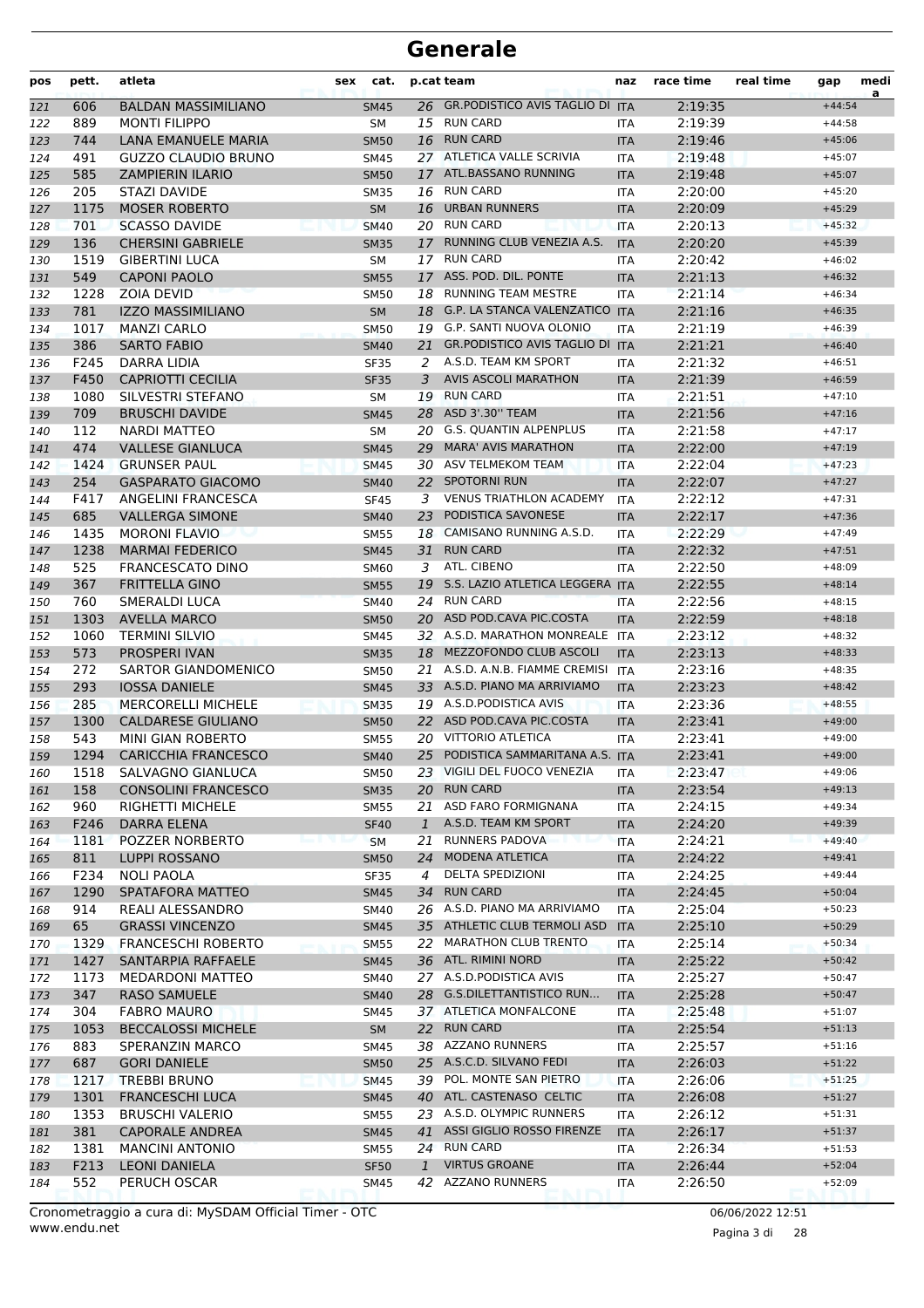| pos | pett. | atleta                     | sex | cat.        |              | p.cat team                             | naz        | race time | real time | gap      | medi<br>a |
|-----|-------|----------------------------|-----|-------------|--------------|----------------------------------------|------------|-----------|-----------|----------|-----------|
| 121 | 606   | <b>BALDAN MASSIMILIANO</b> |     | <b>SM45</b> |              | 26 GR.PODISTICO AVIS TAGLIO DI ITA     |            | 2:19:35   |           | $+44:54$ |           |
| 122 | 889   | <b>MONTI FILIPPO</b>       |     | SM          |              | 15 RUN CARD                            | <b>ITA</b> | 2:19:39   |           | $+44:58$ |           |
| 123 | 744   | LANA EMANUELE MARIA        |     | <b>SM50</b> |              | 16 RUN CARD                            | <b>ITA</b> | 2:19:46   |           | $+45:06$ |           |
| 124 | 491   | <b>GUZZO CLAUDIO BRUNO</b> |     | <b>SM45</b> |              | 27 ATLETICA VALLE SCRIVIA              | <b>ITA</b> | 2:19:48   |           | $+45:07$ |           |
| 125 | 585   | <b>ZAMPIERIN ILARIO</b>    |     | <b>SM50</b> |              | 17 ATL.BASSANO RUNNING                 | <b>ITA</b> | 2:19:48   |           | $+45:07$ |           |
| 126 | 205   | STAZI DAVIDE               |     | <b>SM35</b> |              | 16 RUN CARD                            | <b>ITA</b> | 2:20:00   |           | $+45:20$ |           |
| 127 | 1175  | <b>MOSER ROBERTO</b>       |     | <b>SM</b>   | 16           | <b>URBAN RUNNERS</b>                   | <b>ITA</b> | 2:20:09   |           | $+45:29$ |           |
| 128 | 701   | <b>SCASSO DAVIDE</b>       |     | <b>SM40</b> |              | 20 RUN CARD                            | <b>ITA</b> | 2:20:13   |           | $+45:32$ |           |
| 129 | 136   | <b>CHERSINI GABRIELE</b>   |     | <b>SM35</b> | 17           | RUNNING CLUB VENEZIA A.S.              | <b>ITA</b> | 2:20:20   |           | $+45:39$ |           |
| 130 | 1519  | <b>GIBERTINI LUCA</b>      |     | <b>SM</b>   | 17           | <b>RUN CARD</b>                        | <b>ITA</b> | 2:20:42   |           | $+46:02$ |           |
| 131 | 549   | <b>CAPONI PAOLO</b>        |     | <b>SM55</b> | 17           | ASS. POD. DIL. PONTE                   | <b>ITA</b> | 2:21:13   |           | $+46:32$ |           |
| 132 | 1228  | <b>ZOIA DEVID</b>          |     | <b>SM50</b> |              | 18 RUNNING TEAM MESTRE                 | <b>ITA</b> | 2:21:14   |           | $+46:34$ |           |
| 133 | 781   | <b>IZZO MASSIMILIANO</b>   |     | <b>SM</b>   |              | 18 G.P. LA STANCA VALENZATICO ITA      |            | 2:21:16   |           | $+46:35$ |           |
| 134 | 1017  | <b>MANZI CARLO</b>         |     | <b>SM50</b> |              | 19 G.P. SANTI NUOVA OLONIO             | <b>ITA</b> | 2:21:19   |           | $+46:39$ |           |
| 135 | 386   | <b>SARTO FABIO</b>         |     | <b>SM40</b> | 21           | <b>GR.PODISTICO AVIS TAGLIO DI ITA</b> |            | 2:21:21   |           | $+46:40$ |           |
| 136 | F245  | DARRA LIDIA                |     | <b>SF35</b> | 2            | A.S.D. TEAM KM SPORT                   | <b>ITA</b> | 2:21:32   |           | $+46:51$ |           |
| 137 | F450  | <b>CAPRIOTTI CECILIA</b>   |     | <b>SF35</b> | 3            | <b>AVIS ASCOLI MARATHON</b>            | <b>ITA</b> | 2:21:39   |           | $+46:59$ |           |
| 138 | 1080  | SILVESTRI STEFANO          |     | SM          |              | 19 RUN CARD                            | <b>ITA</b> | 2:21:51   |           | $+47:10$ |           |
| 139 | 709   | <b>BRUSCHI DAVIDE</b>      |     | <b>SM45</b> |              | 28 ASD 3'.30" TEAM                     | <b>ITA</b> | 2:21:56   |           | $+47:16$ |           |
| 140 | 112   | <b>NARDI MATTEO</b>        |     | <b>SM</b>   |              | 20 G.S. QUANTIN ALPENPLUS              | <b>ITA</b> | 2:21:58   |           | $+47:17$ |           |
| 141 | 474   | <b>VALLESE GIANLUCA</b>    |     | <b>SM45</b> | 29           | <b>MARA' AVIS MARATHON</b>             | <b>ITA</b> | 2:22:00   |           | $+47:19$ |           |
| 142 | 1424  | <b>GRUNSER PAUL</b>        |     | <b>SM45</b> |              | 30 ASV TELMEKOM TEAM                   | <b>ITA</b> | 2:22:04   |           | $+47:23$ |           |
| 143 | 254   | <b>GASPARATO GIACOMO</b>   |     | <b>SM40</b> |              | 22 SPOTORNI RUN                        | <b>ITA</b> | 2:22:07   |           | $+47:27$ |           |
| 144 | F417  | ANGELINI FRANCESCA         |     | <b>SF45</b> | 3            | <b>VENUS TRIATHLON ACADEMY</b>         | <b>ITA</b> | 2:22:12   |           | $+47:31$ |           |
| 145 | 685   | <b>VALLERGA SIMONE</b>     |     | <b>SM40</b> | 23           | PODISTICA SAVONESE                     | <b>ITA</b> | 2:22:17   |           | $+47:36$ |           |
| 146 | 1435  | <b>MORONI FLAVIO</b>       |     | <b>SM55</b> |              | 18 CAMISANO RUNNING A.S.D.             | <b>ITA</b> | 2:22:29   |           | $+47:49$ |           |
| 147 | 1238  | <b>MARMAI FEDERICO</b>     |     | <b>SM45</b> | 31           | <b>RUN CARD</b>                        | <b>ITA</b> | 2:22:32   |           | $+47:51$ |           |
| 148 | 525   | <b>FRANCESCATO DINO</b>    |     | <b>SM60</b> | 3            | ATL. CIBENO                            | <b>ITA</b> | 2:22:50   |           | $+48:09$ |           |
| 149 | 367   | <b>FRITTELLA GINO</b>      |     | <b>SM55</b> | 19           | S.S. LAZIO ATLETICA LEGGERA ITA        |            | 2:22:55   |           | $+48:14$ |           |
| 150 | 760   | SMERALDI LUCA              |     | <b>SM40</b> |              | 24 RUN CARD                            | <b>ITA</b> | 2:22:56   |           | $+48:15$ |           |
| 151 | 1303  | <b>AVELLA MARCO</b>        |     | <b>SM50</b> |              | 20 ASD POD.CAVA PIC.COSTA              | <b>ITA</b> | 2:22:59   |           | $+48:18$ |           |
| 152 | 1060  | <b>TERMINI SILVIO</b>      |     | <b>SM45</b> |              | 32 A.S.D. MARATHON MONREALE ITA        |            | 2:23:12   |           | $+48:32$ |           |
| 153 | 573   | PROSPERI IVAN              |     | <b>SM35</b> | 18           | MEZZOFONDO CLUB ASCOLI                 | <b>ITA</b> | 2:23:13   |           | $+48:33$ |           |
| 154 | 272   | SARTOR GIANDOMENICO        |     | <b>SM50</b> |              | 21 A.S.D. A.N.B. FIAMME CREMISI        | <b>ITA</b> | 2:23:16   |           | $+48:35$ |           |
| 155 | 293   | <b>IOSSA DANIELE</b>       |     | <b>SM45</b> |              | 33 A.S.D. PIANO MA ARRIVIAMO           | <b>ITA</b> | 2:23:23   |           | $+48:42$ |           |
| 156 | 285   | <b>MERCORELLI MICHELE</b>  |     | <b>SM35</b> |              | 19 A.S.D. PODISTICA AVIS               | <b>ITA</b> | 2:23:36   |           | $+48:55$ |           |
| 157 | 1300  | <b>CALDARESE GIULIANO</b>  |     | <b>SM50</b> |              | 22 ASD POD.CAVA PIC.COSTA              | <b>ITA</b> | 2:23:41   |           | $+49:00$ |           |
| 158 | 543   | MINI GIAN ROBERTO          |     | <b>SM55</b> |              | 20 VITTORIO ATLETICA                   | <b>ITA</b> | 2:23:41   |           | $+49:00$ |           |
| 159 | 1294  | <b>CARICCHIA FRANCESCO</b> |     | <b>SM40</b> | 25           | PODISTICA SAMMARITANA A.S. ITA         |            | 2:23:41   |           | $+49:00$ |           |
| 160 | 1518  | SALVAGNO GIANLUCA          |     | <b>SM50</b> |              | 23 VIGILI DEL FUOCO VENEZIA            | ITA        | 2:23:47   |           | $+49:06$ |           |
| 161 | 158   | <b>CONSOLINI FRANCESCO</b> |     | <b>SM35</b> |              | 20 RUN CARD                            | <b>ITA</b> | 2:23:54   |           | $+49:13$ |           |
| 162 | 960   | RIGHETTI MICHELE           |     | <b>SM55</b> | 21           | ASD FARO FORMIGNANA                    | ITA        | 2:24:15   |           | $+49:34$ |           |
| 163 | F246  | DARRA ELENA                |     | <b>SF40</b> | $\mathbf{1}$ | A.S.D. TEAM KM SPORT                   | <b>ITA</b> | 2:24:20   |           | $+49:39$ |           |
| 164 | 1181  | POZZER NORBERTO            |     | <b>SM</b>   | 21           | <b>RUNNERS PADOVA</b>                  | <b>ITA</b> | 2:24:21   |           | $+49:40$ |           |
| 165 | 811   | <b>LUPPI ROSSANO</b>       |     | <b>SM50</b> | 24           | <b>MODENA ATLETICA</b>                 | <b>ITA</b> | 2:24:22   |           | $+49:41$ |           |
| 166 | F234  | <b>NOLI PAOLA</b>          |     | <b>SF35</b> | 4            | DELTA SPEDIZIONI                       | ITA        | 2:24:25   |           | $+49:44$ |           |
| 167 | 1290  | SPATAFORA MATTEO           |     | <b>SM45</b> | 34           | <b>RUN CARD</b>                        | <b>ITA</b> | 2:24:45   |           | $+50:04$ |           |
| 168 | 914   | REALI ALESSANDRO           |     | SM40        |              | 26 A.S.D. PIANO MA ARRIVIAMO           | <b>ITA</b> | 2:25:04   |           | $+50:23$ |           |
| 169 | 65    | <b>GRASSI VINCENZO</b>     |     | <b>SM45</b> |              | 35 ATHLETIC CLUB TERMOLI ASD           | <b>ITA</b> | 2:25:10   |           | $+50:29$ |           |
| 170 | 1329  | <b>FRANCESCHI ROBERTO</b>  |     | <b>SM55</b> |              | 22 MARATHON CLUB TRENTO                | ITA        | 2:25:14   |           | $+50:34$ |           |
| 171 | 1427  | SANTARPIA RAFFAELE         |     | <b>SM45</b> |              | 36 ATL. RIMINI NORD                    | <b>ITA</b> | 2:25:22   |           | $+50:42$ |           |
| 172 | 1173  | <b>MEDARDONI MATTEO</b>    |     | SM40        |              | 27 A.S.D.PODISTICA AVIS                | ITA        | 2:25:27   |           | $+50:47$ |           |
| 173 | 347   | <b>RASO SAMUELE</b>        |     | <b>SM40</b> |              | 28 G.S.DILETTANTISTICO RUN             | <b>ITA</b> | 2:25:28   |           | $+50:47$ |           |
| 174 | 304   | <b>FABRO MAURO</b>         |     | SM45        |              | 37 ATLETICA MONFALCONE                 | ITA        | 2:25:48   |           | $+51:07$ |           |
| 175 | 1053  | <b>BECCALOSSI MICHELE</b>  |     | SM          |              | 22 RUN CARD                            | <b>ITA</b> | 2:25:54   |           | $+51:13$ |           |
| 176 | 883   | SPERANZIN MARCO            |     | SM45        |              | 38 AZZANO RUNNERS                      | ITA        | 2:25:57   |           | $+51:16$ |           |
| 177 | 687   | <b>GORI DANIELE</b>        |     | <b>SM50</b> |              | 25 A.S.C.D. SILVANO FEDI               | <b>ITA</b> | 2:26:03   |           | $+51:22$ |           |
| 178 | 1217  | <b>TREBBI BRUNO</b>        |     | <b>SM45</b> | 39           | POL. MONTE SAN PIETRO                  | <b>ITA</b> | 2:26:06   |           | $+51:25$ |           |
| 179 | 1301  | <b>FRANCESCHI LUCA</b>     |     | <b>SM45</b> |              | 40 ATL. CASTENASO CELTIC               | <b>ITA</b> | 2:26:08   |           | $+51:27$ |           |
| 180 | 1353  | <b>BRUSCHI VALERIO</b>     |     | <b>SM55</b> |              | 23 A.S.D. OLYMPIC RUNNERS              | ITA        | 2:26:12   |           | $+51:31$ |           |
| 181 | 381   | <b>CAPORALE ANDREA</b>     |     | <b>SM45</b> |              | 41 ASSI GIGLIO ROSSO FIRENZE           | <b>ITA</b> | 2:26:17   |           | $+51:37$ |           |
| 182 | 1381  | <b>MANCINI ANTONIO</b>     |     | <b>SM55</b> |              | 24 RUN CARD                            | ITA        | 2:26:34   |           | $+51:53$ |           |
| 183 | F213  | <b>LEONI DANIELA</b>       |     | <b>SF50</b> | $\mathbf{1}$ | <b>VIRTUS GROANE</b>                   | <b>ITA</b> | 2:26:44   |           | $+52:04$ |           |
| 184 | 552   | PERUCH OSCAR               |     | <b>SM45</b> |              | 42 AZZANO RUNNERS                      | ITA        | 2:26:50   |           | $+52:09$ |           |

www.endu.net Cronometraggio a cura di: MySDAM Official Timer - OTC 06/06/2022 12:51

Pagina 3 di 28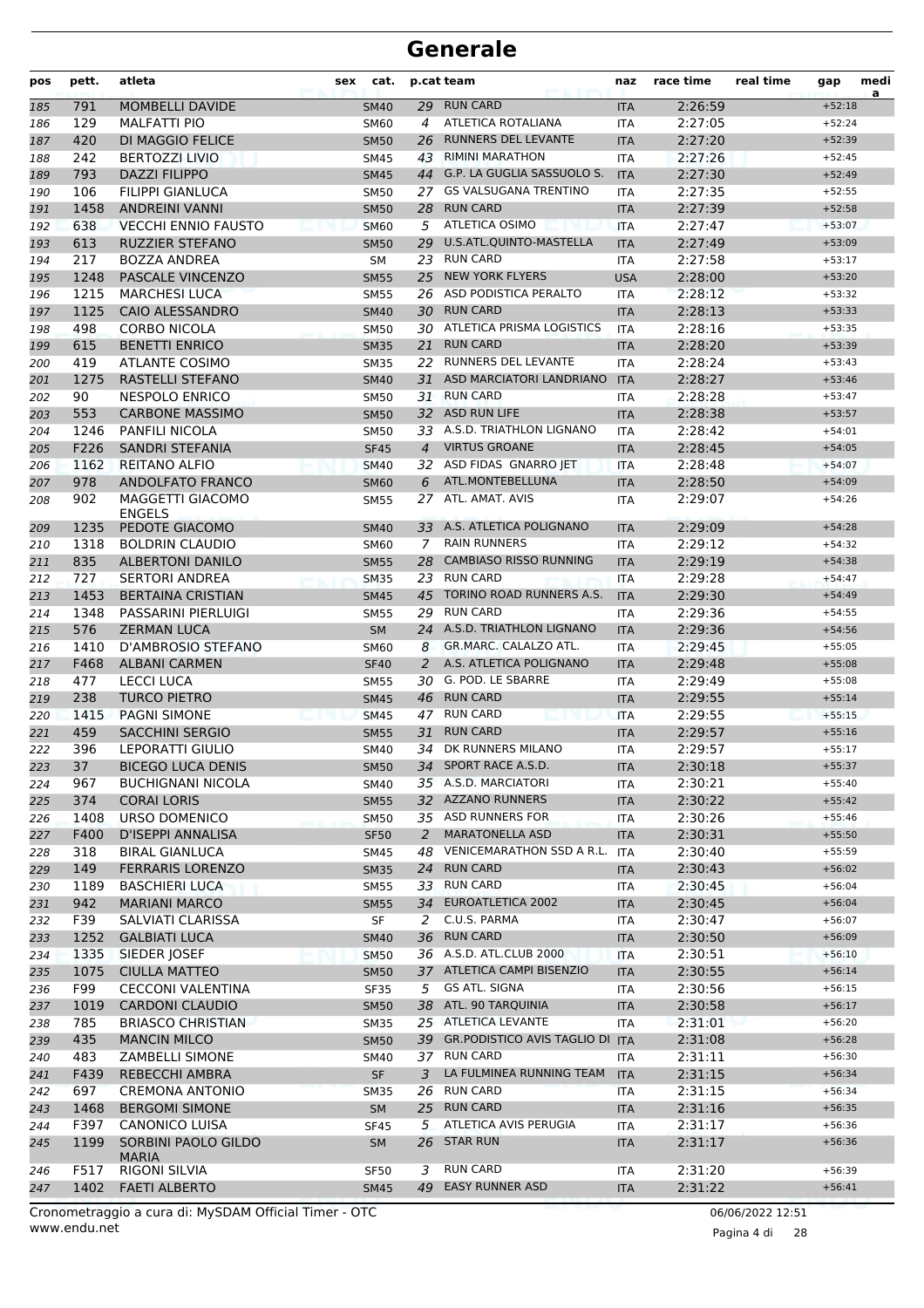| pos | pett.       | atleta                                           | sex | cat.                       |                | p.cat team                                                 | naz                      | race time          | real time | gap                  | medi<br>a |
|-----|-------------|--------------------------------------------------|-----|----------------------------|----------------|------------------------------------------------------------|--------------------------|--------------------|-----------|----------------------|-----------|
| 185 | 791         | <b>MOMBELLI DAVIDE</b>                           |     | <b>SM40</b>                | 29             | <b>RUN CARD</b>                                            | <b>ITA</b>               | 2:26:59            |           | $+52:18$             |           |
| 186 | 129         | <b>MALFATTI PIO</b>                              |     | <b>SM60</b>                | $\overline{a}$ | ATLETICA ROTALIANA                                         | <b>ITA</b>               | 2:27:05            |           | $+52:24$             |           |
| 187 | 420         | DI MAGGIO FELICE                                 |     | <b>SM50</b>                | 26             | <b>RUNNERS DEL LEVANTE</b>                                 | <b>ITA</b>               | 2:27:20            |           | $+52:39$             |           |
| 188 | 242         | <b>BERTOZZI LIVIO</b>                            |     | <b>SM45</b>                | 43             | <b>RIMINI MARATHON</b>                                     | <b>ITA</b>               | 2:27:26            |           | $+52:45$             |           |
| 189 | 793         | <b>DAZZI FILIPPO</b>                             |     | <b>SM45</b>                | 44             | G.P. LA GUGLIA SASSUOLO S.                                 | <b>ITA</b>               | 2:27:30            |           | $+52:49$             |           |
| 190 | 106         | <b>FILIPPI GIANLUCA</b>                          |     | <b>SM50</b>                |                | 27 GS VALSUGANA TRENTINO                                   | <b>ITA</b>               | 2:27:35            |           | $+52:55$             |           |
| 191 | 1458        | <b>ANDREINI VANNI</b>                            |     | <b>SM50</b>                |                | 28 RUN CARD                                                | <b>ITA</b>               | 2:27:39            |           | $+52:58$             |           |
| 192 | 638         | <b>VECCHI ENNIO FAUSTO</b>                       |     | <b>SM60</b>                |                | 5 ATLETICA OSIMO                                           | <b>ITA</b>               | 2:27:47            |           | $+53:07$             |           |
| 193 | 613         | <b>RUZZIER STEFANO</b>                           |     | <b>SM50</b>                | 29             | U.S.ATL.QUINTO-MASTELLA                                    | <b>ITA</b>               | 2:27:49            |           | $+53:09$             |           |
| 194 | 217         | <b>BOZZA ANDREA</b>                              |     | SM                         | 23             | <b>RUN CARD</b>                                            | <b>ITA</b>               | 2:27:58            |           | $+53:17$             |           |
| 195 | 1248        | <b>PASCALE VINCENZO</b>                          |     | <b>SM55</b>                | 25             | <b>NEW YORK FLYERS</b>                                     | <b>USA</b>               | 2:28:00            |           | $+53:20$             |           |
| 196 | 1215        | <b>MARCHESI LUCA</b>                             |     | <b>SM55</b>                |                | 26 ASD PODISTICA PERALTO                                   | <b>ITA</b>               | 2:28:12            |           | $+53:32$             |           |
| 197 | 1125        | <b>CAIO ALESSANDRO</b>                           |     | <b>SM40</b>                | 30             | <b>RUN CARD</b>                                            | <b>ITA</b>               | 2:28:13            |           | $+53:33$             |           |
| 198 | 498         | <b>CORBO NICOLA</b>                              |     | <b>SM50</b>                |                | 30 ATLETICA PRISMA LOGISTICS                               | ITA                      | 2:28:16            |           | $+53:35$             |           |
| 199 | 615         | <b>BENETTI ENRICO</b>                            |     | <b>SM35</b>                | 21             | <b>RUN CARD</b>                                            | <b>ITA</b>               | 2:28:20            |           | $+53:39$             |           |
| 200 | 419         | <b>ATLANTE COSIMO</b>                            |     | <b>SM35</b>                | 22             | RUNNERS DEL LEVANTE                                        | <b>ITA</b>               | 2:28:24            |           | $+53:43$             |           |
| 201 | 1275        | RASTELLI STEFANO                                 |     | <b>SM40</b>                | 31             | ASD MARCIATORI LANDRIANO                                   | <b>ITA</b>               | 2:28:27            |           | $+53:46$             |           |
| 202 | 90          | <b>NESPOLO ENRICO</b>                            |     | <b>SM50</b>                |                | 31 RUN CARD                                                | <b>ITA</b>               | 2:28:28            |           | $+53:47$             |           |
| 203 | 553         | <b>CARBONE MASSIMO</b>                           |     | <b>SM50</b>                |                | 32 ASD RUN LIFE                                            | <b>ITA</b>               | 2:28:38            |           | $+53:57$             |           |
| 204 | 1246        | PANFILI NICOLA                                   |     | <b>SM50</b>                |                | 33 A.S.D. TRIATHLON LIGNANO                                | <b>ITA</b>               | 2:28:42            |           | $+54:01$             |           |
| 205 | F226        | SANDRI STEFANIA                                  |     | <b>SF45</b>                | $\overline{4}$ | <b>VIRTUS GROANE</b>                                       | <b>ITA</b>               | 2:28:45            |           | $+54:05$             |           |
| 206 | 1162        | <b>REITANO ALFIO</b>                             |     | <b>SM40</b>                | 32             | ASD FIDAS GNARRO JET                                       | <b>ITA</b>               | 2:28:48            |           | $+54:07$             |           |
| 207 | 978         | ANDOLFATO FRANCO                                 |     | <b>SM60</b>                | 6              | ATL.MONTEBELLUNA                                           | <b>ITA</b>               | 2:28:50            |           | $+54:09$             |           |
| 208 | 902         | MAGGETTI GIACOMO                                 |     | <b>SM55</b>                |                | 27 ATL. AMAT. AVIS                                         | <b>ITA</b>               | 2:29:07            |           | $+54:26$             |           |
|     |             | <b>FNGFLS</b>                                    |     |                            |                |                                                            |                          |                    |           |                      |           |
| 209 | 1235        | PEDOTE GIACOMO                                   |     | <b>SM40</b>                |                | 33 A.S. ATLETICA POLIGNANO                                 | <b>ITA</b>               | 2:29:09            |           | $+54:28$             |           |
| 210 | 1318        | <b>BOLDRIN CLAUDIO</b>                           |     | <b>SM60</b>                | 7              | <b>RAIN RUNNERS</b>                                        | <b>ITA</b>               | 2:29:12            |           | $+54:32$             |           |
| 211 | 835         | <b>ALBERTONI DANILO</b>                          |     | <b>SM55</b>                |                | 28 CAMBIASO RISSO RUNNING                                  | <b>ITA</b>               | 2:29:19            |           | $+54:38$             |           |
| 212 | 727         | <b>SERTORI ANDREA</b>                            |     | <b>SM35</b>                |                | 23 RUN CARD                                                | <b>ITA</b>               | 2:29:28            |           | $+54:47$             |           |
| 213 | 1453        | <b>BERTAINA CRISTIAN</b>                         |     | <b>SM45</b>                | 45             | TORINO ROAD RUNNERS A.S.                                   | <b>ITA</b>               | 2:29:30            |           | $+54:49$             |           |
| 214 | 1348        | PASSARINI PIERLUIGI                              |     | <b>SM55</b>                | 29             | <b>RUN CARD</b>                                            | <b>ITA</b>               | 2:29:36            |           | $+54:55$             |           |
| 215 | 576         | <b>ZERMAN LUCA</b>                               |     | <b>SM</b>                  |                | 24 A.S.D. TRIATHLON LIGNANO                                | <b>ITA</b>               | 2:29:36            |           | $+54:56$             |           |
| 216 | 1410        | <b>D'AMBROSIO STEFANO</b>                        |     | <b>SM60</b>                | 8              | GR.MARC. CALALZO ATL.                                      | <b>ITA</b>               | 2:29:45            |           | $+55:05$             |           |
| 217 | F468        | <b>ALBANI CARMEN</b>                             |     | <b>SF40</b>                | 2              | A.S. ATLETICA POLIGNANO                                    | <b>ITA</b>               | 2:29:48            |           | $+55:08$             |           |
| 218 | 477         | <b>LECCI LUCA</b>                                |     | <b>SM55</b>                |                | 30 G. POD. LE SBARRE                                       | <b>ITA</b>               | 2:29:49            |           | $+55:08$             |           |
| 219 | 238         | TURCO PIETRO                                     |     | <b>SM45</b>                | 46             | <b>RUN CARD</b>                                            | <b>ITA</b>               | 2:29:55            |           | $+55:14$             |           |
| 220 | 1415        | <b>PAGNI SIMONE</b>                              |     | <b>SM45</b>                |                | 47 RUN CARD                                                | <b>ITA</b>               | 2:29:55            |           | $+55:15$             |           |
| 221 | 459         | <b>SACCHINI SERGIO</b>                           |     | <b>SM55</b>                | 31             | <b>RUN CARD</b><br>34 DK RUNNERS MILANO                    | <b>ITA</b>               | 2:29:57            |           | $+55:16$             |           |
| 222 | 396         | <b>LEPORATTI GIULIO</b>                          |     | SM40                       |                |                                                            | <b>ITA</b>               | 2:29:57<br>2:30:18 |           | $+55:17$             |           |
| 223 | 37          | <b>BICEGO LUCA DENIS</b>                         |     | <b>SM50</b>                |                | 34 SPORT RACE A.S.D.                                       | <b>ITA</b>               |                    |           | $+55:37$<br>$+55:40$ |           |
| 224 | 967         | <b>BUCHIGNANI NICOLA</b>                         |     | SM40                       |                | 35 A.S.D. MARCIATORI<br>32 AZZANO RUNNERS                  | ITA                      | 2:30:21            |           |                      |           |
| 225 | 374         | <b>CORAI LORIS</b>                               |     | <b>SM55</b>                |                |                                                            | <b>ITA</b>               | 2:30:22            |           | $+55:42$             |           |
| 226 | 1408        | URSO DOMENICO                                    |     | <b>SM50</b>                |                | 35 ASD RUNNERS FOR<br><b>MARATONELLA ASD</b>               | ITA                      | 2:30:26            |           | $+55:46$             |           |
| 227 | F400        | D'ISEPPI ANNALISA                                |     | <b>SF50</b>                | 2              | VENICEMARATHON SSD A R.L.                                  | <b>ITA</b>               | 2:30:31            |           | $+55:50$             |           |
| 228 | 318<br>149  | <b>BIRAL GIANLUCA</b><br><b>FERRARIS LORENZO</b> |     | SM45                       | 48             | 24 RUN CARD                                                | ITA                      | 2:30:40            |           | $+55:59$<br>$+56:02$ |           |
| 229 |             |                                                  |     | <b>SM35</b>                |                | 33 RUN CARD                                                | <b>ITA</b>               | 2:30:43            |           | $+56:04$             |           |
| 230 | 1189<br>942 | <b>BASCHIERI LUCA</b><br><b>MARIANI MARCO</b>    |     | <b>SM55</b>                |                | 34 EUROATLETICA 2002                                       | ITA                      | 2:30:45<br>2:30:45 |           | $+56:04$             |           |
| 231 | F39         | SALVIATI CLARISSA                                |     | <b>SM55</b>                | 2              | C.U.S. PARMA                                               | <b>ITA</b><br>ITA        | 2:30:47            |           | $+56:07$             |           |
| 232 | 1252        | <b>GALBIATI LUCA</b>                             |     | SF<br><b>SM40</b>          | 36             | <b>RUN CARD</b>                                            | <b>ITA</b>               | 2:30:50            |           | $+56:09$             |           |
| 233 | 1335        | SIEDER JOSEF                                     |     |                            |                | 36 A.S.D. ATL.CLUB 2000                                    |                          | 2:30:51            |           | $+56:10$             |           |
| 234 | 1075        | <b>CIULLA MATTEO</b>                             |     | <b>SM50</b><br><b>SM50</b> |                | 37 ATLETICA CAMPI BISENZIO                                 | <b>ITA</b><br><b>ITA</b> | 2:30:55            |           | $+56:14$             |           |
| 235 | F99         | <b>CECCONI VALENTINA</b>                         |     |                            | 5              | GS ATL. SIGNA                                              |                          | 2:30:56            |           | $+56:15$             |           |
| 236 | 1019        | <b>CARDONI CLAUDIO</b>                           |     | SF35                       |                | 38 ATL. 90 TARQUINIA                                       | ITA                      |                    |           | $+56:17$             |           |
| 237 |             |                                                  |     | <b>SM50</b>                |                |                                                            | <b>ITA</b>               | 2:30:58            |           |                      |           |
| 238 | 785         | <b>BRIASCO CHRISTIAN</b>                         |     | <b>SM35</b>                |                | 25 ATLETICA LEVANTE<br>39 GR. PODISTICO AVIS TAGLIO DI ITA | ITA                      | 2:31:01            |           | $+56:20$<br>$+56:28$ |           |
| 239 | 435         | <b>MANCIN MILCO</b>                              |     | <b>SM50</b>                |                | 37 RUN CARD                                                |                          | 2:31:08            |           |                      |           |
| 240 | 483         | <b>ZAMBELLI SIMONE</b>                           |     | SM40                       |                | LA FULMINEA RUNNING TEAM                                   | ITA                      | 2:31:11            |           | $+56:30$             |           |
| 241 | F439        | <b>REBECCHI AMBRA</b>                            |     | SF                         | 3              | 26 RUN CARD                                                | <b>ITA</b>               | 2:31:15            |           | $+56:34$             |           |
| 242 | 697         | <b>CREMONA ANTONIO</b>                           |     | <b>SM35</b>                |                |                                                            | ITA                      | 2:31:15            |           | $+56:34$             |           |
| 243 | 1468        | <b>BERGOMI SIMONE</b>                            |     | <b>SM</b>                  |                | 25 RUN CARD<br>ATLETICA AVIS PERUGIA                       | <b>ITA</b>               | 2:31:16            |           | $+56:35$             |           |
| 244 | F397        | <b>CANONICO LUISA</b>                            |     | <b>SF45</b>                | 5              |                                                            | ITA                      | 2:31:17            |           | $+56:36$             |           |
| 245 | 1199        | SORBINI PAOLO GILDO<br><b>MARIA</b>              |     | <b>SM</b>                  |                | 26 STAR RUN                                                | <b>ITA</b>               | 2:31:17            |           | $+56:36$             |           |
| 246 | F517        | RIGONI SILVIA                                    |     | <b>SF50</b>                | 3              | <b>RUN CARD</b>                                            | ITA                      | 2:31:20            |           | $+56:39$             |           |
| 247 | 1402        | <b>FAETI ALBERTO</b>                             |     | <b>SM45</b>                |                | 49 EASY RUNNER ASD                                         | <b>ITA</b>               | 2:31:22            |           | $+56:41$             |           |
|     |             |                                                  |     |                            |                |                                                            |                          |                    |           |                      |           |

www.endu.net Cronometraggio a cura di: MySDAM Official Timer - OTC 06/06/2022 12:51

Pagina 4 di 28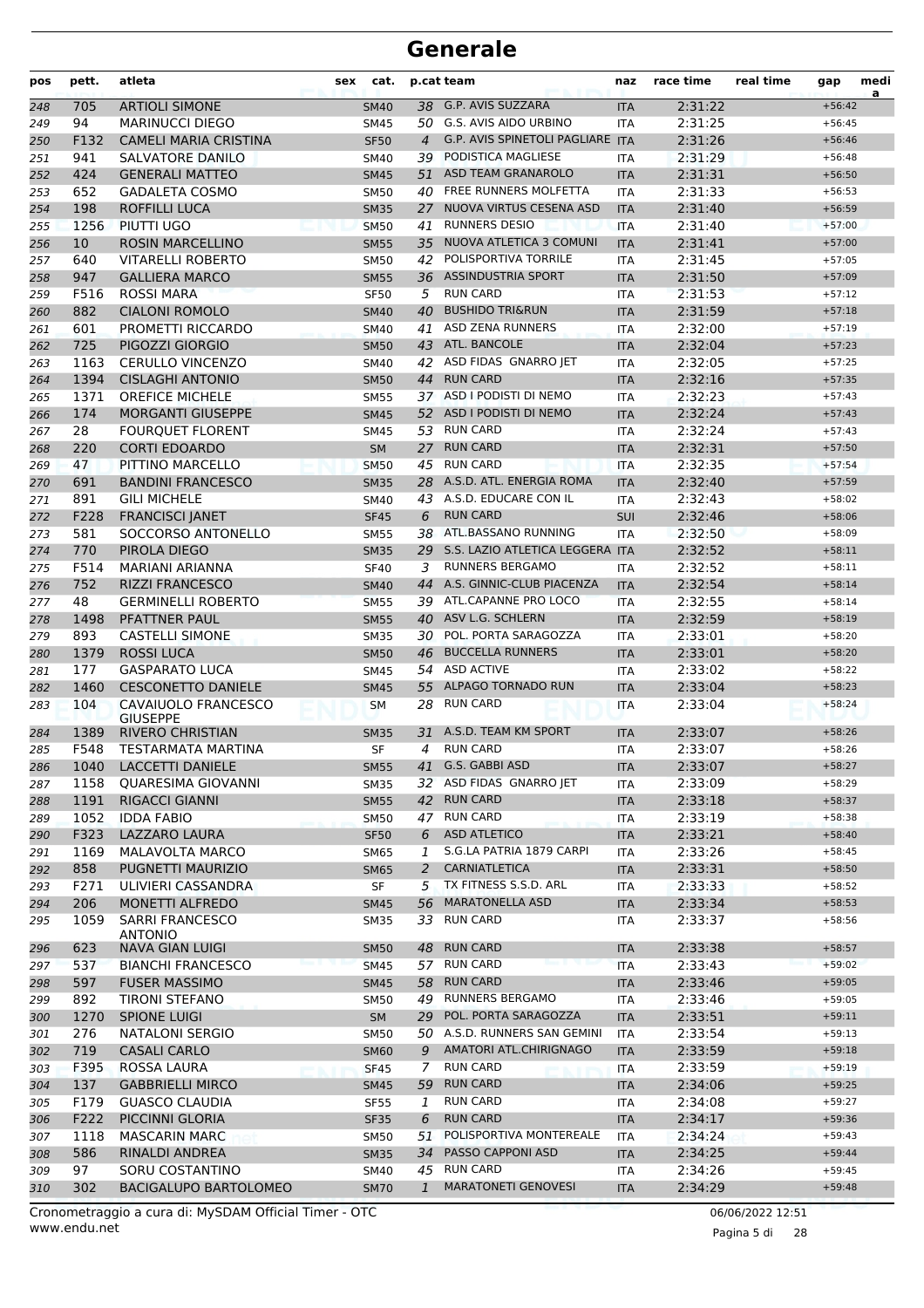| pos | pett. | atleta                                 | cat.<br>sex |                | p.cat team                              | naz        | race time | real time | gap      | medi<br>a |
|-----|-------|----------------------------------------|-------------|----------------|-----------------------------------------|------------|-----------|-----------|----------|-----------|
| 248 | 705   | <b>ARTIOLI SIMONE</b>                  | <b>SM40</b> |                | 38 G.P. AVIS SUZZARA                    | <b>ITA</b> | 2:31:22   |           | $+56:42$ |           |
| 249 | 94    | <b>MARINUCCI DIEGO</b>                 | <b>SM45</b> |                | 50 G.S. AVIS AIDO URBINO                | <b>ITA</b> | 2:31:25   |           | $+56:45$ |           |
| 250 | F132  | <b>CAMELI MARIA CRISTINA</b>           | <b>SF50</b> | $\overline{4}$ | <b>G.P. AVIS SPINETOLI PAGLIARE ITA</b> |            | 2:31:26   |           | $+56:46$ |           |
| 251 | 941   | SALVATORE DANILO                       | <b>SM40</b> | 39             | PODISTICA MAGLIESE                      | <b>ITA</b> | 2:31:29   |           | $+56:48$ |           |
| 252 | 424   | <b>GENERALI MATTEO</b>                 | <b>SM45</b> | 51             | ASD TEAM GRANAROLO                      | <b>ITA</b> | 2:31:31   |           | $+56:50$ |           |
| 253 | 652   | <b>GADALETA COSMO</b>                  | SM50        |                | 40 FREE RUNNERS MOLFETTA                | <b>ITA</b> | 2:31:33   |           | $+56:53$ |           |
| 254 | 198   | <b>ROFFILLI LUCA</b>                   | <b>SM35</b> | 27             | NUOVA VIRTUS CESENA ASD                 | <b>ITA</b> | 2:31:40   |           | $+56:59$ |           |
| 255 | 1256  | PIUTTI UGO                             | <b>SM50</b> | 41             | <b>RUNNERS DESIO</b>                    | <b>ITA</b> | 2:31:40   |           | $+57:00$ |           |
| 256 | 10    | <b>ROSIN MARCELLINO</b>                | <b>SM55</b> | 35             | NUOVA ATLETICA 3 COMUNI                 | <b>ITA</b> | 2:31:41   |           | $+57:00$ |           |
| 257 | 640   | <b>VITARELLI ROBERTO</b>               | <b>SM50</b> | 42             | POLISPORTIVA TORRILE                    | <b>ITA</b> | 2:31:45   |           | $+57:05$ |           |
| 258 | 947   | <b>GALLIERA MARCO</b>                  | <b>SM55</b> |                | 36 ASSINDUSTRIA SPORT                   | <b>ITA</b> | 2:31:50   |           | $+57:09$ |           |
| 259 | F516  | <b>ROSSI MARA</b>                      | <b>SF50</b> | 5              | <b>RUN CARD</b>                         | <b>ITA</b> | 2:31:53   |           | $+57:12$ |           |
| 260 | 882   | <b>CIALONI ROMOLO</b>                  | <b>SM40</b> | 40             | <b>BUSHIDO TRI&amp;RUN</b>              | <b>ITA</b> | 2:31:59   |           | $+57:18$ |           |
| 261 | 601   | PROMETTI RICCARDO                      | <b>SM40</b> | 41             | <b>ASD ZENA RUNNERS</b>                 | <b>ITA</b> | 2:32:00   |           | $+57:19$ |           |
| 262 | 725   | PIGOZZI GIORGIO                        | <b>SM50</b> |                | 43 ATL. BANCOLE                         | <b>ITA</b> | 2:32:04   |           | $+57:23$ |           |
| 263 | 1163  | <b>CERULLO VINCENZO</b>                | <b>SM40</b> |                | 42 ASD FIDAS GNARRO JET                 | <b>ITA</b> | 2:32:05   |           | $+57:25$ |           |
| 264 | 1394  | <b>CISLAGHI ANTONIO</b>                | <b>SM50</b> | 44             | <b>RUN CARD</b>                         | <b>ITA</b> | 2:32:16   |           | $+57:35$ |           |
| 265 | 1371  | <b>OREFICE MICHELE</b>                 | <b>SM55</b> |                | 37 ASD I PODISTI DI NEMO                | <b>ITA</b> | 2:32:23   |           | $+57:43$ |           |
| 266 | 174   | <b>MORGANTI GIUSEPPE</b>               | <b>SM45</b> |                | 52 ASD I PODISTI DI NEMO                | <b>ITA</b> | 2:32:24   |           | $+57:43$ |           |
| 267 | 28    | <b>FOURQUET FLORENT</b>                | SM45        |                | 53 RUN CARD                             | <b>ITA</b> | 2:32:24   |           | $+57:43$ |           |
| 268 | 220   | <b>CORTI EDOARDO</b>                   | <b>SM</b>   | 27             | <b>RUN CARD</b>                         | <b>ITA</b> | 2:32:31   |           | $+57:50$ |           |
| 269 | 47    | PITTINO MARCELLO                       | <b>SM50</b> | 45             | <b>RUN CARD</b>                         | <b>ITA</b> | 2:32:35   |           | $+57:54$ |           |
| 270 | 691   | <b>BANDINI FRANCESCO</b>               | <b>SM35</b> |                | 28 A.S.D. ATL. ENERGIA ROMA             | <b>ITA</b> | 2:32:40   |           | $+57:59$ |           |
| 271 | 891   | <b>GILI MICHELE</b>                    | SM40        |                | 43 A.S.D. EDUCARE CON IL                | <b>ITA</b> | 2:32:43   |           | $+58:02$ |           |
| 272 | F228  | <b>FRANCISCI JANET</b>                 | <b>SF45</b> | 6              | <b>RUN CARD</b>                         | <b>SUI</b> | 2:32:46   |           | $+58:06$ |           |
| 273 | 581   | SOCCORSO ANTONELLO                     | <b>SM55</b> |                | 38 ATL.BASSANO RUNNING                  | <b>ITA</b> | 2:32:50   |           | $+58:09$ |           |
| 274 | 770   | PIROLA DIEGO                           | <b>SM35</b> |                | 29 S.S. LAZIO ATLETICA LEGGERA ITA      |            | 2:32:52   |           | $+58:11$ |           |
| 275 | F514  | <b>MARIANI ARIANNA</b>                 | <b>SF40</b> | 3              | <b>RUNNERS BERGAMO</b>                  | <b>ITA</b> | 2:32:52   |           | $+58:11$ |           |
| 276 | 752   | <b>RIZZI FRANCESCO</b>                 | <b>SM40</b> | 44             | A.S. GINNIC-CLUB PIACENZA               | <b>ITA</b> | 2:32:54   |           | $+58:14$ |           |
| 277 | 48    | <b>GERMINELLI ROBERTO</b>              | <b>SM55</b> |                | 39 ATL.CAPANNE PRO LOCO                 | <b>ITA</b> | 2:32:55   |           | $+58:14$ |           |
| 278 | 1498  | PFATTNER PAUL                          | <b>SM55</b> |                | 40 ASV L.G. SCHLERN                     | <b>ITA</b> | 2:32:59   |           | $+58:19$ |           |
| 279 | 893   | <b>CASTELLI SIMONE</b>                 | <b>SM35</b> |                | 30 POL. PORTA SARAGOZZA                 | <b>ITA</b> | 2:33:01   |           | $+58:20$ |           |
| 280 | 1379  | <b>ROSSI LUCA</b>                      | <b>SM50</b> |                | 46 BUCCELLA RUNNERS                     | <b>ITA</b> | 2:33:01   |           | $+58:20$ |           |
| 281 | 177   | <b>GASPARATO LUCA</b>                  | <b>SM45</b> |                | 54 ASD ACTIVE                           | <b>ITA</b> | 2:33:02   |           | $+58:22$ |           |
| 282 | 1460  | <b>CESCONETTO DANIELE</b>              | <b>SM45</b> | 55             | <b>ALPAGO TORNADO RUN</b>               | <b>ITA</b> | 2:33:04   |           | $+58:23$ |           |
| 283 | 104   | CAVAIUOLO FRANCESCO<br><b>GIUSEPPE</b> | <b>SM</b>   | 28             | <b>RUN CARD</b>                         | <b>ITA</b> | 2:33:04   |           | $+58:24$ |           |
| 284 | 1389  | <b>RIVERO CHRISTIAN</b>                | <b>SM35</b> | 31             | A.S.D. TEAM KM SPORT                    | <b>ITA</b> | 2:33:07   |           | $+58:26$ |           |
| 285 | F548  | <b>TESTARMATA MARTINA</b>              | SF          | 4              | <b>RUN CARD</b>                         | <b>ITA</b> | 2:33:07   |           | $+58:26$ |           |
| 286 | 1040  | LACCETTI DANIELE                       | SM55        |                | 41 G.S. GABBI ASD                       | <b>ITA</b> | 2:33:07   |           | $+58:27$ |           |
| 287 | 1158  | QUARESIMA GIOVANNI                     | <b>SM35</b> |                | 32 ASD FIDAS GNARRO JET                 | ITA        | 2:33:09   |           | $+58:29$ |           |
| 288 | 1191  | RIGACCI GIANNI                         | <b>SM55</b> | 42             | <b>RUN CARD</b>                         | <b>ITA</b> | 2:33:18   |           | $+58:37$ |           |
| 289 | 1052  | <b>IDDA FABIO</b>                      | <b>SM50</b> | 47             | <b>RUN CARD</b>                         | <b>ITA</b> | 2:33:19   |           | $+58:38$ |           |
| 290 | F323  | <b>LAZZARO LAURA</b>                   | <b>SF50</b> | 6              | <b>ASD ATLETICO</b>                     | <b>ITA</b> | 2:33:21   |           | $+58:40$ |           |
| 291 | 1169  | MALAVOLTA MARCO                        | SM65        | 1              | S.G.LA PATRIA 1879 CARPI                | ITA        | 2:33:26   |           | $+58:45$ |           |
| 292 | 858   | PUGNETTI MAURIZIO                      | <b>SM65</b> | 2              | <b>CARNIATLETICA</b>                    | <b>ITA</b> | 2:33:31   |           | $+58:50$ |           |
| 293 | F271  | ULIVIERI CASSANDRA                     | SF          | 5              | TX FITNESS S.S.D. ARL                   | <b>ITA</b> | 2:33:33   |           | $+58:52$ |           |
| 294 | 206   | <b>MONETTI ALFREDO</b>                 | <b>SM45</b> | 56             | <b>MARATONELLA ASD</b>                  | <b>ITA</b> | 2:33:34   |           | $+58:53$ |           |
| 295 | 1059  | <b>SARRI FRANCESCO</b><br>ANTONIO      | SM35        |                | 33 RUN CARD                             | ITA        | 2:33:37   |           | $+58:56$ |           |
| 296 | 623   | <b>NAVA GIAN LUIGI</b>                 | <b>SM50</b> | 48             | <b>RUN CARD</b>                         | <b>ITA</b> | 2:33:38   |           | $+58:57$ |           |
| 297 | 537   | <b>BIANCHI FRANCESCO</b>               | <b>SM45</b> |                | 57 RUN CARD                             | <b>ITA</b> | 2:33:43   |           | $+59:02$ |           |
| 298 | 597   | <b>FUSER MASSIMO</b>                   | <b>SM45</b> | 58             | <b>RUN CARD</b>                         | <b>ITA</b> | 2:33:46   |           | $+59:05$ |           |
| 299 | 892   | <b>TIRONI STEFANO</b>                  | SM50        |                | 49 RUNNERS BERGAMO                      | ITA        | 2:33:46   |           | $+59:05$ |           |
| 300 | 1270  | <b>SPIONE LUIGI</b>                    | <b>SM</b>   |                | 29 POL. PORTA SARAGOZZA                 | <b>ITA</b> | 2:33:51   |           | $+59:11$ |           |
| 301 | 276   | <b>NATALONI SERGIO</b>                 | SM50        |                | 50 A.S.D. RUNNERS SAN GEMINI            | <b>ITA</b> | 2:33:54   |           | $+59:13$ |           |
| 302 | 719   | <b>CASALI CARLO</b>                    | <b>SM60</b> | 9              | AMATORI ATL.CHIRIGNAGO                  | <b>ITA</b> | 2:33:59   |           | $+59:18$ |           |
| 303 | F395  | ROSSA LAURA                            | <b>SF45</b> | 7              | <b>RUN CARD</b>                         | ITA        | 2:33:59   |           | $+59:19$ |           |
| 304 | 137   | <b>GABBRIELLI MIRCO</b>                | <b>SM45</b> | 59             | <b>RUN CARD</b>                         | <b>ITA</b> | 2:34:06   |           | $+59:25$ |           |
| 305 | F179  | <b>GUASCO CLAUDIA</b>                  | <b>SF55</b> | 1              | <b>RUN CARD</b>                         | <b>ITA</b> | 2:34:08   |           | $+59:27$ |           |
| 306 | F222  | PICCINNI GLORIA                        | <b>SF35</b> | 6              | <b>RUN CARD</b>                         | <b>ITA</b> | 2:34:17   |           | $+59:36$ |           |
| 307 | 1118  | <b>MASCARIN MARC</b>                   | SM50        | 51             | POLISPORTIVA MONTEREALE                 | ITA        | 2:34:24   |           | $+59:43$ |           |
| 308 | 586   | RINALDI ANDREA                         | <b>SM35</b> | 34             | PASSO CAPPONI ASD                       | <b>ITA</b> | 2:34:25   |           | $+59:44$ |           |
| 309 | 97    | SORU COSTANTINO                        | SM40        | 45             | <b>RUN CARD</b>                         | ITA        | 2:34:26   |           | $+59:45$ |           |
| 310 | 302   | <b>BACIGALUPO BARTOLOMEO</b>           | <b>SM70</b> | $\mathbf{1}$   | <b>MARATONETI GENOVESI</b>              | <b>ITA</b> | 2:34:29   |           | $+59:48$ |           |
|     |       |                                        |             |                |                                         |            |           |           |          |           |

www.endu.net Cronometraggio a cura di: MySDAM Official Timer - OTC 06/06/2022 12:51

Pagina 5 di 28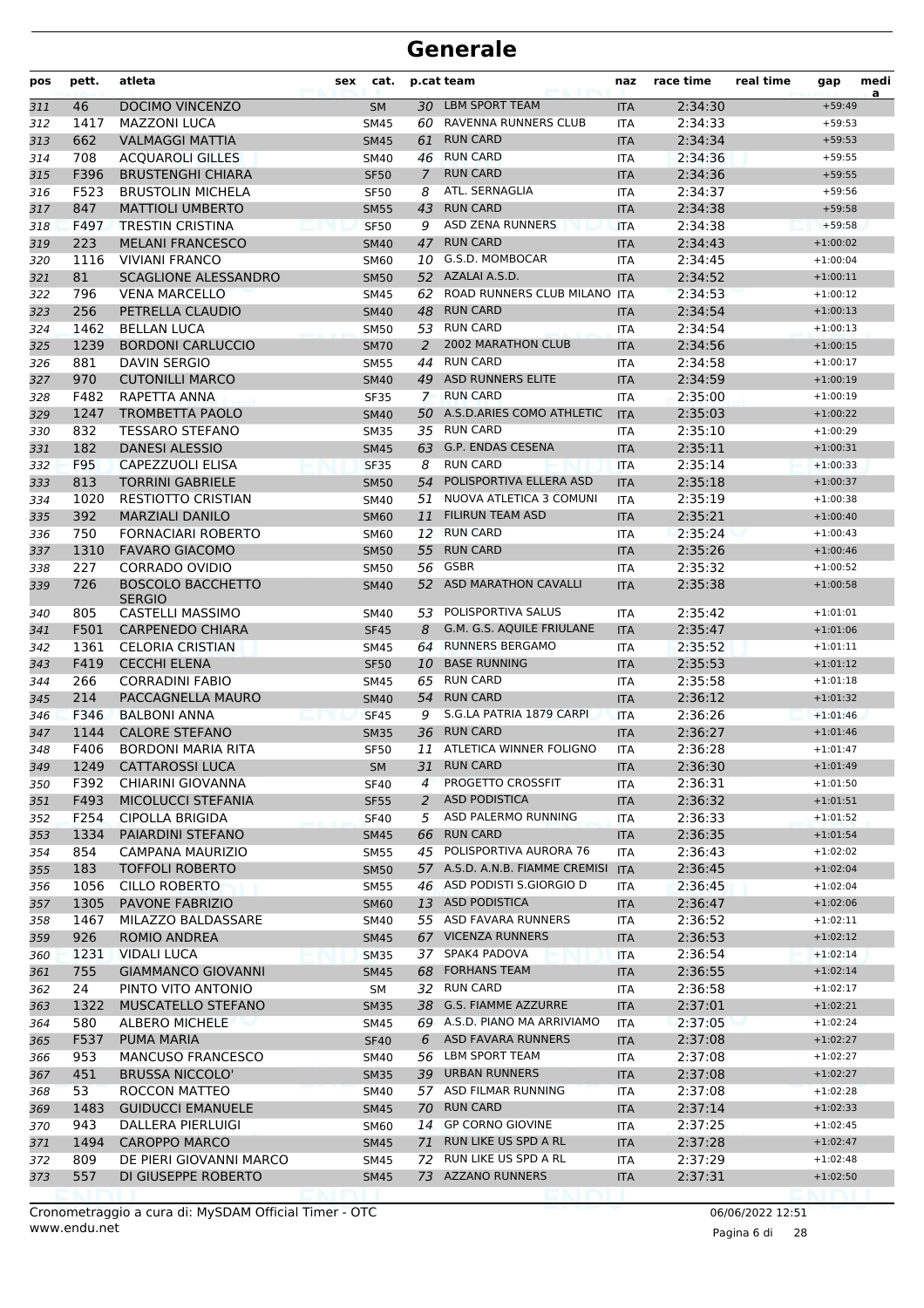| pos | pett. | atleta                            | sex | cat.        |               | p.cat team                          | naz                         | race time | real time | gap        | medi<br>a |
|-----|-------|-----------------------------------|-----|-------------|---------------|-------------------------------------|-----------------------------|-----------|-----------|------------|-----------|
| 311 | 46    | <b>DOCIMO VINCENZO</b>            |     | <b>SM</b>   |               | 30 LBM SPORT TEAM                   | <b>ITA</b>                  | 2:34:30   |           | $+59:49$   |           |
| 312 | 1417  | <b>MAZZONI LUCA</b>               |     | SM45        |               | 60 RAVENNA RUNNERS CLUB             | ITA                         | 2:34:33   |           | $+59:53$   |           |
| 313 | 662   | <b>VALMAGGI MATTIA</b>            |     | <b>SM45</b> | 61            | <b>RUN CARD</b>                     | <b>ITA</b>                  | 2:34:34   |           | $+59:53$   |           |
| 314 | 708   | <b>ACQUAROLI GILLES</b>           |     | SM40        | 46            | <b>RUN CARD</b>                     | ITA                         | 2:34:36   |           | $+59:55$   |           |
| 315 | F396  | <b>BRUSTENGHI CHIARA</b>          |     | <b>SF50</b> | $\mathcal{I}$ | <b>RUN CARD</b>                     | <b>ITA</b>                  | 2:34:36   |           | $+59:55$   |           |
| 316 | F523  | <b>BRUSTOLIN MICHELA</b>          |     | <b>SF50</b> | 8             | ATL. SERNAGLIA                      | ITA                         | 2:34:37   |           | $+59:56$   |           |
| 317 | 847   | <b>MATTIOLI UMBERTO</b>           |     | <b>SM55</b> | 43            | <b>RUN CARD</b>                     | <b>ITA</b>                  | 2:34:38   |           | $+59:58$   |           |
| 318 | F497  | <b>TRESTIN CRISTINA</b>           |     | <b>SF50</b> | 9             | <b>ASD ZENA RUNNERS</b>             | <b>ITA</b>                  | 2:34:38   |           | $+59:58$   |           |
| 319 | 223   | <b>MELANI FRANCESCO</b>           |     | <b>SM40</b> | 47            | <b>RUN CARD</b>                     | <b>ITA</b>                  | 2:34:43   |           | $+1:00:02$ |           |
| 320 | 1116  | <b>VIVIANI FRANCO</b>             |     | <b>SM60</b> | 10            | G.S.D. MOMBOCAR                     | ITA                         | 2:34:45   |           | $+1:00:04$ |           |
| 321 | 81    | <b>SCAGLIONE ALESSANDRO</b>       |     | <b>SM50</b> |               | 52 AZALAI A.S.D.                    | <b>ITA</b>                  | 2:34:52   |           | $+1:00:11$ |           |
| 322 | 796   | <b>VENA MARCELLO</b>              |     | <b>SM45</b> | 62            | ROAD RUNNERS CLUB MILANO ITA        |                             | 2:34:53   |           | $+1:00:12$ |           |
| 323 | 256   | PETRELLA CLAUDIO                  |     | <b>SM40</b> |               | 48 RUN CARD                         | <b>ITA</b>                  | 2:34:54   |           | $+1:00:13$ |           |
| 324 | 1462  | <b>BELLAN LUCA</b>                |     | <b>SM50</b> |               | 53 RUN CARD                         | ITA                         | 2:34:54   |           | $+1:00:13$ |           |
| 325 | 1239  | <b>BORDONI CARLUCCIO</b>          |     | <b>SM70</b> | 2             | 2002 MARATHON CLUB                  | <b>ITA</b>                  | 2:34:56   |           | $+1:00:15$ |           |
| 326 | 881   | <b>DAVIN SERGIO</b>               |     | <b>SM55</b> | 44            | <b>RUN CARD</b>                     | <b>ITA</b>                  | 2:34:58   |           | $+1:00:17$ |           |
| 327 | 970   | <b>CUTONILLI MARCO</b>            |     | <b>SM40</b> |               | 49 ASD RUNNERS ELITE                | <b>ITA</b>                  | 2:34:59   |           | $+1:00:19$ |           |
| 328 | F482  | RAPETTA ANNA                      |     | <b>SF35</b> | $7^{\circ}$   | <b>RUN CARD</b>                     | <b>ITA</b>                  | 2:35:00   |           | $+1:00:19$ |           |
| 329 | 1247  | <b>TROMBETTA PAOLO</b>            |     | <b>SM40</b> |               | 50 A.S.D.ARIES COMO ATHLETIC        | <b>ITA</b>                  | 2:35:03   |           | $+1:00:22$ |           |
| 330 | 832   | <b>TESSARO STEFANO</b>            |     | <b>SM35</b> |               | 35 RUN CARD                         | ITA                         | 2:35:10   |           | $+1:00:29$ |           |
| 331 | 182   | <b>DANESI ALESSIO</b>             |     | <b>SM45</b> |               | 63 G.P. ENDAS CESENA                | <b>ITA</b>                  | 2:35:11   |           | $+1:00:31$ |           |
| 332 | F95   | <b>CAPEZZUOLI ELISA</b>           |     | <b>SF35</b> | 8             | <b>RUN CARD</b>                     | <b>ITA</b>                  | 2:35:14   |           | $+1:00:33$ |           |
| 333 | 813   | <b>TORRINI GABRIELE</b>           |     | <b>SM50</b> | 54            | POLISPORTIVA ELLERA ASD             | <b>ITA</b>                  | 2:35:18   |           | $+1:00:37$ |           |
| 334 | 1020  | RESTIOTTO CRISTIAN                |     | <b>SM40</b> | 51            | NUOVA ATLETICA 3 COMUNI             | <b>ITA</b>                  | 2:35:19   |           | $+1:00:38$ |           |
| 335 | 392   | <b>MARZIALI DANILO</b>            |     | <b>SM60</b> | 11            | <b>FILIRUN TEAM ASD</b>             | <b>ITA</b>                  | 2:35:21   |           | $+1:00:40$ |           |
| 336 | 750   | <b>FORNACIARI ROBERTO</b>         |     | <b>SM60</b> |               | 12 RUN CARD                         | ITA                         | 2:35:24   |           | $+1:00:43$ |           |
| 337 | 1310  | <b>FAVARO GIACOMO</b>             |     | <b>SM50</b> | 55            | <b>RUN CARD</b>                     | <b>ITA</b>                  | 2:35:26   |           | $+1:00:46$ |           |
| 338 | 227   | <b>CORRADO OVIDIO</b>             |     | <b>SM50</b> | 56            | GSBR                                | <b>ITA</b>                  | 2:35:32   |           | $+1:00:52$ |           |
| 339 | 726   | <b>BOSCOLO BACCHETTO</b>          |     | <b>SM40</b> |               | 52 ASD MARATHON CAVALLI             | <b>ITA</b>                  | 2:35:38   |           | $+1:00:58$ |           |
| 340 | 805   | <b>SERGIO</b><br>CASTELLI MASSIMO |     | SM40        | 53            | POLISPORTIVA SALUS                  | ITA                         | 2:35:42   |           | $+1:01:01$ |           |
| 341 | F501  | <b>CARPENEDO CHIARA</b>           |     | <b>SF45</b> | 8             | G.M. G.S. AQUILE FRIULANE           | <b>ITA</b>                  | 2:35:47   |           | $+1:01:06$ |           |
| 342 | 1361  | <b>CELORIA CRISTIAN</b>           |     | <b>SM45</b> |               | 64 RUNNERS BERGAMO                  | ITA                         | 2:35:52   |           | $+1:01:11$ |           |
| 343 | F419  | <b>CECCHI ELENA</b>               |     | <b>SF50</b> |               | 10 BASE RUNNING                     | <b>ITA</b>                  | 2:35:53   |           | $+1:01:12$ |           |
| 344 | 266   | <b>CORRADINI FABIO</b>            |     | <b>SM45</b> |               | 65 RUN CARD                         | <b>ITA</b>                  | 2:35:58   |           | $+1:01:18$ |           |
| 345 | 214   | PACCAGNELLA MAURO                 |     | <b>SM40</b> | 54            | <b>RUN CARD</b>                     | <b>ITA</b>                  | 2:36:12   |           | $+1:01:32$ |           |
| 346 | F346  | <b>BALBONI ANNA</b>               |     | <b>SF45</b> | 9             | S.G.LA PATRIA 1879 CARPI            | <b>ITA</b>                  | 2:36:26   |           | $+1:01:46$ |           |
| 347 | 1144  | <b>CALORE STEFANO</b>             |     | <b>SM35</b> | 36            | <b>RUN CARD</b>                     | <b>ITA</b>                  | 2:36:27   |           | $+1:01:46$ |           |
| 348 | F406  | <b>BORDONI MARIA RITA</b>         |     | <b>SF50</b> |               | 11 ATLETICA WINNER FOLIGNO          | <b>ITA</b>                  | 2:36:28   |           | $+1:01:47$ |           |
| 349 |       | 1249 CATTAROSSI LUCA              |     | SM          |               | 31 RUN CARD                         | $\ensuremath{\mathsf{ITA}}$ | 2:36:30   |           | $+1:01:49$ |           |
| 350 | F392  | CHIARINI GIOVANNA                 |     | <b>SF40</b> | 4             | PROGETTO CROSSFIT                   | ITA.                        | 2:36:31   |           | $+1:01:50$ |           |
| 351 | F493  | MICOLUCCI STEFANIA                |     | <b>SF55</b> | 2             | <b>ASD PODISTICA</b>                | <b>ITA</b>                  | 2:36:32   |           | $+1:01:51$ |           |
| 352 | F254  | CIPOLLA BRIGIDA                   |     | <b>SF40</b> | 5             | ASD PALERMO RUNNING                 | <b>ITA</b>                  | 2:36:33   |           | $+1:01:52$ |           |
| 353 | 1334  | PAIARDINI STEFANO                 |     | <b>SM45</b> |               | 66 RUN CARD                         | <b>ITA</b>                  | 2:36:35   |           | $+1:01:54$ |           |
| 354 | 854   | CAMPANA MAURIZIO                  |     | <b>SM55</b> |               | 45 POLISPORTIVA AURORA 76           | ITA                         | 2:36:43   |           | $+1:02:02$ |           |
| 355 | 183   | <b>TOFFOLI ROBERTO</b>            |     | <b>SM50</b> |               | 57 A.S.D. A.N.B. FIAMME CREMISI ITA |                             | 2:36:45   |           | $+1:02:04$ |           |
| 356 | 1056  | <b>CILLO ROBERTO</b>              |     | <b>SM55</b> |               | 46 ASD PODISTI S.GIORGIO D          | ITA                         | 2:36:45   |           | $+1:02:04$ |           |
| 357 | 1305  | PAVONE FABRIZIO                   |     | <b>SM60</b> |               | 13 ASD PODISTICA                    | <b>ITA</b>                  | 2:36:47   |           | $+1:02:06$ |           |
| 358 | 1467  | MILAZZO BALDASSARE                |     | SM40        |               | 55 ASD FAVARA RUNNERS               | <b>ITA</b>                  | 2:36:52   |           | $+1:02:11$ |           |
| 359 | 926   | ROMIO ANDREA                      |     | <b>SM45</b> |               | 67 VICENZA RUNNERS                  | <b>ITA</b>                  | 2:36:53   |           | $+1:02:12$ |           |
| 360 | 1231  | <b>VIDALI LUCA</b>                |     | <b>SM35</b> |               | 37 SPAK4 PADOVA                     | ITA                         | 2:36:54   |           | $+1:02:14$ |           |
| 361 | 755   | <b>GIAMMANCO GIOVANNI</b>         |     | SM45        |               | 68 FORHANS TEAM                     | <b>ITA</b>                  | 2:36:55   |           | $+1:02:14$ |           |
| 362 | 24    | PINTO VITO ANTONIO                |     | SM          |               | 32 RUN CARD                         | ITA                         | 2:36:58   |           | $+1:02:17$ |           |
| 363 | 1322  | MUSCATELLO STEFANO                |     | <b>SM35</b> |               | 38 G.S. FIAMME AZZURRE              | <b>ITA</b>                  | 2:37:01   |           | $+1:02:21$ |           |
| 364 | 580   | ALBERO MICHELE                    |     | SM45        |               | 69 A.S.D. PIANO MA ARRIVIAMO        | <b>ITA</b>                  | 2:37:05   |           | $+1:02:24$ |           |
| 365 | F537  | PUMA MARIA                        |     | <b>SF40</b> | 6             | ASD FAVARA RUNNERS                  | <b>ITA</b>                  | 2:37:08   |           | $+1:02:27$ |           |
| 366 | 953   | <b>MANCUSO FRANCESCO</b>          |     | SM40        |               | 56 LBM SPORT TEAM                   | ITA                         | 2:37:08   |           | $+1:02:27$ |           |
| 367 | 451   | <b>BRUSSA NICCOLO'</b>            |     | <b>SM35</b> |               | 39 URBAN RUNNERS                    | <b>ITA</b>                  | 2:37:08   |           | $+1:02:27$ |           |
| 368 | 53    | ROCCON MATTEO                     |     | <b>SM40</b> |               | 57 ASD FILMAR RUNNING               | ITA                         | 2:37:08   |           | $+1:02:28$ |           |
| 369 | 1483  | <b>GUIDUCCI EMANUELE</b>          |     | <b>SM45</b> |               | 70 RUN CARD                         | <b>ITA</b>                  | 2:37:14   |           | $+1:02:33$ |           |
| 370 | 943   | DALLERA PIERLUIGI                 |     | <b>SM60</b> |               | 14 GP CORNO GIOVINE                 | <b>ITA</b>                  | 2:37:25   |           | $+1:02:45$ |           |
| 371 | 1494  | <b>CAROPPO MARCO</b>              |     | <b>SM45</b> |               | 71 RUN LIKE US SPD A RL             | <b>ITA</b>                  | 2:37:28   |           | $+1:02:47$ |           |
| 372 | 809   | DE PIERI GIOVANNI MARCO           |     | SM45        | 72            | RUN LIKE US SPD A RL                | ITA                         | 2:37:29   |           | $+1:02:48$ |           |
| 373 | 557   | DI GIUSEPPE ROBERTO               |     | <b>SM45</b> |               | 73 AZZANO RUNNERS                   | <b>ITA</b>                  | 2:37:31   |           | $+1:02:50$ |           |
|     |       |                                   |     |             |               |                                     |                             |           |           |            |           |

Pagina 6 di 28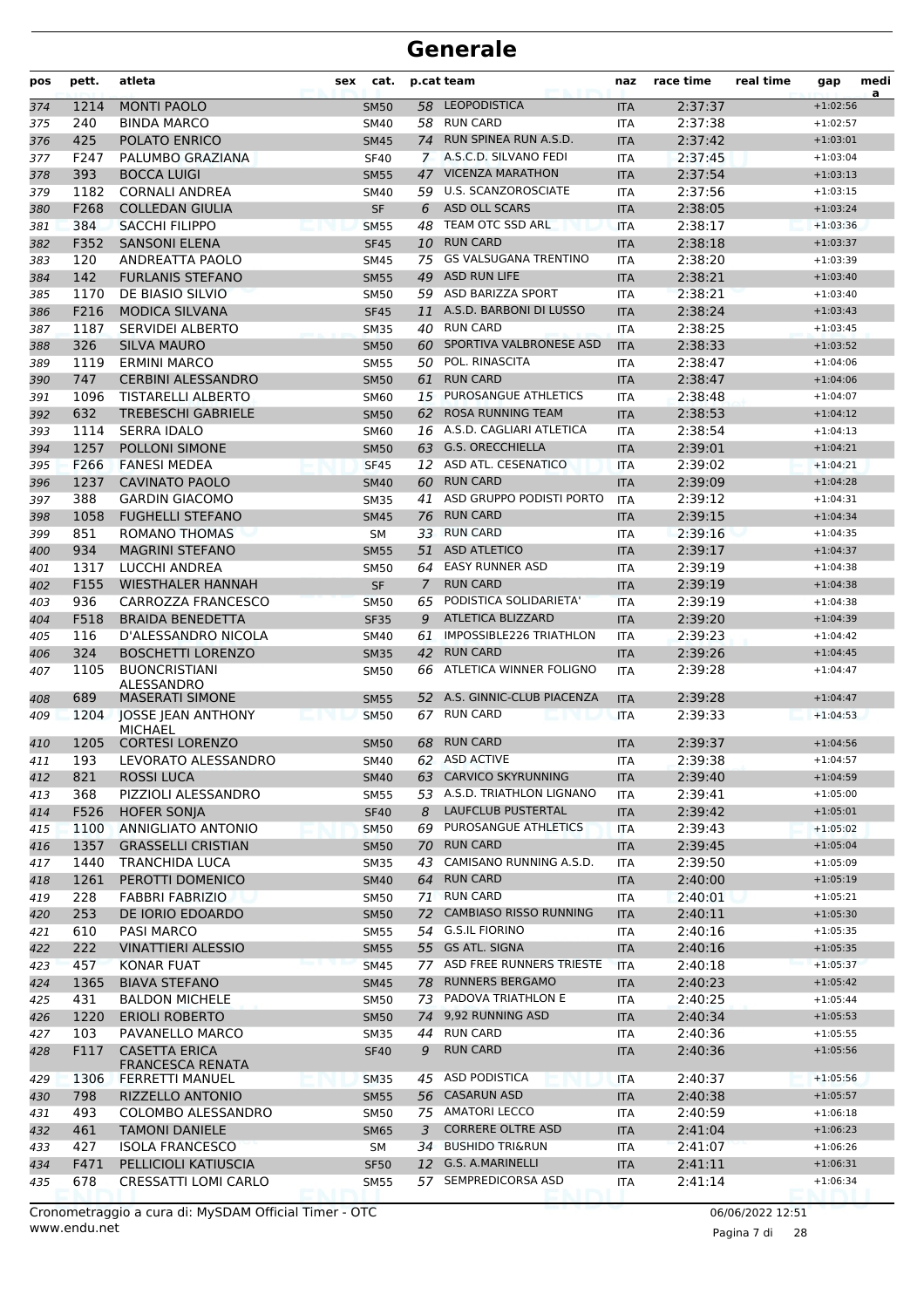| pos        | pett.        | atleta                                          | sex         | cat.                             | p.cat team                                           | naz                      | race time          | real time | gap                      | medi<br>a |
|------------|--------------|-------------------------------------------------|-------------|----------------------------------|------------------------------------------------------|--------------------------|--------------------|-----------|--------------------------|-----------|
| 374        | 1214         | <b>MONTI PAOLO</b>                              |             | 58<br><b>SM50</b>                | <b>LEOPODISTICA</b>                                  | <b>ITA</b>               | 2:37:37            |           | $+1:02:56$               |           |
| 375        | 240          | <b>BINDA MARCO</b>                              |             | <b>SM40</b>                      | 58 RUN CARD                                          | <b>ITA</b>               | 2:37:38            |           | $+1:02:57$               |           |
| 376        | 425          | POLATO ENRICO                                   |             | <b>SM45</b><br>74                | RUN SPINEA RUN A.S.D.                                | <b>ITA</b>               | 2:37:42            |           | $+1:03:01$               |           |
| 377        | F247         | PALUMBO GRAZIANA                                |             | <b>SF40</b><br>$\mathbf{7}$      | A.S.C.D. SILVANO FEDI                                | <b>ITA</b>               | 2:37:45            |           | $+1:03:04$               |           |
| 378        | 393          | <b>BOCCA LUIGI</b>                              |             | 47<br><b>SM55</b>                | <b>VICENZA MARATHON</b>                              | <b>ITA</b>               | 2:37:54            |           | $+1:03:13$               |           |
| 379        | 1182         | <b>CORNALI ANDREA</b>                           |             | <b>SM40</b>                      | 59 U.S. SCANZOROSCIATE                               | <b>ITA</b>               | 2:37:56            |           | $+1:03:15$               |           |
| 380        | F268         | <b>COLLEDAN GIULIA</b>                          |             | <b>SF</b><br>6                   | <b>ASD OLL SCARS</b>                                 | <b>ITA</b>               | 2:38:05            |           | $+1:03:24$               |           |
| 381        | 384          | <b>SACCHI FILIPPO</b>                           | <b>SM55</b> | 48                               | TEAM OTC SSD ARL                                     | <b>ITA</b>               | 2:38:17            |           | $+1:03:36$               |           |
| 382        | F352         | <b>SANSONI ELENA</b>                            |             | <b>SF45</b><br>10                | <b>RUN CARD</b>                                      | <b>ITA</b>               | 2:38:18            |           | $+1:03:37$               |           |
| 383        | 120          | ANDREATTA PAOLO                                 |             | SM45<br>75                       | <b>GS VALSUGANA TRENTINO</b>                         | <b>ITA</b>               | 2:38:20            |           | $+1:03:39$               |           |
| 384        | 142          | <b>FURLANIS STEFANO</b>                         |             | 49<br><b>SM55</b>                | <b>ASD RUN LIFE</b>                                  | <b>ITA</b>               | 2:38:21            |           | $+1:03:40$               |           |
| 385        | 1170         | DE BIASIO SILVIO                                |             | <b>SM50</b>                      | 59 ASD BARIZZA SPORT                                 | <b>ITA</b>               | 2:38:21            |           | $+1:03:40$               |           |
| 386        | F216         | <b>MODICA SILVANA</b>                           |             | <b>SF45</b><br>11                | A.S.D. BARBONI DI LUSSO                              | <b>ITA</b>               | 2:38:24            |           | $+1:03:43$               |           |
| 387        | 1187         | <b>SERVIDEI ALBERTO</b>                         |             | <b>SM35</b>                      | 40 RUN CARD                                          | <b>ITA</b>               | 2:38:25            |           | $+1:03:45$               |           |
| 388        | 326          | <b>SILVA MAURO</b>                              |             | 60<br><b>SM50</b>                | SPORTIVA VALBRONESE ASD                              | <b>ITA</b>               | 2:38:33            |           | $+1:03:52$               |           |
| 389        | 1119         | <b>ERMINI MARCO</b>                             |             | <b>SM55</b><br>50                | <b>POL. RINASCITA</b>                                | <b>ITA</b>               | 2:38:47            |           | $+1:04:06$               |           |
| 390        | 747          | <b>CERBINI ALESSANDRO</b>                       |             | <b>SM50</b><br>61                | <b>RUN CARD</b>                                      | <b>ITA</b>               | 2:38:47            |           | $+1:04:06$               |           |
| 391        | 1096         | <b>TISTARELLI ALBERTO</b>                       |             | 15<br><b>SM60</b>                | <b>PUROSANGUE ATHLETICS</b>                          | <b>ITA</b>               | 2:38:48            |           | $+1:04:07$               |           |
| 392        | 632          | <b>TREBESCHI GABRIELE</b>                       |             | 62<br><b>SM50</b>                | <b>ROSA RUNNING TEAM</b>                             | <b>ITA</b>               | 2:38:53            |           | $+1:04:12$               |           |
| 393        | 1114         | <b>SERRA IDALO</b>                              |             | SM60                             | 16 A.S.D. CAGLIARI ATLETICA                          | <b>ITA</b>               | 2:38:54            |           | $+1:04:13$               |           |
| 394        | 1257         | POLLONI SIMONE                                  |             | 63<br><b>SM50</b>                | <b>G.S. ORECCHIELLA</b>                              | <b>ITA</b>               | 2:39:01            |           | $+1:04:21$               |           |
| 395        | F266         | <b>FANESI MEDEA</b>                             |             | <b>SF45</b><br>12                | ASD ATL. CESENATICO                                  | <b>ITA</b>               | 2:39:02            |           | $+1:04:21$               |           |
| 396        | 1237         | <b>CAVINATO PAOLO</b>                           |             | <b>SM40</b><br>60                | <b>RUN CARD</b>                                      | <b>ITA</b>               | 2:39:09            |           | $+1:04:28$               |           |
| 397        | 388          | <b>GARDIN GIACOMO</b>                           |             | 41<br><b>SM35</b>                | ASD GRUPPO PODISTI PORTO                             | <b>ITA</b>               | 2:39:12            |           | $+1:04:31$               |           |
| 398        | 1058         | <b>FUGHELLI STEFANO</b>                         |             | 76<br><b>SM45</b>                | <b>RUN CARD</b>                                      | <b>ITA</b>               | 2:39:15            |           | $+1:04:34$               |           |
| 399        | 851          | ROMANO THOMAS                                   |             | <b>SM</b>                        | 33 RUN CARD                                          | <b>ITA</b>               | 2:39:16            |           | $+1:04:35$               |           |
| 400        | 934          | <b>MAGRINI STEFANO</b>                          |             | 51<br><b>SM55</b>                | <b>ASD ATLETICO</b>                                  | <b>ITA</b>               | 2:39:17            |           | $+1:04:37$               |           |
| 401        | 1317         | LUCCHI ANDREA                                   |             | <b>SM50</b><br>64                | <b>EASY RUNNER ASD</b>                               | <b>ITA</b>               | 2:39:19            |           | $+1:04:38$               |           |
| 402        | F155         | <b>WIESTHALER HANNAH</b>                        |             | <b>SF</b><br>7                   | <b>RUN CARD</b>                                      | <b>ITA</b>               | 2:39:19            |           | $+1:04:38$               |           |
| 403        | 936          | <b>CARROZZA FRANCESCO</b>                       |             | 65<br><b>SM50</b>                | PODISTICA SOLIDARIETA'                               | <b>ITA</b>               | 2:39:19            |           | $+1:04:38$               |           |
| 404        | F518         | <b>BRAIDA BENEDETTA</b>                         |             | <b>SF35</b><br>9                 | <b>ATLETICA BLIZZARD</b>                             | <b>ITA</b>               | 2:39:20            |           | $+1:04:39$               |           |
| 405        | 116          | D'ALESSANDRO NICOLA                             |             | <b>SM40</b><br>61                | IMPOSSIBLE226 TRIATHLON                              | <b>ITA</b>               | 2:39:23            |           | $+1:04:42$               |           |
| 406        | 324          | <b>BOSCHETTI LORENZO</b>                        |             | 42<br><b>SM35</b>                | <b>RUN CARD</b>                                      | <b>ITA</b>               | 2:39:26            |           | $+1:04:45$               |           |
| 407        | 1105         | <b>BUONCRISTIANI</b><br>ALESSANDRO              |             | <b>SM50</b><br>66                | ATLETICA WINNER FOLIGNO<br>A.S. GINNIC-CLUB PIACENZA | <b>ITA</b>               | 2:39:28            |           | $+1:04:47$               |           |
| 408        | 689          | <b>MASERATI SIMONE</b>                          |             | 52<br><b>SM55</b>                | <b>RUN CARD</b>                                      | <b>ITA</b>               | 2:39:28            |           | $+1:04:47$               |           |
| 409        | 1204         | JOSSE JEAN ANTHONY<br><b>MICHAEL</b>            |             | <b>SM50</b><br>67                | <b>RUN CARD</b>                                      | <b>ITA</b>               | 2:39:33            |           | $+1:04:53$               |           |
| 410        | 1205         | <b>CORTESI LORENZO</b>                          |             | <b>SM50</b><br>68                |                                                      | <b>ITA</b>               | 2:39:37            |           | $+1:04:56$               |           |
| 411        | 193          | LEVORATO ALESSANDRO<br><b>ROSSI LUCA</b>        |             | SM40                             | 62 ASD ACTIVE<br><b>CARVICO SKYRUNNING</b>           | <b>ITA</b>               | 2:39:38            |           | $+1:04:57$               |           |
| 412        | 821          |                                                 |             | <b>SM40</b><br>63                | 53 A.S.D. TRIATHLON LIGNANO                          | <b>ITA</b>               | 2:39:40            |           | $+1:04:59$<br>$+1:05:00$ |           |
| 413        | 368          | PIZZIOLI ALESSANDRO                             |             | <b>SM55</b><br>8                 | LAUFCLUB PUSTERTAL                                   | ITA                      | 2:39:41            |           | $+1:05:01$               |           |
| 414        | F526<br>1100 | <b>HOFER SONJA</b><br>ANNIGLIATO ANTONIO        |             | <b>SF40</b><br>69<br><b>SM50</b> | PUROSANGUE ATHLETICS                                 | <b>ITA</b>               | 2:39:42<br>2:39:43 |           | $+1:05:02$               |           |
| 415<br>416 | 1357         | <b>GRASSELLI CRISTIAN</b>                       |             | <b>SM50</b><br>70                | <b>RUN CARD</b>                                      | <b>ITA</b><br><b>ITA</b> | 2:39:45            |           | $+1:05:04$               |           |
| 417        | 1440         | <b>TRANCHIDA LUCA</b>                           |             | 43<br>SM35                       | CAMISANO RUNNING A.S.D.                              | <b>ITA</b>               | 2:39:50            |           | $+1:05:09$               |           |
| 418        | 1261         | PEROTTI DOMENICO                                |             | 64<br><b>SM40</b>                | <b>RUN CARD</b>                                      | <b>ITA</b>               | 2:40:00            |           | $+1:05:19$               |           |
| 419        | 228          | <b>FABBRI FABRIZIO</b>                          |             | 71<br><b>SM50</b>                | <b>RUN CARD</b>                                      | ITA                      | 2:40:01            |           | $+1:05:21$               |           |
| 420        | 253          | DE IORIO EDOARDO                                |             | 72<br><b>SM50</b>                | <b>CAMBIASO RISSO RUNNING</b>                        | <b>ITA</b>               | 2:40:11            |           | $+1:05:30$               |           |
| 421        | 610          | PASI MARCO                                      |             | <b>SM55</b><br>54                | <b>G.S.IL FIORINO</b>                                | ITA                      | 2:40:16            |           | $+1:05:35$               |           |
| 422        | 222          | <b>VINATTIERI ALESSIO</b>                       |             | <b>SM55</b>                      | 55 GS ATL. SIGNA                                     | <b>ITA</b>               | 2:40:16            |           | $+1:05:35$               |           |
| 423        | 457          | KONAR FUAT                                      |             | <b>SM45</b>                      | 77 ASD FREE RUNNERS TRIESTE                          | <b>ITA</b>               | 2:40:18            |           | $+1:05:37$               |           |
| 424        | 1365         | <b>BIAVA STEFANO</b>                            |             | 78<br><b>SM45</b>                | <b>RUNNERS BERGAMO</b>                               | <b>ITA</b>               | 2:40:23            |           | $+1:05:42$               |           |
| 425        | 431          | <b>BALDON MICHELE</b>                           |             | <b>SM50</b>                      | 73 PADOVA TRIATHLON E                                | ITA                      | 2:40:25            |           | $+1:05:44$               |           |
| 426        | 1220         | <b>ERIOLI ROBERTO</b>                           |             | <b>SM50</b><br>74                | 9,92 RUNNING ASD                                     | <b>ITA</b>               | 2:40:34            |           | $+1:05:53$               |           |
| 427        | 103          | PAVANELLO MARCO                                 |             | <b>SM35</b><br>44                | <b>RUN CARD</b>                                      | ITA                      | 2:40:36            |           | $+1:05:55$               |           |
| 428        | F117         | <b>CASETTA ERICA</b><br><b>FRANCESCA RENATA</b> |             | <b>SF40</b><br>9                 | <b>RUN CARD</b>                                      | <b>ITA</b>               | 2:40:36            |           | $+1:05:56$               |           |
| 429        | 1306         | <b>FERRETTI MANUEL</b>                          |             | <b>SM35</b><br>45                | <b>ASD PODISTICA</b>                                 | <b>ITA</b>               | 2:40:37            |           | $+1:05:56$               |           |
| 430        | 798          | RIZZELLO ANTONIO                                |             | <b>SM55</b><br>56                | <b>CASARUN ASD</b>                                   | <b>ITA</b>               | 2:40:38            |           | $+1:05:57$               |           |
| 431        | 493          | COLOMBO ALESSANDRO                              |             | <b>SM50</b>                      | 75 AMATORI LECCO                                     | ITA                      | 2:40:59            |           | $+1:06:18$               |           |
| 432        | 461          | <b>TAMONI DANIELE</b>                           |             | 3<br><b>SM65</b>                 | <b>CORRERE OLTRE ASD</b>                             | <b>ITA</b>               | 2:41:04            |           | $+1:06:23$               |           |
| 433        | 427          | <b>ISOLA FRANCESCO</b>                          |             | 34<br>SM                         | <b>BUSHIDO TRI&amp;RUN</b>                           | <b>ITA</b>               | 2:41:07            |           | $+1:06:26$               |           |
| 434        | F471         | PELLICIOLI KATIUSCIA                            |             | 12<br><b>SF50</b>                | G.S. A.MARINELLI                                     | <b>ITA</b>               | 2:41:11            |           | $+1:06:31$               |           |
| 435        | 678          | CRESSATTI LOMI CARLO                            |             | 57<br><b>SM55</b>                | SEMPREDICORSA ASD                                    | ITA                      | 2:41:14            |           | $+1:06:34$               |           |

www.endu.net Cronometraggio a cura di: MySDAM Official Timer - OTC 06/06/2022 12:51

Pagina 7 di 28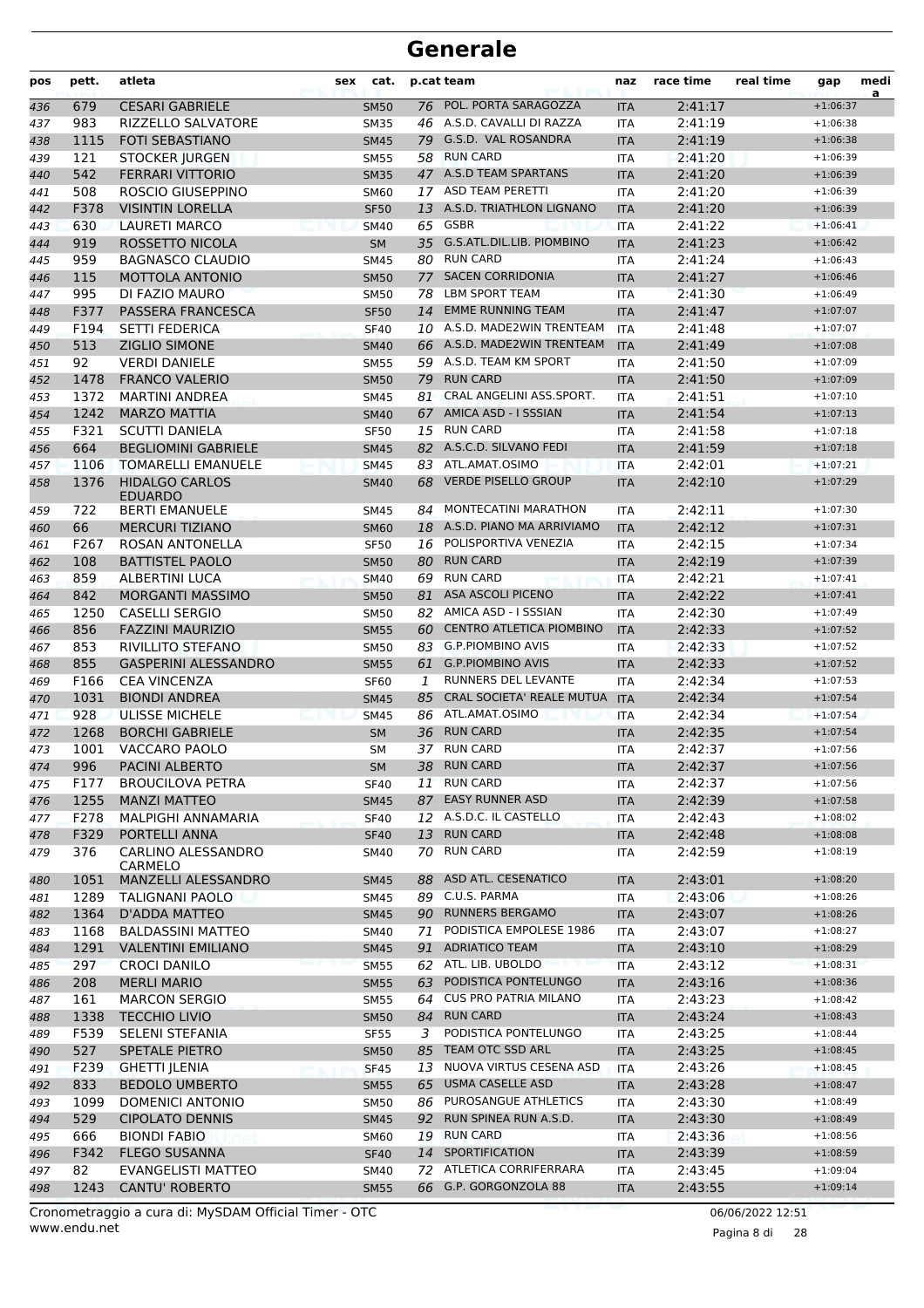| pos | pett. | atleta                                  | sex | cat.        |    | p.cat team                      | naz        | race time | real time | gap        | medi<br>a |
|-----|-------|-----------------------------------------|-----|-------------|----|---------------------------------|------------|-----------|-----------|------------|-----------|
| 436 | 679   | <b>CESARI GABRIELE</b>                  |     | <b>SM50</b> |    | 76 POL. PORTA SARAGOZZA         | <b>ITA</b> | 2:41:17   |           | $+1:06:37$ |           |
| 437 | 983   | <b>RIZZELLO SALVATORE</b>               |     | <b>SM35</b> |    | 46 A.S.D. CAVALLI DI RAZZA      | <b>ITA</b> | 2:41:19   |           | $+1:06:38$ |           |
| 438 | 1115  | <b>FOTI SEBASTIANO</b>                  |     | <b>SM45</b> |    | 79 G.S.D. VAL ROSANDRA          | <b>ITA</b> | 2:41:19   |           | $+1:06:38$ |           |
| 439 | 121   | <b>STOCKER JURGEN</b>                   |     | <b>SM55</b> | 58 | <b>RUN CARD</b>                 | ITA        | 2:41:20   |           | $+1:06:39$ |           |
| 440 | 542   | <b>FERRARI VITTORIO</b>                 |     | <b>SM35</b> |    | 47 A.S.D TEAM SPARTANS          | <b>ITA</b> | 2:41:20   |           | $+1:06:39$ |           |
| 441 | 508   | ROSCIO GIUSEPPINO                       |     | SM60        |    | 17 ASD TEAM PERETTI             | <b>ITA</b> | 2:41:20   |           | $+1:06:39$ |           |
| 442 | F378  | <b>VISINTIN LORELLA</b>                 |     | <b>SF50</b> |    | 13 A.S.D. TRIATHLON LIGNANO     | <b>ITA</b> | 2:41:20   |           | $+1:06:39$ |           |
| 443 | 630   | <b>LAURETI MARCO</b>                    |     | <b>SM40</b> |    | 65 GSBR                         | <b>ITA</b> | 2:41:22   |           | $+1:06:41$ |           |
| 444 | 919   | ROSSETTO NICOLA                         |     | <b>SM</b>   |    | 35 G.S.ATL.DIL.LIB. PIOMBINO    | <b>ITA</b> | 2:41:23   |           | $+1:06:42$ |           |
| 445 | 959   | <b>BAGNASCO CLAUDIO</b>                 |     | <b>SM45</b> | 80 | <b>RUN CARD</b>                 | ITA        | 2:41:24   |           | $+1:06:43$ |           |
| 446 | 115   | MOTTOLA ANTONIO                         |     | <b>SM50</b> | 77 | <b>SACEN CORRIDONIA</b>         | <b>ITA</b> | 2:41:27   |           | $+1:06:46$ |           |
| 447 | 995   | DI FAZIO MAURO                          |     | <b>SM50</b> | 78 | LBM SPORT TEAM                  | <b>ITA</b> | 2:41:30   |           | $+1:06:49$ |           |
| 448 | F377  | PASSERA FRANCESCA                       |     | <b>SF50</b> | 14 | <b>EMME RUNNING TEAM</b>        | <b>ITA</b> | 2:41:47   |           | $+1:07:07$ |           |
| 449 | F194  | <b>SETTI FEDERICA</b>                   |     | <b>SF40</b> |    | 10 A.S.D. MADE2WIN TRENTEAM     | <b>ITA</b> | 2:41:48   |           | $+1:07:07$ |           |
| 450 | 513   | <b>ZIGLIO SIMONE</b>                    |     | <b>SM40</b> |    | 66 A.S.D. MADE2WIN TRENTEAM     | <b>ITA</b> | 2:41:49   |           | $+1:07:08$ |           |
| 451 | 92    | <b>VERDI DANIELE</b>                    |     | <b>SM55</b> |    | 59 A.S.D. TEAM KM SPORT         | ITA        | 2:41:50   |           | $+1:07:09$ |           |
| 452 | 1478  | <b>FRANCO VALERIO</b>                   |     | <b>SM50</b> |    | 79 RUN CARD                     | <b>ITA</b> | 2:41:50   |           | $+1:07:09$ |           |
| 453 | 1372  | <b>MARTINI ANDREA</b>                   |     | <b>SM45</b> | 81 | CRAL ANGELINI ASS.SPORT.        | <b>ITA</b> | 2:41:51   |           | $+1:07:10$ |           |
| 454 | 1242  | <b>MARZO MATTIA</b>                     |     | <b>SM40</b> |    | 67 AMICA ASD - I SSSIAN         | <b>ITA</b> | 2:41:54   |           | $+1:07:13$ |           |
| 455 | F321  | <b>SCUTTI DANIELA</b>                   |     | <b>SF50</b> |    | 15 RUN CARD                     | <b>ITA</b> | 2:41:58   |           | $+1:07:18$ |           |
| 456 | 664   | <b>BEGLIOMINI GABRIELE</b>              |     | <b>SM45</b> |    | 82 A.S.C.D. SILVANO FEDI        | <b>ITA</b> | 2:41:59   |           | $+1:07:18$ |           |
| 457 | 1106  | <b>TOMARELLI EMANUELE</b>               |     | <b>SM45</b> | 83 | ATL.AMAT.OSIMO                  | <b>ITA</b> | 2:42:01   |           | $+1:07:21$ |           |
| 458 | 1376  | <b>HIDALGO CARLOS</b><br><b>EDUARDO</b> |     | <b>SM40</b> |    | 68 VERDE PISELLO GROUP          | <b>ITA</b> | 2:42:10   |           | $+1:07:29$ |           |
| 459 | 722   | <b>BERTI EMANUELE</b>                   |     | SM45        | 84 | MONTECATINI MARATHON            | <b>ITA</b> | 2:42:11   |           | $+1:07:30$ |           |
| 460 | 66    | <b>MERCURI TIZIANO</b>                  |     | <b>SM60</b> |    | 18 A.S.D. PIANO MA ARRIVIAMO    | <b>ITA</b> | 2:42:12   |           | $+1:07:31$ |           |
| 461 | F267  | ROSAN ANTONELLA                         |     | <b>SF50</b> | 16 | POLISPORTIVA VENEZIA            | ITA        | 2:42:15   |           | $+1:07:34$ |           |
| 462 | 108   | <b>BATTISTEL PAOLO</b>                  |     | <b>SM50</b> |    | 80 RUN CARD                     | <b>ITA</b> | 2:42:19   |           | $+1:07:39$ |           |
| 463 | 859   | ALBERTINI LUCA                          |     | <b>SM40</b> |    | 69 RUN CARD                     | <b>ITA</b> | 2:42:21   |           | $+1:07:41$ |           |
| 464 | 842   | <b>MORGANTI MASSIMO</b>                 |     | <b>SM50</b> | 81 | <b>ASA ASCOLI PICENO</b>        | <b>ITA</b> | 2:42:22   |           | $+1:07:41$ |           |
| 465 | 1250  | <b>CASELLI SERGIO</b>                   |     | SM50        |    | 82 AMICA ASD - I SSSIAN         | <b>ITA</b> | 2:42:30   |           | $+1:07:49$ |           |
| 466 | 856   | <b>FAZZINI MAURIZIO</b>                 |     | <b>SM55</b> | 60 | <b>CENTRO ATLETICA PIOMBINO</b> | <b>ITA</b> | 2:42:33   |           | $+1:07:52$ |           |
| 467 | 853   | RIVILLITO STEFANO                       |     | <b>SM50</b> |    | 83 G.P.PIOMBINO AVIS            | <b>ITA</b> | 2:42:33   |           | $+1:07:52$ |           |
| 468 | 855   | <b>GASPERINI ALESSANDRO</b>             |     | <b>SM55</b> |    | 61 G.P.PIOMBINO AVIS            | <b>ITA</b> | 2:42:33   |           | $+1:07:52$ |           |
| 469 | F166  | <b>CEA VINCENZA</b>                     |     | <b>SF60</b> | 1  | RUNNERS DEL LEVANTE             | <b>ITA</b> | 2:42:34   |           | $+1:07:53$ |           |
| 470 | 1031  | <b>BIONDI ANDREA</b>                    |     | <b>SM45</b> | 85 | CRAL SOCIETA' REALE MUTUA       | <b>ITA</b> | 2:42:34   |           | $+1:07:54$ |           |
| 471 | 928   | <b>ULISSE MICHELE</b>                   |     | <b>SM45</b> |    | 86 ATL.AMAT.OSIMO               | <b>ITA</b> | 2:42:34   |           | $+1:07:54$ |           |
| 472 | 1268  | <b>BORCHI GABRIELE</b>                  |     | <b>SM</b>   |    | 36 RUN CARD                     | <b>ITA</b> | 2:42:35   |           | $+1:07:54$ |           |
| 473 | 1001  | VACCARO PAOLO                           |     | <b>SM</b>   |    | 37 RUN CARD                     | <b>ITA</b> | 2:42:37   |           | $+1:07:56$ |           |
| 474 | 996   | PACINI ALBERTO                          |     | SM          |    | 38 RUN CARD                     | <b>ITA</b> | 2:42:37   |           | $+1:07:56$ |           |
| 475 | F177  | <b>BROUCILOVA PETRA</b>                 |     | <b>SF40</b> |    | 11 RUN CARD                     | ITA        | 2:42:37   |           | $+1:07:56$ |           |
| 476 | 1255  | <b>MANZI MATTEO</b>                     |     | SM45        |    | 87 EASY RUNNER ASD              | <b>ITA</b> | 2:42:39   |           | $+1:07:58$ |           |
| 477 | F278  | MALPIGHI ANNAMARIA                      |     | <b>SF40</b> |    | 12 A.S.D.C. IL CASTELLO         | ITA        | 2:42:43   |           | $+1:08:02$ |           |
| 478 | F329  | PORTELLI ANNA                           |     | <b>SF40</b> |    | 13 RUN CARD                     | <b>ITA</b> | 2:42:48   |           | $+1:08:08$ |           |
| 479 | 376   | CARLINO ALESSANDRO<br>CARMELO           |     | SM40        | 70 | <b>RUN CARD</b>                 | ITA        | 2:42:59   |           | $+1:08:19$ |           |
| 480 | 1051  | MANZELLI ALESSANDRO                     |     | SM45        | 88 | ASD ATL. CESENATICO             | <b>ITA</b> | 2:43:01   |           | $+1:08:20$ |           |
| 481 | 1289  | TALIGNANI PAOLO                         |     | SM45        |    | 89 C.U.S. PARMA                 | ITA        | 2:43:06   |           | $+1:08:26$ |           |
| 482 | 1364  | D'ADDA MATTEO                           |     | <b>SM45</b> |    | 90 RUNNERS BERGAMO              | <b>ITA</b> | 2:43:07   |           | $+1:08:26$ |           |
| 483 | 1168  | <b>BALDASSINI MATTEO</b>                |     | SM40        | 71 | PODISTICA EMPOLESE 1986         | <b>ITA</b> | 2:43:07   |           | $+1:08:27$ |           |
| 484 | 1291  | <b>VALENTINI EMILIANO</b>               |     | <b>SM45</b> |    | 91 ADRIATICO TEAM               | <b>ITA</b> | 2:43:10   |           | $+1:08:29$ |           |
| 485 | 297   | <b>CROCI DANILO</b>                     |     | <b>SM55</b> |    | 62 ATL. LIB. UBOLDO             | <b>ITA</b> | 2:43:12   |           | $+1:08:31$ |           |
| 486 | 208   | <b>MERLI MARIO</b>                      |     | <b>SM55</b> |    | 63 PODISTICA PONTELUNGO         | <b>ITA</b> | 2:43:16   |           | $+1:08:36$ |           |
| 487 | 161   | <b>MARCON SERGIO</b>                    |     | <b>SM55</b> |    | 64 CUS PRO PATRIA MILANO        | <b>ITA</b> | 2:43:23   |           | $+1:08:42$ |           |
| 488 | 1338  | <b>TECCHIO LIVIO</b>                    |     | <b>SM50</b> |    | 84 RUN CARD                     | <b>ITA</b> | 2:43:24   |           | $+1:08:43$ |           |
| 489 | F539  | SELENI STEFANIA                         |     | <b>SF55</b> | 3  | PODISTICA PONTELUNGO            | ITA        | 2:43:25   |           | $+1:08:44$ |           |
| 490 | 527   | <b>SPETALE PIETRO</b>                   |     | <b>SM50</b> |    | 85 TEAM OTC SSD ARL             | <b>ITA</b> | 2:43:25   |           | $+1:08:45$ |           |
| 491 | F239  | <b>GHETTI JLENIA</b>                    |     | <b>SF45</b> | 13 | NUOVA VIRTUS CESENA ASD         | <b>ITA</b> | 2:43:26   |           | $+1:08:45$ |           |
| 492 | 833   | <b>BEDOLO UMBERTO</b>                   |     | <b>SM55</b> | 65 | <b>USMA CASELLE ASD</b>         | <b>ITA</b> | 2:43:28   |           | $+1:08:47$ |           |
| 493 | 1099  | DOMENICI ANTONIO                        |     | <b>SM50</b> |    | 86 PUROSANGUE ATHLETICS         | <b>ITA</b> | 2:43:30   |           | $+1:08:49$ |           |
| 494 | 529   | <b>CIPOLATO DENNIS</b>                  |     | <b>SM45</b> |    | 92 RUN SPINEA RUN A.S.D.        | <b>ITA</b> | 2:43:30   |           | $+1:08:49$ |           |
| 495 | 666   | <b>BIONDI FABIO</b>                     |     | SM60        |    | 19 RUN CARD                     | <b>ITA</b> | 2:43:36   |           | $+1:08:56$ |           |
| 496 | F342  | <b>FLEGO SUSANNA</b>                    |     | <b>SF40</b> |    | 14 SPORTIFICATION               | <b>ITA</b> | 2:43:39   |           | $+1:08:59$ |           |
| 497 | 82    | EVANGELISTI MATTEO                      |     | SM40        |    | 72 ATLETICA CORRIFERRARA        | <b>ITA</b> | 2:43:45   |           | $+1:09:04$ |           |
| 498 | 1243  | <b>CANTU' ROBERTO</b>                   |     | <b>SM55</b> |    | 66 G.P. GORGONZOLA 88           | <b>ITA</b> | 2:43:55   |           | $+1:09:14$ |           |

Pagina 8 di 28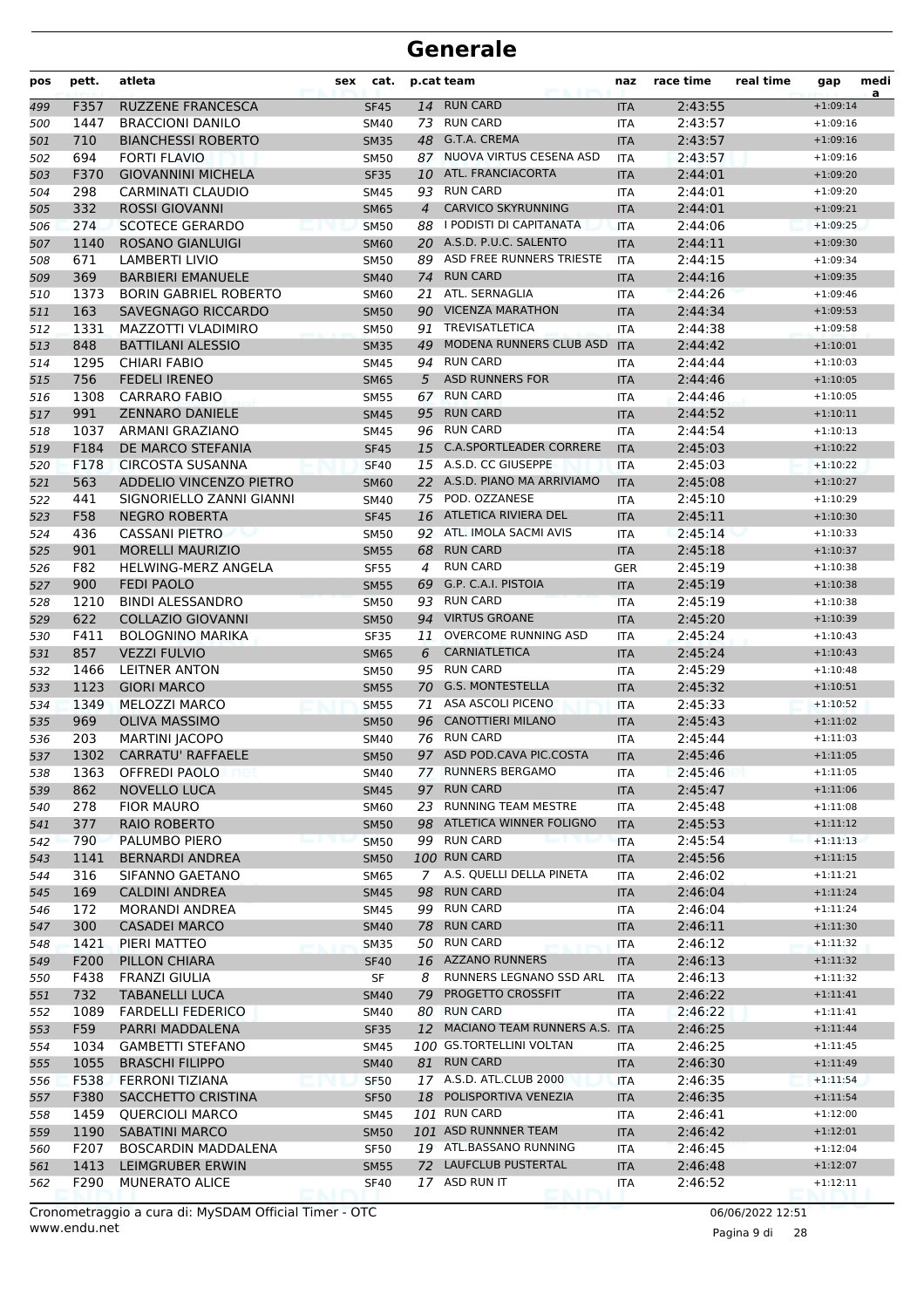| pos        | pett.       | atleta                                              | sex | cat.                       |                | p.cat team                             | naz                      | race time          | real time | gap                      | medi<br>a |
|------------|-------------|-----------------------------------------------------|-----|----------------------------|----------------|----------------------------------------|--------------------------|--------------------|-----------|--------------------------|-----------|
| 499        | F357        | <b>RUZZENE FRANCESCA</b>                            |     | <b>SF45</b>                |                | 14 RUN CARD                            | <b>ITA</b>               | 2:43:55            |           | $+1:09:14$               |           |
| 500        | 1447        | <b>BRACCIONI DANILO</b>                             |     | SM40                       | 73             | <b>RUN CARD</b>                        | ITA                      | 2:43:57            |           | $+1:09:16$               |           |
| 501        | 710         | <b>BIANCHESSI ROBERTO</b>                           |     | <b>SM35</b>                | 48             | G.T.A. CREMA                           | <b>ITA</b>               | 2:43:57            |           | $+1:09:16$               |           |
| 502        | 694         | <b>FORTI FLAVIO</b>                                 |     | <b>SM50</b>                | 87             | NUOVA VIRTUS CESENA ASD                | <b>ITA</b>               | 2:43:57            |           | $+1:09:16$               |           |
| 503        | F370        | <b>GIOVANNINI MICHELA</b>                           |     | <b>SF35</b>                |                | 10 ATL. FRANCIACORTA                   | <b>ITA</b>               | 2:44:01            |           | $+1:09:20$               |           |
| 504        | 298         | <b>CARMINATI CLAUDIO</b>                            |     | <b>SM45</b>                |                | 93 RUN CARD                            | ITA                      | 2:44:01            |           | $+1:09:20$               |           |
| 505        | 332         | <b>ROSSI GIOVANNI</b>                               |     | <b>SM65</b>                | $\overline{4}$ | <b>CARVICO SKYRUNNING</b>              | <b>ITA</b>               | 2:44:01            |           | $+1:09:21$               |           |
| 506        | 274         | <b>SCOTECE GERARDO</b>                              |     | <b>SM50</b>                | 88             | I PODISTI DI CAPITANATA                | <b>ITA</b>               | 2:44:06            |           | $+1:09:25$               |           |
| 507        | 1140        | <b>ROSANO GIANLUIGI</b>                             |     | <b>SM60</b>                |                | 20 A.S.D. P.U.C. SALENTO               | <b>ITA</b>               | 2:44:11            |           | $+1:09:30$               |           |
| 508        | 671         | <b>LAMBERTI LIVIO</b>                               |     | <b>SM50</b>                | 89             | ASD FREE RUNNERS TRIESTE               | <b>ITA</b>               | 2:44:15            |           | $+1:09:34$               |           |
| 509        | 369         | <b>BARBIERI EMANUELE</b>                            |     | <b>SM40</b>                | 74             | <b>RUN CARD</b>                        | <b>ITA</b>               | 2:44:16            |           | $+1:09:35$               |           |
| 510        | 1373        | <b>BORIN GABRIEL ROBERTO</b>                        |     | <b>SM60</b>                | 21             | ATL. SERNAGLIA                         | ITA                      | 2:44:26            |           | $+1:09:46$               |           |
| 511        | 163         | SAVEGNAGO RICCARDO                                  |     | <b>SM50</b>                |                | 90 VICENZA MARATHON                    | <b>ITA</b>               | 2:44:34            |           | $+1:09:53$               |           |
| 512        | 1331        | MAZZOTTI VLADIMIRO                                  |     | <b>SM50</b>                | 91             | <b>TREVISATLETICA</b>                  | ITA                      | 2:44:38            |           | $+1:09:58$               |           |
| 513        | 848         | <b>BATTILANI ALESSIO</b>                            |     | <b>SM35</b>                | 49             | MODENA RUNNERS CLUB ASD                | <b>ITA</b>               | 2:44:42            |           | $+1:10:01$               |           |
| 514        | 1295        | <b>CHIARI FABIO</b>                                 |     | SM45                       | 94             | <b>RUN CARD</b>                        | <b>ITA</b>               | 2:44:44            |           | $+1:10:03$               |           |
| 515        | 756         | <b>FEDELI IRENEO</b>                                |     | <b>SM65</b>                | 5              | <b>ASD RUNNERS FOR</b>                 | <b>ITA</b>               | 2:44:46            |           | $+1:10:05$               |           |
| 516        | 1308        | <b>CARRARO FABIO</b>                                |     | <b>SM55</b>                | 67             | <b>RUN CARD</b>                        | <b>ITA</b>               | 2:44:46            |           | $+1:10:05$               |           |
| 517        | 991         | <b>ZENNARO DANIELE</b>                              |     | <b>SM45</b>                |                | 95 RUN CARD                            | <b>ITA</b>               | 2:44:52            |           | $+1:10:11$               |           |
| 518        | 1037        | ARMANI GRAZIANO                                     |     | SM45                       | 96             | <b>RUN CARD</b>                        | <b>ITA</b>               | 2:44:54            |           | $+1:10:13$               |           |
| 519        | F184        | DE MARCO STEFANIA                                   |     | <b>SF45</b>                | 15             | <b>C.A.SPORTLEADER CORRERE</b>         | <b>ITA</b>               | 2:45:03            |           | $+1:10:22$               |           |
| 520        | F178        | <b>CIRCOSTA SUSANNA</b>                             |     | <b>SF40</b>                |                | 15 A.S.D. CC GIUSEPPE                  | <b>ITA</b>               | 2:45:03            |           | $+1:10:22$               |           |
| 521        | 563         | <b>ADDELIO VINCENZO PIETRO</b>                      |     | <b>SM60</b>                |                | 22 A.S.D. PIANO MA ARRIVIAMO           | <b>ITA</b>               | 2:45:08            |           | $+1:10:27$               |           |
| 522        | 441         | SIGNORIELLO ZANNI GIANNI                            |     | <b>SM40</b>                | 75             | POD. OZZANESE                          | <b>ITA</b>               | 2:45:10            |           | $+1:10:29$               |           |
| 523        | F58         | <b>NEGRO ROBERTA</b>                                |     | <b>SF45</b>                | 16             | ATLETICA RIVIERA DEL                   | <b>ITA</b>               | 2:45:11            |           | $+1:10:30$               |           |
| 524        | 436         | <b>CASSANI PIETRO</b>                               |     | <b>SM50</b>                |                | 92 ATL. IMOLA SACMI AVIS               | <b>ITA</b>               | 2:45:14            |           | $+1:10:33$               |           |
| 525        | 901         | <b>MORELLI MAURIZIO</b>                             |     | <b>SM55</b>                | 68             | <b>RUN CARD</b>                        | <b>ITA</b>               | 2:45:18            |           | $+1:10:37$               |           |
| 526        | F82         | <b>HELWING-MERZ ANGELA</b>                          |     | <b>SF55</b>                | 4              | <b>RUN CARD</b>                        | <b>GER</b>               | 2:45:19            |           | $+1:10:38$               |           |
| 527        | 900         | <b>FEDI PAOLO</b>                                   |     | <b>SM55</b>                | 69             | G.P. C.A.I. PISTOIA<br><b>RUN CARD</b> | <b>ITA</b>               | 2:45:19            |           | $+1:10:38$               |           |
| 528        | 1210        | <b>BINDI ALESSANDRO</b>                             |     | <b>SM50</b>                | 93             | 94 VIRTUS GROANE                       | <b>ITA</b>               | 2:45:19            |           | $+1:10:38$               |           |
| 529        | 622<br>F411 | <b>COLLAZIO GIOVANNI</b><br><b>BOLOGNINO MARIKA</b> |     | <b>SM50</b>                |                | 11 OVERCOME RUNNING ASD                | <b>ITA</b>               | 2:45:20<br>2:45:24 |           | $+1:10:39$               |           |
| 530        | 857         | <b>VEZZI FULVIO</b>                                 |     | <b>SF35</b>                | 6              | CARNIATLETICA                          | <b>ITA</b>               | 2:45:24            |           | $+1:10:43$<br>$+1:10:43$ |           |
| 531<br>532 | 1466        | <b>LEITNER ANTON</b>                                |     | <b>SM65</b><br><b>SM50</b> | 95             | <b>RUN CARD</b>                        | <b>ITA</b><br><b>ITA</b> | 2:45:29            |           | $+1:10:48$               |           |
| 533        | 1123        | <b>GIORI MARCO</b>                                  |     | <b>SM55</b>                | 70             | <b>G.S. MONTESTELLA</b>                | <b>ITA</b>               | 2:45:32            |           | $+1:10:51$               |           |
| 534        | 1349        | MELOZZI MARCO                                       |     | <b>SM55</b>                | 71             | ASA ASCOLI PICENO                      | <b>ITA</b>               | 2:45:33            |           | $+1:10:52$               |           |
| 535        | 969         | <b>OLIVA MASSIMO</b>                                |     | <b>SM50</b>                | 96             | <b>CANOTTIERI MILANO</b>               | <b>ITA</b>               | 2:45:43            |           | $+1:11:02$               |           |
| 536        | 203         | <b>MARTINI JACOPO</b>                               |     | SM40                       | 76             | <b>RUN CARD</b>                        | <b>ITA</b>               | 2:45:44            |           | $+1:11:03$               |           |
| 537        | 1302        | <b>CARRATU' RAFFAELE</b>                            |     | <b>SM50</b>                |                | 97 ASD POD.CAVA PIC.COSTA              | <b>ITA</b>               | 2:45:46            |           | $+1:11:05$               |           |
| 538        | 1363        | OFFREDI PAOLO                                       |     | SM40                       |                | 77 RUNNERS BERGAMO                     | ITA                      | 2:45:46            |           | $+1:11:05$               |           |
| 539        | 862         | <b>NOVELLO LUCA</b>                                 |     | <b>SM45</b>                |                | 97 RUN CARD                            | <b>ITA</b>               | 2:45:47            |           | $+1:11:06$               |           |
| 540        | 278         | <b>FIOR MAURO</b>                                   |     | <b>SM60</b>                |                | 23 RUNNING TEAM MESTRE                 | ITA                      | 2:45:48            |           | $+1:11:08$               |           |
| 541        | 377         | <b>RAIO ROBERTO</b>                                 |     | <b>SM50</b>                |                | 98 ATLETICA WINNER FOLIGNO             | <b>ITA</b>               | 2:45:53            |           | $+1:11:12$               |           |
| 542        | 790         | PALUMBO PIERO                                       |     | <b>SM50</b>                |                | 99 RUN CARD                            | <b>ITA</b>               | 2:45:54            |           | $+1:11:13$               |           |
| 543        | 1141        | <b>BERNARDI ANDREA</b>                              |     | <b>SM50</b>                |                | <b>100 RUN CARD</b>                    | <b>ITA</b>               | 2:45:56            |           | $+1:11:15$               |           |
| 544        | 316         | SIFANNO GAETANO                                     |     | <b>SM65</b>                |                | 7 A.S. QUELLI DELLA PINETA             | ITA                      | 2:46:02            |           | $+1:11:21$               |           |
| 545        | 169         | <b>CALDINI ANDREA</b>                               |     | <b>SM45</b>                |                | 98 RUN CARD                            | <b>ITA</b>               | 2:46:04            |           | $+1:11:24$               |           |
| 546        | 172         | <b>MORANDI ANDREA</b>                               |     | SM45                       |                | 99 RUN CARD                            | ITA                      | 2:46:04            |           | $+1:11:24$               |           |
| 547        | 300         | <b>CASADEI MARCO</b>                                |     | <b>SM40</b>                |                | 78 RUN CARD                            | <b>ITA</b>               | 2:46:11            |           | $+1:11:30$               |           |
| 548        | 1421        | PIERI MATTEO                                        |     | <b>SM35</b>                |                | 50 RUN CARD                            | ITA                      | 2:46:12            |           | $+1:11:32$               |           |
| 549        | F200        | PILLON CHIARA                                       |     | <b>SF40</b>                |                | 16 AZZANO RUNNERS                      | <b>ITA</b>               | 2:46:13            |           | $+1:11:32$               |           |
| 550        | F438        | <b>FRANZI GIULIA</b>                                |     | SF                         | 8              | RUNNERS LEGNANO SSD ARL                | ITA                      | 2:46:13            |           | $+1:11:32$               |           |
| 551        | 732         | <b>TABANELLI LUCA</b>                               |     | <b>SM40</b>                | 79             | PROGETTO CROSSFIT                      | <b>ITA</b>               | 2:46:22            |           | $+1:11:41$               |           |
| 552        | 1089        | <b>FARDELLI FEDERICO</b>                            |     | SM40                       |                | 80 RUN CARD                            | ITA                      | 2:46:22            |           | $+1:11:41$               |           |
| 553        | F59         | PARRI MADDALENA                                     |     | <b>SF35</b>                |                | 12 MACIANO TEAM RUNNERS A.S. ITA       |                          | 2:46:25            |           | $+1:11:44$               |           |
| 554        | 1034        | <b>GAMBETTI STEFANO</b>                             |     | SM45                       |                | 100 GS.TORTELLINI VOLTAN               | ITA                      | 2:46:25            |           | $+1:11:45$               |           |
| 555        | 1055        | <b>BRASCHI FILIPPO</b>                              |     | <b>SM40</b>                |                | 81 RUN CARD                            | <b>ITA</b>               | 2:46:30            |           | $+1:11:49$               |           |
| 556        | F538        | FERRONI TIZIANA                                     |     | <b>SF50</b>                |                | 17 A.S.D. ATL.CLUB 2000                | ITA                      | 2:46:35            |           | $+1:11:54$               |           |
| 557        | F380        | SACCHETTO CRISTINA                                  |     | <b>SF50</b>                |                | 18 POLISPORTIVA VENEZIA                | <b>ITA</b>               | 2:46:35            |           | $+1:11:54$               |           |
| 558        | 1459        | <b>QUERCIOLI MARCO</b>                              |     | SM45                       |                | 101 RUN CARD                           | ITA                      | 2:46:41            |           | $+1:12:00$               |           |
| 559        | 1190        | <b>SABATINI MARCO</b>                               |     | <b>SM50</b>                |                | 101 ASD RUNNNER TEAM                   | <b>ITA</b>               | 2:46:42            |           | $+1:12:01$               |           |
| 560        | F207        | BOSCARDIN MADDALENA                                 |     | <b>SF50</b>                |                | 19 ATL.BASSANO RUNNING                 | ITA                      | 2:46:45            |           | $+1:12:04$               |           |
| 561        | 1413        | LEIMGRUBER ERWIN                                    |     | <b>SM55</b>                |                | 72 LAUFCLUB PUSTERTAL                  | <b>ITA</b>               | 2:46:48            |           | $+1:12:07$               |           |
| 562        | F290        | <b>MUNERATO ALICE</b>                               |     | <b>SF40</b>                |                | 17 ASD RUN IT                          | ITA                      | 2:46:52            |           | $+1:12:11$               |           |

Pagina 9 di 28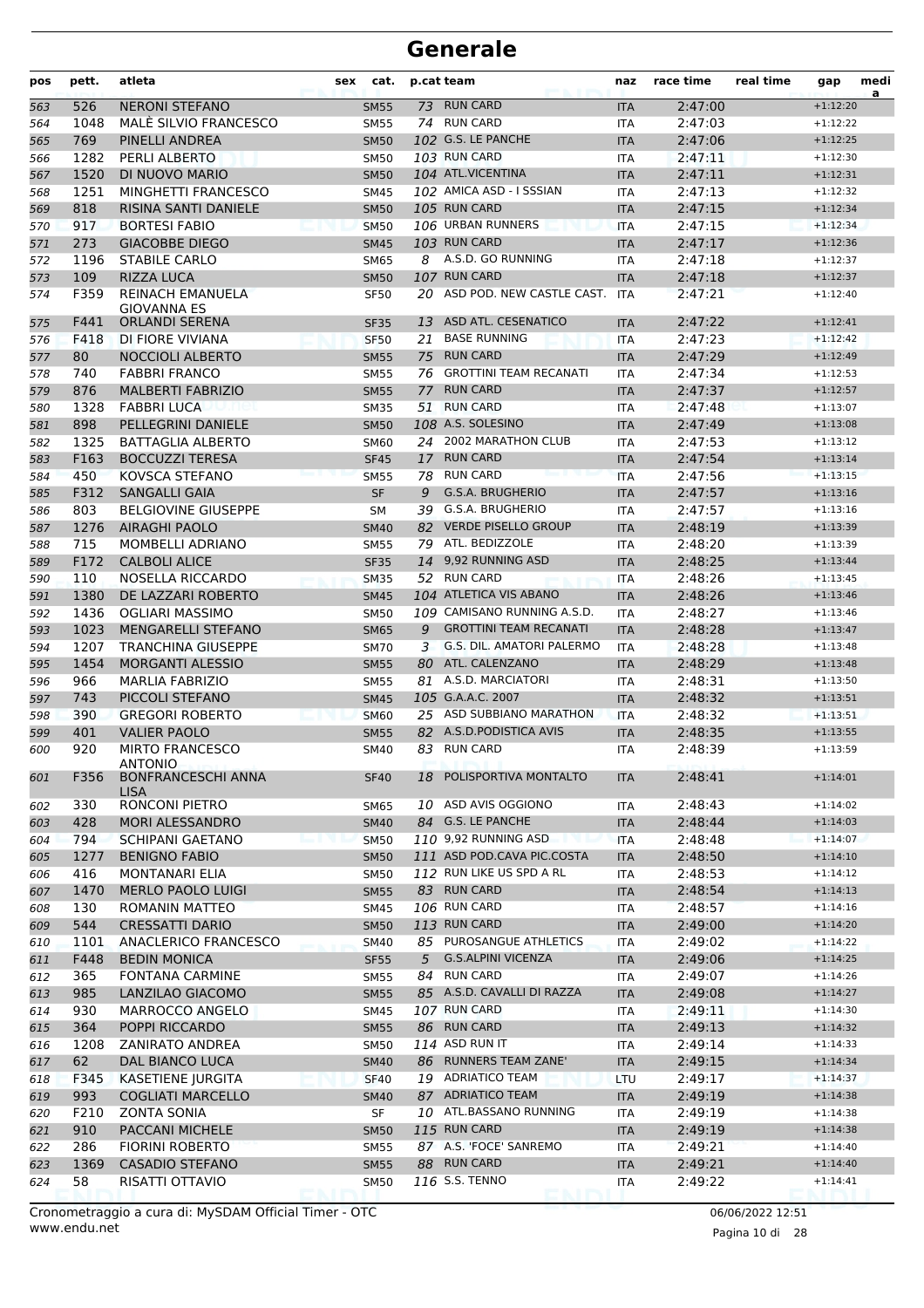| pos | pett. | atleta                                                     | sex | cat.        |    | p.cat team                       | naz        | race time | real time | gap        | medi<br>a |
|-----|-------|------------------------------------------------------------|-----|-------------|----|----------------------------------|------------|-----------|-----------|------------|-----------|
| 563 | 526   | <b>NERONI STEFANO</b>                                      |     | <b>SM55</b> |    | 73 RUN CARD                      | <b>ITA</b> | 2:47:00   |           | $+1:12:20$ |           |
| 564 | 1048  | MALÉ SILVIO FRANCESCO                                      |     | <b>SM55</b> |    | 74 RUN CARD                      | <b>ITA</b> | 2:47:03   |           | $+1:12:22$ |           |
| 565 | 769   | PINELLI ANDREA                                             |     | <b>SM50</b> |    | 102 G.S. LE PANCHE               | <b>ITA</b> | 2:47:06   |           | $+1:12:25$ |           |
| 566 | 1282  | PERLI ALBERTO                                              |     | <b>SM50</b> |    | 103 RUN CARD                     | <b>ITA</b> | 2:47:11   |           | $+1:12:30$ |           |
| 567 | 1520  | DI NUOVO MARIO                                             |     | <b>SM50</b> |    | 104 ATL.VICENTINA                | <b>ITA</b> | 2:47:11   |           | $+1:12:31$ |           |
| 568 | 1251  | MINGHETTI FRANCESCO                                        |     | SM45        |    | 102 AMICA ASD - I SSSIAN         | <b>ITA</b> | 2:47:13   |           | $+1:12:32$ |           |
| 569 | 818   | RISINA SANTI DANIELE                                       |     | <b>SM50</b> |    | 105 RUN CARD                     | <b>ITA</b> | 2:47:15   |           | $+1:12:34$ |           |
| 570 | 917   | <b>BORTESI FABIO</b>                                       |     | <b>SM50</b> |    | 106 URBAN RUNNERS                | <b>ITA</b> | 2:47:15   |           | $+1:12:34$ |           |
| 571 | 273   | <b>GIACOBBE DIEGO</b>                                      |     | <b>SM45</b> |    | 103 RUN CARD                     | <b>ITA</b> | 2:47:17   |           | $+1:12:36$ |           |
| 572 | 1196  | <b>STABILE CARLO</b>                                       |     | <b>SM65</b> | 8  | A.S.D. GO RUNNING                | <b>ITA</b> | 2:47:18   |           | $+1:12:37$ |           |
| 573 | 109   | <b>RIZZA LUCA</b>                                          |     | <b>SM50</b> |    | 107 RUN CARD                     | <b>ITA</b> | 2:47:18   |           | $+1:12:37$ |           |
| 574 | F359  | REINACH EMANUELA<br><b>GIOVANNA ES</b>                     |     | <b>SF50</b> |    | 20 ASD POD. NEW CASTLE CAST.     | <b>ITA</b> | 2:47:21   |           | $+1:12:40$ |           |
| 575 | F441  | <b>ORLANDI SERENA</b>                                      |     | <b>SF35</b> |    | 13 ASD ATL. CESENATICO           | <b>ITA</b> | 2:47:22   |           | $+1:12:41$ |           |
| 576 | F418  | DI FIORE VIVIANA                                           |     | <b>SF50</b> | 21 | <b>BASE RUNNING</b>              | <b>ITA</b> | 2:47:23   |           | $+1:12:42$ |           |
| 577 | 80    | <b>NOCCIOLI ALBERTO</b>                                    |     | <b>SM55</b> | 75 | <b>RUN CARD</b>                  | <b>ITA</b> | 2:47:29   |           | $+1:12:49$ |           |
| 578 | 740   | <b>FABBRI FRANCO</b>                                       |     | <b>SM55</b> |    | 76 GROTTINI TEAM RECANATI        | <b>ITA</b> | 2:47:34   |           | $+1:12:53$ |           |
| 579 | 876   | <b>MALBERTI FABRIZIO</b>                                   |     | <b>SM55</b> | 77 | <b>RUN CARD</b>                  | <b>ITA</b> | 2:47:37   |           | $+1:12:57$ |           |
| 580 | 1328  | <b>FABBRI LUCA</b>                                         |     | <b>SM35</b> |    | 51 RUN CARD                      | <b>ITA</b> | 2:47:48   |           | $+1:13:07$ |           |
| 581 | 898   | PELLEGRINI DANIELE                                         |     | <b>SM50</b> |    | 108 A.S. SOLESINO                | <b>ITA</b> | 2:47:49   |           | $+1:13:08$ |           |
| 582 | 1325  | <b>BATTAGLIA ALBERTO</b>                                   |     | <b>SM60</b> |    | 24 2002 MARATHON CLUB            | <b>ITA</b> | 2:47:53   |           | $+1:13:12$ |           |
| 583 | F163  | <b>BOCCUZZI TERESA</b>                                     |     | <b>SF45</b> | 17 | <b>RUN CARD</b>                  | <b>ITA</b> | 2:47:54   |           | $+1:13:14$ |           |
| 584 | 450   | KOVSCA STEFANO                                             |     | <b>SM55</b> | 78 | <b>RUN CARD</b>                  | <b>ITA</b> | 2:47:56   |           | $+1:13:15$ |           |
| 585 | F312  | <b>SANGALLI GAIA</b>                                       |     | <b>SF</b>   | 9  | G.S.A. BRUGHERIO                 | <b>ITA</b> | 2:47:57   |           | $+1:13:16$ |           |
| 586 | 803   | <b>BELGIOVINE GIUSEPPE</b>                                 |     | SΜ          | 39 | G.S.A. BRUGHERIO                 | <b>ITA</b> | 2:47:57   |           | $+1:13:16$ |           |
| 587 | 1276  | <b>AIRAGHI PAOLO</b>                                       |     | <b>SM40</b> | 82 | <b>VERDE PISELLO GROUP</b>       | <b>ITA</b> | 2:48:19   |           | $+1:13:39$ |           |
| 588 | 715   | MOMBELLI ADRIANO                                           |     | <b>SM55</b> |    | 79 ATL. BEDIZZOLE                | <b>ITA</b> | 2:48:20   |           | $+1:13:39$ |           |
| 589 | F172  | <b>CALBOLI ALICE</b>                                       |     | <b>SF35</b> |    | 14 9,92 RUNNING ASD              | <b>ITA</b> | 2:48:25   |           | $+1:13:44$ |           |
| 590 | 110   | NOSELLA RICCARDO                                           |     | <b>SM35</b> |    | 52 RUN CARD                      | <b>ITA</b> | 2:48:26   |           | $+1:13:45$ |           |
| 591 | 1380  | DE LAZZARI ROBERTO                                         |     | <b>SM45</b> |    | 104 ATLETICA VIS ABANO           | <b>ITA</b> | 2:48:26   |           | $+1:13:46$ |           |
| 592 | 1436  | OGLIARI MASSIMO                                            |     | <b>SM50</b> |    | 109 CAMISANO RUNNING A.S.D.      | <b>ITA</b> | 2:48:27   |           | $+1:13:46$ |           |
| 593 | 1023  | <b>MENGARELLI STEFANO</b>                                  |     | <b>SM65</b> | 9  | <b>GROTTINI TEAM RECANATI</b>    | <b>ITA</b> | 2:48:28   |           | $+1:13:47$ |           |
| 594 | 1207  | <b>TRANCHINA GIUSEPPE</b>                                  |     | <b>SM70</b> | 3  | <b>G.S. DIL. AMATORI PALERMO</b> | <b>ITA</b> | 2:48:28   |           | $+1:13:48$ |           |
| 595 | 1454  | <b>MORGANTI ALESSIO</b>                                    |     | <b>SM55</b> |    | 80 ATL. CALENZANO                | <b>ITA</b> | 2:48:29   |           | $+1:13:48$ |           |
| 596 | 966   | <b>MARLIA FABRIZIO</b>                                     |     | <b>SM55</b> |    | 81 A.S.D. MARCIATORI             | <b>ITA</b> | 2:48:31   |           | $+1:13:50$ |           |
| 597 | 743   | PICCOLI STEFANO                                            |     | <b>SM45</b> |    | 105 G.A.A.C. 2007                | <b>ITA</b> | 2:48:32   |           | $+1:13:51$ |           |
| 598 | 390   | <b>GREGORI ROBERTO</b>                                     |     | <b>SM60</b> |    | 25 ASD SUBBIANO MARATHON         | <b>ITA</b> | 2:48:32   |           | $+1:13:51$ |           |
| 599 | 401   | <b>VALIER PAOLO</b>                                        |     | <b>SM55</b> |    | 82 A.S.D.PODISTICA AVIS          | <b>ITA</b> | 2:48:35   |           | $+1:13:55$ |           |
| 600 | 920   | <b>MIRTO FRANCESCO</b>                                     |     | SM40        |    | 83 RUN CARD                      | ITA        | 2:48:39   |           | $+1:13:59$ |           |
| 601 | F356  | <b>ANTONIO</b><br><b>BONFRANCESCHI ANNA</b><br><b>LISA</b> |     | <b>SF40</b> |    | 18 POLISPORTIVA MONTALTO         | <b>ITA</b> | 2:48:41   |           | $+1:14:01$ |           |
| 602 | 330   | RONCONI PIETRO                                             |     | SM65        |    | 10 ASD AVIS OGGIONO              | ITA        | 2:48:43   |           | $+1:14:02$ |           |
| 603 | 428   | MORI ALESSANDRO                                            |     | <b>SM40</b> |    | 84 G.S. LE PANCHE                | <b>ITA</b> | 2:48:44   |           | $+1:14:03$ |           |
| 604 | 794   | <b>SCHIPANI GAETANO</b>                                    |     | <b>SM50</b> |    | 110 9,92 RUNNING ASD             | <b>ITA</b> | 2:48:48   |           | $+1:14:07$ |           |
| 605 | 1277  | <b>BENIGNO FABIO</b>                                       |     | <b>SM50</b> |    | 111 ASD POD.CAVA PIC.COSTA       | <b>ITA</b> | 2:48:50   |           | $+1:14:10$ |           |
| 606 | 416   | <b>MONTANARI ELIA</b>                                      |     | SM50        |    | 112 RUN LIKE US SPD A RL         | <b>ITA</b> | 2:48:53   |           | $+1:14:12$ |           |
| 607 | 1470  | <b>MERLO PAOLO LUIGI</b>                                   |     | <b>SM55</b> |    | 83 RUN CARD                      | <b>ITA</b> | 2:48:54   |           | $+1:14:13$ |           |
| 608 | 130   | ROMANIN MATTEO                                             |     | SM45        |    | 106 RUN CARD                     | ITA        | 2:48:57   |           | $+1:14:16$ |           |
| 609 | 544   | <b>CRESSATTI DARIO</b>                                     |     | <b>SM50</b> |    | 113 RUN CARD                     | <b>ITA</b> | 2:49:00   |           | $+1:14:20$ |           |
| 610 | 1101  | ANACLERICO FRANCESCO                                       |     | <b>SM40</b> |    | 85 PUROSANGUE ATHLETICS          | ITA        | 2:49:02   |           | $+1:14:22$ |           |
| 611 | F448  | <b>BEDIN MONICA</b>                                        |     | <b>SF55</b> | 5  | <b>G.S.ALPINI VICENZA</b>        | <b>ITA</b> | 2:49:06   |           | $+1:14:25$ |           |
| 612 | 365   | <b>FONTANA CARMINE</b>                                     |     | SM55        |    | 84 RUN CARD                      | ITA        | 2:49:07   |           | $+1:14:26$ |           |
| 613 | 985   | LANZILAO GIACOMO                                           |     | <b>SM55</b> |    | 85 A.S.D. CAVALLI DI RAZZA       | <b>ITA</b> | 2:49:08   |           | $+1:14:27$ |           |
| 614 | 930   | MARROCCO ANGELO                                            |     | SM45        |    | 107 RUN CARD                     | <b>ITA</b> | 2:49:11   |           | $+1:14:30$ |           |
| 615 | 364   | POPPI RICCARDO                                             |     | <b>SM55</b> |    | 86 RUN CARD                      | <b>ITA</b> | 2:49:13   |           | $+1:14:32$ |           |
| 616 | 1208  | ZANIRATO ANDREA                                            |     | <b>SM50</b> |    | 114 ASD RUN IT                   | ITA        | 2:49:14   |           | $+1:14:33$ |           |
| 617 | 62    | DAL BIANCO LUCA                                            |     | <b>SM40</b> |    | 86 RUNNERS TEAM ZANE'            | <b>ITA</b> | 2:49:15   |           | $+1:14:34$ |           |
| 618 | F345  | KASETIENE JURGITA                                          |     | <b>SF40</b> |    | 19 ADRIATICO TEAM                | LTU        | 2:49:17   |           | $+1:14:37$ |           |
| 619 | 993   | <b>COGLIATI MARCELLO</b>                                   |     | <b>SM40</b> |    | 87 ADRIATICO TEAM                | <b>ITA</b> | 2:49:19   |           | $+1:14:38$ |           |
| 620 | F210  | <b>ZONTA SONIA</b>                                         |     | SF          |    | 10 ATL.BASSANO RUNNING           | <b>ITA</b> | 2:49:19   |           | $+1:14:38$ |           |
| 621 | 910   | PACCANI MICHELE                                            |     | <b>SM50</b> |    | 115 RUN CARD                     | <b>ITA</b> | 2:49:19   |           | $+1:14:38$ |           |
| 622 | 286   | <b>FIORINI ROBERTO</b>                                     |     | SM55        |    | 87 A.S. 'FOCE' SANREMO           | ITA        | 2:49:21   |           | $+1:14:40$ |           |
| 623 | 1369  | <b>CASADIO STEFANO</b>                                     |     | <b>SM55</b> |    | 88 RUN CARD                      | <b>ITA</b> | 2:49:21   |           | $+1:14:40$ |           |
| 624 | 58    | RISATTI OTTAVIO                                            |     | <b>SM50</b> |    | 116 S.S. TENNO                   | ITA        | 2:49:22   |           | $+1:14:41$ |           |
|     |       |                                                            |     |             |    |                                  |            |           |           |            |           |

Pagina 10 di 28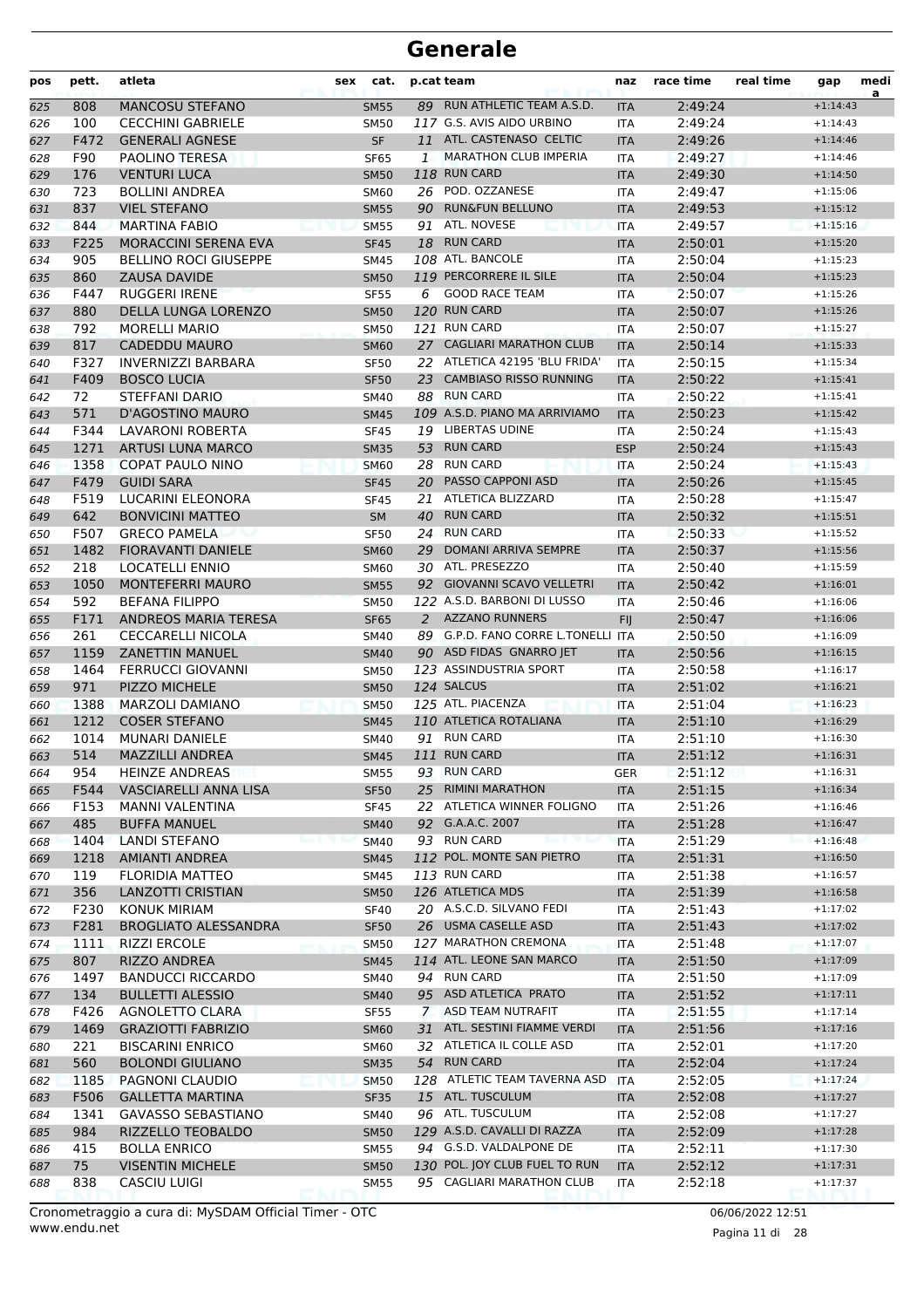| pos        | pett.        | atleta                                             | sex | cat.                       |              | p.cat team                         | naz                      | race time          | real time | gap                      | medi<br>a |
|------------|--------------|----------------------------------------------------|-----|----------------------------|--------------|------------------------------------|--------------------------|--------------------|-----------|--------------------------|-----------|
| 625        | 808          | <b>MANCOSU STEFANO</b>                             |     | <b>SM55</b>                |              | 89 RUN ATHLETIC TEAM A.S.D.        | <b>ITA</b>               | 2:49:24            |           | $+1:14:43$               |           |
| 626        | 100          | <b>CECCHINI GABRIELE</b>                           |     | <b>SM50</b>                |              | 117 G.S. AVIS AIDO URBINO          | ITA                      | 2:49:24            |           | $+1:14:43$               |           |
| 627        | F472         | <b>GENERALI AGNESE</b>                             |     | SF                         |              | 11 ATL. CASTENASO CELTIC           | <b>ITA</b>               | 2:49:26            |           | $+1:14:46$               |           |
| 628        | F90          | <b>PAOLINO TERESA</b>                              |     | <b>SF65</b>                | $\mathbf{1}$ | <b>MARATHON CLUB IMPERIA</b>       | <b>ITA</b>               | 2:49:27            |           | $+1:14:46$               |           |
| 629        | 176          | <b>VENTURI LUCA</b>                                |     | <b>SM50</b>                |              | 118 RUN CARD                       | <b>ITA</b>               | 2:49:30            |           | $+1:14:50$               |           |
| 630        | 723          | <b>BOLLINI ANDREA</b>                              |     | <b>SM60</b>                |              | 26 POD. OZZANESE                   | ITA                      | 2:49:47            |           | $+1:15:06$               |           |
| 631        | 837          | <b>VIEL STEFANO</b>                                |     | <b>SM55</b>                |              | 90 RUN&FUN BELLUNO                 | <b>ITA</b>               | 2:49:53            |           | $+1:15:12$               |           |
| 632        | 844          | <b>MARTINA FABIO</b>                               |     | <b>SM55</b>                |              | 91 ATL. NOVESE                     | <b>ITA</b>               | 2:49:57            |           | $+1:15:16$               |           |
| 633        | F225         | <b>MORACCINI SERENA EVA</b>                        |     | <b>SF45</b>                |              | 18 RUN CARD                        | <b>ITA</b>               | 2:50:01            |           | $+1:15:20$               |           |
| 634        | 905          | <b>BELLINO ROCI GIUSEPPE</b>                       |     | <b>SM45</b>                |              | 108 ATL. BANCOLE                   | <b>ITA</b>               | 2:50:04            |           | $+1:15:23$               |           |
| 635        | 860          | ZAUSA DAVIDE                                       |     | <b>SM50</b>                |              | 119 PERCORRERE IL SILE             | <b>ITA</b>               | 2:50:04            |           | $+1:15:23$               |           |
| 636        | F447         | <b>RUGGERI IRENE</b>                               |     | <b>SF55</b>                | 6            | <b>GOOD RACE TEAM</b>              | <b>ITA</b>               | 2:50:07            |           | $+1:15:26$               |           |
| 637        | 880          | DELLA LUNGA LORENZO                                |     | <b>SM50</b>                |              | 120 RUN CARD                       | <b>ITA</b>               | 2:50:07            |           | $+1:15:26$               |           |
| 638        | 792          | <b>MORELLI MARIO</b>                               |     | <b>SM50</b>                |              | 121 RUN CARD                       | <b>ITA</b>               | 2:50:07            |           | $+1:15:27$               |           |
| 639        | 817          | <b>CADEDDU MAURO</b>                               |     | <b>SM60</b>                |              | 27 CAGLIARI MARATHON CLUB          | <b>ITA</b>               | 2:50:14            |           | $+1:15:33$               |           |
| 640        | F327         | <b>INVERNIZZI BARBARA</b>                          |     | <b>SF50</b>                |              | 22 ATLETICA 42195 'BLU FRIDA'      | <b>ITA</b>               | 2:50:15            |           | $+1:15:34$               |           |
| 641        | F409         | <b>BOSCO LUCIA</b>                                 |     | <b>SF50</b>                | 23           | <b>CAMBIASO RISSO RUNNING</b>      | <b>ITA</b>               | 2:50:22            |           | $+1:15:41$               |           |
| 642        | 72           | STEFFANI DARIO                                     |     | SM40                       |              | 88 RUN CARD                        | <b>ITA</b>               | 2:50:22            |           | $+1:15:41$               |           |
| 643        | 571          | <b>D'AGOSTINO MAURO</b>                            |     | <b>SM45</b>                |              | 109 A.S.D. PIANO MA ARRIVIAMO      | <b>ITA</b>               | 2:50:23            |           | $+1:15:42$               |           |
| 644        | F344         | LAVARONI ROBERTA                                   |     | <b>SF45</b>                |              | 19 LIBERTAS UDINE                  | ITA                      | 2:50:24            |           | $+1:15:43$               |           |
| 645        | 1271         | <b>ARTUSI LUNA MARCO</b>                           |     | <b>SM35</b>                |              | 53 RUN CARD                        | <b>ESP</b>               | 2:50:24            |           | $+1:15:43$               |           |
| 646        | 1358         | <b>COPAT PAULO NINO</b>                            |     | <b>SM60</b>                | 28           | <b>RUN CARD</b>                    | <b>ITA</b>               | 2:50:24            |           | $+1:15:43$               |           |
| 647        | F479         | <b>GUIDI SARA</b>                                  |     | <b>SF45</b>                | 20           | <b>PASSO CAPPONI ASD</b>           | <b>ITA</b>               | 2:50:26            |           | $+1:15:45$               |           |
| 648        | F519         | LUCARINI ELEONORA                                  |     | <b>SF45</b>                | 21           | ATLETICA BLIZZARD                  | <b>ITA</b>               | 2:50:28            |           | $+1:15:47$               |           |
| 649        | 642          | <b>BONVICINI MATTEO</b>                            |     | SM                         |              | 40 RUN CARD                        | <b>ITA</b>               | 2:50:32            |           | $+1:15:51$               |           |
| 650        | F507         | <b>GRECO PAMELA</b>                                |     | <b>SF50</b>                |              | 24 RUN CARD                        | <b>ITA</b>               | 2:50:33            |           | $+1:15:52$               |           |
| 651        | 1482         | <b>FIORAVANTI DANIELE</b>                          |     | <b>SM60</b>                | 29           | DOMANI ARRIVA SEMPRE               | <b>ITA</b>               | 2:50:37            |           | $+1:15:56$               |           |
| 652        | 218          | <b>LOCATELLI ENNIO</b>                             |     | <b>SM60</b>                |              | 30 ATL. PRESEZZO                   | <b>ITA</b>               | 2:50:40            |           | $+1:15:59$               |           |
| 653        | 1050         | <b>MONTEFERRI MAURO</b>                            |     | <b>SM55</b>                |              | 92 GIOVANNI SCAVO VELLETRI         | <b>ITA</b>               | 2:50:42            |           | $+1:16:01$               |           |
| 654        | 592          | <b>BEFANA FILIPPO</b>                              |     | <b>SM50</b>                |              | 122 A.S.D. BARBONI DI LUSSO        | <b>ITA</b>               | 2:50:46            |           | $+1:16:06$               |           |
| 655        | F171         | <b>ANDREOS MARIA TERESA</b>                        |     | <b>SF65</b>                |              | 2 AZZANO RUNNERS                   | <b>FIJ</b>               | 2:50:47            |           | $+1:16:06$               |           |
| 656        | 261          | <b>CECCARELLI NICOLA</b>                           |     | SM40                       |              | 89 G.P.D. FANO CORRE L.TONELLI ITA |                          | 2:50:50            |           | $+1:16:09$               |           |
| 657        | 1159         | <b>ZANETTIN MANUEL</b>                             |     | <b>SM40</b>                |              | 90 ASD FIDAS GNARRO JET            | <b>ITA</b>               | 2:50:56            |           | $+1:16:15$               |           |
| 658        | 1464         | <b>FERRUCCI GIOVANNI</b>                           |     | <b>SM50</b>                |              | 123 ASSINDUSTRIA SPORT             | <b>ITA</b>               | 2:50:58            |           | $+1:16:17$               |           |
| 659        | 971          | PIZZO MICHELE                                      |     | <b>SM50</b>                |              | 124 SALCUS                         | <b>ITA</b>               | 2:51:02            |           | $+1:16:21$               |           |
| 660        | 1388         | <b>MARZOLI DAMIANO</b>                             |     | <b>SM50</b>                |              | 125 ATL. PIACENZA                  | <b>ITA</b>               | 2:51:04            |           | $+1:16:23$               |           |
| 661        | 1212         | <b>COSER STEFANO</b>                               |     | <b>SM45</b>                |              | 110 ATLETICA ROTALIANA             | <b>ITA</b>               | 2:51:10            |           | $+1:16:29$               |           |
| 662        | 1014         | <b>MUNARI DANIELE</b>                              |     | SM40                       |              | 91 RUN CARD                        | <b>ITA</b>               | 2:51:10            |           | $+1:16:30$               |           |
| 663        | 514          | <b>MAZZILLI ANDREA</b>                             |     | <b>SM45</b>                |              | 111 RUN CARD                       | <b>ITA</b>               | 2:51:12            |           | $+1:16:31$               |           |
| 664        | 954          | <b>HEINZE ANDREAS</b>                              |     | <b>SM55</b>                |              | 93 RUN CARD                        | <b>GER</b>               | 2:51:12            |           | $+1:16:31$               |           |
| 665        | F544         | VASCIARELLI ANNA LISA                              |     | <b>SF50</b>                | 25           | <b>RIMINI MARATHON</b>             | <b>ITA</b>               | 2:51:15            |           | $+1:16:34$               |           |
| 666        | F153         | <b>MANNI VALENTINA</b>                             |     | <b>SF45</b>                |              | 22 ATLETICA WINNER FOLIGNO         | ITA                      | 2:51:26            |           | $+1:16:46$               |           |
| 667        | 485          | <b>BUFFA MANUEL</b>                                |     | <b>SM40</b>                |              | 92 G.A.A.C. 2007                   | <b>ITA</b>               | 2:51:28            |           | $+1:16:47$               |           |
| 668        | 1404         | <b>LANDI STEFANO</b>                               |     | <b>SM40</b>                |              | 93 RUN CARD                        | <b>ITA</b>               | 2:51:29            |           | $+1:16:48$               |           |
| 669        | 1218         | AMIANTI ANDREA                                     |     | <b>SM45</b>                |              | 112 POL. MONTE SAN PIETRO          | <b>ITA</b>               | 2:51:31            |           | $+1:16:50$               |           |
| 670        | 119          | <b>FLORIDIA MATTEO</b>                             |     | SM45                       |              | 113 RUN CARD<br>126 ATLETICA MDS   | ITA                      | 2:51:38            |           | $+1:16:57$               |           |
| 671        | 356<br>F230  | LANZOTTI CRISTIAN<br><b>KONUK MIRIAM</b>           |     | <b>SM50</b>                |              | 20 A.S.C.D. SILVANO FEDI           | <b>ITA</b>               | 2:51:39<br>2:51:43 |           | $+1:16:58$<br>$+1:17:02$ |           |
| 672        |              |                                                    |     | <b>SF40</b>                |              | 26 USMA CASELLE ASD                | ITA                      |                    |           |                          |           |
| 673        | F281<br>1111 | <b>BROGLIATO ALESSANDRA</b><br><b>RIZZI ERCOLE</b> |     | <b>SF50</b>                |              | 127 MARATHON CREMONA               | <b>ITA</b>               | 2:51:43<br>2:51:48 |           | $+1:17:02$               |           |
| 674        | 807          | <b>RIZZO ANDREA</b>                                |     | <b>SM50</b>                |              | 114 ATL. LEONE SAN MARCO           | ITA                      | 2:51:50            |           | $+1:17:07$<br>$+1:17:09$ |           |
| 675        | 1497         | <b>BANDUCCI RICCARDO</b>                           |     | <b>SM45</b><br>SM40        |              | 94 RUN CARD                        | <b>ITA</b>               | 2:51:50            |           | $+1:17:09$               |           |
| 676        | 134          | <b>BULLETTI ALESSIO</b>                            |     |                            |              | 95 ASD ATLETICA PRATO              | ITA                      | 2:51:52            |           | $+1:17:11$               |           |
| 677<br>678 | F426         | AGNOLETTO CLARA                                    |     | <b>SM40</b><br><b>SF55</b> |              | 7 ASD TEAM NUTRAFIT                | <b>ITA</b><br>ITA        | 2:51:55            |           | $+1:17:14$               |           |
|            | 1469         | <b>GRAZIOTTI FABRIZIO</b>                          |     |                            |              | 31 ATL. SESTINI FIAMME VERDI       |                          | 2:51:56            |           | $+1:17:16$               |           |
| 679<br>680 | 221          | <b>BISCARINI ENRICO</b>                            |     | <b>SM60</b><br><b>SM60</b> |              | 32 ATLETICA IL COLLE ASD           | <b>ITA</b><br>ITA        | 2:52:01            |           | $+1:17:20$               |           |
|            | 560          | <b>BOLONDI GIULIANO</b>                            |     |                            |              | 54 RUN CARD                        |                          | 2:52:04            |           | $+1:17:24$               |           |
| 681        | 1185         | PAGNONI CLAUDIO                                    |     | <b>SM35</b><br><b>SM50</b> |              | 128 ATLETIC TEAM TAVERNA ASD       | <b>ITA</b><br><b>ITA</b> | 2:52:05            |           | $+1:17:24$               |           |
| 682<br>683 | F506         | <b>GALLETTA MARTINA</b>                            |     | <b>SF35</b>                |              | 15 ATL. TUSCULUM                   | <b>ITA</b>               | 2:52:08            |           | $+1:17:27$               |           |
| 684        | 1341         | <b>GAVASSO SEBASTIANO</b>                          |     | SM40                       |              | 96 ATL. TUSCULUM                   | ITA                      | 2:52:08            |           | $+1:17:27$               |           |
| 685        | 984          | RIZZELLO TEOBALDO                                  |     | <b>SM50</b>                |              | 129 A.S.D. CAVALLI DI RAZZA        | <b>ITA</b>               | 2:52:09            |           | $+1:17:28$               |           |
| 686        | 415          | <b>BOLLA ENRICO</b>                                |     | <b>SM55</b>                |              | 94 G.S.D. VALDALPONE DE            | <b>ITA</b>               | 2:52:11            |           | $+1:17:30$               |           |
| 687        | 75           | <b>VISENTIN MICHELE</b>                            |     | <b>SM50</b>                |              | 130 POL. JOY CLUB FUEL TO RUN      | <b>ITA</b>               | 2:52:12            |           | $+1:17:31$               |           |
| 688        | 838          | <b>CASCIU LUIGI</b>                                |     | <b>SM55</b>                |              | 95 CAGLIARI MARATHON CLUB          | ITA                      | 2:52:18            |           | $+1:17:37$               |           |
|            |              |                                                    |     |                            |              |                                    |                          |                    |           |                          |           |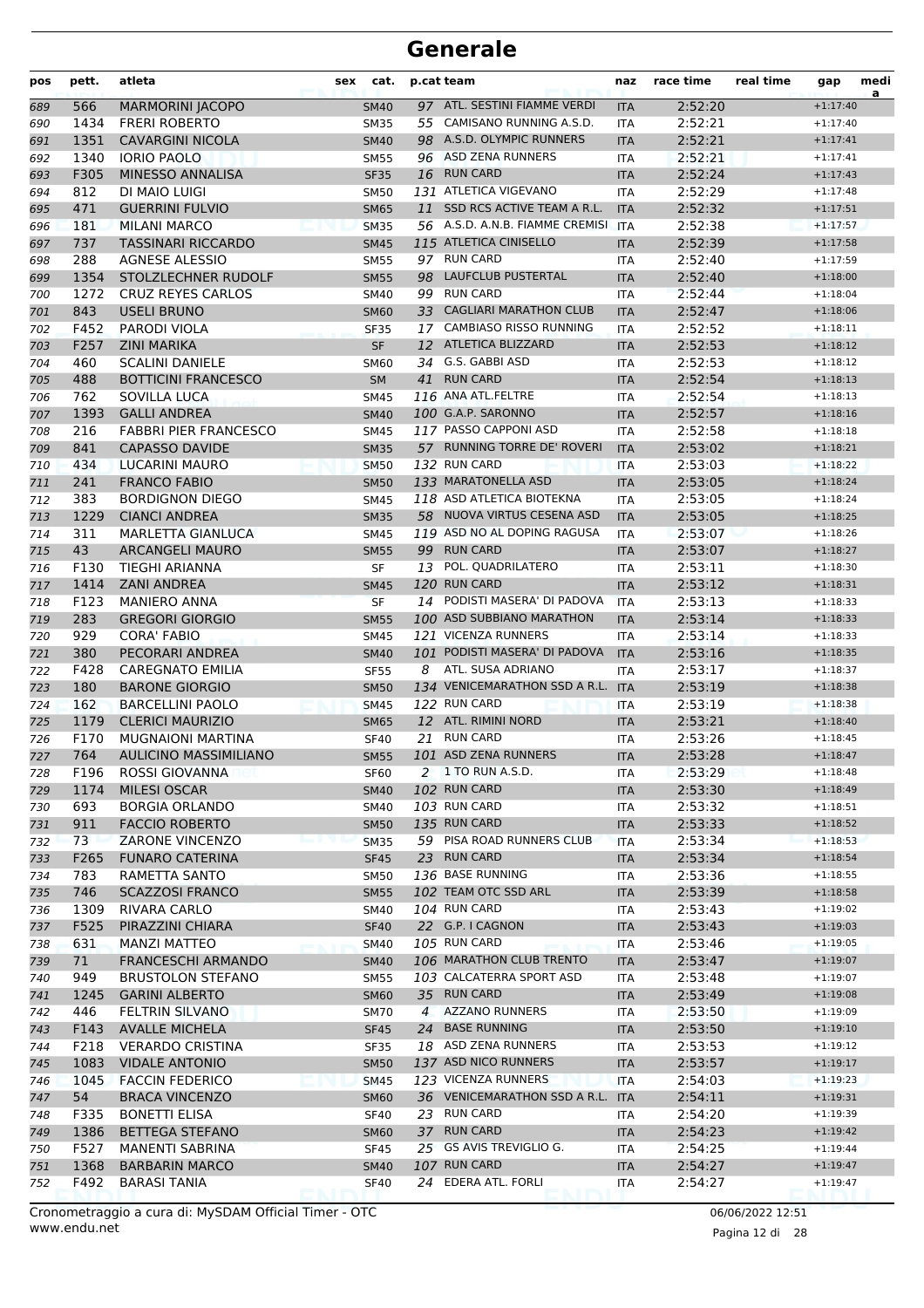| pos | pett. | atleta                       | sex | cat.        |                | p.cat team                       | naz        | race time | real time | gap        | medi<br>a |
|-----|-------|------------------------------|-----|-------------|----------------|----------------------------------|------------|-----------|-----------|------------|-----------|
| 689 | 566   | <b>MARMORINI JACOPO</b>      |     | <b>SM40</b> |                | 97 ATL. SESTINI FIAMME VERDI     | <b>ITA</b> | 2:52:20   |           | $+1:17:40$ |           |
| 690 | 1434  | <b>FRERI ROBERTO</b>         |     | <b>SM35</b> |                | 55 CAMISANO RUNNING A.S.D.       | <b>ITA</b> | 2:52:21   |           | $+1:17:40$ |           |
| 691 | 1351  | <b>CAVARGINI NICOLA</b>      |     | <b>SM40</b> |                | 98 A.S.D. OLYMPIC RUNNERS        | <b>ITA</b> | 2:52:21   |           | $+1:17:41$ |           |
| 692 | 1340  | <b>IORIO PAOLO</b>           |     | <b>SM55</b> |                | 96 ASD ZENA RUNNERS              | <b>ITA</b> | 2:52:21   |           | $+1:17:41$ |           |
| 693 | F305  | MINESSO ANNALISA             |     | <b>SF35</b> |                | 16 RUN CARD                      | <b>ITA</b> | 2:52:24   |           | $+1:17:43$ |           |
| 694 | 812   | DI MAIO LUIGI                |     | <b>SM50</b> |                | 131 ATLETICA VIGEVANO            | <b>ITA</b> | 2:52:29   |           | $+1:17:48$ |           |
| 695 | 471   | <b>GUERRINI FULVIO</b>       |     | <b>SM65</b> | 11             | SSD RCS ACTIVE TEAM A R.L.       | <b>ITA</b> | 2:52:32   |           | $+1:17:51$ |           |
| 696 | 181   | <b>MILANI MARCO</b>          |     | <b>SM35</b> |                | 56 A.S.D. A.N.B. FIAMME CREMISI  | <b>ITA</b> | 2:52:38   |           | $+1:17:57$ |           |
| 697 | 737   | <b>TASSINARI RICCARDO</b>    |     | <b>SM45</b> |                | 115 ATLETICA CINISELLO           | <b>ITA</b> | 2:52:39   |           | $+1:17:58$ |           |
| 698 | 288   | <b>AGNESE ALESSIO</b>        |     | <b>SM55</b> |                | 97 RUN CARD                      | <b>ITA</b> | 2:52:40   |           | $+1:17:59$ |           |
| 699 | 1354  | STOLZLECHNER RUDOLF          |     | <b>SM55</b> |                | 98 LAUFCLUB PUSTERTAL            | <b>ITA</b> | 2:52:40   |           | $+1:18:00$ |           |
| 700 | 1272  | <b>CRUZ REYES CARLOS</b>     |     | <b>SM40</b> |                | 99 RUN CARD                      | <b>ITA</b> | 2:52:44   |           | $+1:18:04$ |           |
| 701 | 843   | <b>USELI BRUNO</b>           |     | <b>SM60</b> |                | 33 CAGLIARI MARATHON CLUB        | <b>ITA</b> | 2:52:47   |           | $+1:18:06$ |           |
| 702 | F452  | <b>PARODI VIOLA</b>          |     | <b>SF35</b> |                | 17 CAMBIASO RISSO RUNNING        | <b>ITA</b> | 2:52:52   |           | $+1:18:11$ |           |
| 703 | F257  | <b>ZINI MARIKA</b>           |     | <b>SF</b>   |                | 12 ATLETICA BLIZZARD             | <b>ITA</b> | 2:52:53   |           | $+1:18:12$ |           |
| 704 | 460   | <b>SCALINI DANIELE</b>       |     | <b>SM60</b> | 34             | G.S. GABBI ASD                   | <b>ITA</b> | 2:52:53   |           | $+1:18:12$ |           |
| 705 | 488   | <b>BOTTICINI FRANCESCO</b>   |     | <b>SM</b>   | 41             | <b>RUN CARD</b>                  | <b>ITA</b> | 2:52:54   |           | $+1:18:13$ |           |
| 706 | 762   | SOVILLA LUCA                 |     | <b>SM45</b> |                | 116 ANA ATL.FELTRE               | <b>ITA</b> | 2:52:54   |           | $+1:18:13$ |           |
| 707 | 1393  | <b>GALLI ANDREA</b>          |     | <b>SM40</b> |                | 100 G.A.P. SARONNO               | <b>ITA</b> | 2:52:57   |           | $+1:18:16$ |           |
| 708 | 216   | <b>FABBRI PIER FRANCESCO</b> |     | <b>SM45</b> |                | 117 PASSO CAPPONI ASD            | <b>ITA</b> | 2:52:58   |           | $+1:18:18$ |           |
| 709 | 841   | <b>CAPASSO DAVIDE</b>        |     | <b>SM35</b> |                | 57 RUNNING TORRE DE' ROVERI      | <b>ITA</b> | 2:53:02   |           | $+1:18:21$ |           |
| 710 | 434   | <b>LUCARINI MAURO</b>        |     | <b>SM50</b> |                | 132 RUN CARD                     | <b>ITA</b> | 2:53:03   |           | $+1:18:22$ |           |
| 711 | 241   | <b>FRANCO FABIO</b>          |     | <b>SM50</b> |                | 133 MARATONELLA ASD              | <b>ITA</b> | 2:53:05   |           | $+1:18:24$ |           |
| 712 | 383   | <b>BORDIGNON DIEGO</b>       |     | <b>SM45</b> |                | 118 ASD ATLETICA BIOTEKNA        | <b>ITA</b> | 2:53:05   |           | $+1:18:24$ |           |
| 713 | 1229  | <b>CIANCI ANDREA</b>         |     | <b>SM35</b> |                | 58 NUOVA VIRTUS CESENA ASD       | <b>ITA</b> | 2:53:05   |           | $+1:18:25$ |           |
| 714 | 311   | MARLETTA GIANLUCA            |     | <b>SM45</b> |                | 119 ASD NO AL DOPING RAGUSA      | ITA        | 2:53:07   |           | $+1:18:26$ |           |
| 715 | 43    | <b>ARCANGELI MAURO</b>       |     | <b>SM55</b> | 99             | <b>RUN CARD</b>                  | <b>ITA</b> | 2:53:07   |           | $+1:18:27$ |           |
| 716 | F130  | <b>TIEGHI ARIANNA</b>        |     | <b>SF</b>   | 13             | POL. QUADRILATERO                | <b>ITA</b> | 2:53:11   |           | $+1:18:30$ |           |
| 717 | 1414  | <b>ZANI ANDREA</b>           |     | <b>SM45</b> |                | 120 RUN CARD                     | <b>ITA</b> | 2:53:12   |           | $+1:18:31$ |           |
| 718 | F123  | <b>MANIERO ANNA</b>          |     | <b>SF</b>   |                | 14 PODISTI MASERA' DI PADOVA     | <b>ITA</b> | 2:53:13   |           | $+1:18:33$ |           |
| 719 | 283   | <b>GREGORI GIORGIO</b>       |     | <b>SM55</b> |                | 100 ASD SUBBIANO MARATHON        | <b>ITA</b> | 2:53:14   |           | $+1:18:33$ |           |
| 720 | 929   | <b>CORA' FABIO</b>           |     | <b>SM45</b> |                | 121 VICENZA RUNNERS              | <b>ITA</b> | 2:53:14   |           | $+1:18:33$ |           |
| 721 | 380   | PECORARI ANDREA              |     | <b>SM40</b> |                | 101 PODISTI MASERA' DI PADOVA    | <b>ITA</b> | 2:53:16   |           | $+1:18:35$ |           |
| 722 | F428  | <b>CAREGNATO EMILIA</b>      |     | <b>SF55</b> | 8              | ATL. SUSA ADRIANO                | <b>ITA</b> | 2:53:17   |           | $+1:18:37$ |           |
| 723 | 180   | <b>BARONE GIORGIO</b>        |     | <b>SM50</b> |                | 134 VENICEMARATHON SSD A R.L.    | <b>ITA</b> | 2:53:19   |           | $+1:18:38$ |           |
| 724 | 162   | <b>BARCELLINI PAOLO</b>      |     | <b>SM45</b> |                | 122 RUN CARD                     | <b>ITA</b> | 2:53:19   |           | $+1:18:38$ |           |
| 725 | 1179  | <b>CLERICI MAURIZIO</b>      |     | <b>SM65</b> |                | 12 ATL. RIMINI NORD              | <b>ITA</b> | 2:53:21   |           | $+1:18:40$ |           |
| 726 | F170  | <b>MUGNAIONI MARTINA</b>     |     | <b>SF40</b> |                | 21 RUN CARD                      | <b>ITA</b> | 2:53:26   |           | $+1:18:45$ |           |
| 727 | 764   | <b>AULICINO MASSIMILIANO</b> |     | <b>SM55</b> |                | 101 ASD ZENA RUNNERS             | <b>ITA</b> | 2:53:28   |           | $+1:18:47$ |           |
| 728 | F196  | ROSSI GIOVANNA               |     | <b>SF60</b> |                | 2 1 TO RUN A.S.D.                | ITA        | 2:53:29   |           | $+1:18:48$ |           |
| 729 | 1174  | MILESI OSCAR                 |     | <b>SM40</b> |                | 102 RUN CARD                     | <b>ITA</b> | 2:53:30   |           | $+1:18:49$ |           |
| 730 | 693   | <b>BORGIA ORLANDO</b>        |     | <b>SM40</b> |                | 103 RUN CARD                     | <b>ITA</b> | 2:53:32   |           | $+1:18:51$ |           |
| 731 | 911   | <b>FACCIO ROBERTO</b>        |     | <b>SM50</b> |                | 135 RUN CARD                     | <b>ITA</b> | 2:53:33   |           | $+1:18:52$ |           |
| 732 | 73    | ZARONE VINCENZO              |     | <b>SM35</b> |                | 59 PISA ROAD RUNNERS CLUB        | <b>ITA</b> | 2:53:34   |           | $+1:18:53$ |           |
| 733 | F265  | <b>FUNARO CATERINA</b>       |     | <b>SF45</b> |                | 23 RUN CARD                      | <b>ITA</b> | 2:53:34   |           | $+1:18:54$ |           |
| 734 | 783   | RAMETTA SANTO                |     | SM50        |                | 136 BASE RUNNING                 | ITA        | 2:53:36   |           | $+1:18:55$ |           |
| 735 | 746   | <b>SCAZZOSI FRANCO</b>       |     | <b>SM55</b> |                | 102 TEAM OTC SSD ARL             | <b>ITA</b> | 2:53:39   |           | $+1:18:58$ |           |
| 736 | 1309  | <b>RIVARA CARLO</b>          |     | SM40        |                | 104 RUN CARD                     | ITA        | 2:53:43   |           | $+1:19:02$ |           |
| 737 | F525  | PIRAZZINI CHIARA             |     | <b>SF40</b> |                | 22 G.P. I CAGNON                 | <b>ITA</b> | 2:53:43   |           | $+1:19:03$ |           |
| 738 | 631   | <b>MANZI MATTEO</b>          |     | <b>SM40</b> |                | 105 RUN CARD                     | ITA        | 2:53:46   |           | $+1:19:05$ |           |
| 739 | 71    | <b>FRANCESCHI ARMANDO</b>    |     | <b>SM40</b> |                | 106 MARATHON CLUB TRENTO         | <b>ITA</b> | 2:53:47   |           | $+1:19:07$ |           |
| 740 | 949   | <b>BRUSTOLON STEFANO</b>     |     | <b>SM55</b> |                | 103 CALCATERRA SPORT ASD         | ITA        | 2:53:48   |           | $+1:19:07$ |           |
| 741 | 1245  | <b>GARINI ALBERTO</b>        |     | <b>SM60</b> |                | 35 RUN CARD                      | <b>ITA</b> | 2:53:49   |           | $+1:19:08$ |           |
| 742 | 446   | FELTRIN SILVANO              |     | <b>SM70</b> | $\overline{4}$ | <b>AZZANO RUNNERS</b>            | ITA        | 2:53:50   |           | $+1:19:09$ |           |
| 743 | F143  | <b>AVALLE MICHELA</b>        |     | <b>SF45</b> |                | 24 BASE RUNNING                  | <b>ITA</b> | 2:53:50   |           | $+1:19:10$ |           |
| 744 | F218  | <b>VERARDO CRISTINA</b>      |     | <b>SF35</b> |                | 18 ASD ZENA RUNNERS              | ITA        | 2:53:53   |           | $+1:19:12$ |           |
| 745 | 1083  | <b>VIDALE ANTONIO</b>        |     | <b>SM50</b> |                | 137 ASD NICO RUNNERS             | <b>ITA</b> | 2:53:57   |           | $+1:19:17$ |           |
| 746 | 1045  | <b>FACCIN FEDERICO</b>       |     | <b>SM45</b> |                | 123 VICENZA RUNNERS              | <b>ITA</b> | 2:54:03   |           | $+1:19:23$ |           |
| 747 | 54    | <b>BRACA VINCENZO</b>        |     | <b>SM60</b> |                | 36 VENICEMARATHON SSD A R.L. ITA |            | 2:54:11   |           | $+1:19:31$ |           |
| 748 | F335  | <b>BONETTI ELISA</b>         |     | <b>SF40</b> |                | 23 RUN CARD                      | ITA        | 2:54:20   |           | $+1:19:39$ |           |
| 749 | 1386  | <b>BETTEGA STEFANO</b>       |     | <b>SM60</b> |                | 37 RUN CARD                      | <b>ITA</b> | 2:54:23   |           | $+1:19:42$ |           |
| 750 | F527  | MANENTI SABRINA              |     | <b>SF45</b> |                | 25 GS AVIS TREVIGLIO G.          | ITA        | 2:54:25   |           | $+1:19:44$ |           |
| 751 | 1368  | <b>BARBARIN MARCO</b>        |     | <b>SM40</b> |                | 107 RUN CARD                     | <b>ITA</b> | 2:54:27   |           | $+1:19:47$ |           |
| 752 | F492  | <b>BARASI TANIA</b>          |     | <b>SF40</b> |                | 24 EDERA ATL. FORLI              | ITA        | 2:54:27   |           | $+1:19:47$ |           |

www.endu.net Cronometraggio a cura di: MySDAM Official Timer - OTC 06/06/2022 12:51

Pagina 12 di 28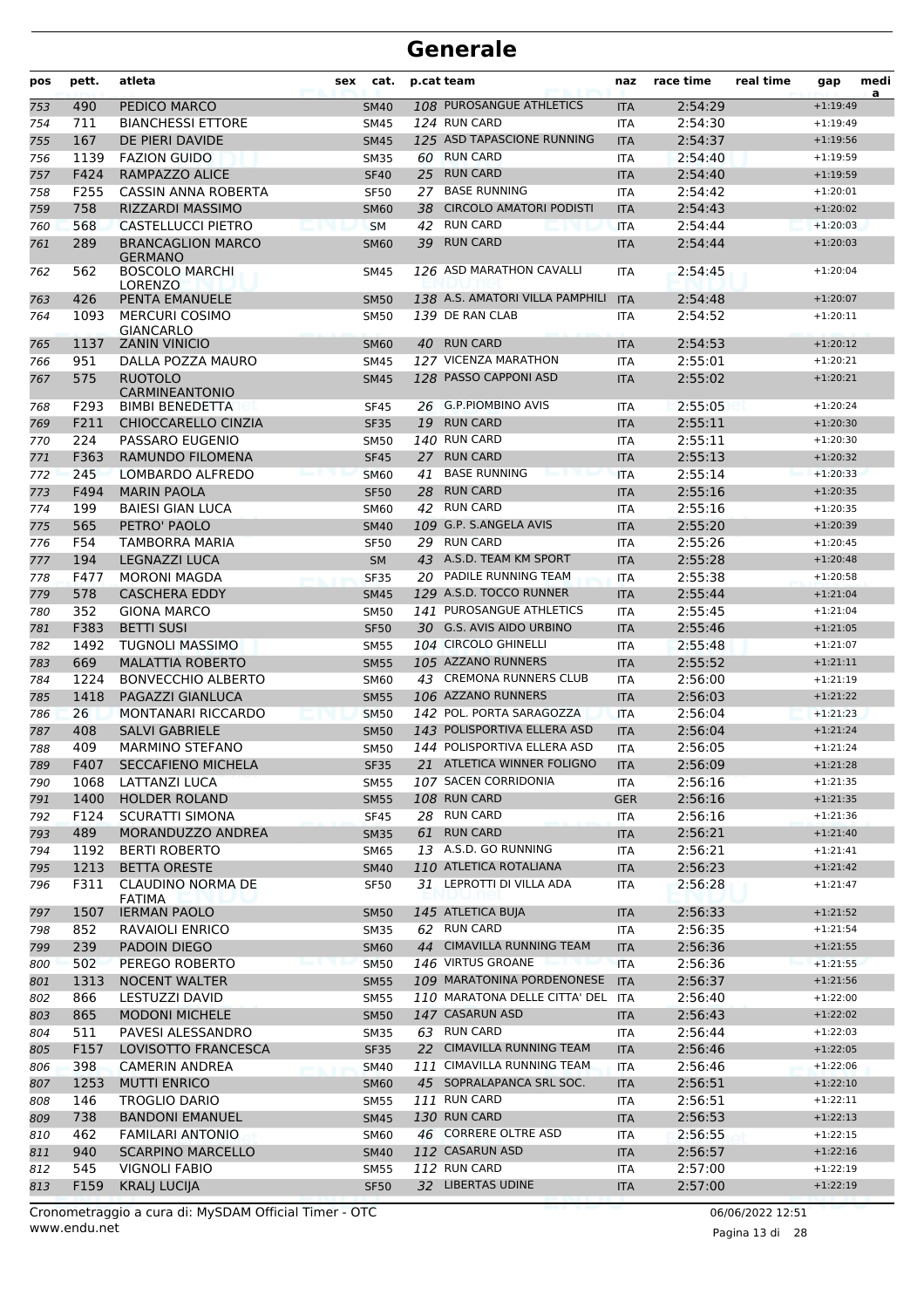| pos | pett. | atleta                                   | sex | cat.        |    | p.cat team                              | naz        | race time | real time | gap        | medi<br>a |
|-----|-------|------------------------------------------|-----|-------------|----|-----------------------------------------|------------|-----------|-----------|------------|-----------|
| 753 | 490   | PEDICO MARCO                             |     | <b>SM40</b> |    | 108 PUROSANGUE ATHLETICS                | <b>ITA</b> | 2:54:29   |           | $+1:19:49$ |           |
| 754 | 711   | <b>BIANCHESSI ETTORE</b>                 |     | <b>SM45</b> |    | 124 RUN CARD                            | <b>ITA</b> | 2:54:30   |           | $+1:19:49$ |           |
| 755 | 167   | DE PIERI DAVIDE                          |     | <b>SM45</b> |    | 125 ASD TAPASCIONE RUNNING              | <b>ITA</b> | 2:54:37   |           | $+1:19:56$ |           |
| 756 | 1139  | <b>FAZION GUIDO</b>                      |     | <b>SM35</b> |    | 60 RUN CARD                             | <b>ITA</b> | 2:54:40   |           | $+1:19:59$ |           |
| 757 | F424  | <b>RAMPAZZO ALICE</b>                    |     | <b>SF40</b> | 25 | <b>RUN CARD</b>                         | <b>ITA</b> | 2:54:40   |           | $+1:19:59$ |           |
| 758 | F255  | CASSIN ANNA ROBERTA                      |     | <b>SF50</b> | 27 | <b>BASE RUNNING</b>                     | <b>ITA</b> | 2:54:42   |           | $+1:20:01$ |           |
| 759 | 758   | <b>RIZZARDI MASSIMO</b>                  |     | <b>SM60</b> | 38 | <b>CIRCOLO AMATORI PODISTI</b>          | <b>ITA</b> | 2:54:43   |           | $+1:20:02$ |           |
| 760 | 568   | <b>CASTELLUCCI PIETRO</b>                |     | <b>SM</b>   | 42 | <b>RUN CARD</b>                         | <b>ITA</b> | 2:54:44   |           | $+1:20:03$ |           |
| 761 | 289   | <b>BRANCAGLION MARCO</b>                 |     | <b>SM60</b> | 39 | <b>RUN CARD</b>                         | <b>ITA</b> | 2:54:44   |           | $+1:20:03$ |           |
|     |       | <b>GERMANO</b>                           |     |             |    |                                         |            |           |           |            |           |
| 762 | 562   | <b>BOSCOLO MARCHI</b><br><b>LORENZO</b>  |     | <b>SM45</b> |    | 126 ASD MARATHON CAVALLI                | ITA        | 2:54:45   |           | $+1:20:04$ |           |
| 763 | 426   | PENTA EMANUELE                           |     | <b>SM50</b> |    | 138 A.S. AMATORI VILLA PAMPHILI         | <b>ITA</b> | 2:54:48   |           | $+1:20:07$ |           |
| 764 | 1093  | <b>MERCURI COSIMO</b>                    |     | <b>SM50</b> |    | 139 DE RAN CLAB                         | <b>ITA</b> | 2:54:52   |           | $+1:20:11$ |           |
|     |       | <b>GIANCARLO</b>                         |     |             |    |                                         |            |           |           |            |           |
| 765 | 1137  | <b>ZANIN VINICIO</b>                     |     | <b>SM60</b> |    | 40 RUN CARD                             | <b>ITA</b> | 2:54:53   |           | $+1:20:12$ |           |
| 766 | 951   | DALLA POZZA MAURO                        |     | <b>SM45</b> |    | 127 VICENZA MARATHON                    | <b>ITA</b> | 2:55:01   |           | $+1:20:21$ |           |
| 767 | 575   | <b>RUOTOLO</b>                           |     | <b>SM45</b> |    | 128 PASSO CAPPONI ASD                   | <b>ITA</b> | 2:55:02   |           | $+1:20:21$ |           |
| 768 | F293  | CARMINEANTONIO<br><b>BIMBI BENEDETTA</b> |     | <b>SF45</b> |    | 26 G.P.PIOMBINO AVIS                    | <b>ITA</b> | 2:55:05   |           | $+1:20:24$ |           |
| 769 | F211  | CHIOCCARELLO CINZIA                      |     | <b>SF35</b> |    | 19 RUN CARD                             | <b>ITA</b> | 2:55:11   |           | $+1:20:30$ |           |
| 770 | 224   | PASSARO EUGENIO                          |     | <b>SM50</b> |    | 140 RUN CARD                            | <b>ITA</b> | 2:55:11   |           | $+1:20:30$ |           |
| 771 | F363  | RAMUNDO FILOMENA                         |     | <b>SF45</b> | 27 | <b>RUN CARD</b>                         | <b>ITA</b> | 2:55:13   |           | $+1:20:32$ |           |
| 772 | 245   | LOMBARDO ALFREDO                         |     | <b>SM60</b> | 41 | <b>BASE RUNNING</b>                     | <b>ITA</b> | 2:55:14   |           | $+1:20:33$ |           |
| 773 | F494  | <b>MARIN PAOLA</b>                       |     | <b>SF50</b> | 28 | <b>RUN CARD</b>                         | <b>ITA</b> | 2:55:16   |           | $+1:20:35$ |           |
| 774 | 199   | <b>BAIESI GIAN LUCA</b>                  |     | <b>SM60</b> |    | 42 RUN CARD                             | <b>ITA</b> | 2:55:16   |           | $+1:20:35$ |           |
| 775 | 565   | PETRO' PAOLO                             |     | <b>SM40</b> |    | 109 G.P. S.ANGELA AVIS                  | <b>ITA</b> | 2:55:20   |           | $+1:20:39$ |           |
| 776 | F54   | <b>TAMBORRA MARIA</b>                    |     | <b>SF50</b> |    | 29 RUN CARD                             | <b>ITA</b> | 2:55:26   |           | $+1:20:45$ |           |
| 777 | 194   | <b>LEGNAZZI LUCA</b>                     |     | <b>SM</b>   |    | 43 A.S.D. TEAM KM SPORT                 | <b>ITA</b> | 2:55:28   |           | $+1:20:48$ |           |
| 778 | F477  | <b>MORONI MAGDA</b>                      |     | <b>SF35</b> |    | 20 PADILE RUNNING TEAM                  | <b>ITA</b> | 2:55:38   |           | $+1:20:58$ |           |
| 779 | 578   | <b>CASCHERA EDDY</b>                     |     | <b>SM45</b> |    | 129 A.S.D. TOCCO RUNNER                 | <b>ITA</b> | 2:55:44   |           | $+1:21:04$ |           |
| 780 | 352   | <b>GIONA MARCO</b>                       |     | <b>SM50</b> |    | 141 PUROSANGUE ATHLETICS                | <b>ITA</b> | 2:55:45   |           | $+1:21:04$ |           |
| 781 | F383  | <b>BETTI SUSI</b>                        |     | <b>SF50</b> |    | 30 G.S. AVIS AIDO URBINO                | <b>ITA</b> | 2:55:46   |           | $+1:21:05$ |           |
| 782 | 1492  | <b>TUGNOLI MASSIMO</b>                   |     | <b>SM55</b> |    | 104 CIRCOLO GHINELLI                    | <b>ITA</b> | 2:55:48   |           | $+1:21:07$ |           |
| 783 | 669   | <b>MALATTIA ROBERTO</b>                  |     | <b>SM55</b> |    | 105 AZZANO RUNNERS                      | <b>ITA</b> | 2:55:52   |           | $+1:21:11$ |           |
| 784 | 1224  | <b>BONVECCHIO ALBERTO</b>                |     | <b>SM60</b> |    | 43 CREMONA RUNNERS CLUB                 | <b>ITA</b> | 2:56:00   |           | $+1:21:19$ |           |
| 785 | 1418  | PAGAZZI GIANLUCA                         |     | <b>SM55</b> |    | 106 AZZANO RUNNERS                      | <b>ITA</b> | 2:56:03   |           | $+1:21:22$ |           |
| 786 | 26    | <b>MONTANARI RICCARDO</b>                |     | <b>SM50</b> |    | 142 POL. PORTA SARAGOZZA                | <b>ITA</b> | 2:56:04   |           | $+1:21:23$ |           |
| 787 | 408   | <b>SALVI GABRIELE</b>                    |     | <b>SM50</b> |    | 143 POLISPORTIVA ELLERA ASD             | <b>ITA</b> | 2:56:04   |           | $+1:21:24$ |           |
| 788 | 409   | <b>MARMINO STEFANO</b>                   |     | <b>SM50</b> |    | 144 POLISPORTIVA ELLERA ASD             | <b>ITA</b> | 2:56:05   |           | $+1:21:24$ |           |
| 789 | F407  | SECCAFIENO MICHELA                       |     | <b>SF35</b> |    | 21 ATLETICA WINNER FOLIGNO              | <b>ITA</b> | 2:56:09   |           | $+1:21:28$ |           |
| 790 | 1068  | LATTANZI LUCA                            |     | <b>SM55</b> |    | 107 SACEN CORRIDONIA                    | ITA        | 2:56:16   |           | $+1:21:35$ |           |
| 791 | 1400  | <b>HOLDER ROLAND</b>                     |     | <b>SM55</b> |    | 108 RUN CARD                            | <b>GER</b> | 2:56:16   |           | $+1:21:35$ |           |
| 792 | F124  | SCURATTI SIMONA                          |     | <b>SF45</b> |    | 28 RUN CARD                             | ITA        | 2:56:16   |           | $+1:21:36$ |           |
| 793 | 489   | MORANDUZZO ANDREA                        |     | <b>SM35</b> |    | 61 RUN CARD                             | <b>ITA</b> | 2:56:21   |           | $+1:21:40$ |           |
| 794 | 1192  | <b>BERTI ROBERTO</b>                     |     | SM65        |    | 13 A.S.D. GO RUNNING                    | ITA        | 2:56:21   |           | $+1:21:41$ |           |
| 795 | 1213  | <b>BETTA ORESTE</b>                      |     | <b>SM40</b> |    | 110 ATLETICA ROTALIANA                  | <b>ITA</b> | 2:56:23   |           | $+1:21:42$ |           |
| 796 | F311  | CLAUDINO NORMA DE                        |     | <b>SF50</b> |    | 31 LEPROTTI DI VILLA ADA                | ITA        | 2:56:28   |           | $+1:21:47$ |           |
|     |       | <b>FATIMA</b>                            |     |             |    |                                         |            |           |           |            |           |
| 797 | 1507  | <b>IERMAN PAOLO</b>                      |     | <b>SM50</b> |    | 145 ATLETICA BUJA                       | <b>ITA</b> | 2:56:33   |           | $+1:21:52$ |           |
| 798 | 852   | RAVAIOLI ENRICO                          |     | SM35        |    | 62 RUN CARD                             | ITA        | 2:56:35   |           | $+1:21:54$ |           |
| 799 | 239   | <b>PADOIN DIEGO</b>                      |     | <b>SM60</b> |    | 44 CIMAVILLA RUNNING TEAM               | <b>ITA</b> | 2:56:36   |           | $+1:21:55$ |           |
| 800 | 502   | PEREGO ROBERTO                           |     | <b>SM50</b> |    | 146 VIRTUS GROANE<br>an il politica     | <b>ITA</b> | 2:56:36   |           | $+1:21:55$ |           |
| 801 | 1313  | <b>NOCENT WALTER</b>                     |     | <b>SM55</b> |    | 109 MARATONINA PORDENONESE              | <b>ITA</b> | 2:56:37   |           | $+1:21:56$ |           |
| 802 | 866   | LESTUZZI DAVID                           |     | <b>SM55</b> |    | 110 MARATONA DELLE CITTA' DEL           | <b>ITA</b> | 2:56:40   |           | $+1:22:00$ |           |
| 803 | 865   | <b>MODONI MICHELE</b>                    |     | <b>SM50</b> |    | 147 CASARUN ASD                         | <b>ITA</b> | 2:56:43   |           | $+1:22:02$ |           |
| 804 | 511   | PAVESI ALESSANDRO                        |     | <b>SM35</b> |    | 63 RUN CARD                             | <b>ITA</b> | 2:56:44   |           | $+1:22:03$ |           |
| 805 | F157  | LOVISOTTO FRANCESCA                      |     | <b>SF35</b> |    | 22 CIMAVILLA RUNNING TEAM               | <b>ITA</b> | 2:56:46   |           | $+1:22:05$ |           |
| 806 | 398   | CAMERIN ANDREA                           |     | <b>SM40</b> |    | 111 CIMAVILLA RUNNING TEAM              | <b>ITA</b> | 2:56:46   |           | $+1:22:06$ |           |
| 807 | 1253  | <b>MUTTI ENRICO</b>                      |     | <b>SM60</b> |    | 45 SOPRALAPANCA SRL SOC.                | <b>ITA</b> | 2:56:51   |           | $+1:22:10$ |           |
| 808 | 146   | TROGLIO DARIO                            |     | <b>SM55</b> |    | 111 RUN CARD                            | ITA        | 2:56:51   |           | $+1:22:11$ |           |
| 809 | 738   | <b>BANDONI EMANUEL</b>                   |     | <b>SM45</b> |    | 130 RUN CARD                            | <b>ITA</b> | 2:56:53   |           | $+1:22:13$ |           |
| 810 | 462   | <b>FAMILARI ANTONIO</b>                  |     | <b>SM60</b> |    | 46 CORRERE OLTRE ASD<br>112 CASARUN ASD | ITA        | 2:56:55   |           | $+1:22:15$ |           |
| 811 | 940   | <b>SCARPINO MARCELLO</b>                 |     | <b>SM40</b> |    | 112 RUN CARD                            | <b>ITA</b> | 2:56:57   |           | $+1:22:16$ |           |
| 812 | 545   | <b>VIGNOLI FABIO</b>                     |     | <b>SM55</b> |    | 32 LIBERTAS UDINE                       | ITA        | 2:57:00   |           | $+1:22:19$ |           |
| 813 | F159  | <b>KRALJ LUCIJA</b>                      |     | <b>SF50</b> |    |                                         | <b>ITA</b> | 2:57:00   |           | $+1:22:19$ |           |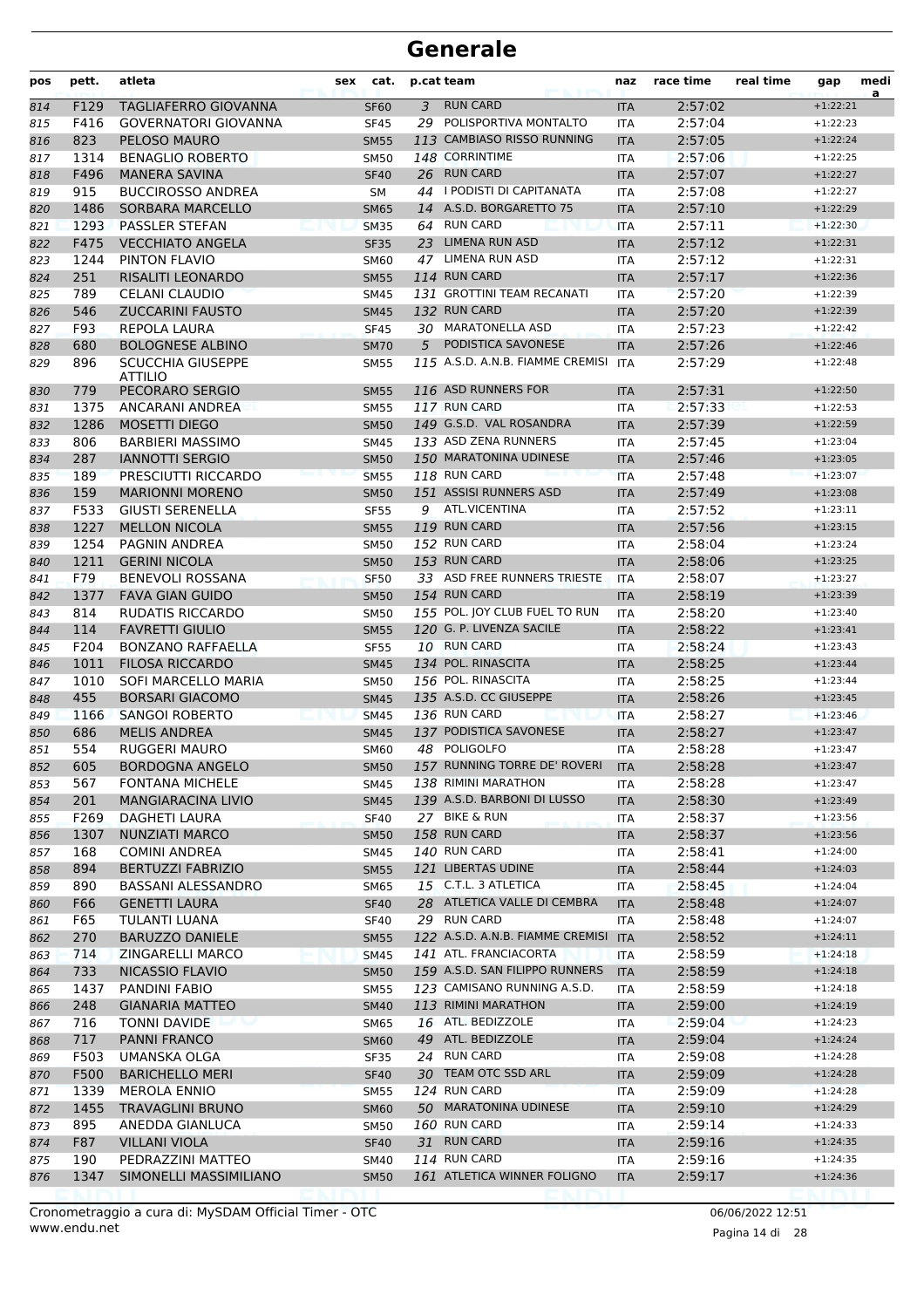| pos | pett.            | atleta                      | sex | cat.        |                | p.cat team                       | naz        | race time | real time | gap        | medi<br>a |
|-----|------------------|-----------------------------|-----|-------------|----------------|----------------------------------|------------|-----------|-----------|------------|-----------|
| 814 | F129             | TAGLIAFERRO GIOVANNA        |     | <b>SF60</b> | $\overline{3}$ | <b>RUN CARD</b>                  | <b>ITA</b> | 2:57:02   |           | $+1:22:21$ |           |
| 815 | F416             | <b>GOVERNATORI GIOVANNA</b> |     | <b>SF45</b> |                | 29 POLISPORTIVA MONTALTO         | ITA        | 2:57:04   |           | $+1:22:23$ |           |
| 816 | 823              | PELOSO MAURO                |     | <b>SM55</b> |                | 113 CAMBIASO RISSO RUNNING       | <b>ITA</b> | 2:57:05   |           | $+1:22:24$ |           |
| 817 | 1314             | <b>BENAGLIO ROBERTO</b>     |     | <b>SM50</b> |                | 148 CORRINTIME                   | <b>ITA</b> | 2:57:06   |           | $+1:22:25$ |           |
| 818 | F496             | <b>MANERA SAVINA</b>        |     | <b>SF40</b> |                | 26 RUN CARD                      | <b>ITA</b> | 2:57:07   |           | $+1:22:27$ |           |
| 819 | 915              | <b>BUCCIROSSO ANDREA</b>    |     | SM          |                | 44   PODISTI DI CAPITANATA       | ITA        | 2:57:08   |           | $+1:22:27$ |           |
| 820 | 1486             | <b>SORBARA MARCELLO</b>     |     | <b>SM65</b> |                | 14 A.S.D. BORGARETTO 75          | <b>ITA</b> | 2:57:10   |           | $+1:22:29$ |           |
| 821 | 1293             | PASSLER STEFAN              |     | <b>SM35</b> |                | 64 RUN CARD                      | <b>ITA</b> | 2:57:11   |           | $+1:22:30$ |           |
| 822 | F475             | <b>VECCHIATO ANGELA</b>     |     | <b>SF35</b> |                | 23 LIMENA RUN ASD                | <b>ITA</b> | 2:57:12   |           | $+1:22:31$ |           |
| 823 | 1244             | PINTON FLAVIO               |     | <b>SM60</b> | 47             | LIMENA RUN ASD                   | <b>ITA</b> | 2:57:12   |           | $+1:22:31$ |           |
| 824 | 251              | <b>RISALITI LEONARDO</b>    |     | <b>SM55</b> |                | 114 RUN CARD                     | <b>ITA</b> | 2:57:17   |           | $+1:22:36$ |           |
| 825 | 789              | <b>CELANI CLAUDIO</b>       |     | SM45        |                | 131 GROTTINI TEAM RECANATI       | ITA        | 2:57:20   |           | $+1:22:39$ |           |
| 826 | 546              | <b>ZUCCARINI FAUSTO</b>     |     | <b>SM45</b> |                | 132 RUN CARD                     | <b>ITA</b> | 2:57:20   |           | $+1:22:39$ |           |
| 827 | F93              | REPOLA LAURA                |     | <b>SF45</b> |                | 30 MARATONELLA ASD               | ITA        | 2:57:23   |           | $+1:22:42$ |           |
| 828 | 680              | <b>BOLOGNESE ALBINO</b>     |     | <b>SM70</b> | 5              | PODISTICA SAVONESE               | <b>ITA</b> | 2:57:26   |           | $+1:22:46$ |           |
| 829 | 896              | <b>SCUCCHIA GIUSEPPE</b>    |     | <b>SM55</b> |                | 115 A.S.D. A.N.B. FIAMME CREMISI | <b>ITA</b> | 2:57:29   |           | $+1:22:48$ |           |
|     |                  | <b>ATTILIO</b>              |     |             |                |                                  |            |           |           |            |           |
| 830 | 779              | PECORARO SERGIO             |     | <b>SM55</b> |                | 116 ASD RUNNERS FOR              | <b>ITA</b> | 2:57:31   |           | $+1:22:50$ |           |
| 831 | 1375             | ANCARANI ANDREA             |     | <b>SM55</b> |                | 117 RUN CARD                     | <b>ITA</b> | 2:57:33   |           | $+1:22:53$ |           |
| 832 | 1286             | <b>MOSETTI DIEGO</b>        |     | <b>SM50</b> |                | 149 G.S.D. VAL ROSANDRA          | <b>ITA</b> | 2:57:39   |           | $+1:22:59$ |           |
| 833 | 806              | <b>BARBIERI MASSIMO</b>     |     | <b>SM45</b> |                | 133 ASD ZENA RUNNERS             | <b>ITA</b> | 2:57:45   |           | $+1:23:04$ |           |
| 834 | 287              | <b>IANNOTTI SERGIO</b>      |     | <b>SM50</b> |                | 150 MARATONINA UDINESE           | <b>ITA</b> | 2:57:46   |           | $+1:23:05$ |           |
| 835 | 189              | PRESCIUTTI RICCARDO         |     | <b>SM55</b> |                | 118 RUN CARD                     | <b>ITA</b> | 2:57:48   |           | $+1:23:07$ |           |
| 836 | 159              | <b>MARIONNI MORENO</b>      |     | <b>SM50</b> |                | 151 ASSISI RUNNERS ASD           | <b>ITA</b> | 2:57:49   |           | $+1:23:08$ |           |
| 837 | F533             | <b>GIUSTI SERENELLA</b>     |     | <b>SF55</b> |                | 9 ATL.VICENTINA                  | <b>ITA</b> | 2:57:52   |           | $+1:23:11$ |           |
| 838 | 1227             | <b>MELLON NICOLA</b>        |     | <b>SM55</b> |                | 119 RUN CARD                     | <b>ITA</b> | 2:57:56   |           | $+1:23:15$ |           |
| 839 | 1254             | <b>PAGNIN ANDREA</b>        |     | <b>SM50</b> |                | 152 RUN CARD                     | ITA        | 2:58:04   |           | $+1:23:24$ |           |
| 840 | 1211             | <b>GERINI NICOLA</b>        |     | <b>SM50</b> |                | 153 RUN CARD                     | <b>ITA</b> | 2:58:06   |           | $+1:23:25$ |           |
| 841 | F79              | <b>BENEVOLI ROSSANA</b>     |     | <b>SF50</b> |                | 33 ASD FREE RUNNERS TRIESTE      | <b>ITA</b> | 2:58:07   |           | $+1:23:27$ |           |
| 842 | 1377             | <b>FAVA GIAN GUIDO</b>      |     | <b>SM50</b> |                | 154 RUN CARD                     | <b>ITA</b> | 2:58:19   |           | $+1:23:39$ |           |
| 843 | 814              | RUDATIS RICCARDO            |     | <b>SM50</b> |                | 155 POL. JOY CLUB FUEL TO RUN    | <b>ITA</b> | 2:58:20   |           | $+1:23:40$ |           |
| 844 | 114              | <b>FAVRETTI GIULIO</b>      |     | <b>SM55</b> |                | 120 G. P. LIVENZA SACILE         | <b>ITA</b> | 2:58:22   |           | $+1:23:41$ |           |
| 845 | F204             | <b>BONZANO RAFFAELLA</b>    |     | <b>SF55</b> |                | 10 RUN CARD                      | <b>ITA</b> | 2:58:24   |           | $+1:23:43$ |           |
| 846 | 1011             | <b>FILOSA RICCARDO</b>      |     | <b>SM45</b> |                | 134 POL. RINASCITA               | <b>ITA</b> | 2:58:25   |           | $+1:23:44$ |           |
| 847 | 1010             | SOFI MARCELLO MARIA         |     | <b>SM50</b> |                | 156 POL. RINASCITA               | <b>ITA</b> | 2:58:25   |           | $+1:23:44$ |           |
| 848 | 455              | <b>BORSARI GIACOMO</b>      |     | <b>SM45</b> |                | 135 A.S.D. CC GIUSEPPE           | <b>ITA</b> | 2:58:26   |           | $+1:23:45$ |           |
| 849 | 1166             | <b>SANGOI ROBERTO</b>       |     | <b>SM45</b> |                | 136 RUN CARD                     | <b>ITA</b> | 2:58:27   |           | $+1:23:46$ |           |
| 850 | 686              | <b>MELIS ANDREA</b>         |     | <b>SM45</b> |                | 137 PODISTICA SAVONESE           | <b>ITA</b> | 2:58:27   |           | $+1:23:47$ |           |
| 851 | 554              | <b>RUGGERI MAURO</b>        |     | <b>SM60</b> |                | 48 POLIGOLFO                     | <b>ITA</b> | 2:58:28   |           | $+1:23:47$ |           |
| 852 | 605              | <b>BORDOGNA ANGELO</b>      |     | <b>SM50</b> |                | 157 RUNNING TORRE DE' ROVERI ITA |            | 2:58:28   |           | $+1:23:47$ |           |
| 853 | 567              | <b>FONTANA MICHELE</b>      |     | SM45        |                | 138 RIMINI MARATHON              | ITA        | 2:58:28   |           | $+1:23:47$ |           |
| 854 | 201              | <b>MANGIARACINA LIVIO</b>   |     | <b>SM45</b> |                | 139 A.S.D. BARBONI DI LUSSO      | ITA        | 2:58:30   |           | $+1:23:49$ |           |
| 855 | F <sub>269</sub> | DAGHETI LAURA               |     | <b>SF40</b> |                | 27 BIKE & RUN                    | ITA        | 2:58:37   |           | $+1:23:56$ |           |
| 856 | 1307             | <b>NUNZIATI MARCO</b>       |     | <b>SM50</b> |                | 158 RUN CARD                     | <b>ITA</b> | 2:58:37   |           | $+1:23:56$ |           |
| 857 | 168              | <b>COMINI ANDREA</b>        |     | SM45        |                | <b>140 RUN CARD</b>              | ITA        | 2:58:41   |           | $+1:24:00$ |           |
| 858 | 894              | <b>BERTUZZI FABRIZIO</b>    |     | <b>SM55</b> |                | 121 LIBERTAS UDINE               | <b>ITA</b> | 2:58:44   |           | $+1:24:03$ |           |
| 859 | 890              | <b>BASSANI ALESSANDRO</b>   |     | SM65        |                | 15 C.T.L. 3 ATLETICA             | ITA        | 2:58:45   |           | $+1:24:04$ |           |
| 860 | F66              | <b>GENETTI LAURA</b>        |     | <b>SF40</b> |                | 28 ATLETICA VALLE DI CEMBRA      | <b>ITA</b> | 2:58:48   |           | $+1:24:07$ |           |
| 861 | F65              | TULANTI LUANA               |     | <b>SF40</b> |                | 29 RUN CARD                      | ITA        | 2:58:48   |           | $+1:24:07$ |           |
| 862 | 270              | <b>BARUZZO DANIELE</b>      |     | <b>SM55</b> |                | 122 A.S.D. A.N.B. FIAMME CREMISI | <b>ITA</b> | 2:58:52   |           | $+1:24:11$ |           |
| 863 | 714              | ZINGARELLI MARCO            |     | <b>SM45</b> |                | 141 ATL. FRANCIACORTA            | ITA        | 2:58:59   |           | $+1:24:18$ |           |
| 864 | 733              | NICASSIO FLAVIO             |     | <b>SM50</b> |                | 159 A.S.D. SAN FILIPPO RUNNERS   | <b>ITA</b> | 2:58:59   |           | $+1:24:18$ |           |
| 865 | 1437             | PANDINI FABIO               |     | <b>SM55</b> |                | 123 CAMISANO RUNNING A.S.D.      | ITA        | 2:58:59   |           | $+1:24:18$ |           |
| 866 | 248              | <b>GIANARIA MATTEO</b>      |     | <b>SM40</b> |                | 113 RIMINI MARATHON              | ITA        | 2:59:00   |           | $+1:24:19$ |           |
| 867 | 716              | TONNI DAVIDE                |     | SM65        |                | 16 ATL. BEDIZZOLE                | ITA        | 2:59:04   |           | $+1:24:23$ |           |
| 868 | 717              | PANNI FRANCO                |     | <b>SM60</b> |                | 49 ATL. BEDIZZOLE                | <b>ITA</b> | 2:59:04   |           | $+1:24:24$ |           |
| 869 | F503             | UMANSKA OLGA                |     | SF35        |                | 24 RUN CARD                      | ITA        | 2:59:08   |           | $+1:24:28$ |           |
| 870 | F500             | <b>BARICHELLO MERI</b>      |     | <b>SF40</b> |                | 30 TEAM OTC SSD ARL              | <b>ITA</b> | 2:59:09   |           | $+1:24:28$ |           |
| 871 | 1339             | <b>MEROLA ENNIO</b>         |     | <b>SM55</b> |                | 124 RUN CARD                     | ITA        | 2:59:09   |           | $+1:24:28$ |           |
| 872 | 1455             | <b>TRAVAGLINI BRUNO</b>     |     | <b>SM60</b> |                | 50 MARATONINA UDINESE            | <b>ITA</b> | 2:59:10   |           | $+1:24:29$ |           |
| 873 | 895              | ANEDDA GIANLUCA             |     | SM50        |                | 160 RUN CARD                     | ITA        | 2:59:14   |           | $+1:24:33$ |           |
| 874 | F87              | <b>VILLANI VIOLA</b>        |     | <b>SF40</b> |                | 31 RUN CARD                      | <b>ITA</b> | 2:59:16   |           | $+1:24:35$ |           |
| 875 | 190              | PEDRAZZINI MATTEO           |     | SM40        |                | 114 RUN CARD                     | ITA        | 2:59:16   |           | $+1:24:35$ |           |
| 876 | 1347             | SIMONELLI MASSIMILIANO      |     | <b>SM50</b> |                | 161 ATLETICA WINNER FOLIGNO      | <b>ITA</b> | 2:59:17   |           | $+1:24:36$ |           |
|     |                  |                             |     |             |                |                                  |            |           |           |            |           |

Pagina 14 di 28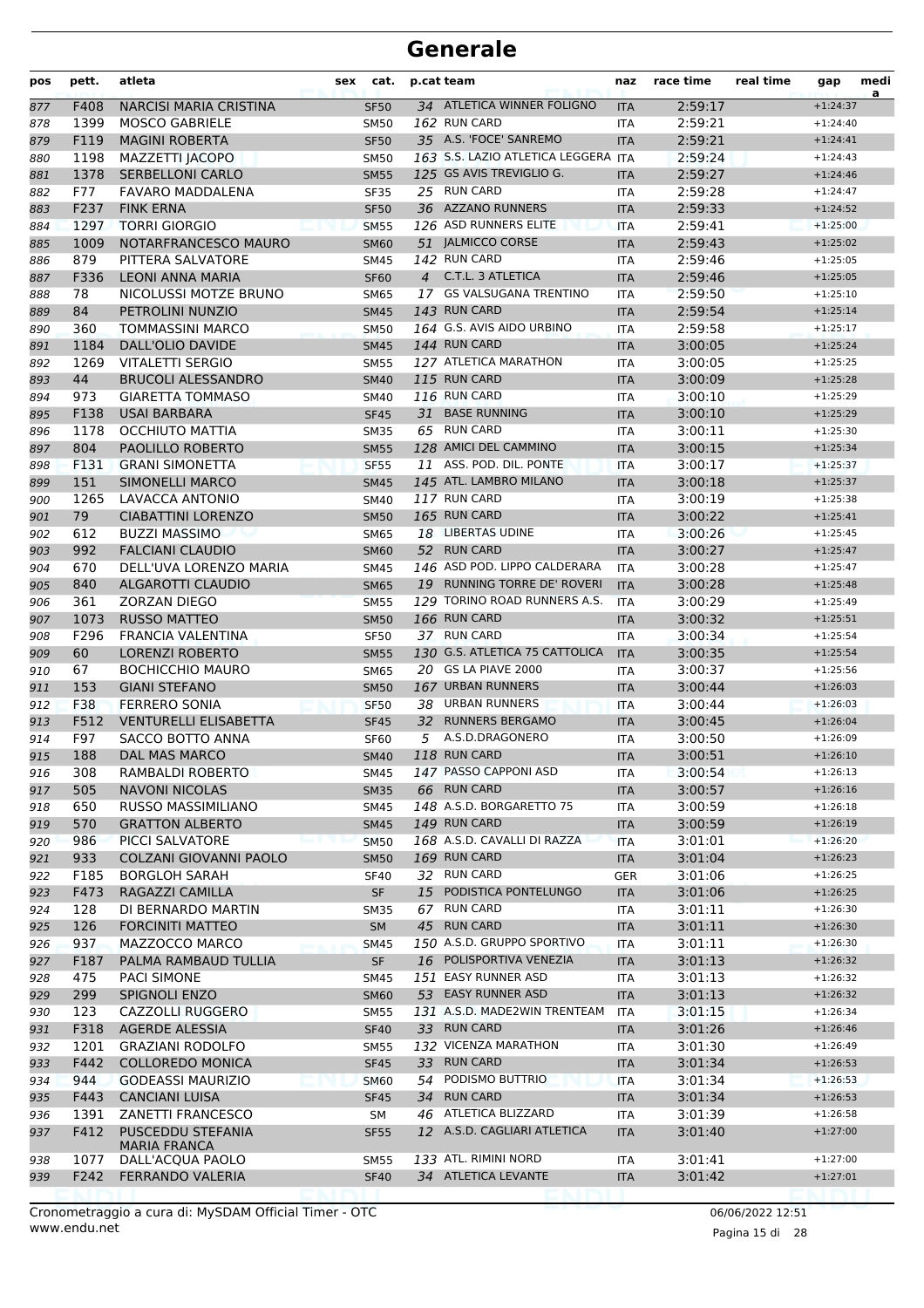| pos | pett.        | atleta                                           | sex | cat.        |    | p.cat team                               | naz        | race time          | real time | gap                      | medi<br>$\overline{a}$ |
|-----|--------------|--------------------------------------------------|-----|-------------|----|------------------------------------------|------------|--------------------|-----------|--------------------------|------------------------|
| 877 | F408         | <b>NARCISI MARIA CRISTINA</b>                    |     | <b>SF50</b> |    | 34 ATLETICA WINNER FOLIGNO               | <b>ITA</b> | 2:59:17            |           | $+1:24:37$               |                        |
| 878 | 1399         | <b>MOSCO GABRIELE</b>                            |     | SM50        |    | 162 RUN CARD                             | ITA        | 2:59:21            |           | $+1:24:40$               |                        |
| 879 | F119         | <b>MAGINI ROBERTA</b>                            |     | <b>SF50</b> |    | 35 A.S. 'FOCE' SANREMO                   | <b>ITA</b> | 2:59:21            |           | $+1:24:41$               |                        |
| 880 | 1198         | MAZZETTI IACOPO                                  |     | <b>SM50</b> |    | 163 S.S. LAZIO ATLETICA LEGGERA          | <b>ITA</b> | 2:59:24            |           | $+1:24:43$               |                        |
| 881 | 1378         | <b>SERBELLONI CARLO</b>                          |     | <b>SM55</b> |    | 125 GS AVIS TREVIGLIO G.                 | <b>ITA</b> | 2:59:27            |           | $+1:24:46$               |                        |
| 882 | F77          | FAVARO MADDALENA                                 |     | <b>SF35</b> |    | 25 RUN CARD                              | <b>ITA</b> | 2:59:28            |           | $+1:24:47$               |                        |
| 883 | F237         | <b>FINK ERNA</b>                                 |     | <b>SF50</b> |    | 36 AZZANO RUNNERS                        | <b>ITA</b> | 2:59:33            |           | $+1:24:52$               |                        |
| 884 | 1297         | <b>TORRI GIORGIO</b>                             |     | <b>SM55</b> |    | 126 ASD RUNNERS ELITE                    | <b>ITA</b> | 2:59:41            |           | $+1:25:00$               |                        |
| 885 | 1009         | NOTARFRANCESCO MAURO                             |     | <b>SM60</b> |    | 51 JALMICCO CORSE                        | <b>ITA</b> | 2:59:43            |           | $+1:25:02$               |                        |
| 886 | 879          | PITTERA SALVATORE                                |     | <b>SM45</b> |    | 142 RUN CARD                             | <b>ITA</b> | 2:59:46            |           | $+1:25:05$               |                        |
| 887 | F336         | LEONI ANNA MARIA                                 |     | <b>SF60</b> |    | 4 C.T.L. 3 ATLETICA                      | <b>ITA</b> | 2:59:46            |           | $+1:25:05$               |                        |
| 888 | 78           | NICOLUSSI MOTZE BRUNO                            |     | <b>SM65</b> |    | 17 GS VALSUGANA TRENTINO                 | <b>ITA</b> | 2:59:50            |           | $+1:25:10$               |                        |
| 889 | 84           | PETROLINI NUNZIO                                 |     | <b>SM45</b> |    | 143 RUN CARD                             | <b>ITA</b> | 2:59:54            |           | $+1:25:14$               |                        |
| 890 | 360          | <b>TOMMASSINI MARCO</b>                          |     | <b>SM50</b> |    | 164 G.S. AVIS AIDO URBINO                | <b>ITA</b> | 2:59:58            |           | $+1:25:17$               |                        |
| 891 | 1184         | DALL'OLIO DAVIDE                                 |     | <b>SM45</b> |    | 144 RUN CARD                             | <b>ITA</b> | 3:00:05            |           | $+1:25:24$               |                        |
| 892 | 1269         | VITALETTI SERGIO                                 |     | <b>SM55</b> |    | 127 ATLETICA MARATHON                    | ITA        | 3:00:05            |           | $+1:25:25$               |                        |
| 893 | 44           | <b>BRUCOLI ALESSANDRO</b>                        |     | <b>SM40</b> |    | 115 RUN CARD                             | <b>ITA</b> | 3:00:09            |           | $+1:25:28$               |                        |
| 894 | 973          | <b>GIARETTA TOMMASO</b>                          |     | <b>SM40</b> |    | 116 RUN CARD                             | ITA        | 3:00:10            |           | $+1:25:29$               |                        |
| 895 | F138         | <b>USAI BARBARA</b>                              |     | <b>SF45</b> |    | 31 BASE RUNNING                          | <b>ITA</b> | 3:00:10            |           | $+1:25:29$               |                        |
| 896 | 1178         | OCCHIUTO MATTIA                                  |     | <b>SM35</b> |    | 65 RUN CARD                              | <b>ITA</b> | 3:00:11            |           | $+1:25:30$               |                        |
| 897 | 804          | <b>PAOLILLO ROBERTO</b>                          |     | <b>SM55</b> |    | 128 AMICI DEL CAMMINO                    | <b>ITA</b> | 3:00:15            |           | $+1:25:34$               |                        |
| 898 | F131         | <b>GRANI SIMONETTA</b>                           |     | <b>SF55</b> |    | 11 ASS. POD. DIL. PONTE                  | <b>ITA</b> | 3:00:17            |           | $+1:25:37$               |                        |
| 899 | 151          | <b>SIMONELLI MARCO</b>                           |     | <b>SM45</b> |    | 145 ATL. LAMBRO MILANO                   | <b>ITA</b> | 3:00:18            |           | $+1:25:37$               |                        |
| 900 | 1265         | LAVACCA ANTONIO                                  |     | SM40        |    | 117 RUN CARD                             | ITA        | 3:00:19            |           | $+1:25:38$               |                        |
| 901 | 79           | <b>CIABATTINI LORENZO</b>                        |     | <b>SM50</b> |    | 165 RUN CARD                             | <b>ITA</b> | 3:00:22            |           | $+1:25:41$               |                        |
| 902 | 612          | <b>BUZZI MASSIMO</b>                             |     | <b>SM65</b> |    | 18 LIBERTAS UDINE                        | <b>ITA</b> | 3:00:26            |           | $+1:25:45$               |                        |
| 903 | 992          | <b>FALCIANI CLAUDIO</b>                          |     | <b>SM60</b> |    | 52 RUN CARD                              | <b>ITA</b> | 3:00:27            |           | $+1:25:47$               |                        |
| 904 | 670          | DELL'UVA LORENZO MARIA                           |     | <b>SM45</b> |    | 146 ASD POD. LIPPO CALDERARA             | <b>ITA</b> | 3:00:28            |           | $+1:25:47$               |                        |
| 905 | 840          | <b>ALGAROTTI CLAUDIO</b>                         |     | <b>SM65</b> |    | 19 RUNNING TORRE DE' ROVERI              | <b>ITA</b> | 3:00:28            |           | $+1:25:48$               |                        |
| 906 | 361          | <b>ZORZAN DIEGO</b>                              |     | <b>SM55</b> |    | 129 TORINO ROAD RUNNERS A.S.             | <b>ITA</b> | 3:00:29            |           | $+1:25:49$               |                        |
| 907 | 1073         | <b>RUSSO MATTEO</b>                              |     | <b>SM50</b> |    | 166 RUN CARD                             | <b>ITA</b> | 3:00:32            |           | $+1:25:51$               |                        |
| 908 | F296         | FRANCIA VALENTINA                                |     | <b>SF50</b> |    | 37 RUN CARD                              | <b>ITA</b> | 3:00:34            |           | $+1:25:54$               |                        |
| 909 | 60           | <b>LORENZI ROBERTO</b>                           |     | <b>SM55</b> |    | 130 G.S. ATLETICA 75 CATTOLICA           | <b>ITA</b> | 3:00:35            |           | $+1:25:54$               |                        |
| 910 | 67           | <b>BOCHICCHIO MAURO</b>                          |     | <b>SM65</b> |    | 20 GS LA PIAVE 2000                      | ITA        | 3:00:37            |           | $+1:25:56$               |                        |
| 911 | 153          | <b>GIANI STEFANO</b>                             |     | <b>SM50</b> |    | 167 URBAN RUNNERS                        | <b>ITA</b> | 3:00:44            |           | $+1:26:03$               |                        |
| 912 | F38          | <b>FERRERO SONIA</b>                             |     | <b>SF50</b> | 38 | <b>URBAN RUNNERS</b>                     | <b>ITA</b> | 3:00:44            |           | $+1:26:03$               |                        |
| 913 | F512         | <b>VENTURELLI ELISABETTA</b>                     |     | <b>SF45</b> |    | 32 RUNNERS BERGAMO                       | <b>ITA</b> | 3:00:45            |           | $+1:26:04$               |                        |
| 914 | F97          | SACCO BOTTO ANNA                                 |     | <b>SF60</b> | 5  | A.S.D.DRAGONERO                          | <b>ITA</b> | 3:00:50            |           | $+1:26:09$               |                        |
| 915 | 188          | DAL MAS MARCO                                    |     | <b>SM40</b> |    | 118 RUN CARD                             | <b>ITA</b> | 3:00:51            |           | $+1:26:10$               |                        |
| 916 | 308          | RAMBALDI ROBERTO                                 |     | <b>SM45</b> |    | 147 PASSO CAPPONI ASD                    | ITA        | 3:00:54            |           | $+1:26:13$               |                        |
| 917 | 505          | <b>NAVONI NICOLAS</b>                            |     | <b>SM35</b> |    | 66 RUN CARD                              | <b>ITA</b> | 3:00:57            |           | $+1:26:16$               |                        |
| 918 | 650          | RUSSO MASSIMILIANO                               |     | SM45        |    | 148 A.S.D. BORGARETTO 75<br>149 RUN CARD | ITA        | 3:00:59            |           | $+1:26:18$               |                        |
| 919 | 570          | <b>GRATTON ALBERTO</b>                           |     | <b>SM45</b> |    |                                          | <b>ITA</b> | 3:00:59            |           | $+1:26:19$               |                        |
| 920 | 986          | PICCI SALVATORE                                  |     | <b>SM50</b> |    | 168 A.S.D. CAVALLI DI RAZZA              | <b>ITA</b> | 3:01:01            |           | $+1:26:20$               |                        |
| 921 | 933          | COLZANI GIOVANNI PAOLO                           |     | <b>SM50</b> |    | 169 RUN CARD<br>32 RUN CARD              | <b>ITA</b> | 3:01:04            |           | $+1:26:23$               |                        |
| 922 | F185         | <b>BORGLOH SARAH</b>                             |     | <b>SF40</b> |    | 15 PODISTICA PONTELUNGO                  | <b>GER</b> | 3:01:06            |           | $+1:26:25$               |                        |
| 923 | F473         | RAGAZZI CAMILLA                                  |     | <b>SF</b>   |    | <b>RUN CARD</b>                          | <b>ITA</b> | 3:01:06            |           | $+1:26:25$               |                        |
| 924 | 128          | DI BERNARDO MARTIN                               |     | SM35        | 67 | 45 RUN CARD                              | ITA        | 3:01:11<br>3:01:11 |           | $+1:26:30$               |                        |
| 925 | 126          | <b>FORCINITI MATTEO</b><br>MAZZOCCO MARCO        |     | SM          |    | 150 A.S.D. GRUPPO SPORTIVO               | <b>ITA</b> |                    |           | $+1:26:30$               |                        |
| 926 | 937          | PALMA RAMBAUD TULLIA                             |     | <b>SM45</b> |    | 16 POLISPORTIVA VENEZIA                  | ITA        | 3:01:11            |           | $+1:26:30$<br>$+1:26:32$ |                        |
| 927 | F187         |                                                  |     | SF          |    | 151 EASY RUNNER ASD                      | <b>ITA</b> | 3:01:13            |           |                          |                        |
| 928 | 475<br>299   | <b>PACI SIMONE</b><br>SPIGNOLI ENZO              |     | SM45        |    | 53 EASY RUNNER ASD                       | ITA        | 3:01:13<br>3:01:13 |           | $+1:26:32$<br>$+1:26:32$ |                        |
| 929 |              |                                                  |     | <b>SM60</b> |    | 131 A.S.D. MADE2WIN TRENTEAM             | <b>ITA</b> |                    |           | $+1:26:34$               |                        |
| 930 | 123          | CAZZOLLI RUGGERO                                 |     | SM55        |    | 33 RUN CARD                              | <b>ITA</b> | 3:01:15            |           |                          |                        |
| 931 | F318<br>1201 | <b>AGERDE ALESSIA</b><br><b>GRAZIANI RODOLFO</b> |     | <b>SF40</b> |    | 132 VICENZA MARATHON                     | <b>ITA</b> | 3:01:26<br>3:01:30 |           | $+1:26:46$<br>$+1:26:49$ |                        |
| 932 | F442         | <b>COLLOREDO MONICA</b>                          |     | <b>SM55</b> |    | 33 RUN CARD                              | ITA        | 3:01:34            |           | $+1:26:53$               |                        |
| 933 | 944          | <b>GODEASSI MAURIZIO</b>                         |     | <b>SF45</b> |    | 54 PODISMO BUTTRIO                       | <b>ITA</b> | 3:01:34            |           | $+1:26:53$               |                        |
| 934 | F443         | <b>CANCIANI LUISA</b>                            |     | <b>SM60</b> |    | 34 RUN CARD                              | <b>ITA</b> |                    |           | $+1:26:53$               |                        |
| 935 | 1391         | ZANETTI FRANCESCO                                |     | <b>SF45</b> |    | 46 ATLETICA BLIZZARD                     | <b>ITA</b> | 3:01:34            |           | $+1:26:58$               |                        |
| 936 | F412         | PUSCEDDU STEFANIA                                |     | SM          |    | 12 A.S.D. CAGLIARI ATLETICA              | <b>ITA</b> | 3:01:39<br>3:01:40 |           | $+1:27:00$               |                        |
| 937 |              | <b>MARIA FRANCA</b>                              |     | <b>SF55</b> |    |                                          | <b>ITA</b> |                    |           |                          |                        |
| 938 | 1077         | DALL'ACQUA PAOLO                                 |     | <b>SM55</b> |    | 133 ATL. RIMINI NORD                     | ITA        | 3:01:41            |           | $+1:27:00$               |                        |
| 939 | F242         | <b>FERRANDO VALERIA</b>                          |     | <b>SF40</b> |    | 34 ATLETICA LEVANTE                      | <b>ITA</b> | 3:01:42            |           | $+1:27:01$               |                        |
|     |              |                                                  |     |             |    |                                          |            |                    |           |                          |                        |

www.endu.net Cronometraggio a cura di: MySDAM Official Timer - OTC 06/06/2022 12:51

Pagina 15 di 28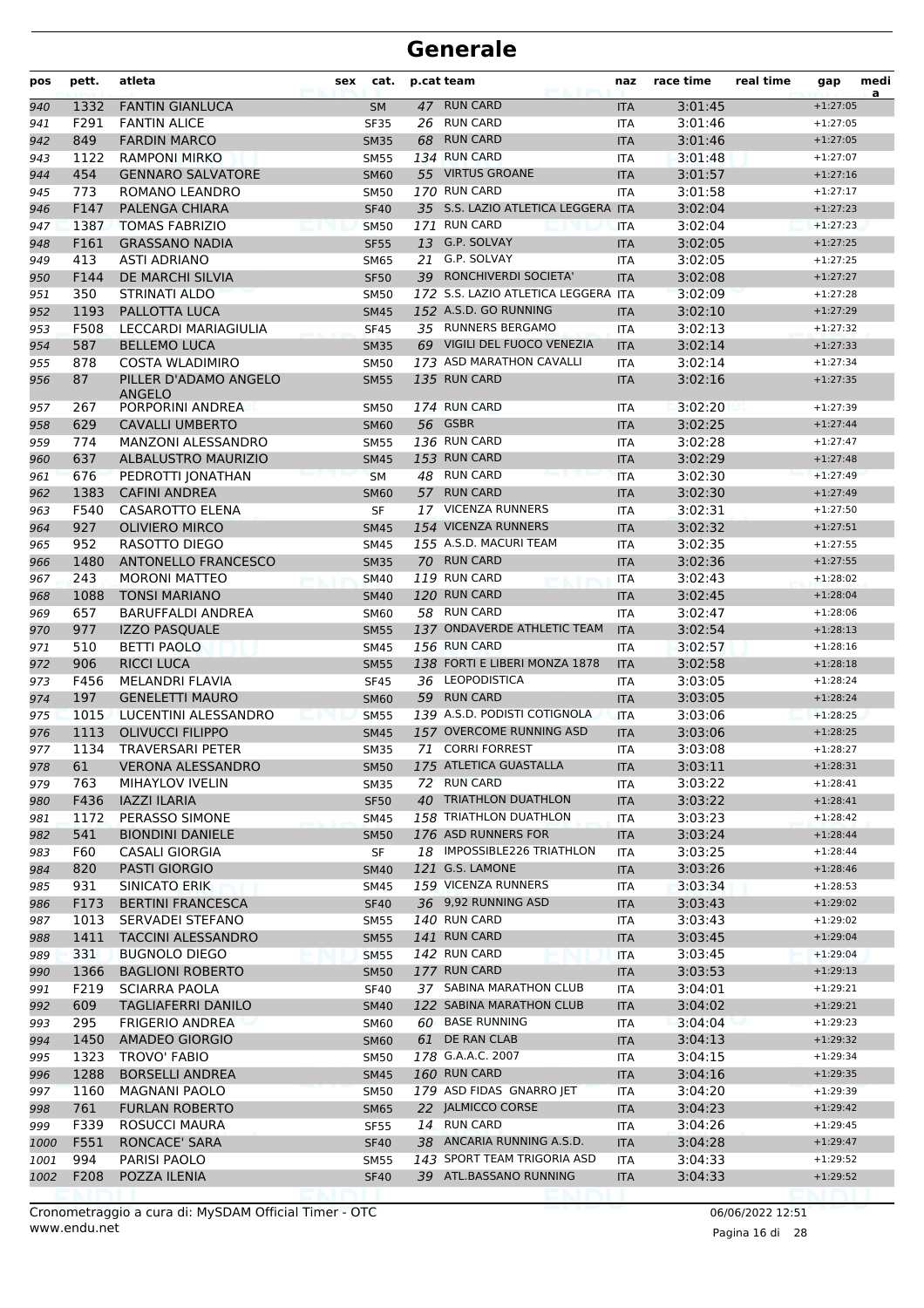| pos  | pett. | atleta                                 | sex | cat.        |    | p.cat team                          | naz        | race time | real time | gap        | medi<br>a |
|------|-------|----------------------------------------|-----|-------------|----|-------------------------------------|------------|-----------|-----------|------------|-----------|
| 940  | 1332  | <b>FANTIN GIANLUCA</b>                 |     | <b>SM</b>   |    | 47 RUN CARD                         | <b>ITA</b> | 3:01:45   |           | $+1:27:05$ |           |
| 941  | F291  | <b>FANTIN ALICE</b>                    |     | <b>SF35</b> |    | 26 RUN CARD                         | <b>ITA</b> | 3:01:46   |           | $+1:27:05$ |           |
| 942  | 849   | <b>FARDIN MARCO</b>                    |     | <b>SM35</b> | 68 | <b>RUN CARD</b>                     | <b>ITA</b> | 3:01:46   |           | $+1:27:05$ |           |
| 943  | 1122  | <b>RAMPONI MIRKO</b>                   |     | <b>SM55</b> |    | 134 RUN CARD                        | <b>ITA</b> | 3:01:48   |           | $+1:27:07$ |           |
| 944  | 454   | <b>GENNARO SALVATORE</b>               |     | <b>SM60</b> |    | 55 VIRTUS GROANE                    | <b>ITA</b> | 3:01:57   |           | $+1:27:16$ |           |
| 945  | 773   | ROMANO LEANDRO                         |     | <b>SM50</b> |    | 170 RUN CARD                        | <b>ITA</b> | 3:01:58   |           | $+1:27:17$ |           |
| 946  | F147  | PALENGA CHIARA                         |     | <b>SF40</b> |    | 35 S.S. LAZIO ATLETICA LEGGERA ITA  |            | 3:02:04   |           | $+1:27:23$ |           |
| 947  | 1387  | <b>TOMAS FABRIZIO</b>                  |     | <b>SM50</b> |    | 171 RUN CARD                        | <b>ITA</b> | 3:02:04   |           | $+1:27:23$ |           |
| 948  | F161  | <b>GRASSANO NADIA</b>                  |     | <b>SF55</b> |    | 13 G.P. SOLVAY                      | <b>ITA</b> | 3:02:05   |           | $+1:27:25$ |           |
| 949  | 413   | <b>ASTI ADRIANO</b>                    |     | <b>SM65</b> | 21 | G.P. SOLVAY                         | <b>ITA</b> | 3:02:05   |           | $+1:27:25$ |           |
| 950  | F144  | DE MARCHI SILVIA                       |     | <b>SF50</b> |    | 39 RONCHIVERDI SOCIETA'             | <b>ITA</b> | 3:02:08   |           | $+1:27:27$ |           |
| 951  | 350   | <b>STRINATI ALDO</b>                   |     | <b>SM50</b> |    | 172 S.S. LAZIO ATLETICA LEGGERA ITA |            | 3:02:09   |           | $+1:27:28$ |           |
| 952  | 1193  | PALLOTTA LUCA                          |     | <b>SM45</b> |    | 152 A.S.D. GO RUNNING               | <b>ITA</b> | 3:02:10   |           | $+1:27:29$ |           |
| 953  | F508  | LECCARDI MARIAGIULIA                   |     | <b>SF45</b> |    | 35 RUNNERS BERGAMO                  | <b>ITA</b> | 3:02:13   |           | $+1:27:32$ |           |
| 954  | 587   | <b>BELLEMO LUCA</b>                    |     | <b>SM35</b> |    | 69 VIGILI DEL FUOCO VENEZIA         | <b>ITA</b> | 3:02:14   |           | $+1:27:33$ |           |
| 955  | 878   | <b>COSTA WLADIMIRO</b>                 |     | <b>SM50</b> |    | 173 ASD MARATHON CAVALLI            | <b>ITA</b> | 3:02:14   |           | $+1:27:34$ |           |
| 956  | 87    | PILLER D'ADAMO ANGELO<br><b>ANGELO</b> |     | <b>SM55</b> |    | 135 RUN CARD                        | <b>ITA</b> | 3:02:16   |           | $+1:27:35$ |           |
| 957  | 267   | PORPORINI ANDREA                       |     | <b>SM50</b> |    | 174 RUN CARD                        | <b>ITA</b> | 3:02:20   |           | $+1:27:39$ |           |
| 958  | 629   | <b>CAVALLI UMBERTO</b>                 |     | <b>SM60</b> |    | 56 GSBR                             | <b>ITA</b> | 3:02:25   |           | $+1:27:44$ |           |
| 959  | 774   | MANZONI ALESSANDRO                     |     | <b>SM55</b> |    | 136 RUN CARD                        | <b>ITA</b> | 3:02:28   |           | $+1:27:47$ |           |
| 960  | 637   | <b>ALBALUSTRO MAURIZIO</b>             |     | <b>SM45</b> |    | 153 RUN CARD                        | <b>ITA</b> | 3:02:29   |           | $+1:27:48$ |           |
| 961  | 676   | PEDROTTI JONATHAN                      |     | <b>SM</b>   |    | 48 RUN CARD                         | <b>ITA</b> | 3:02:30   |           | $+1:27:49$ |           |
| 962  | 1383  | <b>CAFINI ANDREA</b>                   |     | <b>SM60</b> |    | 57 RUN CARD                         | <b>ITA</b> | 3:02:30   |           | $+1:27:49$ |           |
| 963  | F540  | CASAROTTO ELENA                        |     | SF          |    | 17 VICENZA RUNNERS                  | <b>ITA</b> | 3:02:31   |           | $+1:27:50$ |           |
| 964  | 927   | <b>OLIVIERO MIRCO</b>                  |     | <b>SM45</b> |    | 154 VICENZA RUNNERS                 | <b>ITA</b> | 3:02:32   |           | $+1:27:51$ |           |
| 965  | 952   | RASOTTO DIEGO                          |     | <b>SM45</b> |    | 155 A.S.D. MACURI TEAM              | <b>ITA</b> | 3:02:35   |           | $+1:27:55$ |           |
| 966  | 1480  | <b>ANTONELLO FRANCESCO</b>             |     | <b>SM35</b> |    | 70 RUN CARD                         | <b>ITA</b> | 3:02:36   |           | $+1:27:55$ |           |
| 967  | 243   | <b>MORONI MATTEO</b>                   |     | <b>SM40</b> |    | 119 RUN CARD                        | <b>ITA</b> | 3:02:43   |           | $+1:28:02$ |           |
| 968  | 1088  | <b>TONSI MARIANO</b>                   |     | <b>SM40</b> |    | 120 RUN CARD                        | <b>ITA</b> | 3:02:45   |           | $+1:28:04$ |           |
| 969  | 657   | <b>BARUFFALDI ANDREA</b>               |     | <b>SM60</b> |    | 58 RUN CARD                         | <b>ITA</b> | 3:02:47   |           | $+1:28:06$ |           |
| 970  | 977   | <b>IZZO PASQUALE</b>                   |     | <b>SM55</b> |    | 137 ONDAVERDE ATHLETIC TEAM         | <b>ITA</b> | 3:02:54   |           | $+1:28:13$ |           |
| 971  | 510   | <b>BETTI PAOLO</b>                     |     | <b>SM45</b> |    | 156 RUN CARD                        | <b>ITA</b> | 3:02:57   |           | $+1:28:16$ |           |
| 972  | 906   | <b>RICCI LUCA</b>                      |     | <b>SM55</b> |    | 138 FORTI E LIBERI MONZA 1878       | <b>ITA</b> | 3:02:58   |           | $+1:28:18$ |           |
| 973  | F456  | MELANDRI FLAVIA                        |     | <b>SF45</b> |    | 36 LEOPODISTICA                     | <b>ITA</b> | 3:03:05   |           | $+1:28:24$ |           |
| 974  | 197   | <b>GENELETTI MAURO</b>                 |     | <b>SM60</b> |    | 59 RUN CARD                         | <b>ITA</b> | 3:03:05   |           | $+1:28:24$ |           |
| 975  | 1015  | LUCENTINI ALESSANDRO                   |     | <b>SM55</b> |    | 139 A.S.D. PODISTI COTIGNOLA        | <b>ITA</b> | 3:03:06   |           | $+1:28:25$ |           |
| 976  | 1113  | <b>OLIVUCCI FILIPPO</b>                |     | <b>SM45</b> |    | 157 OVERCOME RUNNING ASD            | <b>ITA</b> | 3:03:06   |           | $+1:28:25$ |           |
| 977  | 1134  | <b>TRAVERSARI PETER</b>                |     | <b>SM35</b> |    | 71 CORRI FORREST                    | <b>ITA</b> | 3:03:08   |           | $+1:28:27$ |           |
| 978  | 61    | <b>VERONA ALESSANDRO</b>               |     | <b>SM50</b> |    | 175 ATLETICA GUASTALLA              | <b>ITA</b> | 3:03:11   |           | $+1:28:31$ |           |
| 979  | 763   | MIHAYLOV IVELIN                        |     | <b>SM35</b> |    | 72 RUN CARD                         | ITA        | 3:03:22   |           | $+1:28:41$ |           |
| 980  | F436  | <b>IAZZI ILARIA</b>                    |     | <b>SF50</b> |    | 40 TRIATHLON DUATHLON               | <b>ITA</b> | 3:03:22   |           | $+1:28:41$ |           |
| 981  | 1172  | PERASSO SIMONE                         |     | <b>SM45</b> |    | 158 TRIATHLON DUATHLON              | <b>ITA</b> | 3:03:23   |           | $+1:28:42$ |           |
| 982  | 541   | <b>BIONDINI DANIELE</b>                |     | <b>SM50</b> |    | 176 ASD RUNNERS FOR                 | <b>ITA</b> | 3:03:24   |           | $+1:28:44$ |           |
| 983  | F60   | <b>CASALI GIORGIA</b>                  |     | SF          |    | 18 IMPOSSIBLE226 TRIATHLON          | ITA        | 3:03:25   |           | $+1:28:44$ |           |
| 984  | 820   | PASTI GIORGIO                          |     | <b>SM40</b> |    | 121 G.S. LAMONE                     | <b>ITA</b> | 3:03:26   |           | $+1:28:46$ |           |
| 985  | 931   | SINICATO ERIK                          |     | SM45        |    | 159 VICENZA RUNNERS                 | ITA        | 3:03:34   |           | $+1:28:53$ |           |
| 986  | F173  | <b>BERTINI FRANCESCA</b>               |     | <b>SF40</b> |    | 36 9,92 RUNNING ASD                 | <b>ITA</b> | 3:03:43   |           | $+1:29:02$ |           |
| 987  | 1013  | SERVADEI STEFANO                       |     | <b>SM55</b> |    | 140 RUN CARD                        | ITA        | 3:03:43   |           | $+1:29:02$ |           |
| 988  | 1411  | <b>TACCINI ALESSANDRO</b>              |     | <b>SM55</b> |    | 141 RUN CARD                        | <b>ITA</b> | 3:03:45   |           | $+1:29:04$ |           |
| 989  | 331   | <b>BUGNOLO DIEGO</b>                   |     | <b>SM55</b> |    | 142 RUN CARD                        | <b>ITA</b> | 3:03:45   |           | $+1:29:04$ |           |
| 990  | 1366  | <b>BAGLIONI ROBERTO</b>                |     | <b>SM50</b> |    | 177 RUN CARD                        | <b>ITA</b> | 3:03:53   |           | $+1:29:13$ |           |
| 991  | F219  | <b>SCIARRA PAOLA</b>                   |     | <b>SF40</b> |    | 37 SABINA MARATHON CLUB             | ITA        | 3:04:01   |           | $+1:29:21$ |           |
| 992  | 609   | <b>TAGLIAFERRI DANILO</b>              |     | <b>SM40</b> |    | 122 SABINA MARATHON CLUB            | <b>ITA</b> | 3:04:02   |           | $+1:29:21$ |           |
| 993  | 295   | <b>FRIGERIO ANDREA</b>                 |     | <b>SM60</b> |    | 60 BASE RUNNING                     | ITA        | 3:04:04   |           | $+1:29:23$ |           |
| 994  | 1450  | AMADEO GIORGIO                         |     | <b>SM60</b> |    | 61 DE RAN CLAB                      | <b>ITA</b> | 3:04:13   |           | $+1:29:32$ |           |
| 995  | 1323  | TROVO' FABIO                           |     | <b>SM50</b> |    | 178 G.A.A.C. 2007                   | ITA        | 3:04:15   |           | $+1:29:34$ |           |
| 996  | 1288  | <b>BORSELLI ANDREA</b>                 |     | <b>SM45</b> |    | 160 RUN CARD                        | <b>ITA</b> | 3:04:16   |           | $+1:29:35$ |           |
| 997  | 1160  | <b>MAGNANI PAOLO</b>                   |     | <b>SM50</b> |    | 179 ASD FIDAS GNARRO JET            | ITA        | 3:04:20   |           | $+1:29:39$ |           |
| 998  | 761   | <b>FURLAN ROBERTO</b>                  |     | <b>SM65</b> |    | 22 JALMICCO CORSE                   | <b>ITA</b> | 3:04:23   |           | $+1:29:42$ |           |
| 999  | F339  | ROSUCCI MAURA                          |     | <b>SF55</b> |    | 14 RUN CARD                         | ITA        | 3:04:26   |           | $+1:29:45$ |           |
| 1000 | F551  | RONCACE' SARA                          |     | <b>SF40</b> |    | 38 ANCARIA RUNNING A.S.D.           | <b>ITA</b> | 3:04:28   |           | $+1:29:47$ |           |
| 1001 | 994   | PARISI PAOLO                           |     | <b>SM55</b> |    | 143 SPORT TEAM TRIGORIA ASD         | ITA        | 3:04:33   |           | $+1:29:52$ |           |
| 1002 | F208  | POZZA ILENIA                           |     | <b>SF40</b> |    | 39 ATL.BASSANO RUNNING              | <b>ITA</b> | 3:04:33   |           | $+1:29:52$ |           |
|      |       |                                        |     |             |    |                                     |            |           |           |            |           |

www.endu.net Cronometraggio a cura di: MySDAM Official Timer - OTC 06/06/2022 12:51

Pagina 16 di 28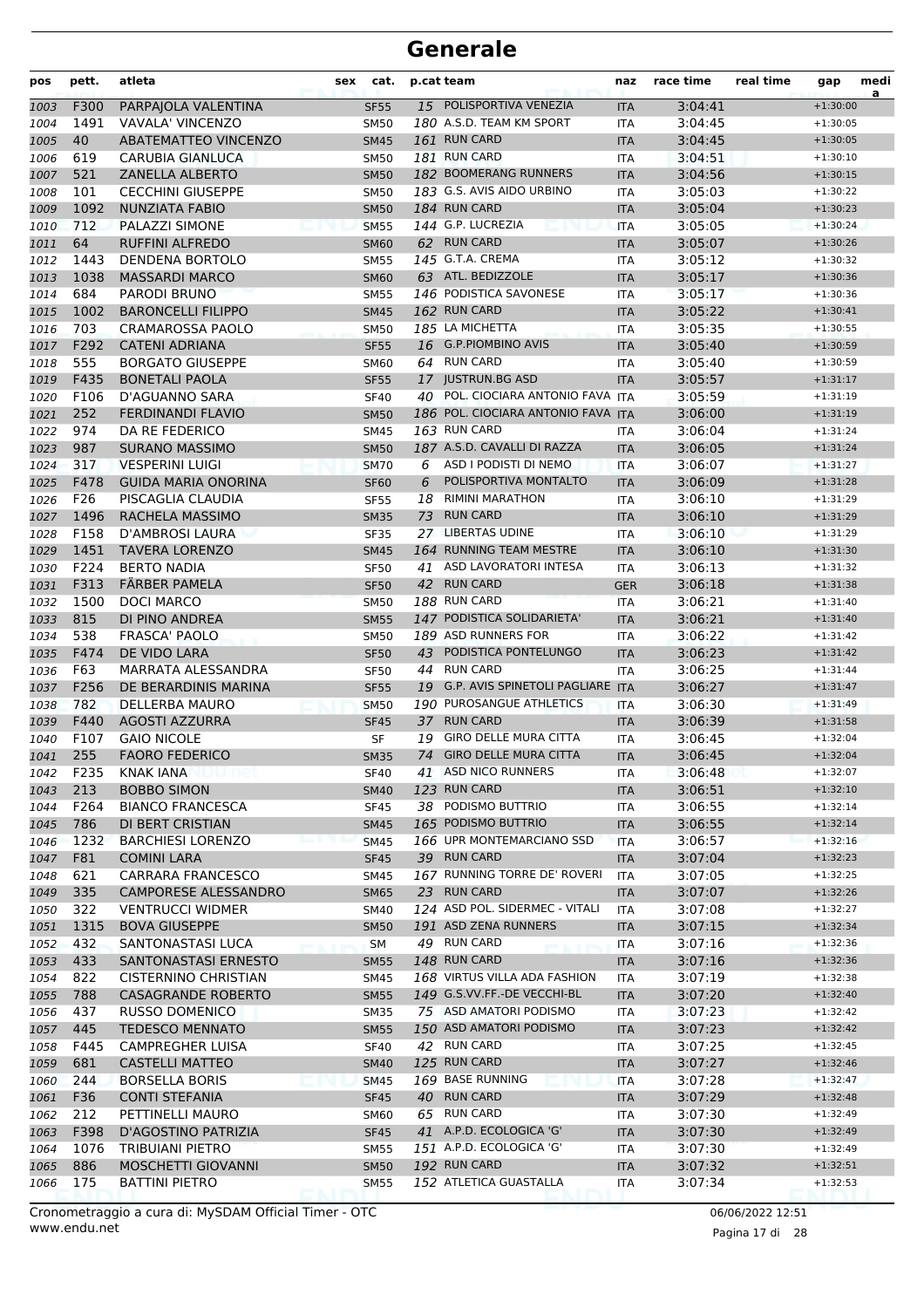| pos          | pett.           | atleta                                     | sex | cat.                       |    | p.cat team                                  | naz               | race time          | real time | gap                      | medi<br>a |
|--------------|-----------------|--------------------------------------------|-----|----------------------------|----|---------------------------------------------|-------------------|--------------------|-----------|--------------------------|-----------|
| 1003         | F300            | PARPAJOLA VALENTINA                        |     | <b>SF55</b>                |    | 15 POLISPORTIVA VENEZIA                     | <b>ITA</b>        | 3:04:41            |           | $+1:30:00$               |           |
| 1004         | 1491            | VAVALA' VINCENZO                           |     | <b>SM50</b>                |    | 180 A.S.D. TEAM KM SPORT                    | <b>ITA</b>        | 3:04:45            |           | $+1:30:05$               |           |
| 1005         | 40              | <b>ABATEMATTEO VINCENZO</b>                |     | <b>SM45</b>                |    | 161 RUN CARD                                | <b>ITA</b>        | 3:04:45            |           | $+1:30:05$               |           |
| 1006         | 619             | CARUBIA GIANLUCA                           |     | <b>SM50</b>                |    | 181 RUN CARD                                | <b>ITA</b>        | 3:04:51            |           | $+1:30:10$               |           |
| 1007         | 521             | <b>ZANELLA ALBERTO</b>                     |     | <b>SM50</b>                |    | 182 BOOMERANG RUNNERS                       | <b>ITA</b>        | 3:04:56            |           | $+1:30:15$               |           |
| 1008         | 101             | <b>CECCHINI GIUSEPPE</b>                   |     | <b>SM50</b>                |    | 183 G.S. AVIS AIDO URBINO                   | <b>ITA</b>        | 3:05:03            |           | $+1:30:22$               |           |
| 1009         | 1092            | <b>NUNZIATA FABIO</b>                      |     | <b>SM50</b>                |    | 184 RUN CARD                                | <b>ITA</b>        | 3:05:04            |           | $+1:30:23$               |           |
| 1010         | 712             | PALAZZI SIMONE                             |     | <b>SM55</b>                |    | 144 G.P. LUCREZIA                           | <b>ITA</b>        | 3:05:05            |           | $+1:30:24$               |           |
| 1011         | 64              | <b>RUFFINI ALFREDO</b>                     |     | <b>SM60</b>                |    | 62 RUN CARD                                 | <b>ITA</b>        | 3:05:07            |           | $+1:30:26$               |           |
| 1012         | 1443            | DENDENA BORTOLO                            |     | <b>SM55</b>                |    | 145 G.T.A. CREMA                            | <b>ITA</b>        | 3:05:12            |           | $+1:30:32$               |           |
| 1013         | 1038            | <b>MASSARDI MARCO</b>                      |     | <b>SM60</b>                |    | 63 ATL. BEDIZZOLE                           | <b>ITA</b>        | 3:05:17            |           | $+1:30:36$               |           |
| 1014         | 684             | PARODI BRUNO                               |     | <b>SM55</b>                |    | 146 PODISTICA SAVONESE                      | <b>ITA</b>        | 3:05:17            |           | $+1:30:36$               |           |
| 1015         | 1002            | <b>BARONCELLI FILIPPO</b>                  |     | <b>SM45</b>                |    | 162 RUN CARD                                | <b>ITA</b>        | 3:05:22            |           | $+1:30:41$               |           |
| 1016         | 703             | <b>CRAMAROSSA PAOLO</b>                    |     | <b>SM50</b>                |    | 185 LA MICHETTA                             | <b>ITA</b>        | 3:05:35            |           | $+1:30:55$               |           |
| 1017         | F292            | <b>CATENI ADRIANA</b>                      |     | <b>SF55</b>                |    | 16 G.P.PIOMBINO AVIS                        | <b>ITA</b>        | 3:05:40            |           | $+1:30:59$               |           |
| 1018         | 555             | <b>BORGATO GIUSEPPE</b>                    |     | <b>SM60</b>                |    | 64 RUN CARD                                 | <b>ITA</b>        | 3:05:40            |           | $+1:30:59$               |           |
| 1019         | F435            | <b>BONETALI PAOLA</b>                      |     | <b>SF55</b>                |    | 17 JUSTRUN.BG ASD                           | <b>ITA</b>        | 3:05:57            |           | $+1:31:17$               |           |
| 1020         | F106            | D'AGUANNO SARA                             |     | <b>SF40</b>                |    | 40 POL. CIOCIARA ANTONIO FAVA ITA           |                   | 3:05:59            |           | $+1:31:19$               |           |
| 1021         | 252             | <b>FERDINANDI FLAVIO</b>                   |     | <b>SM50</b>                |    | 186 POL. CIOCIARA ANTONIO FAVA ITA          |                   | 3:06:00            |           | $+1:31:19$               |           |
| 1022         | 974             | DA RE FEDERICO                             |     | <b>SM45</b>                |    | 163 RUN CARD                                | ITA               | 3:06:04            |           | $+1:31:24$               |           |
| 1023         | 987             | <b>SURANO MASSIMO</b>                      |     | <b>SM50</b>                |    | 187 A.S.D. CAVALLI DI RAZZA                 | <b>ITA</b>        | 3:06:05            |           | $+1:31:24$               |           |
| 1024         | 317             | <b>VESPERINI LUIGI</b>                     |     | <b>SM70</b>                | 6  | ASD I PODISTI DI NEMO                       | <b>ITA</b>        | 3:06:07            |           | $+1:31:27$               |           |
| 1025         | F478            | <b>GUIDA MARIA ONORINA</b>                 |     | <b>SF60</b>                | 6  | POLISPORTIVA MONTALTO                       | <b>ITA</b>        | 3:06:09            |           | $+1:31:28$               |           |
| 1026         | F26             | PISCAGLIA CLAUDIA                          |     | <b>SF55</b>                | 18 | <b>RIMINI MARATHON</b>                      | <b>ITA</b>        | 3:06:10            |           | $+1:31:29$               |           |
| 1027         | 1496            | RACHELA MASSIMO                            |     | <b>SM35</b>                | 73 | <b>RUN CARD</b>                             | <b>ITA</b>        | 3:06:10            |           | $+1:31:29$               |           |
| 1028         | F158            | D'AMBROSI LAURA                            |     | <b>SF35</b>                |    | 27 LIBERTAS UDINE                           | <b>ITA</b>        | 3:06:10            |           | $+1:31:29$               |           |
| 1029         | 1451            | <b>TAVERA LORENZO</b>                      |     | <b>SM45</b>                |    | 164 RUNNING TEAM MESTRE                     | <b>ITA</b>        | 3:06:10            |           | $+1:31:30$               |           |
| 1030         | F224            | <b>BERTO NADIA</b>                         |     | <b>SF50</b>                | 41 | ASD LAVORATORI INTESA                       | <b>ITA</b>        | 3:06:13            |           | $+1:31:32$               |           |
| 1031         | F313            | FÄRBER PAMELA                              |     | <b>SF50</b>                |    | 42 RUN CARD                                 | <b>GER</b>        | 3:06:18            |           | $+1:31:38$               |           |
| 1032         | 1500            | <b>DOCI MARCO</b>                          |     | <b>SM50</b>                |    | 188 RUN CARD                                | <b>ITA</b>        | 3:06:21            |           | $+1:31:40$               |           |
| 1033         | 815             | DI PINO ANDREA                             |     | <b>SM55</b>                |    | 147 PODISTICA SOLIDARIETA'                  | <b>ITA</b>        | 3:06:21            |           | $+1:31:40$               |           |
| 1034         | 538             | <b>FRASCA' PAOLO</b>                       |     | <b>SM50</b>                |    | 189 ASD RUNNERS FOR                         | <b>ITA</b>        | 3:06:22            |           | $+1:31:42$               |           |
| 1035         | F474            | DE VIDO LARA                               |     | <b>SF50</b>                | 43 | PODISTICA PONTELUNGO                        | <b>ITA</b>        | 3:06:23            |           | $+1:31:42$               |           |
| 1036         | F63             | MARRATA ALESSANDRA                         |     | <b>SF50</b>                | 44 | <b>RUN CARD</b>                             | <b>ITA</b>        | 3:06:25            |           | $+1:31:44$               |           |
| 1037         | F256            | DE BERARDINIS MARINA                       |     | <b>SF55</b>                |    | 19 G.P. AVIS SPINETOLI PAGLIARE ITA         |                   | 3:06:27            |           | $+1:31:47$               |           |
| 1038         | 782             | <b>DELLERBA MAURO</b>                      |     | <b>SM50</b>                |    | 190 PUROSANGUE ATHLETICS                    | <b>ITA</b>        | 3:06:30            |           | $+1:31:49$               |           |
| 1039         | F440            | <b>AGOSTI AZZURRA</b>                      |     | <b>SF45</b>                |    | 37 RUN CARD                                 | <b>ITA</b>        | 3:06:39            |           | $+1:31:58$               |           |
| 1040         | F107            | <b>GAIO NICOLE</b>                         |     | SF                         | 19 | <b>GIRO DELLE MURA CITTA</b>                | <b>ITA</b>        | 3:06:45            |           | $+1:32:04$               |           |
| 1041         | 255             | <b>FAORO FEDERICO</b>                      |     | <b>SM35</b>                | 74 | <b>GIRO DELLE MURA CITTA</b>                | <b>ITA</b>        | 3:06:45            |           | $+1:32:04$               |           |
| 1042         | F235            | <b>KNAK IANA</b>                           |     | <b>SF40</b>                |    | 41 ASD NICO RUNNERS                         | ITA               | 3:06:48            |           | $+1:32:07$               |           |
| 1043         | 213             | <b>BOBBO SIMON</b>                         |     | <b>SM40</b>                |    | 123 RUN CARD                                | <b>ITA</b>        | 3:06:51            |           | $+1:32:10$               |           |
| 1044         | F264            | <b>BIANCO FRANCESCA</b>                    |     | <b>SF45</b>                |    | 38 PODISMO BUTTRIO                          | <b>ITA</b>        | 3:06:55            |           | $+1:32:14$               |           |
| 1045         | 786             | DI BERT CRISTIAN                           |     | <b>SM45</b>                |    | 165 PODISMO BUTTRIO                         | <b>ITA</b>        | 3:06:55            |           | $+1:32:14$               |           |
| 1046         | 1232            | <b>BARCHIESI LORENZO</b>                   |     | <b>SM45</b>                |    | 166 UPR MONTEMARCIANO SSD                   | <b>ITA</b>        | 3:06:57            |           | $+1:32:16$               |           |
| 1047         | F81             | <b>COMINI LARA</b>                         |     | <b>SF45</b>                |    | 39 RUN CARD                                 | <b>ITA</b>        | 3:07:04            |           | $+1:32:23$               |           |
| 1048         | 621             | CARRARA FRANCESCO                          |     | SM45                       |    | 167 RUNNING TORRE DE' ROVERI<br>23 RUN CARD | ITA               | 3:07:05            |           | $+1:32:25$               |           |
| 1049         | 335             | <b>CAMPORESE ALESSANDRO</b>                |     | <b>SM65</b>                |    | 124 ASD POL. SIDERMEC - VITALI              | <b>ITA</b>        | 3:07:07            |           | $+1:32:26$<br>$+1:32:27$ |           |
| 1050         | 322             | <b>VENTRUCCI WIDMER</b>                    |     | SM40                       |    | 191 ASD ZENA RUNNERS                        | ITA               | 3:07:08            |           |                          |           |
| 1051         | 1315<br>432     | <b>BOVA GIUSEPPE</b><br>SANTONASTASI LUCA  |     | <b>SM50</b>                |    | 49 RUN CARD                                 | <b>ITA</b>        | 3:07:15<br>3:07:16 |           | $+1:32:34$<br>$+1:32:36$ |           |
| 1052         | 433             | <b>SANTONASTASI ERNESTO</b>                |     | <b>SM</b>                  |    | 148 RUN CARD                                | ITA               | 3:07:16            |           | $+1:32:36$               |           |
| 1053         | 822             | CISTERNINO CHRISTIAN                       |     | <b>SM55</b>                |    | 168 VIRTUS VILLA ADA FASHION                | <b>ITA</b>        | 3:07:19            |           | $+1:32:38$               |           |
| 1054<br>1055 | 788             | <b>CASAGRANDE ROBERTO</b>                  |     | SM45                       |    | 149 G.S.VV.FF.-DE VECCHI-BL                 | ITA               | 3:07:20            |           | $+1:32:40$               |           |
|              | 437             | RUSSO DOMENICO                             |     | <b>SM55</b>                |    | 75 ASD AMATORI PODISMO                      | <b>ITA</b>        | 3:07:23            |           | $+1:32:42$               |           |
| 1056         |                 |                                            |     | <b>SM35</b>                |    | 150 ASD AMATORI PODISMO                     | ITA               |                    |           |                          |           |
| 1057         | 445<br>F445     | <b>TEDESCO MENNATO</b><br>CAMPREGHER LUISA |     | <b>SM55</b>                |    | 42 RUN CARD                                 | <b>ITA</b>        | 3:07:23<br>3:07:25 |           | $+1:32:42$<br>$+1:32:45$ |           |
| 1058         | 681             | <b>CASTELLI MATTEO</b>                     |     | <b>SF40</b><br><b>SM40</b> |    | 125 RUN CARD                                | ITA               | 3:07:27            |           | $+1:32:46$               |           |
| 1059<br>1060 | 244             | <b>BORSELLA BORIS</b>                      |     | <b>SM45</b>                |    | 169 BASE RUNNING                            | <b>ITA</b>        | 3:07:28            |           | $+1:32:47$               |           |
|              | F <sub>36</sub> | <b>CONTI STEFANIA</b>                      |     |                            |    | 40 RUN CARD                                 | ITA<br><b>ITA</b> | 3:07:29            |           | $+1:32:48$               |           |
| 1061<br>1062 | 212             | PETTINELLI MAURO                           |     | <b>SF45</b><br><b>SM60</b> |    | 65 RUN CARD                                 | ITA               | 3:07:30            |           | $+1:32:49$               |           |
| 1063         | F398            | D'AGOSTINO PATRIZIA                        |     | <b>SF45</b>                |    | 41 A.P.D. ECOLOGICA 'G'                     | <b>ITA</b>        | 3:07:30            |           | $+1:32:49$               |           |
| 1064         | 1076            | TRIBUIANI PIETRO                           |     | <b>SM55</b>                |    | 151 A.P.D. ECOLOGICA 'G'                    | ITA               | 3:07:30            |           | $+1:32:49$               |           |
| 1065         | 886             | MOSCHETTI GIOVANNI                         |     | <b>SM50</b>                |    | 192 RUN CARD                                | <b>ITA</b>        | 3:07:32            |           | $+1:32:51$               |           |
| 1066         | 175             | <b>BATTINI PIETRO</b>                      |     | <b>SM55</b>                |    | 152 ATLETICA GUASTALLA                      | ITA               | 3:07:34            |           | $+1:32:53$               |           |
|              |                 |                                            |     |                            |    |                                             |                   |                    |           |                          |           |

www.endu.net Cronometraggio a cura di: MySDAM Official Timer - OTC 06/06/2022 12:51

Pagina 17 di 28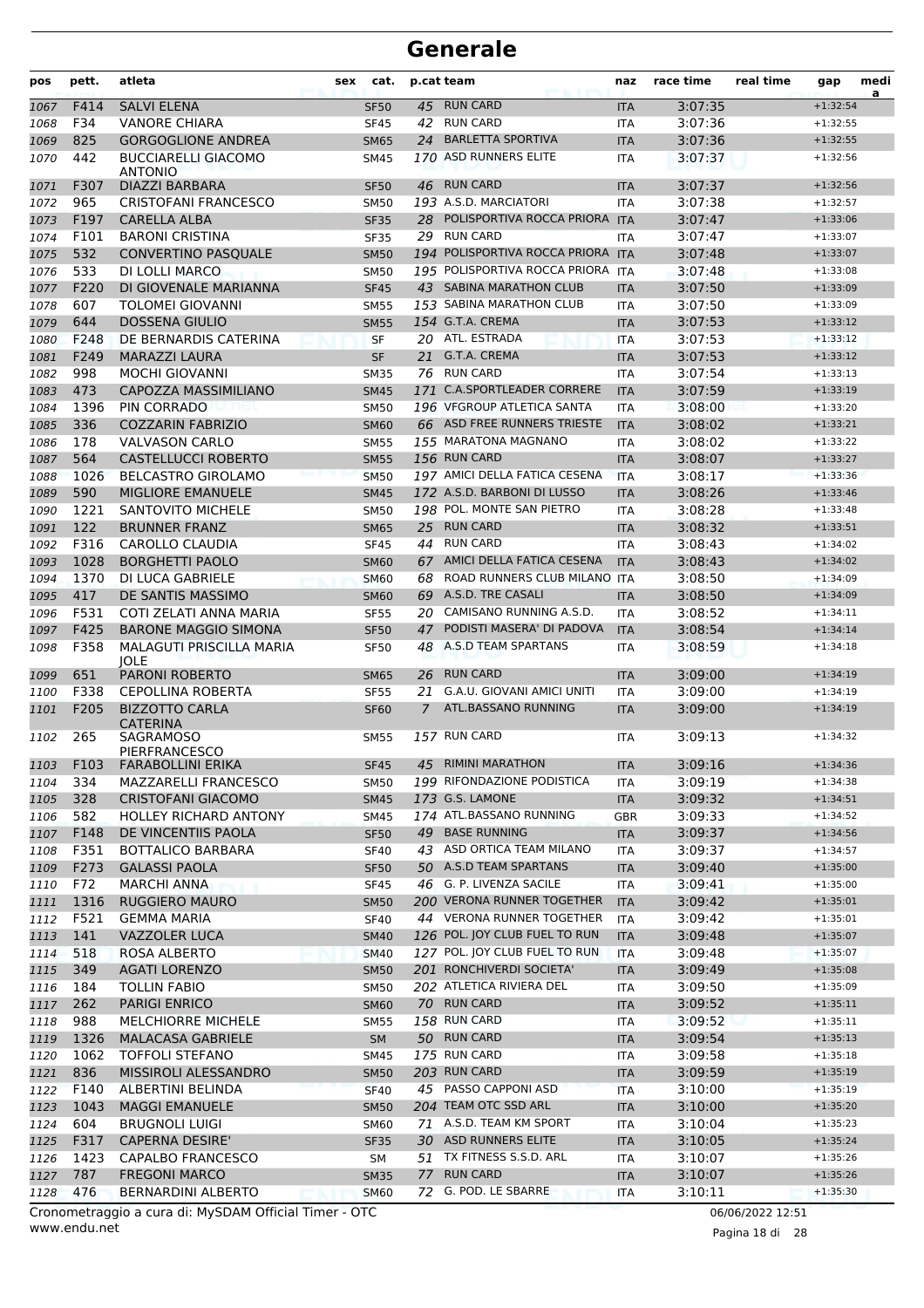| pos          | pett.        | atleta                                                    | sex<br>cat.                |    | p.cat team                                       | naz                      | race time          | real time | gap                      | medi<br>a |
|--------------|--------------|-----------------------------------------------------------|----------------------------|----|--------------------------------------------------|--------------------------|--------------------|-----------|--------------------------|-----------|
| 1067         | F414         | <b>SALVI ELENA</b>                                        | <b>SF50</b>                | 45 | <b>RUN CARD</b>                                  | <b>ITA</b>               | 3:07:35            |           | $+1:32:54$               |           |
| 1068         | F34          | <b>VANORE CHIARA</b>                                      | <b>SF45</b>                | 42 | <b>RUN CARD</b>                                  | <b>ITA</b>               | 3:07:36            |           | $+1:32:55$               |           |
| 1069         | 825          | <b>GORGOGLIONE ANDREA</b>                                 | <b>SM65</b>                | 24 | <b>BARLETTA SPORTIVA</b>                         | <b>ITA</b>               | 3:07:36            |           | $+1:32:55$               |           |
| 1070         | 442          | <b>BUCCIARELLI GIACOMO</b><br><b>ANTONIO</b>              | SM45                       |    | 170 ASD RUNNERS ELITE                            | ITA                      | 3:07:37            |           | $+1:32:56$               |           |
| 1071         | F307         | DIAZZI BARBARA                                            | <b>SF50</b>                | 46 | <b>RUN CARD</b>                                  | <b>ITA</b>               | 3:07:37            |           | $+1:32:56$               |           |
| 1072         | 965          | <b>CRISTOFANI FRANCESCO</b>                               | <b>SM50</b>                |    | 193 A.S.D. MARCIATORI                            | <b>ITA</b>               | 3:07:38            |           | $+1:32:57$               |           |
| 1073         | F197         | <b>CARELLA ALBA</b>                                       | <b>SF35</b>                | 28 | POLISPORTIVA ROCCA PRIORA ITA                    |                          | 3:07:47            |           | $+1:33:06$               |           |
| 1074         | F101         | <b>BARONI CRISTINA</b>                                    | SF35                       |    | 29 RUN CARD                                      | ITA                      | 3:07:47            |           | $+1:33:07$               |           |
| 1075         | 532          | <b>CONVERTINO PASQUALE</b>                                | <b>SM50</b>                |    | 194 POLISPORTIVA ROCCA PRIORA ITA                |                          | 3:07:48            |           | $+1:33:07$               |           |
| 1076         | 533          | DI LOLLI MARCO                                            | <b>SM50</b>                |    | 195 POLISPORTIVA ROCCA PRIORA ITA                |                          | 3:07:48            |           | $+1:33:08$               |           |
| 1077         | F220         | DI GIOVENALE MARIANNA                                     | <b>SF45</b>                |    | 43 SABINA MARATHON CLUB                          | <b>ITA</b>               | 3:07:50            |           | $+1:33:09$               |           |
| 1078         | 607          | TOLOMEI GIOVANNI                                          | <b>SM55</b>                |    | 153 SABINA MARATHON CLUB                         | <b>ITA</b>               | 3:07:50            |           | $+1:33:09$               |           |
| 1079         | 644          | <b>DOSSENA GIULIO</b>                                     | <b>SM55</b>                |    | 154 G.T.A. CREMA<br>20 ATL. ESTRADA              | <b>ITA</b>               | 3:07:53            |           | $+1:33:12$<br>$+1:33:12$ |           |
| 1080         | F248<br>F249 | DE BERNARDIS CATERINA<br><b>MARAZZI LAURA</b>             | <b>SF</b><br><b>SF</b>     |    | 21 G.T.A. CREMA                                  | <b>ITA</b>               | 3:07:53<br>3:07:53 |           | $+1:33:12$               |           |
| 1081<br>1082 | 998          | <b>MOCHI GIOVANNI</b>                                     | <b>SM35</b>                |    | 76 RUN CARD                                      | <b>ITA</b><br><b>ITA</b> | 3:07:54            |           | $+1:33:13$               |           |
| 1083         | 473          | CAPOZZA MASSIMILIANO                                      | <b>SM45</b>                |    | 171 C.A.SPORTLEADER CORRERE                      | <b>ITA</b>               | 3:07:59            |           | $+1:33:19$               |           |
| 1084         | 1396         | PIN CORRADO                                               | <b>SM50</b>                |    | 196 VFGROUP ATLETICA SANTA                       | <b>ITA</b>               | 3:08:00            |           | $+1:33:20$               |           |
| 1085         | 336          | <b>COZZARIN FABRIZIO</b>                                  | <b>SM60</b>                |    | 66 ASD FREE RUNNERS TRIESTE                      | <b>ITA</b>               | 3:08:02            |           | $+1:33:21$               |           |
| 1086         | 178          | <b>VALVASON CARLO</b>                                     | <b>SM55</b>                |    | 155 MARATONA MAGNANO                             | <b>ITA</b>               | 3:08:02            |           | $+1:33:22$               |           |
| 1087         | 564          | <b>CASTELLUCCI ROBERTO</b>                                | <b>SM55</b>                |    | 156 RUN CARD                                     | <b>ITA</b>               | 3:08:07            |           | $+1:33:27$               |           |
| 1088         | 1026         | <b>BELCASTRO GIROLAMO</b>                                 | <b>SM50</b>                |    | 197 AMICI DELLA FATICA CESENA                    | <b>ITA</b>               | 3:08:17            |           | $+1:33:36$               |           |
| 1089         | 590          | <b>MIGLIORE EMANUELE</b>                                  | <b>SM45</b>                |    | 172 A.S.D. BARBONI DI LUSSO                      | <b>ITA</b>               | 3:08:26            |           | $+1:33:46$               |           |
| 1090         | 1221         | SANTOVITO MICHELE                                         | <b>SM50</b>                |    | 198 POL. MONTE SAN PIETRO                        | <b>ITA</b>               | 3:08:28            |           | $+1:33:48$               |           |
| 1091         | 122          | <b>BRUNNER FRANZ</b>                                      | <b>SM65</b>                | 25 | <b>RUN CARD</b>                                  | <b>ITA</b>               | 3:08:32            |           | $+1:33:51$               |           |
| 1092         | F316         | CAROLLO CLAUDIA                                           | <b>SF45</b>                |    | 44 RUN CARD                                      | ITA                      | 3:08:43            |           | $+1:34:02$               |           |
| 1093         | 1028         | <b>BORGHETTI PAOLO</b>                                    | <b>SM60</b>                |    | 67 AMICI DELLA FATICA CESENA                     | <b>ITA</b>               | 3:08:43            |           | $+1:34:02$               |           |
| 1094         | 1370         | DI LUCA GABRIELE                                          | <b>SM60</b>                | 68 | ROAD RUNNERS CLUB MILANO ITA                     |                          | 3:08:50            |           | $+1:34:09$               |           |
| 1095         | 417          | DE SANTIS MASSIMO                                         | <b>SM60</b>                | 69 | A.S.D. TRE CASALI                                | <b>ITA</b>               | 3:08:50            |           | $+1:34:09$               |           |
| 1096         | F531         | COTI ZELATI ANNA MARIA                                    | <b>SF55</b>                | 20 | CAMISANO RUNNING A.S.D.                          | <b>ITA</b>               | 3:08:52            |           | $+1:34:11$               |           |
| 1097         | F425         | <b>BARONE MAGGIO SIMONA</b>                               | <b>SF50</b>                | 47 | PODISTI MASERA' DI PADOVA                        | <b>ITA</b>               | 3:08:54            |           | $+1:34:14$               |           |
| 1098         | F358         | MALAGUTI PRISCILLA MARIA<br><b>JOLE</b>                   | <b>SF50</b>                | 48 | A.S.D TEAM SPARTANS                              | ITA                      | 3:08:59            |           | $+1:34:18$               |           |
| 1099         | 651          | <b>PARONI ROBERTO</b>                                     | <b>SM65</b>                | 26 | <b>RUN CARD</b>                                  | <b>ITA</b>               | 3:09:00            |           | $+1:34:19$               |           |
| 1100         | F338         | <b>CEPOLLINA ROBERTA</b>                                  | <b>SF55</b>                | 21 | G.A.U. GIOVANI AMICI UNITI                       | ITA                      | 3:09:00            |           | $+1:34:19$               |           |
| 1101         | F205         | <b>BIZZOTTO CARLA</b><br><b>CATERINA</b>                  | <b>SF60</b>                | 7  | ATL.BASSANO RUNNING<br>157 RUN CARD              | <b>ITA</b>               | 3:09:00            |           | $+1:34:19$<br>$+1:34:32$ |           |
| 1102         | 265          | SAGRAMOSO<br><b>PIERFRANCESCO</b>                         | <b>SM55</b>                |    |                                                  | <b>ITA</b>               | 3:09:13            |           |                          |           |
| 1103         |              | F103 FARABOLLINI ERIKA                                    | SF45                       |    | 45 RIMINI MARATHON<br>199 RIFONDAZIONE PODISTICA | <b>ITA</b>               | 3:09:16            |           | $+1:34:36$               |           |
| 1104         | 334          | <b>MAZZARELLI FRANCESCO</b>                               | SM50                       |    | 173 G.S. LAMONE                                  | ITA                      | 3:09:19<br>3:09:32 |           | $+1:34:38$               |           |
| 1105<br>1106 | 328<br>582   | <b>CRISTOFANI GIACOMO</b><br><b>HOLLEY RICHARD ANTONY</b> | <b>SM45</b><br><b>SM45</b> |    | 174 ATL.BASSANO RUNNING                          | <b>ITA</b><br>GBR        | 3:09:33            |           | $+1:34:51$<br>$+1:34:52$ |           |
| 1107         | F148         | DE VINCENTIIS PAOLA                                       | <b>SF50</b>                |    | 49 BASE RUNNING                                  | <b>ITA</b>               | 3:09:37            |           | $+1:34:56$               |           |
| 1108         | F351         | BOTTALICO BARBARA                                         | <b>SF40</b>                |    | 43 ASD ORTICA TEAM MILANO                        | ITA                      | 3:09:37            |           | $+1:34:57$               |           |
| 1109         | F273         | <b>GALASSI PAOLA</b>                                      | <b>SF50</b>                |    | 50 A.S.D TEAM SPARTANS                           | <b>ITA</b>               | 3:09:40            |           | $+1:35:00$               |           |
| 1110         | F72          | MARCHI ANNA                                               | <b>SF45</b>                |    | 46 G. P. LIVENZA SACILE                          | ITA                      | 3:09:41            |           | $+1:35:00$               |           |
| 1111         | 1316         | <b>RUGGIERO MAURO</b>                                     | <b>SM50</b>                |    | 200 VERONA RUNNER TOGETHER                       | <b>ITA</b>               | 3:09:42            |           | $+1:35:01$               |           |
| 1112         | F521         | <b>GEMMA MARIA</b>                                        | <b>SF40</b>                |    | 44 VERONA RUNNER TOGETHER                        | ITA                      | 3:09:42            |           | $+1:35:01$               |           |
| 1113         | 141          | VAZZOLER LUCA                                             | <b>SM40</b>                |    | 126 POL. JOY CLUB FUEL TO RUN                    | <b>ITA</b>               | 3:09:48            |           | $+1:35:07$               |           |
| 1114         | 518          | ROSA ALBERTO                                              | <b>SM40</b>                |    | 127 POL. JOY CLUB FUEL TO RUN                    | <b>ITA</b>               | 3:09:48            |           | $+1:35:07$               |           |
| 1115         | 349          | <b>AGATI LORENZO</b>                                      | <b>SM50</b>                |    | 201 RONCHIVERDI SOCIETA'                         | <b>ITA</b>               | 3:09:49            |           | $+1:35:08$               |           |
| 1116         | 184          | TOLLIN FABIO                                              | <b>SM50</b>                |    | 202 ATLETICA RIVIERA DEL                         | ITA                      | 3:09:50            |           | $+1:35:09$               |           |
| 1117         | 262          | <b>PARIGI ENRICO</b>                                      | <b>SM60</b>                |    | 70 RUN CARD                                      | <b>ITA</b>               | 3:09:52            |           | $+1:35:11$               |           |
| 1118         | 988          | <b>MELCHIORRE MICHELE</b>                                 | <b>SM55</b>                |    | 158 RUN CARD                                     | ITA                      | 3:09:52            |           | $+1:35:11$               |           |
| 1119         | 1326         | <b>MALACASA GABRIELE</b>                                  | <b>SM</b>                  |    | 50 RUN CARD                                      | <b>ITA</b>               | 3:09:54            |           | $+1:35:13$               |           |
| 1120         | 1062         | <b>TOFFOLI STEFANO</b>                                    | <b>SM45</b>                |    | 175 RUN CARD                                     | ITA                      | 3:09:58            |           | $+1:35:18$               |           |
| 1121         | 836          | MISSIROLI ALESSANDRO                                      | <b>SM50</b>                |    | 203 RUN CARD                                     | <b>ITA</b>               | 3:09:59            |           | $+1:35:19$               |           |
| 1122         | F140         | ALBERTINI BELINDA                                         | <b>SF40</b>                |    | 45 PASSO CAPPONI ASD                             | <b>ITA</b>               | 3:10:00            |           | $+1:35:19$               |           |
| 1123         | 1043         | <b>MAGGI EMANUELE</b>                                     | <b>SM50</b>                |    | 204 TEAM OTC SSD ARL                             | <b>ITA</b>               | 3:10:00            |           | $+1:35:20$               |           |
| 1124         | 604<br>F317  | <b>BRUGNOLI LUIGI</b><br><b>CAPERNA DESIRE'</b>           | <b>SM60</b>                |    | 71 A.S.D. TEAM KM SPORT<br>30 ASD RUNNERS ELITE  | ITA                      | 3:10:04            |           | $+1:35:23$               |           |
| 1125<br>1126 | 1423         | CAPALBO FRANCESCO                                         | SF35<br>SM                 |    | 51 TX FITNESS S.S.D. ARL                         | <b>ITA</b><br>ITA        | 3:10:05<br>3:10:07 |           | $+1:35:24$<br>$+1:35:26$ |           |
| 1127         | 787          | <b>FREGONI MARCO</b>                                      | <b>SM35</b>                | 77 | <b>RUN CARD</b>                                  | <b>ITA</b>               | 3:10:07            |           | $+1:35:26$               |           |
| 1128         | 476          | BERNARDINI ALBERTO                                        | <b>SM60</b>                |    | 72 G. POD. LE SBARRE                             | <b>ITA</b>               | 3:10:11            |           | $+1:35:30$               |           |
|              |              |                                                           |                            |    |                                                  |                          |                    |           |                          |           |

www.endu.net Cronometraggio a cura di: MySDAM Official Timer - OTC 06/06/2022 12:51

Pagina 18 di 28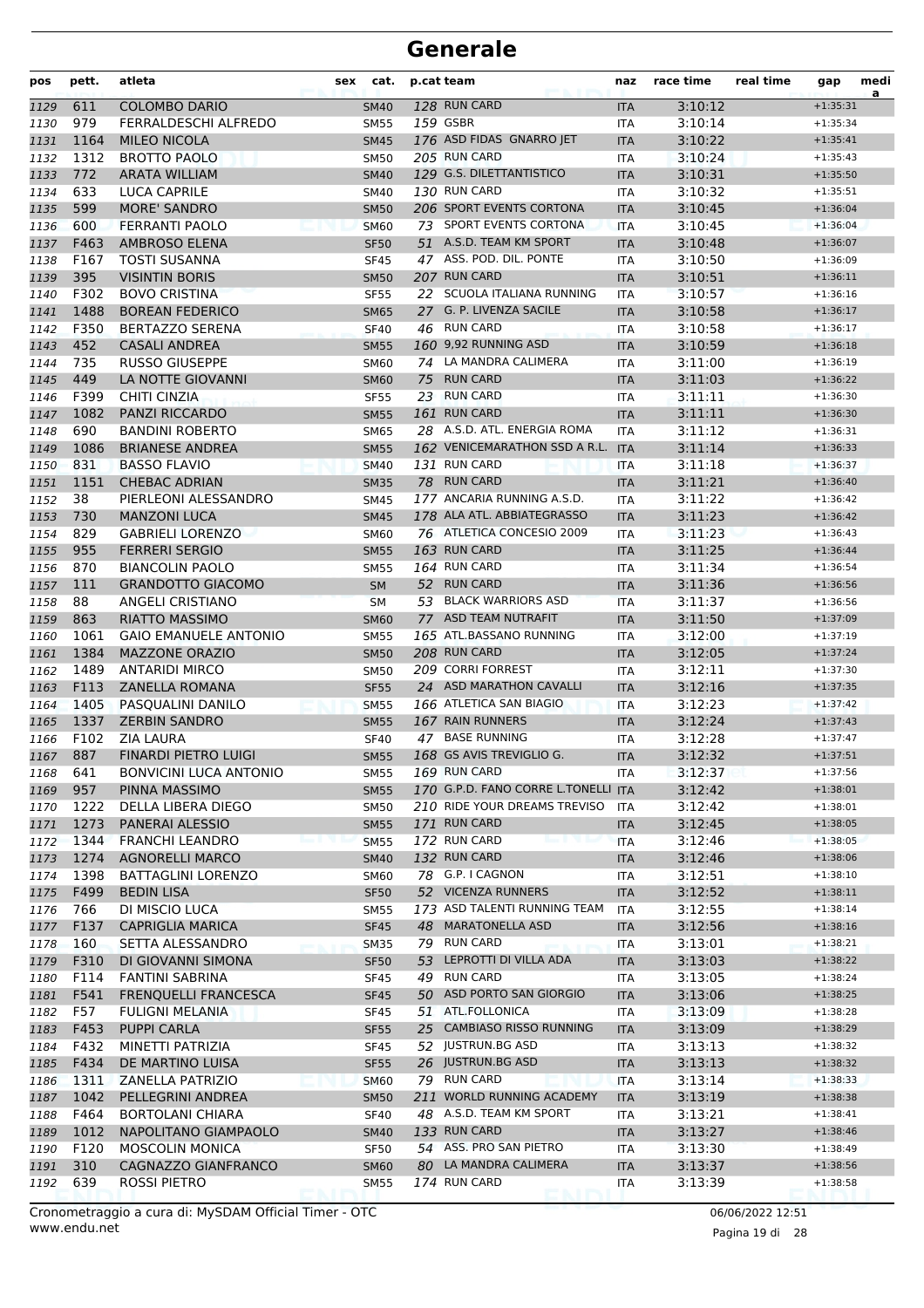| pos  | pett.      | atleta                              | cat.<br>sex |    | p.cat team                                   | naz        | race time | real time | gap                      | medi<br>a |
|------|------------|-------------------------------------|-------------|----|----------------------------------------------|------------|-----------|-----------|--------------------------|-----------|
| 1129 | 611        | <b>COLOMBO DARIO</b>                | <b>SM40</b> |    | 128 RUN CARD                                 | <b>ITA</b> | 3:10:12   |           | $+1:35:31$               |           |
| 1130 | 979        | FERRALDESCHI ALFREDO                | <b>SM55</b> |    | 159 GSBR                                     | <b>ITA</b> | 3:10:14   |           | $+1:35:34$               |           |
| 1131 | 1164       | <b>MILEO NICOLA</b>                 | <b>SM45</b> |    | 176 ASD FIDAS GNARRO JET                     | <b>ITA</b> | 3:10:22   |           | $+1:35:41$               |           |
| 1132 | 1312       | <b>BROTTO PAOLO</b>                 | <b>SM50</b> |    | 205 RUN CARD                                 | <b>ITA</b> | 3:10:24   |           | $+1:35:43$               |           |
| 1133 | 772        | <b>ARATA WILLIAM</b>                | <b>SM40</b> |    | 129 G.S. DILETTANTISTICO                     | <b>ITA</b> | 3:10:31   |           | $+1:35:50$               |           |
| 1134 | 633        | LUCA CAPRILE                        | SM40        |    | 130 RUN CARD                                 | <b>ITA</b> | 3:10:32   |           | $+1:35:51$               |           |
| 1135 | 599        | <b>MORE' SANDRO</b>                 | <b>SM50</b> |    | 206 SPORT EVENTS CORTONA                     | <b>ITA</b> | 3:10:45   |           | $+1:36:04$               |           |
| 1136 | 600        | FERRANTI PAOLO                      | <b>SM60</b> |    | 73 SPORT EVENTS CORTONA                      | <b>ITA</b> | 3:10:45   |           | $+1:36:04$               |           |
| 1137 | F463       | AMBROSO ELENA                       | <b>SF50</b> |    | 51 A.S.D. TEAM KM SPORT                      | <b>ITA</b> | 3:10:48   |           | $+1:36:07$               |           |
| 1138 | F167       | <b>TOSTI SUSANNA</b>                | <b>SF45</b> |    | 47 ASS. POD. DIL. PONTE                      | <b>ITA</b> | 3:10:50   |           | $+1:36:09$               |           |
| 1139 | 395        | <b>VISINTIN BORIS</b>               | <b>SM50</b> |    | 207 RUN CARD                                 | <b>ITA</b> | 3:10:51   |           | $+1:36:11$               |           |
| 1140 | F302       | <b>BOVO CRISTINA</b>                | <b>SF55</b> |    | 22 SCUOLA ITALIANA RUNNING                   | <b>ITA</b> | 3:10:57   |           | $+1:36:16$               |           |
| 1141 | 1488       | <b>BOREAN FEDERICO</b>              | <b>SM65</b> |    | 27 G. P. LIVENZA SACILE                      | <b>ITA</b> | 3:10:58   |           | $+1:36:17$               |           |
| 1142 | F350       | <b>BERTAZZO SERENA</b>              | <b>SF40</b> |    | 46 RUN CARD                                  | <b>ITA</b> | 3:10:58   |           | $+1:36:17$               |           |
| 1143 | 452        | <b>CASALI ANDREA</b>                | <b>SM55</b> |    | 160 9,92 RUNNING ASD                         | <b>ITA</b> | 3:10:59   |           | $+1:36:18$               |           |
| 1144 | 735        | <b>RUSSO GIUSEPPE</b>               | <b>SM60</b> |    | 74 LA MANDRA CALIMERA                        | <b>ITA</b> | 3:11:00   |           | $+1:36:19$               |           |
| 1145 | 449        | LA NOTTE GIOVANNI                   | <b>SM60</b> | 75 | <b>RUN CARD</b>                              | <b>ITA</b> | 3:11:03   |           | $+1:36:22$               |           |
| 1146 | F399       | <b>CHITI CINZIA</b>                 | <b>SF55</b> |    | 23 RUN CARD                                  | ITA        | 3:11:11   |           | $+1:36:30$               |           |
| 1147 | 1082       | <b>PANZI RICCARDO</b>               | <b>SM55</b> |    | 161 RUN CARD                                 | <b>ITA</b> | 3:11:11   |           | $+1:36:30$               |           |
| 1148 | 690        | <b>BANDINI ROBERTO</b>              | <b>SM65</b> |    | 28 A.S.D. ATL. ENERGIA ROMA                  | ITA        | 3:11:12   |           | $+1:36:31$               |           |
| 1149 | 1086       | <b>BRIANESE ANDREA</b>              | <b>SM55</b> |    | 162 VENICEMARATHON SSD A R.L.                | <b>ITA</b> | 3:11:14   |           | $+1:36:33$               |           |
| 1150 | 831        | <b>BASSO FLAVIO</b>                 | <b>SM40</b> |    | 131 RUN CARD                                 | <b>ITA</b> | 3:11:18   |           | $+1:36:37$               |           |
| 1151 | 1151       | <b>CHEBAC ADRIAN</b>                | <b>SM35</b> |    | 78 RUN CARD                                  | <b>ITA</b> | 3:11:21   |           | $+1:36:40$               |           |
| 1152 | 38         | PIERLEONI ALESSANDRO                | <b>SM45</b> |    | 177 ANCARIA RUNNING A.S.D.                   | <b>ITA</b> | 3:11:22   |           | $+1:36:42$               |           |
| 1153 | 730        | <b>MANZONI LUCA</b>                 | <b>SM45</b> |    | 178 ALA ATL. ABBIATEGRASSO                   | <b>ITA</b> | 3:11:23   |           | $+1:36:42$               |           |
| 1154 | 829        | <b>GABRIELI LORENZO</b>             | <b>SM60</b> |    | 76 ATLETICA CONCESIO 2009                    | ITA        | 3:11:23   |           | $+1:36:43$               |           |
| 1155 | 955        | <b>FERRERI SERGIO</b>               | <b>SM55</b> |    | 163 RUN CARD                                 | <b>ITA</b> | 3:11:25   |           | $+1:36:44$               |           |
| 1156 | 870        | <b>BIANCOLIN PAOLO</b>              | <b>SM55</b> |    | 164 RUN CARD                                 | <b>ITA</b> | 3:11:34   |           | $+1:36:54$               |           |
| 1157 | 111        | <b>GRANDOTTO GIACOMO</b>            | <b>SM</b>   |    | 52 RUN CARD                                  | <b>ITA</b> | 3:11:36   |           | $+1:36:56$               |           |
| 1158 | 88         | ANGELI CRISTIANO                    | <b>SM</b>   |    | 53 BLACK WARRIORS ASD                        | <b>ITA</b> | 3:11:37   |           | $+1:36:56$               |           |
| 1159 | 863        | <b>RIATTO MASSIMO</b>               | <b>SM60</b> |    | 77 ASD TEAM NUTRAFIT                         | <b>ITA</b> | 3:11:50   |           | $+1:37:09$               |           |
| 1160 | 1061       | <b>GAIO EMANUELE ANTONIO</b>        | <b>SM55</b> |    | 165 ATL.BASSANO RUNNING                      | <b>ITA</b> | 3:12:00   |           | $+1:37:19$               |           |
| 1161 | 1384       | <b>MAZZONE ORAZIO</b>               | <b>SM50</b> |    | 208 RUN CARD                                 | <b>ITA</b> | 3:12:05   |           | $+1:37:24$               |           |
| 1162 | 1489       | <b>ANTARIDI MIRCO</b>               | <b>SM50</b> |    | 209 CORRI FORREST                            | <b>ITA</b> | 3:12:11   |           | $+1:37:30$               |           |
| 1163 | F113       | <b>ZANELLA ROMANA</b>               | <b>SF55</b> |    | 24 ASD MARATHON CAVALLI                      | <b>ITA</b> | 3:12:16   |           | $+1:37:35$               |           |
| 1164 | 1405       | PASQUALINI DANILO                   | <b>SM55</b> |    | 166 ATLETICA SAN BIAGIO                      | <b>ITA</b> | 3:12:23   |           | $+1:37:42$               |           |
| 1165 | 1337       | <b>ZERBIN SANDRO</b>                | <b>SM55</b> |    | 167 RAIN RUNNERS                             | <b>ITA</b> | 3:12:24   |           | $+1:37:43$               |           |
| 1166 | F102       | <b>ZIA LAURA</b>                    | <b>SF40</b> |    | 47 BASE RUNNING                              | <b>ITA</b> | 3:12:28   |           | $+1:37:47$               |           |
| 1167 | 887        | <b>FINARDI PIETRO LUIGI</b>         | <b>SM55</b> |    | 168 GS AVIS TREVIGLIO G.                     | <b>ITA</b> | 3:12:32   |           | $+1:37:51$               |           |
| 1168 | 641        | <b>BONVICINI LUCA ANTONIO</b>       | <b>SM55</b> |    | 169 RUN CARD                                 | ITA        | 3:12:37   |           | $+1:37:56$               |           |
| 1169 | 957        | PINNA MASSIMO                       | <b>SM55</b> |    | 170 G.P.D. FANO CORRE L.TONELLI ITA          |            | 3:12:42   |           | $+1:38:01$               |           |
| 1170 | 1222       | DELLA LIBERA DIEGO                  | <b>SM50</b> |    | 210 RIDE YOUR DREAMS TREVISO                 | <b>ITA</b> | 3:12:42   |           | $+1:38:01$               |           |
| 1171 | 1273       | PANERAI ALESSIO                     | <b>SM55</b> |    | 171 RUN CARD                                 | <b>ITA</b> | 3:12:45   |           | $+1:38:05$               |           |
| 1172 | 1344       | <b>FRANCHI LEANDRO</b>              | <b>SM55</b> |    | 172 RUN CARD                                 | <b>ITA</b> | 3:12:46   |           | $+1:38:05$               |           |
| 1173 | 1274       | <b>AGNORELLI MARCO</b>              | <b>SM40</b> |    | 132 RUN CARD                                 | <b>ITA</b> | 3:12:46   |           | $+1:38:06$               |           |
| 1174 | 1398       | <b>BATTAGLINI LORENZO</b>           | <b>SM60</b> |    | 78 G.P. I CAGNON                             | ITA        | 3:12:51   |           | $+1:38:10$               |           |
| 1175 | F499       | <b>BEDIN LISA</b>                   | <b>SF50</b> |    | 52 VICENZA RUNNERS                           | <b>ITA</b> | 3:12:52   |           | $+1:38:11$               |           |
| 1176 | 766        | DI MISCIO LUCA                      | <b>SM55</b> |    | 173 ASD TALENTI RUNNING TEAM                 | ITA        | 3:12:55   |           | $+1:38:14$               |           |
| 1177 | F137       | <b>CAPRIGLIA MARICA</b>             | <b>SF45</b> |    | 48 MARATONELLA ASD                           | <b>ITA</b> | 3:12:56   |           | $+1:38:16$               |           |
| 1178 | 160        | SETTA ALESSANDRO                    | <b>SM35</b> |    | 79 RUN CARD<br>53 LEPROTTI DI VILLA ADA      | ITA        | 3:13:01   |           | $+1:38:21$               |           |
| 1179 | F310       | DI GIOVANNI SIMONA                  | <b>SF50</b> |    |                                              | <b>ITA</b> | 3:13:03   |           | $+1:38:22$               |           |
| 1180 | F114       | <b>FANTINI SABRINA</b>              | <b>SF45</b> |    | 49 RUN CARD                                  | ITA        | 3:13:05   |           | $+1:38:24$               |           |
| 1181 | F541       | <b>FRENQUELLI FRANCESCA</b>         | <b>SF45</b> |    | 50 ASD PORTO SAN GIORGIO<br>51 ATL.FOLLONICA | <b>ITA</b> | 3:13:06   |           | $+1:38:25$<br>$+1:38:28$ |           |
| 1182 | F57        | <b>FULIGNI MELANIA</b>              | <b>SF45</b> |    |                                              | ITA        | 3:13:09   |           |                          |           |
| 1183 | F453       | <b>PUPPI CARLA</b>                  | <b>SF55</b> |    | 25 CAMBIASO RISSO RUNNING                    | <b>ITA</b> | 3:13:09   |           | $+1:38:29$               |           |
| 1184 | F432       | MINETTI PATRIZIA                    | <b>SF45</b> |    | 52 JUSTRUN.BG ASD                            | ITA        | 3:13:13   |           | $+1:38:32$               |           |
| 1185 | F434       | DE MARTINO LUISA                    | <b>SF55</b> |    | 26 JUSTRUN.BG ASD                            | <b>ITA</b> | 3:13:13   |           | $+1:38:32$               |           |
| 1186 | 1311       | ZANELLA PATRIZIO                    | <b>SM60</b> |    | 79 RUN CARD                                  | <b>ITA</b> | 3:13:14   |           | $+1:38:33$               |           |
| 1187 | 1042       | PELLEGRINI ANDREA                   | <b>SM50</b> |    | 211 WORLD RUNNING ACADEMY                    | <b>ITA</b> | 3:13:19   |           | $+1:38:38$               |           |
| 1188 | F464       | <b>BORTOLANI CHIARA</b>             | <b>SF40</b> |    | 48 A.S.D. TEAM KM SPORT                      | ITA        | 3:13:21   |           | $+1:38:41$               |           |
| 1189 | 1012       | NAPOLITANO GIAMPAOLO                | <b>SM40</b> |    | 133 RUN CARD<br>54 ASS. PRO SAN PIETRO       | <b>ITA</b> | 3:13:27   |           | $+1:38:46$               |           |
| 1190 | F120       | <b>MOSCOLIN MONICA</b>              | <b>SF50</b> |    | 80 LA MANDRA CALIMERA                        | ITA        | 3:13:30   |           | $+1:38:49$<br>$+1:38:56$ |           |
| 1191 | 310<br>639 | CAGNAZZO GIANFRANCO<br>ROSSI PIETRO | <b>SM60</b> |    | 174 RUN CARD                                 | <b>ITA</b> | 3:13:37   |           |                          |           |
| 1192 |            |                                     | <b>SM55</b> |    |                                              | ITA        | 3:13:39   |           | $+1:38:58$               |           |

Pagina 19 di 28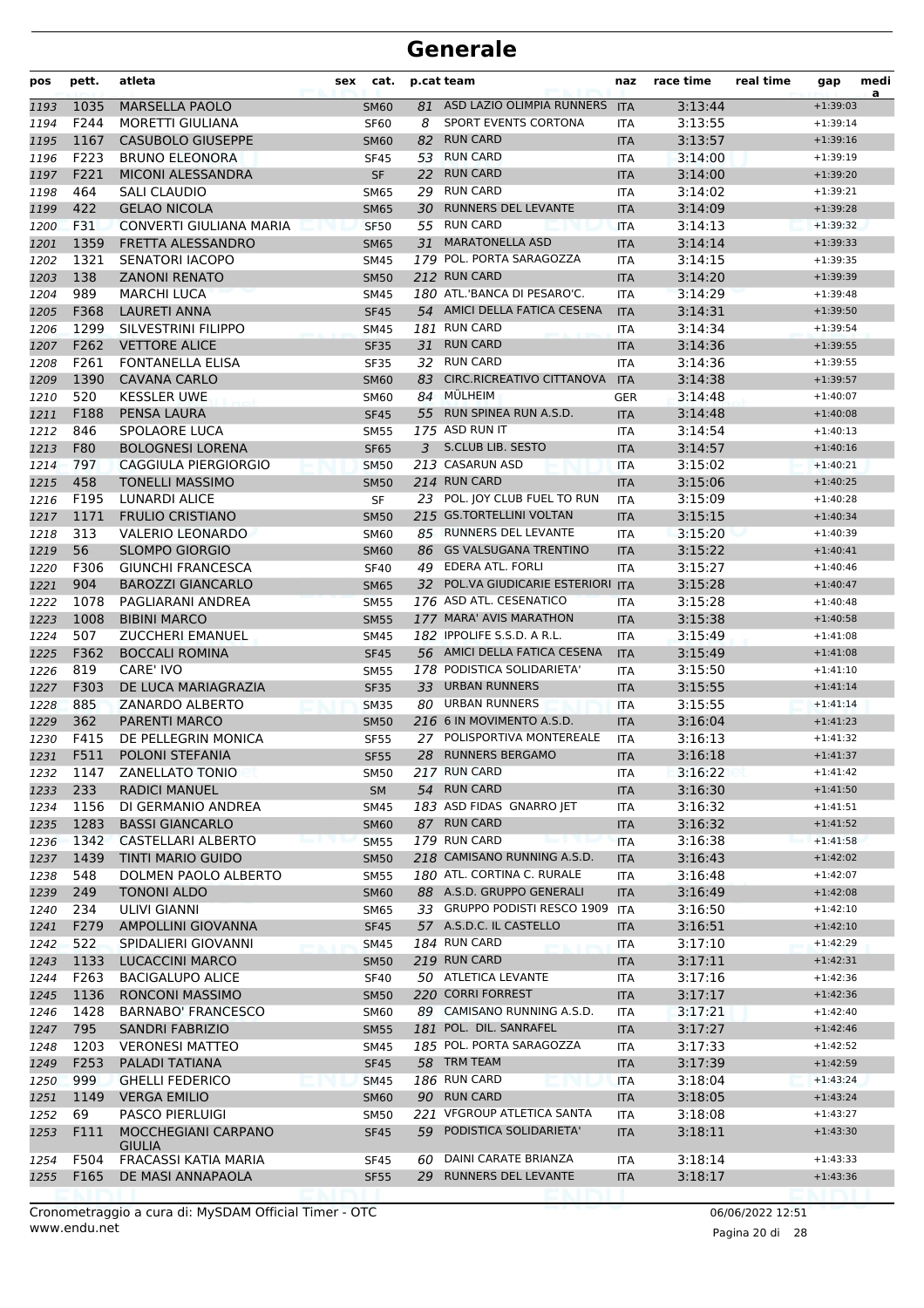| pos          | pett.       | atleta                                           | sex | cat.                       |    | p.cat team                                               | naz        | race time          | real time | gap                      | medi<br>a |
|--------------|-------------|--------------------------------------------------|-----|----------------------------|----|----------------------------------------------------------|------------|--------------------|-----------|--------------------------|-----------|
| 1193         | 1035        | <b>MARSELLA PAOLO</b>                            |     | <b>SM60</b>                | 81 | ASD LAZIO OLIMPIA RUNNERS                                | <b>ITA</b> | 3:13:44            |           | $+1:39:03$               |           |
| 1194         | F244        | <b>MORETTI GIULIANA</b>                          |     | <b>SF60</b>                | 8  | SPORT EVENTS CORTONA                                     | ITA        | 3:13:55            |           | $+1:39:14$               |           |
| 1195         | 1167        | <b>CASUBOLO GIUSEPPE</b>                         |     | <b>SM60</b>                | 82 | <b>RUN CARD</b>                                          | <b>ITA</b> | 3:13:57            |           | $+1:39:16$               |           |
| 1196         | F223        | <b>BRUNO ELEONORA</b>                            |     | <b>SF45</b>                | 53 | <b>RUN CARD</b>                                          | ITA        | 3:14:00            |           | $+1:39:19$               |           |
| 1197         | F221        | MICONI ALESSANDRA                                |     | <b>SF</b>                  | 22 | <b>RUN CARD</b>                                          | <b>ITA</b> | 3:14:00            |           | $+1:39:20$               |           |
| 1198         | 464         | SALI CLAUDIO                                     |     | <b>SM65</b>                | 29 | <b>RUN CARD</b>                                          | <b>ITA</b> | 3:14:02            |           | $+1:39:21$               |           |
| 1199         | 422         | <b>GELAO NICOLA</b>                              |     | <b>SM65</b>                | 30 | RUNNERS DEL LEVANTE                                      | <b>ITA</b> | 3:14:09            |           | $+1:39:28$               |           |
| 1200         | F31         | CONVERTI GIULIANA MARIA                          |     | <b>SF50</b>                |    | 55 RUN CARD                                              | <b>ITA</b> | 3:14:13            |           | $+1:39:32$               |           |
| 1201         | 1359        | FRETTA ALESSANDRO                                |     | <b>SM65</b>                | 31 | <b>MARATONELLA ASD</b>                                   | <b>ITA</b> | 3:14:14            |           | $+1:39:33$               |           |
| 1202         | 1321        | <b>SENATORI IACOPO</b>                           |     | <b>SM45</b>                |    | 179 POL. PORTA SARAGOZZA                                 | <b>ITA</b> | 3:14:15            |           | $+1:39:35$               |           |
| 1203         | 138         | <b>ZANONI RENATO</b>                             |     | <b>SM50</b>                |    | 212 RUN CARD                                             | <b>ITA</b> | 3:14:20            |           | $+1:39:39$               |           |
| 1204         | 989         | <b>MARCHI LUCA</b>                               |     | <b>SM45</b>                |    | 180 ATL.'BANCA DI PESARO'C.                              | <b>ITA</b> | 3:14:29            |           | $+1:39:48$               |           |
| 1205         | F368        | <b>LAURETI ANNA</b>                              |     | <b>SF45</b>                |    | 54 AMICI DELLA FATICA CESENA                             | <b>ITA</b> | 3:14:31            |           | $+1:39:50$               |           |
| 1206         | 1299        | SILVESTRINI FILIPPO                              |     | <b>SM45</b>                |    | 181 RUN CARD                                             | <b>ITA</b> | 3:14:34            |           | $+1:39:54$               |           |
| 1207         | F262        | <b>VETTORE ALICE</b>                             |     | <b>SF35</b>                |    | 31 RUN CARD                                              | <b>ITA</b> | 3:14:36            |           | $+1:39:55$               |           |
| 1208         | F261        | <b>FONTANELLA ELISA</b>                          |     | SF35                       | 32 | <b>RUN CARD</b>                                          | ITA        | 3:14:36            |           | $+1:39:55$               |           |
| 1209         | 1390        | <b>CAVANA CARLO</b>                              |     | <b>SM60</b>                | 83 | CIRC.RICREATIVO CITTANOVA                                | <b>ITA</b> | 3:14:38            |           | $+1:39:57$               |           |
| 1210         | 520         | <b>KESSLER UWE</b>                               |     | <b>SM60</b>                | 84 | <b>MÜLHEIM</b><br>55 RUN SPINEA RUN A.S.D.               | <b>GER</b> | 3:14:48            |           | $+1:40:07$               |           |
| 1211         | F188        | <b>PENSA LAURA</b>                               |     | <b>SF45</b>                |    |                                                          | <b>ITA</b> | 3:14:48            |           | $+1:40:08$               |           |
| 1212         | 846         | SPOLAORE LUCA                                    |     | <b>SM55</b>                |    | 175 ASD RUN IT                                           | <b>ITA</b> | 3:14:54            |           | $+1:40:13$               |           |
| 1213         | F80         | <b>BOLOGNESI LORENA</b>                          |     | <b>SF65</b>                | 3  | <b>S.CLUB LIB. SESTO</b><br>213 CASARUN ASD              | <b>ITA</b> | 3:14:57            |           | $+1:40:16$               |           |
| 1214         | 797         | CAGGIULA PIERGIORGIO                             |     | <b>SM50</b>                |    |                                                          | <b>ITA</b> | 3:15:02            |           | $+1:40:21$               |           |
| 1215         | 458         | <b>TONELLI MASSIMO</b>                           |     | <b>SM50</b>                |    | 214 RUN CARD                                             | <b>ITA</b> | 3:15:06            |           | $+1:40:25$               |           |
| 1216         | F195        | <b>LUNARDI ALICE</b>                             |     | SF                         |    | 23 POL. JOY CLUB FUEL TO RUN<br>215 GS.TORTELLINI VOLTAN | <b>ITA</b> | 3:15:09            |           | $+1:40:28$               |           |
| 1217         | 1171<br>313 | <b>FRULIO CRISTIANO</b>                          |     | <b>SM50</b>                |    | 85 RUNNERS DEL LEVANTE                                   | <b>ITA</b> | 3:15:15<br>3:15:20 |           | $+1:40:34$               |           |
| 1218         | 56          | <b>VALERIO LEONARDO</b><br><b>SLOMPO GIORGIO</b> |     | <b>SM60</b>                |    | 86 GS VALSUGANA TRENTINO                                 | <b>ITA</b> | 3:15:22            |           | $+1:40:39$<br>$+1:40:41$ |           |
| 1219         | F306        | <b>GIUNCHI FRANCESCA</b>                         |     | <b>SM60</b><br><b>SF40</b> | 49 | EDERA ATL. FORLI                                         | <b>ITA</b> | 3:15:27            |           | $+1:40:46$               |           |
| 1220<br>1221 | 904         | <b>BAROZZI GIANCARLO</b>                         |     | <b>SM65</b>                |    | 32 POL.VA GIUDICARIE ESTERIORI ITA                       | ITA        | 3:15:28            |           | $+1:40:47$               |           |
| 1222         | 1078        | PAGLIARANI ANDREA                                |     | <b>SM55</b>                |    | 176 ASD ATL. CESENATICO                                  | <b>ITA</b> | 3:15:28            |           | $+1:40:48$               |           |
| 1223         | 1008        | <b>BIBINI MARCO</b>                              |     | <b>SM55</b>                |    | 177 MARA' AVIS MARATHON                                  | <b>ITA</b> | 3:15:38            |           | $+1:40:58$               |           |
| 1224         | 507         | <b>ZUCCHERI EMANUEL</b>                          |     | <b>SM45</b>                |    | 182 IPPOLIFE S.S.D. A R.L.                               | <b>ITA</b> | 3:15:49            |           | $+1:41:08$               |           |
| 1225         | F362        | <b>BOCCALI ROMINA</b>                            |     | <b>SF45</b>                |    | 56 AMICI DELLA FATICA CESENA                             | <b>ITA</b> | 3:15:49            |           | $+1:41:08$               |           |
| 1226         | 819         | <b>CARE' IVO</b>                                 |     | <b>SM55</b>                |    | 178 PODISTICA SOLIDARIETA'                               | ITA        | 3:15:50            |           | $+1:41:10$               |           |
| 1227         | F303        | DE LUCA MARIAGRAZIA                              |     | <b>SF35</b>                |    | 33 URBAN RUNNERS                                         | <b>ITA</b> | 3:15:55            |           | $+1:41:14$               |           |
| 1228         | 885         | ZANARDO ALBERTO                                  |     | <b>SM35</b>                | 80 | <b>URBAN RUNNERS</b>                                     | <b>ITA</b> | 3:15:55            |           | $+1:41:14$               |           |
| 1229         | 362         | <b>PARENTI MARCO</b>                             |     | <b>SM50</b>                |    | 216 6 IN MOVIMENTO A.S.D.                                | <b>ITA</b> | 3:16:04            |           | $+1:41:23$               |           |
| 1230         | F415        | DE PELLEGRIN MONICA                              |     | <b>SF55</b>                |    | 27 POLISPORTIVA MONTEREALE                               | <b>ITA</b> | 3:16:13            |           | $+1:41:32$               |           |
| 1231         | F511        | POLONI STEFANIA                                  |     | <b>SF55</b>                | 28 | <b>RUNNERS BERGAMO</b>                                   | <b>ITA</b> | 3:16:18            |           | $+1:41:37$               |           |
| 1232         | 1147        | <b>ZANELLATO TONIO</b>                           |     | SM50                       |    | 217 RUN CARD                                             | ITA        | 3:16:22            |           | $+1:41:42$               |           |
| 1233         | 233         | <b>RADICI MANUEL</b>                             |     | <b>SM</b>                  |    | 54 RUN CARD                                              | <b>ITA</b> | 3:16:30            |           | $+1:41:50$               |           |
| 1234         | 1156        | DI GERMANIO ANDREA                               |     | SM45                       |    | 183 ASD FIDAS GNARRO JET                                 | ITA        | 3:16:32            |           | $+1:41:51$               |           |
| 1235         | 1283        | <b>BASSI GIANCARLO</b>                           |     | <b>SM60</b>                |    | 87 RUN CARD                                              | <b>ITA</b> | 3:16:32            |           | $+1:41:52$               |           |
| 1236         | 1342        | CASTELLARI ALBERTO                               |     | <b>SM55</b>                |    | 179 RUN CARD                                             | <b>ITA</b> | 3:16:38            |           | $+1:41:58$               |           |
| 1237         | 1439        | TINTI MARIO GUIDO                                |     | <b>SM50</b>                |    | 218 CAMISANO RUNNING A.S.D.                              | <b>ITA</b> | 3:16:43            |           | $+1:42:02$               |           |
| 1238         | 548         | DOLMEN PAOLO ALBERTO                             |     | SM55                       |    | 180 ATL. CORTINA C. RURALE                               | ITA        | 3:16:48            |           | $+1:42:07$               |           |
| 1239         | 249         | TONONI ALDO                                      |     | <b>SM60</b>                |    | 88 A.S.D. GRUPPO GENERALI                                | <b>ITA</b> | 3:16:49            |           | $+1:42:08$               |           |
| 1240         | 234         | ULIVI GIANNI                                     |     | SM65                       |    | 33 GRUPPO PODISTI RESCO 1909                             | ITA        | 3:16:50            |           | $+1:42:10$               |           |
| 1241         | F279        | AMPOLLINI GIOVANNA                               |     | <b>SF45</b>                |    | 57 A.S.D.C. IL CASTELLO                                  | <b>ITA</b> | 3:16:51            |           | $+1:42:10$               |           |
| 1242         | 522         | SPIDALIERI GIOVANNI                              |     | <b>SM45</b>                |    | <b>184 RUN CARD</b>                                      | ITA        | 3:17:10            |           | $+1:42:29$               |           |
| 1243         | 1133        | <b>LUCACCINI MARCO</b>                           |     | <b>SM50</b>                |    | 219 RUN CARD                                             | <b>ITA</b> | 3:17:11            |           | $+1:42:31$               |           |
| 1244         | F263        | <b>BACIGALUPO ALICE</b>                          |     | <b>SF40</b>                |    | 50 ATLETICA LEVANTE                                      | ITA        | 3:17:16            |           | $+1:42:36$               |           |
| 1245         | 1136        | <b>RONCONI MASSIMO</b>                           |     | <b>SM50</b>                |    | 220 CORRI FORREST                                        | <b>ITA</b> | 3:17:17            |           | $+1:42:36$               |           |
| 1246         | 1428        | <b>BARNABO' FRANCESCO</b>                        |     | <b>SM60</b>                |    | 89 CAMISANO RUNNING A.S.D.                               | ITA        | 3:17:21            |           | $+1:42:40$               |           |
| 1247         | 795         | <b>SANDRI FABRIZIO</b>                           |     | <b>SM55</b>                |    | 181 POL. DIL. SANRAFEL                                   | <b>ITA</b> | 3:17:27            |           | $+1:42:46$               |           |
| 1248         | 1203        | <b>VERONESI MATTEO</b>                           |     | <b>SM45</b>                |    | 185 POL. PORTA SARAGOZZA                                 | <b>ITA</b> | 3:17:33            |           | $+1:42:52$               |           |
| 1249         | F253        | PALADI TATIANA                                   |     | <b>SF45</b>                |    | 58 TRM TEAM                                              | <b>ITA</b> | 3:17:39            |           | $+1:42:59$               |           |
| 1250         | 999         | <b>GHELLI FEDERICO</b>                           |     | <b>SM45</b>                |    | <b>186 RUN CARD</b>                                      | ITA        | 3:18:04            |           | $+1:43:24$               |           |
| 1251         | 1149        | <b>VERGA EMILIO</b>                              |     | <b>SM60</b>                |    | 90 RUN CARD                                              | <b>ITA</b> | 3:18:05            |           | $+1:43:24$               |           |
| 1252         | 69          | <b>PASCO PIERLUIGI</b>                           |     | <b>SM50</b>                |    | 221 VFGROUP ATLETICA SANTA                               | ITA        | 3:18:08            |           | $+1:43:27$               |           |
| 1253         | F111        | MOCCHEGIANI CARPANO<br><b>GIULIA</b>             |     | <b>SF45</b>                |    | 59 PODISTICA SOLIDARIETA'                                | <b>ITA</b> | 3:18:11            |           | $+1:43:30$               |           |
| 1254         | F504        | FRACASSI KATIA MARIA                             |     | SF45                       | 60 | DAINI CARATE BRIANZA                                     | ITA        | 3:18:14            |           | $+1:43:33$               |           |
| 1255         | F165        | DE MASI ANNAPAOLA                                |     | <b>SF55</b>                |    | 29 RUNNERS DEL LEVANTE                                   | <b>ITA</b> | 3:18:17            |           | $+1:43:36$               |           |
|              |             |                                                  |     |                            |    |                                                          |            |                    |           |                          |           |

www.endu.net Cronometraggio a cura di: MySDAM Official Timer - OTC 06/06/2022 12:51

Pagina 20 di 28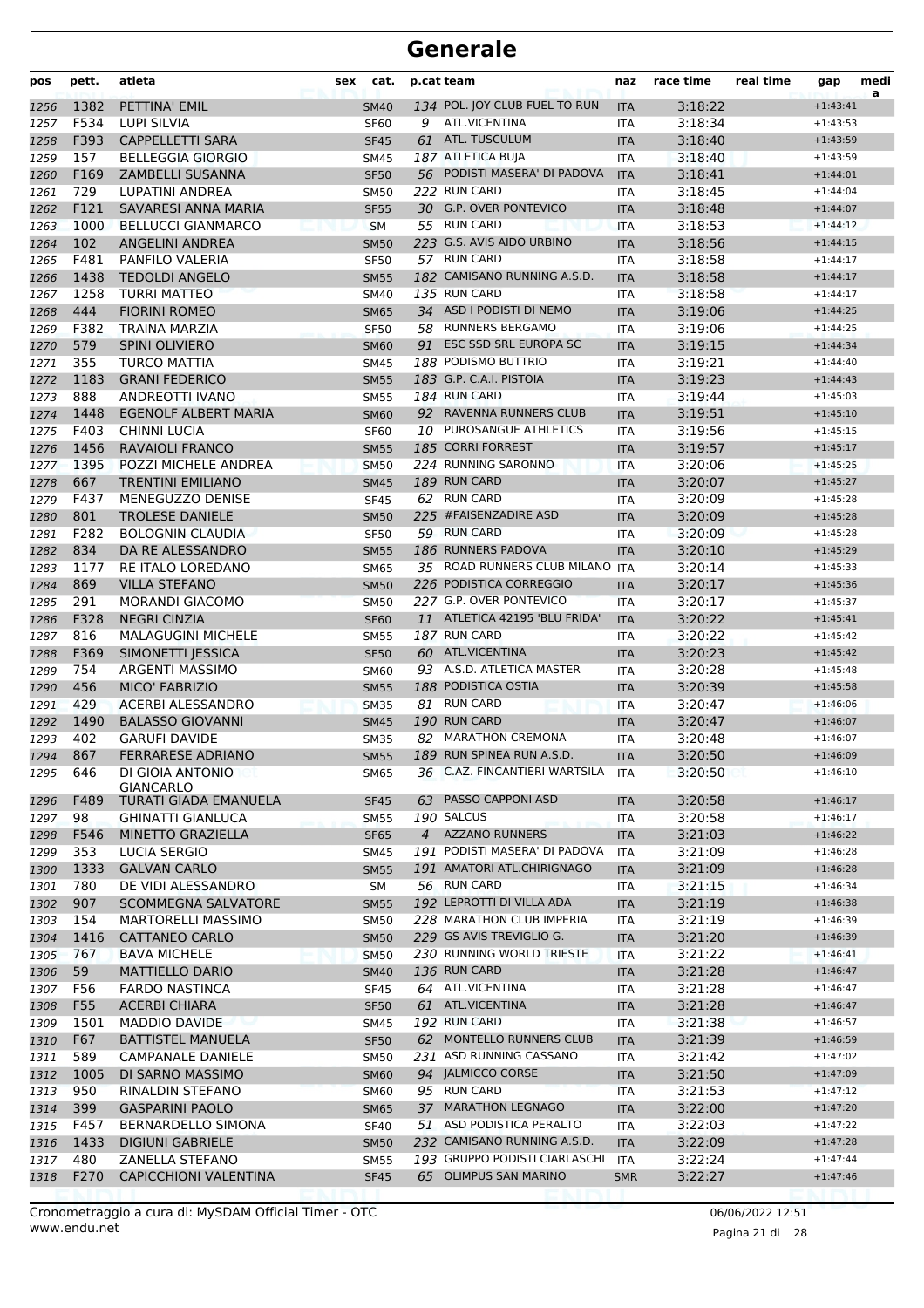| pos  | pett. | atleta                       | sex | cat.        |    | p.cat team                    | naz        | race time | real time | gap        | medi<br>a |
|------|-------|------------------------------|-----|-------------|----|-------------------------------|------------|-----------|-----------|------------|-----------|
| 1256 | 1382  | PETTINA' EMIL                |     | <b>SM40</b> |    | 134 POL. JOY CLUB FUEL TO RUN | <b>ITA</b> | 3:18:22   |           | $+1:43:41$ |           |
| 1257 | F534  | <b>LUPI SILVIA</b>           |     | <b>SF60</b> | 9  | ATL.VICENTINA                 | <b>ITA</b> | 3:18:34   |           | $+1:43:53$ |           |
| 1258 | F393  | <b>CAPPELLETTI SARA</b>      |     | <b>SF45</b> | 61 | ATL. TUSCULUM                 | <b>ITA</b> | 3:18:40   |           | $+1:43:59$ |           |
| 1259 | 157   | <b>BELLEGGIA GIORGIO</b>     |     | <b>SM45</b> |    | 187 ATLETICA BUJA             | <b>ITA</b> | 3:18:40   |           | $+1:43:59$ |           |
| 1260 | F169  | <b>ZAMBELLI SUSANNA</b>      |     | <b>SF50</b> |    | 56 PODISTI MASERA' DI PADOVA  | <b>ITA</b> | 3:18:41   |           | $+1:44:01$ |           |
| 1261 | 729   | LUPATINI ANDREA              |     | <b>SM50</b> |    | 222 RUN CARD                  | <b>ITA</b> | 3:18:45   |           | $+1:44:04$ |           |
| 1262 | F121  | SAVARESI ANNA MARIA          |     | <b>SF55</b> |    | 30 G.P. OVER PONTEVICO        | <b>ITA</b> | 3:18:48   |           | $+1:44:07$ |           |
| 1263 | 1000  | <b>BELLUCCI GIANMARCO</b>    |     | <b>SM</b>   |    | 55 RUN CARD                   | <b>ITA</b> | 3:18:53   |           | $+1:44:12$ |           |
| 1264 | 102   | <b>ANGELINI ANDREA</b>       |     | <b>SM50</b> |    | 223 G.S. AVIS AIDO URBINO     | <b>ITA</b> | 3:18:56   |           | $+1:44:15$ |           |
| 1265 | F481  | PANFILO VALERIA              |     | <b>SF50</b> |    | 57 RUN CARD                   | <b>ITA</b> | 3:18:58   |           | $+1:44:17$ |           |
| 1266 | 1438  | <b>TEDOLDI ANGELO</b>        |     | <b>SM55</b> |    | 182 CAMISANO RUNNING A.S.D.   | <b>ITA</b> | 3:18:58   |           | $+1:44:17$ |           |
| 1267 | 1258  | <b>TURRI MATTEO</b>          |     | <b>SM40</b> |    | 135 RUN CARD                  | <b>ITA</b> | 3:18:58   |           | $+1:44:17$ |           |
| 1268 | 444   | <b>FIORINI ROMEO</b>         |     | <b>SM65</b> |    | 34 ASD I PODISTI DI NEMO      | <b>ITA</b> | 3:19:06   |           | $+1:44:25$ |           |
| 1269 | F382  | TRAINA MARZIA                |     | <b>SF50</b> | 58 | <b>RUNNERS BERGAMO</b>        | <b>ITA</b> | 3:19:06   |           | $+1:44:25$ |           |
| 1270 | 579   | <b>SPINI OLIVIERO</b>        |     | <b>SM60</b> | 91 | ESC SSD SRL EUROPA SC         | <b>ITA</b> | 3:19:15   |           | $+1:44:34$ |           |
| 1271 | 355   | <b>TURCO MATTIA</b>          |     | <b>SM45</b> |    | 188 PODISMO BUTTRIO           | ITA        | 3:19:21   |           | $+1:44:40$ |           |
| 1272 | 1183  | <b>GRANI FEDERICO</b>        |     | <b>SM55</b> |    | 183 G.P. C.A.I. PISTOIA       | <b>ITA</b> | 3:19:23   |           | $+1:44:43$ |           |
| 1273 | 888   | ANDREOTTI IVANO              |     | <b>SM55</b> |    | 184 RUN CARD                  | <b>ITA</b> | 3:19:44   |           | $+1:45:03$ |           |
| 1274 | 1448  | <b>EGENOLF ALBERT MARIA</b>  |     | <b>SM60</b> |    | 92 RAVENNA RUNNERS CLUB       | <b>ITA</b> | 3:19:51   |           | $+1:45:10$ |           |
| 1275 | F403  | <b>CHINNI LUCIA</b>          |     | <b>SF60</b> |    | 10 PUROSANGUE ATHLETICS       | <b>ITA</b> | 3:19:56   |           | $+1:45:15$ |           |
| 1276 | 1456  | <b>RAVAIOLI FRANCO</b>       |     | <b>SM55</b> |    | 185 CORRI FORREST             | <b>ITA</b> | 3:19:57   |           | $+1:45:17$ |           |
| 1277 | 1395  | POZZI MICHELE ANDREA         |     | <b>SM50</b> |    | 224 RUNNING SARONNO           | <b>ITA</b> | 3:20:06   |           | $+1:45:25$ |           |
| 1278 | 667   | TRENTINI EMILIANO            |     | <b>SM45</b> |    | 189 RUN CARD                  | <b>ITA</b> | 3:20:07   |           | $+1:45:27$ |           |
| 1279 | F437  | MENEGUZZO DENISE             |     | <b>SF45</b> |    | 62 RUN CARD                   | <b>ITA</b> | 3:20:09   |           | $+1:45:28$ |           |
| 1280 | 801   | <b>TROLESE DANIELE</b>       |     | <b>SM50</b> |    | 225 #FAISENZADIRE ASD         | <b>ITA</b> | 3:20:09   |           | $+1:45:28$ |           |
| 1281 | F282  | <b>BOLOGNIN CLAUDIA</b>      |     | <b>SF50</b> |    | 59 RUN CARD                   | <b>ITA</b> | 3:20:09   |           | $+1:45:28$ |           |
| 1282 | 834   | DA RE ALESSANDRO             |     | <b>SM55</b> |    | 186 RUNNERS PADOVA            | <b>ITA</b> | 3:20:10   |           | $+1:45:29$ |           |
| 1283 | 1177  | RE ITALO LOREDANO            |     | <b>SM65</b> |    | 35 ROAD RUNNERS CLUB MILANO   | <b>ITA</b> | 3:20:14   |           | $+1:45:33$ |           |
| 1284 | 869   | <b>VILLA STEFANO</b>         |     | <b>SM50</b> |    | 226 PODISTICA CORREGGIO       | <b>ITA</b> | 3:20:17   |           | $+1:45:36$ |           |
| 1285 | 291   | <b>MORANDI GIACOMO</b>       |     | <b>SM50</b> |    | 227 G.P. OVER PONTEVICO       | <b>ITA</b> | 3:20:17   |           | $+1:45:37$ |           |
| 1286 | F328  | <b>NEGRI CINZIA</b>          |     | <b>SF60</b> |    | 11 ATLETICA 42195 'BLU FRIDA' | <b>ITA</b> | 3:20:22   |           | $+1:45:41$ |           |
| 1287 | 816   | <b>MALAGUGINI MICHELE</b>    |     | <b>SM55</b> |    | 187 RUN CARD                  | ITA        | 3:20:22   |           | $+1:45:42$ |           |
| 1288 | F369  | SIMONETTI JESSICA            |     | <b>SF50</b> |    | 60 ATL.VICENTINA              | <b>ITA</b> | 3:20:23   |           | $+1:45:42$ |           |
| 1289 | 754   | <b>ARGENTI MASSIMO</b>       |     | <b>SM60</b> |    | 93 A.S.D. ATLETICA MASTER     | <b>ITA</b> | 3:20:28   |           | $+1:45:48$ |           |
| 1290 | 456   | <b>MICO' FABRIZIO</b>        |     | <b>SM55</b> |    | 188 PODISTICA OSTIA           | <b>ITA</b> | 3:20:39   |           | $+1:45:58$ |           |
| 1291 | 429   | ACERBI ALESSANDRO            |     | <b>SM35</b> |    | 81 RUN CARD                   | <b>ITA</b> | 3:20:47   |           | $+1:46:06$ |           |
| 1292 | 1490  | <b>BALASSO GIOVANNI</b>      |     | <b>SM45</b> |    | 190 RUN CARD                  | <b>ITA</b> | 3:20:47   |           | $+1:46:07$ |           |
| 1293 | 402   | <b>GARUFI DAVIDE</b>         |     | <b>SM35</b> |    | 82 MARATHON CREMONA           | <b>ITA</b> | 3:20:48   |           | $+1:46:07$ |           |
| 1294 | 867   | <b>FERRARESE ADRIANO</b>     |     | <b>SM55</b> |    | 189 RUN SPINEA RUN A.S.D.     | <b>ITA</b> | 3:20:50   |           | $+1:46:09$ |           |
| 1295 | 646   | DI GIOIA ANTONIO             |     | SM65        |    | 36 C.AZ. FINCANTIERI WARTSILA | ITA        | 3:20:50   |           | $+1:46:10$ |           |
|      |       | <b>GIANCARLO</b>             |     |             |    |                               |            |           |           |            |           |
| 1296 | F489  | TURATI GIADA EMANUELA        |     | <b>SF45</b> | 63 | PASSO CAPPONI ASD             | <b>ITA</b> | 3:20:58   |           | $+1:46:17$ |           |
| 1297 | 98    | <b>GHINATTI GIANLUCA</b>     |     | <b>SM55</b> |    | 190 SALCUS                    | ITA        | 3:20:58   |           | $+1:46:17$ |           |
| 1298 | F546  | <b>MINETTO GRAZIELLA</b>     |     | <b>SF65</b> |    | 4 AZZANO RUNNERS              | <b>ITA</b> | 3:21:03   |           | $+1:46:22$ |           |
| 1299 | 353   | <b>LUCIA SERGIO</b>          |     | <b>SM45</b> |    | 191 PODISTI MASERA' DI PADOVA | ITA        | 3:21:09   |           | $+1:46:28$ |           |
| 1300 | 1333  | <b>GALVAN CARLO</b>          |     | <b>SM55</b> |    | 191 AMATORI ATL.CHIRIGNAGO    | <b>ITA</b> | 3:21:09   |           | $+1:46:28$ |           |
| 1301 | 780   | DE VIDI ALESSANDRO           |     | SM          |    | 56 RUN CARD                   | ITA        | 3:21:15   |           | $+1:46:34$ |           |
| 1302 | 907   | <b>SCOMMEGNA SALVATORE</b>   |     | <b>SM55</b> |    | 192 LEPROTTI DI VILLA ADA     | <b>ITA</b> | 3:21:19   |           | $+1:46:38$ |           |
| 1303 | 154   | <b>MARTORELLI MASSIMO</b>    |     | <b>SM50</b> |    | 228 MARATHON CLUB IMPERIA     | ITA        | 3:21:19   |           | $+1:46:39$ |           |
| 1304 | 1416  | <b>CATTANEO CARLO</b>        |     | <b>SM50</b> |    | 229 GS AVIS TREVIGLIO G.      | <b>ITA</b> | 3:21:20   |           | $+1:46:39$ |           |
| 1305 | 767   | <b>BAVA MICHELE</b>          |     | <b>SM50</b> |    | 230 RUNNING WORLD TRIESTE     | <b>ITA</b> | 3:21:22   |           | $+1:46:41$ |           |
| 1306 | 59    | <b>MATTIELLO DARIO</b>       |     | <b>SM40</b> |    | 136 RUN CARD                  | <b>ITA</b> | 3:21:28   |           | $+1:46:47$ |           |
| 1307 | F56   | <b>FARDO NASTINCA</b>        |     | <b>SF45</b> |    | 64 ATL.VICENTINA              | <b>ITA</b> | 3:21:28   |           | $+1:46:47$ |           |
| 1308 | F55   | <b>ACERBI CHIARA</b>         |     | <b>SF50</b> |    | 61 ATL.VICENTINA              | <b>ITA</b> | 3:21:28   |           | $+1:46:47$ |           |
| 1309 | 1501  | MADDIO DAVIDE                |     | SM45        |    | 192 RUN CARD                  | ITA        | 3:21:38   |           | $+1:46:57$ |           |
| 1310 | F67   | BATTISTEL MANUELA            |     | <b>SF50</b> |    | 62 MONTELLO RUNNERS CLUB      | <b>ITA</b> | 3:21:39   |           | $+1:46:59$ |           |
| 1311 | 589   | <b>CAMPANALE DANIELE</b>     |     | <b>SM50</b> |    | 231 ASD RUNNING CASSANO       | ITA        | 3:21:42   |           | $+1:47:02$ |           |
| 1312 | 1005  | DI SARNO MASSIMO             |     | <b>SM60</b> |    | 94 JALMICCO CORSE             | <b>ITA</b> | 3:21:50   |           | $+1:47:09$ |           |
| 1313 | 950   | RINALDIN STEFANO             |     | <b>SM60</b> |    | 95 RUN CARD                   | <b>ITA</b> | 3:21:53   |           | $+1:47:12$ |           |
| 1314 | 399   | <b>GASPARINI PAOLO</b>       |     | <b>SM65</b> | 37 | <b>MARATHON LEGNAGO</b>       | <b>ITA</b> | 3:22:00   |           | $+1:47:20$ |           |
| 1315 | F457  | BERNARDELLO SIMONA           |     | <b>SF40</b> |    | 51 ASD PODISTICA PERALTO      | ITA        | 3:22:03   |           | $+1:47:22$ |           |
| 1316 | 1433  | <b>DIGIUNI GABRIELE</b>      |     | <b>SM50</b> |    | 232 CAMISANO RUNNING A.S.D.   | <b>ITA</b> | 3:22:09   |           | $+1:47:28$ |           |
| 1317 | 480   | ZANELLA STEFANO              |     | <b>SM55</b> |    | 193 GRUPPO PODISTI CIARLASCHI | ITA        | 3:22:24   |           | $+1:47:44$ |           |
| 1318 | F270  | <b>CAPICCHIONI VALENTINA</b> |     | <b>SF45</b> |    | 65 OLIMPUS SAN MARINO         | <b>SMR</b> | 3:22:27   |           | $+1:47:46$ |           |
|      |       |                              |     |             |    |                               |            |           |           |            |           |

Pagina 21 di 28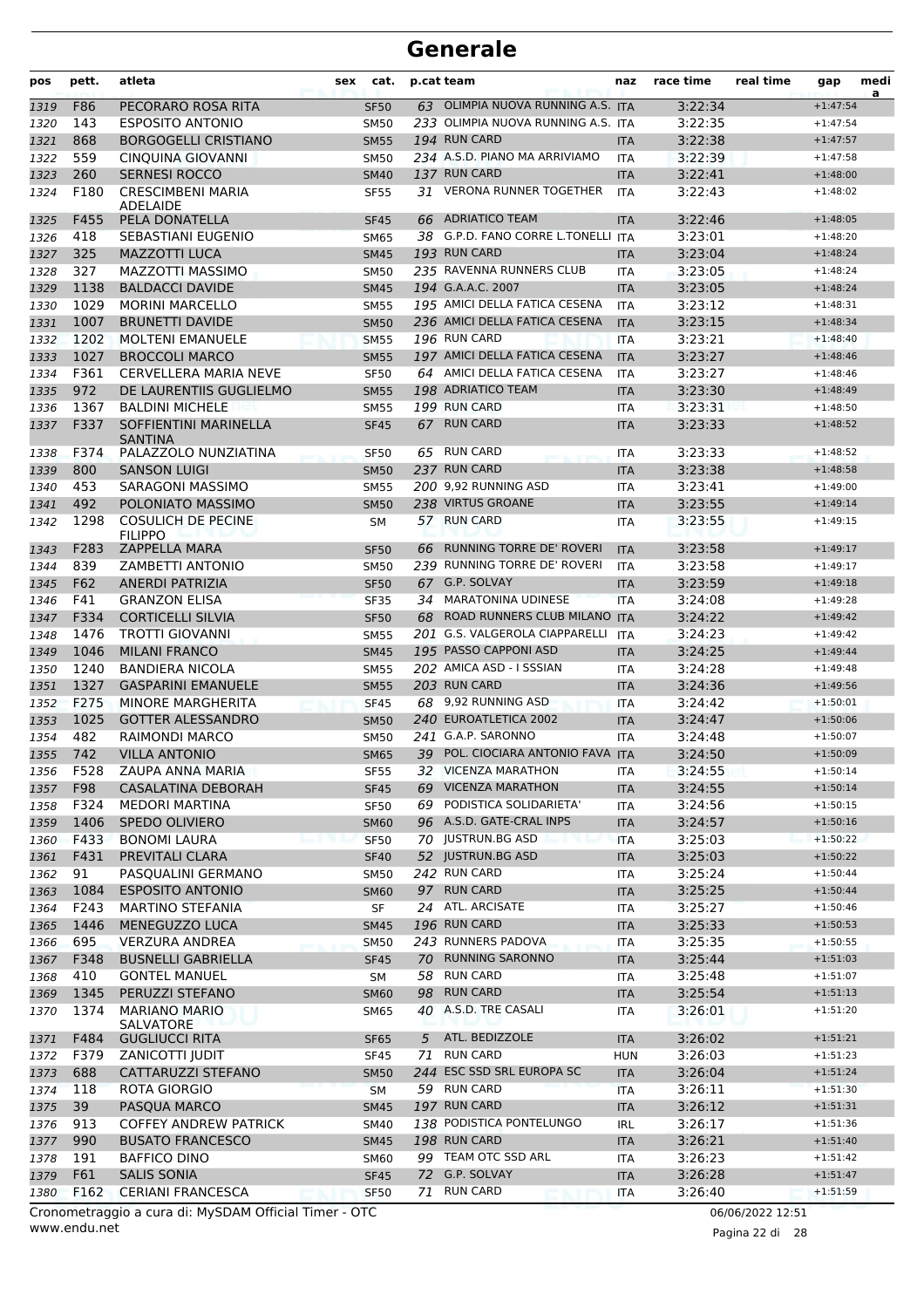| 63 OLIMPIA NUOVA RUNNING A.S. ITA<br>3:22:34<br>F86<br>PECORARO ROSA RITA<br>$+1:47:54$<br><b>SF50</b><br>233 OLIMPIA NUOVA RUNNING A.S. ITA<br>143<br><b>ESPOSITO ANTONIO</b><br>3:22:35<br><b>SM50</b><br>$+1:47:54$<br>194 RUN CARD<br>868<br><b>BORGOGELLI CRISTIANO</b><br>3:22:38<br><b>SM55</b><br>$+1:47:57$<br><b>ITA</b><br>559<br>234 A.S.D. PIANO MA ARRIVIAMO<br>CINQUINA GIOVANNI<br><b>SM50</b><br>3:22:39<br>$+1:47:58$<br><b>ITA</b><br>137 RUN CARD<br><b>SERNESI ROCCO</b><br>260<br>3:22:41<br>1323<br><b>SM40</b><br><b>ITA</b><br>$+1:48:00$<br>F180<br><b>CRESCIMBENI MARIA</b><br>31 VERONA RUNNER TOGETHER<br>3:22:43<br>1324<br><b>SF55</b><br>ITA<br>$+1:48:02$<br><b>ADELAIDE</b><br>F455<br>PELA DONATELLA<br>66 ADRIATICO TEAM<br>3:22:46<br>$+1:48:05$<br><b>SF45</b><br><b>ITA</b><br>418<br>38 G.P.D. FANO CORRE L.TONELLI ITA<br>SEBASTIANI EUGENIO<br>3:23:01<br>$+1:48:20$<br><b>SM65</b><br>325<br>193 RUN CARD<br><b>MAZZOTTI LUCA</b><br>3:23:04<br>1327<br><b>SM45</b><br><b>ITA</b><br>$+1:48:24$<br>327<br>MAZZOTTI MASSIMO<br>235 RAVENNA RUNNERS CLUB<br>3:23:05<br>1328<br><b>SM50</b><br><b>ITA</b><br>$+1:48:24$<br>194 G.A.A.C. 2007<br>1329<br>1138<br><b>BALDACCI DAVIDE</b><br>3:23:05<br>$+1:48:24$<br><b>SM45</b><br><b>ITA</b><br>195 AMICI DELLA FATICA CESENA<br>1029<br><b>MORINI MARCELLO</b><br>3:23:12<br>1330<br><b>SM55</b><br><b>ITA</b><br>$+1:48:31$<br>236 AMICI DELLA FATICA CESENA<br>1007<br><b>BRUNETTI DAVIDE</b><br>3:23:15<br>1331<br><b>SM50</b><br><b>ITA</b><br>$+1:48:34$<br>196 RUN CARD<br>1202<br>3:23:21<br><b>MOLTENI EMANUELE</b><br>$+1:48:40$<br>1332<br><b>SM55</b><br><b>ITA</b><br>1027<br>197 AMICI DELLA FATICA CESENA<br>3:23:27<br><b>BROCCOLI MARCO</b><br>1333<br><b>SM55</b><br><b>ITA</b><br>$+1:48:46$<br>F361<br>CERVELLERA MARIA NEVE<br>64 AMICI DELLA FATICA CESENA<br>3:23:27<br>$+1:48:46$<br>1334<br><b>SF50</b><br><b>ITA</b><br>972<br>198 ADRIATICO TEAM<br>3:23:30<br>1335<br>DE LAURENTIIS GUGLIELMO<br>$+1:48:49$<br><b>SM55</b><br><b>ITA</b><br>199 RUN CARD<br>1367<br><b>BALDINI MICHELE</b><br>3:23:31<br>1336<br><b>SM55</b><br><b>ITA</b><br>$+1:48:50$<br>F337<br><b>RUN CARD</b><br>SOFFIENTINI MARINELLA<br>3:23:33<br>67<br>$+1:48:52$<br><b>SF45</b><br><b>ITA</b><br><b>SANTINA</b><br>F374<br>PALAZZOLO NUNZIATINA<br>65 RUN CARD<br>3:23:33<br>$+1:48:52$<br>1338<br><b>SF50</b><br><b>ITA</b><br>800<br>237 RUN CARD<br>3:23:38<br><b>SANSON LUIGI</b><br><b>SM50</b><br>1339<br><b>ITA</b><br>$+1:48:58$<br>453<br>200 9,92 RUNNING ASD<br>3:23:41<br>SARAGONI MASSIMO<br><b>SM55</b><br><b>ITA</b><br>$+1:49:00$<br>1340<br>238 VIRTUS GROANE<br>492<br>POLONIATO MASSIMO<br>3:23:55<br>$+1:49:14$<br><b>SM50</b><br><b>ITA</b><br>1298<br>57 RUN CARD<br><b>COSULICH DE PECINE</b><br>3:23:55<br>$+1:49:15$<br>SΜ<br>ITA<br><b>FILIPPO</b><br>RUNNING TORRE DE' ROVERI<br>F283<br><b>ZAPPELLA MARA</b><br>3:23:58<br>$+1:49:17$<br>1343<br><b>SF50</b><br><b>ITA</b><br>66<br>239 RUNNING TORRE DE' ROVERI<br>839<br>ZAMBETTI ANTONIO<br>3:23:58<br><b>SM50</b><br><b>ITA</b><br>1344<br>$+1:49:17$<br>F62<br><b>ANERDI PATRIZIA</b><br>67 G.P. SOLVAY<br>3:23:59<br>$+1:49:18$<br><b>SF50</b><br><b>ITA</b><br>F41<br><b>GRANZON ELISA</b><br>34 MARATONINA UDINESE<br>3:24:08<br>$+1:49:28$<br><b>SF35</b><br><b>ITA</b><br>F334<br><b>CORTICELLI SILVIA</b><br>68 ROAD RUNNERS CLUB MILANO ITA<br>3:24:22<br><b>SF50</b><br>$+1:49:42$<br>1476<br><b>TROTTI GIOVANNI</b><br>201 G.S. VALGEROLA CIAPPARELLI<br>3:24:23<br>$+1:49:42$<br><b>SM55</b><br><b>ITA</b><br>1046<br><b>MILANI FRANCO</b><br>195 PASSO CAPPONI ASD<br>3:24:25<br><b>SM45</b><br><b>ITA</b><br>$+1:49:44$<br>202 AMICA ASD - I SSSIAN<br>1240<br><b>BANDIERA NICOLA</b><br>3:24:28<br><b>SM55</b><br><b>ITA</b><br>$+1:49:48$<br>1327<br>203 RUN CARD<br><b>GASPARINI EMANUELE</b><br>3:24:36<br>$+1:49:56$<br><b>SM55</b><br><b>ITA</b><br>F275<br>68 9,92 RUNNING ASD<br><b>MINORE MARGHERITA</b><br>3:24:42<br>1352<br><b>SF45</b><br><b>ITA</b><br>$+1:50:01$<br>240 EUROATLETICA 2002<br>1025<br><b>GOTTER ALESSANDRO</b><br>3:24:47<br>1353<br><b>SM50</b><br><b>ITA</b><br>$+1:50:06$<br>482<br>241 G.A.P. SARONNO<br>RAIMONDI MARCO<br>$+1:50:07$<br>1354<br><b>SM50</b><br><b>ITA</b><br>3:24:48<br>742<br>39 POL. CIOCIARA ANTONIO FAVA ITA<br>1355<br><b>VILLA ANTONIO</b><br>3:24:50<br><b>SM65</b><br>$+1:50:09$<br>F528<br>ZAUPA ANNA MARIA<br><b>SF55</b><br>32 VICENZA MARATHON<br>3:24:55<br>$+1:50:14$<br>ITA<br>1356<br>69 VICENZA MARATHON<br>F98<br><b>CASALATINA DEBORAH</b><br>3:24:55<br>$+1:50:14$<br>1357<br><b>SF45</b><br><b>ITA</b><br>69 PODISTICA SOLIDARIETA'<br>F324<br><b>MEDORI MARTINA</b><br><b>SF50</b><br>3:24:56<br>1358<br>$+1:50:15$<br>ITA<br>1406<br>SPEDO OLIVIERO<br>96 A.S.D. GATE-CRAL INPS<br>3:24:57<br>1359<br><b>SM60</b><br><b>ITA</b><br>$+1:50:16$<br>F433<br>70 JUSTRUN.BG ASD<br><b>BONOMI LAURA</b><br>3:25:03<br>$+1:50:22$<br>1360<br><b>SF50</b><br><b>ITA</b><br>F431<br>52 JUSTRUN.BG ASD<br>PREVITALI CLARA<br>3:25:03<br>$+1:50:22$<br>1361<br><b>SF40</b><br><b>ITA</b><br>242 RUN CARD<br>91<br>3:25:24<br>$+1:50:44$<br>1362<br>PASQUALINI GERMANO<br><b>SM50</b><br>ITA<br>97 RUN CARD<br>1084<br><b>ESPOSITO ANTONIO</b><br>3:25:25<br>$+1:50:44$<br><b>SM60</b><br><b>ITA</b><br>F243<br>24 ATL. ARCISATE<br>3:25:27<br><b>MARTINO STEFANIA</b><br>SF<br>$+1:50:46$<br>ITA<br>196 RUN CARD<br>1446<br>MENEGUZZO LUCA<br>3:25:33<br><b>SM45</b><br><b>ITA</b><br>$+1:50:53$<br>243 RUNNERS PADOVA<br>695<br><b>VERZURA ANDREA</b><br>3:25:35<br>$+1:50:55$<br><b>SM50</b><br><b>ITA</b><br><b>RUNNING SARONNO</b><br>F348<br><b>BUSNELLI GABRIELLA</b><br>3:25:44<br>$+1:51:03$<br><b>SF45</b><br>70<br><b>ITA</b><br>58 RUN CARD<br>410<br>3:25:48<br><b>GONTEL MANUEL</b><br>$+1:51:07$<br>SM<br><b>ITA</b><br><b>RUN CARD</b><br>98<br>1345<br>PERUZZI STEFANO<br>3:25:54<br>$+1:51:13$<br><b>SM60</b><br><b>ITA</b><br>1374<br>40 A.S.D. TRE CASALI<br><b>MARIANO MARIO</b><br>3:26:01<br><b>SM65</b><br>$+1:51:20$<br>ITA<br>SALVATORE<br>F484<br>ATL. BEDIZZOLE<br>3:26:02<br><b>GUGLIUCCI RITA</b><br>$+1:51:21$<br>SF <sub>65</sub><br>5<br><b>ITA</b><br><b>RUN CARD</b><br>F379<br>71<br>3:26:03<br>ZANICOTTI JUDIT<br>$+1:51:23$<br><b>SF45</b><br><b>HUN</b><br>244 ESC SSD SRL EUROPA SC<br>688<br>CATTARUZZI STEFANO<br>3:26:04<br>$+1:51:24$<br><b>SM50</b><br><b>ITA</b><br>59 RUN CARD<br>118<br><b>ROTA GIORGIO</b><br>3:26:11<br>$+1:51:30$<br><b>SM</b><br><b>ITA</b><br>197 RUN CARD<br>39<br>PASQUA MARCO<br>3:26:12<br>$+1:51:31$<br>1375<br><b>SM45</b><br><b>ITA</b><br>138 PODISTICA PONTELUNGO<br>913<br><b>COFFEY ANDREW PATRICK</b><br>3:26:17<br>$+1:51:36$<br>1376<br>SM40<br><b>IRL</b><br>198 RUN CARD<br>990<br><b>BUSATO FRANCESCO</b><br>3:26:21<br>$+1:51:40$<br>1377<br><b>SM45</b><br><b>ITA</b><br>191<br>99 TEAM OTC SSD ARL<br>3:26:23<br>BAFFICO DINO<br>$+1:51:42$<br>1378<br><b>SM60</b><br>ITA<br>F61<br>72 G.P. SOLVAY<br><b>SALIS SONIA</b><br>3:26:28<br>$+1:51:47$<br>1379<br><b>SF45</b><br><b>ITA</b><br><b>RUN CARD</b><br>F162<br><b>CERIANI FRANCESCA</b><br>3:26:40<br>1380<br><b>SF50</b><br>$+1:51:59$<br>71<br><b>ITA</b><br>Cronometraggio a cura di: MySDAM Official Timer - OTC<br>06/06/2022 12:51 | pos  | pett. | atleta | sex | cat. | p.cat team | naz | race time | real time | gap | medi<br>a |
|---------------------------------------------------------------------------------------------------------------------------------------------------------------------------------------------------------------------------------------------------------------------------------------------------------------------------------------------------------------------------------------------------------------------------------------------------------------------------------------------------------------------------------------------------------------------------------------------------------------------------------------------------------------------------------------------------------------------------------------------------------------------------------------------------------------------------------------------------------------------------------------------------------------------------------------------------------------------------------------------------------------------------------------------------------------------------------------------------------------------------------------------------------------------------------------------------------------------------------------------------------------------------------------------------------------------------------------------------------------------------------------------------------------------------------------------------------------------------------------------------------------------------------------------------------------------------------------------------------------------------------------------------------------------------------------------------------------------------------------------------------------------------------------------------------------------------------------------------------------------------------------------------------------------------------------------------------------------------------------------------------------------------------------------------------------------------------------------------------------------------------------------------------------------------------------------------------------------------------------------------------------------------------------------------------------------------------------------------------------------------------------------------------------------------------------------------------------------------------------------------------------------------------------------------------------------------------------------------------------------------------------------------------------------------------------------------------------------------------------------------------------------------------------------------------------------------------------------------------------------------------------------------------------------------------------------------------------------------------------------------------------------------------------------------------------------------------------------------------------------------------------------------------------------------------------------------------------------------------------------------------------------------------------------------------------------------------------------------------------------------------------------------------------------------------------------------------------------------------------------------------------------------------------------------------------------------------------------------------------------------------------------------------------------------------------------------------------------------------------------------------------------------------------------------------------------------------------------------------------------------------------------------------------------------------------------------------------------------------------------------------------------------------------------------------------------------------------------------------------------------------------------------------------------------------------------------------------------------------------------------------------------------------------------------------------------------------------------------------------------------------------------------------------------------------------------------------------------------------------------------------------------------------------------------------------------------------------------------------------------------------------------------------------------------------------------------------------------------------------------------------------------------------------------------------------------------------------------------------------------------------------------------------------------------------------------------------------------------------------------------------------------------------------------------------------------------------------------------------------------------------------------------------------------------------------------------------------------------------------------------------------------------------------------------------------------------------------------------------------------------------------------------------------------------------------------------------------------------------------------------------------------------------------------------------------------------------------------------------------------------------------------------------------------------------------------------------------------------------------------------------------------------------------------------------------------------------------------------------------------------------------------------------------------------------------------------------------------------------------------------------------------------------------------------------------------------------------------------------------------------------------------------------------------------------------------------------------------------------------------------------------------------------------------------------------------------------------------------------------------------------------------------------------------------------------------------------------------------------------------------------------------------------------------------------------------------------------------------------------------------------------------------------------------------------------------------------------------------------------------------------------------------------------------------------------------------------------------------------------------------------------------------------------------------------------------------------------------------------------------------------------------------------------------------------------------------------------------------------------------------------------------------------------------------------------------------------------------------------------------------------------------------------------------------------------------------------------------------|------|-------|--------|-----|------|------------|-----|-----------|-----------|-----|-----------|
|                                                                                                                                                                                                                                                                                                                                                                                                                                                                                                                                                                                                                                                                                                                                                                                                                                                                                                                                                                                                                                                                                                                                                                                                                                                                                                                                                                                                                                                                                                                                                                                                                                                                                                                                                                                                                                                                                                                                                                                                                                                                                                                                                                                                                                                                                                                                                                                                                                                                                                                                                                                                                                                                                                                                                                                                                                                                                                                                                                                                                                                                                                                                                                                                                                                                                                                                                                                                                                                                                                                                                                                                                                                                                                                                                                                                                                                                                                                                                                                                                                                                                                                                                                                                                                                                                                                                                                                                                                                                                                                                                                                                                                                                                                                                                                                                                                                                                                                                                                                                                                                                                                                                                                                                                                                                                                                                                                                                                                                                                                                                                                                                                                                                                                                                                                                                                                                                                                                                                                                                                                                                                                                                                                                                                                                                                                                                                                                                                                                                                                                                                                                                                                                                                                                                                                                                                                                                                                                                                                                                                                                                                                                                                                                                                                                                                                                                                   | 1319 |       |        |     |      |            |     |           |           |     |           |
|                                                                                                                                                                                                                                                                                                                                                                                                                                                                                                                                                                                                                                                                                                                                                                                                                                                                                                                                                                                                                                                                                                                                                                                                                                                                                                                                                                                                                                                                                                                                                                                                                                                                                                                                                                                                                                                                                                                                                                                                                                                                                                                                                                                                                                                                                                                                                                                                                                                                                                                                                                                                                                                                                                                                                                                                                                                                                                                                                                                                                                                                                                                                                                                                                                                                                                                                                                                                                                                                                                                                                                                                                                                                                                                                                                                                                                                                                                                                                                                                                                                                                                                                                                                                                                                                                                                                                                                                                                                                                                                                                                                                                                                                                                                                                                                                                                                                                                                                                                                                                                                                                                                                                                                                                                                                                                                                                                                                                                                                                                                                                                                                                                                                                                                                                                                                                                                                                                                                                                                                                                                                                                                                                                                                                                                                                                                                                                                                                                                                                                                                                                                                                                                                                                                                                                                                                                                                                                                                                                                                                                                                                                                                                                                                                                                                                                                                                   | 1320 |       |        |     |      |            |     |           |           |     |           |
|                                                                                                                                                                                                                                                                                                                                                                                                                                                                                                                                                                                                                                                                                                                                                                                                                                                                                                                                                                                                                                                                                                                                                                                                                                                                                                                                                                                                                                                                                                                                                                                                                                                                                                                                                                                                                                                                                                                                                                                                                                                                                                                                                                                                                                                                                                                                                                                                                                                                                                                                                                                                                                                                                                                                                                                                                                                                                                                                                                                                                                                                                                                                                                                                                                                                                                                                                                                                                                                                                                                                                                                                                                                                                                                                                                                                                                                                                                                                                                                                                                                                                                                                                                                                                                                                                                                                                                                                                                                                                                                                                                                                                                                                                                                                                                                                                                                                                                                                                                                                                                                                                                                                                                                                                                                                                                                                                                                                                                                                                                                                                                                                                                                                                                                                                                                                                                                                                                                                                                                                                                                                                                                                                                                                                                                                                                                                                                                                                                                                                                                                                                                                                                                                                                                                                                                                                                                                                                                                                                                                                                                                                                                                                                                                                                                                                                                                                   | 1321 |       |        |     |      |            |     |           |           |     |           |
|                                                                                                                                                                                                                                                                                                                                                                                                                                                                                                                                                                                                                                                                                                                                                                                                                                                                                                                                                                                                                                                                                                                                                                                                                                                                                                                                                                                                                                                                                                                                                                                                                                                                                                                                                                                                                                                                                                                                                                                                                                                                                                                                                                                                                                                                                                                                                                                                                                                                                                                                                                                                                                                                                                                                                                                                                                                                                                                                                                                                                                                                                                                                                                                                                                                                                                                                                                                                                                                                                                                                                                                                                                                                                                                                                                                                                                                                                                                                                                                                                                                                                                                                                                                                                                                                                                                                                                                                                                                                                                                                                                                                                                                                                                                                                                                                                                                                                                                                                                                                                                                                                                                                                                                                                                                                                                                                                                                                                                                                                                                                                                                                                                                                                                                                                                                                                                                                                                                                                                                                                                                                                                                                                                                                                                                                                                                                                                                                                                                                                                                                                                                                                                                                                                                                                                                                                                                                                                                                                                                                                                                                                                                                                                                                                                                                                                                                                   | 1322 |       |        |     |      |            |     |           |           |     |           |
|                                                                                                                                                                                                                                                                                                                                                                                                                                                                                                                                                                                                                                                                                                                                                                                                                                                                                                                                                                                                                                                                                                                                                                                                                                                                                                                                                                                                                                                                                                                                                                                                                                                                                                                                                                                                                                                                                                                                                                                                                                                                                                                                                                                                                                                                                                                                                                                                                                                                                                                                                                                                                                                                                                                                                                                                                                                                                                                                                                                                                                                                                                                                                                                                                                                                                                                                                                                                                                                                                                                                                                                                                                                                                                                                                                                                                                                                                                                                                                                                                                                                                                                                                                                                                                                                                                                                                                                                                                                                                                                                                                                                                                                                                                                                                                                                                                                                                                                                                                                                                                                                                                                                                                                                                                                                                                                                                                                                                                                                                                                                                                                                                                                                                                                                                                                                                                                                                                                                                                                                                                                                                                                                                                                                                                                                                                                                                                                                                                                                                                                                                                                                                                                                                                                                                                                                                                                                                                                                                                                                                                                                                                                                                                                                                                                                                                                                                   |      |       |        |     |      |            |     |           |           |     |           |
|                                                                                                                                                                                                                                                                                                                                                                                                                                                                                                                                                                                                                                                                                                                                                                                                                                                                                                                                                                                                                                                                                                                                                                                                                                                                                                                                                                                                                                                                                                                                                                                                                                                                                                                                                                                                                                                                                                                                                                                                                                                                                                                                                                                                                                                                                                                                                                                                                                                                                                                                                                                                                                                                                                                                                                                                                                                                                                                                                                                                                                                                                                                                                                                                                                                                                                                                                                                                                                                                                                                                                                                                                                                                                                                                                                                                                                                                                                                                                                                                                                                                                                                                                                                                                                                                                                                                                                                                                                                                                                                                                                                                                                                                                                                                                                                                                                                                                                                                                                                                                                                                                                                                                                                                                                                                                                                                                                                                                                                                                                                                                                                                                                                                                                                                                                                                                                                                                                                                                                                                                                                                                                                                                                                                                                                                                                                                                                                                                                                                                                                                                                                                                                                                                                                                                                                                                                                                                                                                                                                                                                                                                                                                                                                                                                                                                                                                                   |      |       |        |     |      |            |     |           |           |     |           |
|                                                                                                                                                                                                                                                                                                                                                                                                                                                                                                                                                                                                                                                                                                                                                                                                                                                                                                                                                                                                                                                                                                                                                                                                                                                                                                                                                                                                                                                                                                                                                                                                                                                                                                                                                                                                                                                                                                                                                                                                                                                                                                                                                                                                                                                                                                                                                                                                                                                                                                                                                                                                                                                                                                                                                                                                                                                                                                                                                                                                                                                                                                                                                                                                                                                                                                                                                                                                                                                                                                                                                                                                                                                                                                                                                                                                                                                                                                                                                                                                                                                                                                                                                                                                                                                                                                                                                                                                                                                                                                                                                                                                                                                                                                                                                                                                                                                                                                                                                                                                                                                                                                                                                                                                                                                                                                                                                                                                                                                                                                                                                                                                                                                                                                                                                                                                                                                                                                                                                                                                                                                                                                                                                                                                                                                                                                                                                                                                                                                                                                                                                                                                                                                                                                                                                                                                                                                                                                                                                                                                                                                                                                                                                                                                                                                                                                                                                   | 1325 |       |        |     |      |            |     |           |           |     |           |
|                                                                                                                                                                                                                                                                                                                                                                                                                                                                                                                                                                                                                                                                                                                                                                                                                                                                                                                                                                                                                                                                                                                                                                                                                                                                                                                                                                                                                                                                                                                                                                                                                                                                                                                                                                                                                                                                                                                                                                                                                                                                                                                                                                                                                                                                                                                                                                                                                                                                                                                                                                                                                                                                                                                                                                                                                                                                                                                                                                                                                                                                                                                                                                                                                                                                                                                                                                                                                                                                                                                                                                                                                                                                                                                                                                                                                                                                                                                                                                                                                                                                                                                                                                                                                                                                                                                                                                                                                                                                                                                                                                                                                                                                                                                                                                                                                                                                                                                                                                                                                                                                                                                                                                                                                                                                                                                                                                                                                                                                                                                                                                                                                                                                                                                                                                                                                                                                                                                                                                                                                                                                                                                                                                                                                                                                                                                                                                                                                                                                                                                                                                                                                                                                                                                                                                                                                                                                                                                                                                                                                                                                                                                                                                                                                                                                                                                                                   | 1326 |       |        |     |      |            |     |           |           |     |           |
|                                                                                                                                                                                                                                                                                                                                                                                                                                                                                                                                                                                                                                                                                                                                                                                                                                                                                                                                                                                                                                                                                                                                                                                                                                                                                                                                                                                                                                                                                                                                                                                                                                                                                                                                                                                                                                                                                                                                                                                                                                                                                                                                                                                                                                                                                                                                                                                                                                                                                                                                                                                                                                                                                                                                                                                                                                                                                                                                                                                                                                                                                                                                                                                                                                                                                                                                                                                                                                                                                                                                                                                                                                                                                                                                                                                                                                                                                                                                                                                                                                                                                                                                                                                                                                                                                                                                                                                                                                                                                                                                                                                                                                                                                                                                                                                                                                                                                                                                                                                                                                                                                                                                                                                                                                                                                                                                                                                                                                                                                                                                                                                                                                                                                                                                                                                                                                                                                                                                                                                                                                                                                                                                                                                                                                                                                                                                                                                                                                                                                                                                                                                                                                                                                                                                                                                                                                                                                                                                                                                                                                                                                                                                                                                                                                                                                                                                                   |      |       |        |     |      |            |     |           |           |     |           |
|                                                                                                                                                                                                                                                                                                                                                                                                                                                                                                                                                                                                                                                                                                                                                                                                                                                                                                                                                                                                                                                                                                                                                                                                                                                                                                                                                                                                                                                                                                                                                                                                                                                                                                                                                                                                                                                                                                                                                                                                                                                                                                                                                                                                                                                                                                                                                                                                                                                                                                                                                                                                                                                                                                                                                                                                                                                                                                                                                                                                                                                                                                                                                                                                                                                                                                                                                                                                                                                                                                                                                                                                                                                                                                                                                                                                                                                                                                                                                                                                                                                                                                                                                                                                                                                                                                                                                                                                                                                                                                                                                                                                                                                                                                                                                                                                                                                                                                                                                                                                                                                                                                                                                                                                                                                                                                                                                                                                                                                                                                                                                                                                                                                                                                                                                                                                                                                                                                                                                                                                                                                                                                                                                                                                                                                                                                                                                                                                                                                                                                                                                                                                                                                                                                                                                                                                                                                                                                                                                                                                                                                                                                                                                                                                                                                                                                                                                   |      |       |        |     |      |            |     |           |           |     |           |
|                                                                                                                                                                                                                                                                                                                                                                                                                                                                                                                                                                                                                                                                                                                                                                                                                                                                                                                                                                                                                                                                                                                                                                                                                                                                                                                                                                                                                                                                                                                                                                                                                                                                                                                                                                                                                                                                                                                                                                                                                                                                                                                                                                                                                                                                                                                                                                                                                                                                                                                                                                                                                                                                                                                                                                                                                                                                                                                                                                                                                                                                                                                                                                                                                                                                                                                                                                                                                                                                                                                                                                                                                                                                                                                                                                                                                                                                                                                                                                                                                                                                                                                                                                                                                                                                                                                                                                                                                                                                                                                                                                                                                                                                                                                                                                                                                                                                                                                                                                                                                                                                                                                                                                                                                                                                                                                                                                                                                                                                                                                                                                                                                                                                                                                                                                                                                                                                                                                                                                                                                                                                                                                                                                                                                                                                                                                                                                                                                                                                                                                                                                                                                                                                                                                                                                                                                                                                                                                                                                                                                                                                                                                                                                                                                                                                                                                                                   |      |       |        |     |      |            |     |           |           |     |           |
|                                                                                                                                                                                                                                                                                                                                                                                                                                                                                                                                                                                                                                                                                                                                                                                                                                                                                                                                                                                                                                                                                                                                                                                                                                                                                                                                                                                                                                                                                                                                                                                                                                                                                                                                                                                                                                                                                                                                                                                                                                                                                                                                                                                                                                                                                                                                                                                                                                                                                                                                                                                                                                                                                                                                                                                                                                                                                                                                                                                                                                                                                                                                                                                                                                                                                                                                                                                                                                                                                                                                                                                                                                                                                                                                                                                                                                                                                                                                                                                                                                                                                                                                                                                                                                                                                                                                                                                                                                                                                                                                                                                                                                                                                                                                                                                                                                                                                                                                                                                                                                                                                                                                                                                                                                                                                                                                                                                                                                                                                                                                                                                                                                                                                                                                                                                                                                                                                                                                                                                                                                                                                                                                                                                                                                                                                                                                                                                                                                                                                                                                                                                                                                                                                                                                                                                                                                                                                                                                                                                                                                                                                                                                                                                                                                                                                                                                                   |      |       |        |     |      |            |     |           |           |     |           |
|                                                                                                                                                                                                                                                                                                                                                                                                                                                                                                                                                                                                                                                                                                                                                                                                                                                                                                                                                                                                                                                                                                                                                                                                                                                                                                                                                                                                                                                                                                                                                                                                                                                                                                                                                                                                                                                                                                                                                                                                                                                                                                                                                                                                                                                                                                                                                                                                                                                                                                                                                                                                                                                                                                                                                                                                                                                                                                                                                                                                                                                                                                                                                                                                                                                                                                                                                                                                                                                                                                                                                                                                                                                                                                                                                                                                                                                                                                                                                                                                                                                                                                                                                                                                                                                                                                                                                                                                                                                                                                                                                                                                                                                                                                                                                                                                                                                                                                                                                                                                                                                                                                                                                                                                                                                                                                                                                                                                                                                                                                                                                                                                                                                                                                                                                                                                                                                                                                                                                                                                                                                                                                                                                                                                                                                                                                                                                                                                                                                                                                                                                                                                                                                                                                                                                                                                                                                                                                                                                                                                                                                                                                                                                                                                                                                                                                                                                   |      |       |        |     |      |            |     |           |           |     |           |
|                                                                                                                                                                                                                                                                                                                                                                                                                                                                                                                                                                                                                                                                                                                                                                                                                                                                                                                                                                                                                                                                                                                                                                                                                                                                                                                                                                                                                                                                                                                                                                                                                                                                                                                                                                                                                                                                                                                                                                                                                                                                                                                                                                                                                                                                                                                                                                                                                                                                                                                                                                                                                                                                                                                                                                                                                                                                                                                                                                                                                                                                                                                                                                                                                                                                                                                                                                                                                                                                                                                                                                                                                                                                                                                                                                                                                                                                                                                                                                                                                                                                                                                                                                                                                                                                                                                                                                                                                                                                                                                                                                                                                                                                                                                                                                                                                                                                                                                                                                                                                                                                                                                                                                                                                                                                                                                                                                                                                                                                                                                                                                                                                                                                                                                                                                                                                                                                                                                                                                                                                                                                                                                                                                                                                                                                                                                                                                                                                                                                                                                                                                                                                                                                                                                                                                                                                                                                                                                                                                                                                                                                                                                                                                                                                                                                                                                                                   |      |       |        |     |      |            |     |           |           |     |           |
|                                                                                                                                                                                                                                                                                                                                                                                                                                                                                                                                                                                                                                                                                                                                                                                                                                                                                                                                                                                                                                                                                                                                                                                                                                                                                                                                                                                                                                                                                                                                                                                                                                                                                                                                                                                                                                                                                                                                                                                                                                                                                                                                                                                                                                                                                                                                                                                                                                                                                                                                                                                                                                                                                                                                                                                                                                                                                                                                                                                                                                                                                                                                                                                                                                                                                                                                                                                                                                                                                                                                                                                                                                                                                                                                                                                                                                                                                                                                                                                                                                                                                                                                                                                                                                                                                                                                                                                                                                                                                                                                                                                                                                                                                                                                                                                                                                                                                                                                                                                                                                                                                                                                                                                                                                                                                                                                                                                                                                                                                                                                                                                                                                                                                                                                                                                                                                                                                                                                                                                                                                                                                                                                                                                                                                                                                                                                                                                                                                                                                                                                                                                                                                                                                                                                                                                                                                                                                                                                                                                                                                                                                                                                                                                                                                                                                                                                                   |      |       |        |     |      |            |     |           |           |     |           |
|                                                                                                                                                                                                                                                                                                                                                                                                                                                                                                                                                                                                                                                                                                                                                                                                                                                                                                                                                                                                                                                                                                                                                                                                                                                                                                                                                                                                                                                                                                                                                                                                                                                                                                                                                                                                                                                                                                                                                                                                                                                                                                                                                                                                                                                                                                                                                                                                                                                                                                                                                                                                                                                                                                                                                                                                                                                                                                                                                                                                                                                                                                                                                                                                                                                                                                                                                                                                                                                                                                                                                                                                                                                                                                                                                                                                                                                                                                                                                                                                                                                                                                                                                                                                                                                                                                                                                                                                                                                                                                                                                                                                                                                                                                                                                                                                                                                                                                                                                                                                                                                                                                                                                                                                                                                                                                                                                                                                                                                                                                                                                                                                                                                                                                                                                                                                                                                                                                                                                                                                                                                                                                                                                                                                                                                                                                                                                                                                                                                                                                                                                                                                                                                                                                                                                                                                                                                                                                                                                                                                                                                                                                                                                                                                                                                                                                                                                   |      |       |        |     |      |            |     |           |           |     |           |
|                                                                                                                                                                                                                                                                                                                                                                                                                                                                                                                                                                                                                                                                                                                                                                                                                                                                                                                                                                                                                                                                                                                                                                                                                                                                                                                                                                                                                                                                                                                                                                                                                                                                                                                                                                                                                                                                                                                                                                                                                                                                                                                                                                                                                                                                                                                                                                                                                                                                                                                                                                                                                                                                                                                                                                                                                                                                                                                                                                                                                                                                                                                                                                                                                                                                                                                                                                                                                                                                                                                                                                                                                                                                                                                                                                                                                                                                                                                                                                                                                                                                                                                                                                                                                                                                                                                                                                                                                                                                                                                                                                                                                                                                                                                                                                                                                                                                                                                                                                                                                                                                                                                                                                                                                                                                                                                                                                                                                                                                                                                                                                                                                                                                                                                                                                                                                                                                                                                                                                                                                                                                                                                                                                                                                                                                                                                                                                                                                                                                                                                                                                                                                                                                                                                                                                                                                                                                                                                                                                                                                                                                                                                                                                                                                                                                                                                                                   |      |       |        |     |      |            |     |           |           |     |           |
|                                                                                                                                                                                                                                                                                                                                                                                                                                                                                                                                                                                                                                                                                                                                                                                                                                                                                                                                                                                                                                                                                                                                                                                                                                                                                                                                                                                                                                                                                                                                                                                                                                                                                                                                                                                                                                                                                                                                                                                                                                                                                                                                                                                                                                                                                                                                                                                                                                                                                                                                                                                                                                                                                                                                                                                                                                                                                                                                                                                                                                                                                                                                                                                                                                                                                                                                                                                                                                                                                                                                                                                                                                                                                                                                                                                                                                                                                                                                                                                                                                                                                                                                                                                                                                                                                                                                                                                                                                                                                                                                                                                                                                                                                                                                                                                                                                                                                                                                                                                                                                                                                                                                                                                                                                                                                                                                                                                                                                                                                                                                                                                                                                                                                                                                                                                                                                                                                                                                                                                                                                                                                                                                                                                                                                                                                                                                                                                                                                                                                                                                                                                                                                                                                                                                                                                                                                                                                                                                                                                                                                                                                                                                                                                                                                                                                                                                                   | 1337 |       |        |     |      |            |     |           |           |     |           |
|                                                                                                                                                                                                                                                                                                                                                                                                                                                                                                                                                                                                                                                                                                                                                                                                                                                                                                                                                                                                                                                                                                                                                                                                                                                                                                                                                                                                                                                                                                                                                                                                                                                                                                                                                                                                                                                                                                                                                                                                                                                                                                                                                                                                                                                                                                                                                                                                                                                                                                                                                                                                                                                                                                                                                                                                                                                                                                                                                                                                                                                                                                                                                                                                                                                                                                                                                                                                                                                                                                                                                                                                                                                                                                                                                                                                                                                                                                                                                                                                                                                                                                                                                                                                                                                                                                                                                                                                                                                                                                                                                                                                                                                                                                                                                                                                                                                                                                                                                                                                                                                                                                                                                                                                                                                                                                                                                                                                                                                                                                                                                                                                                                                                                                                                                                                                                                                                                                                                                                                                                                                                                                                                                                                                                                                                                                                                                                                                                                                                                                                                                                                                                                                                                                                                                                                                                                                                                                                                                                                                                                                                                                                                                                                                                                                                                                                                                   |      |       |        |     |      |            |     |           |           |     |           |
|                                                                                                                                                                                                                                                                                                                                                                                                                                                                                                                                                                                                                                                                                                                                                                                                                                                                                                                                                                                                                                                                                                                                                                                                                                                                                                                                                                                                                                                                                                                                                                                                                                                                                                                                                                                                                                                                                                                                                                                                                                                                                                                                                                                                                                                                                                                                                                                                                                                                                                                                                                                                                                                                                                                                                                                                                                                                                                                                                                                                                                                                                                                                                                                                                                                                                                                                                                                                                                                                                                                                                                                                                                                                                                                                                                                                                                                                                                                                                                                                                                                                                                                                                                                                                                                                                                                                                                                                                                                                                                                                                                                                                                                                                                                                                                                                                                                                                                                                                                                                                                                                                                                                                                                                                                                                                                                                                                                                                                                                                                                                                                                                                                                                                                                                                                                                                                                                                                                                                                                                                                                                                                                                                                                                                                                                                                                                                                                                                                                                                                                                                                                                                                                                                                                                                                                                                                                                                                                                                                                                                                                                                                                                                                                                                                                                                                                                                   |      |       |        |     |      |            |     |           |           |     |           |
|                                                                                                                                                                                                                                                                                                                                                                                                                                                                                                                                                                                                                                                                                                                                                                                                                                                                                                                                                                                                                                                                                                                                                                                                                                                                                                                                                                                                                                                                                                                                                                                                                                                                                                                                                                                                                                                                                                                                                                                                                                                                                                                                                                                                                                                                                                                                                                                                                                                                                                                                                                                                                                                                                                                                                                                                                                                                                                                                                                                                                                                                                                                                                                                                                                                                                                                                                                                                                                                                                                                                                                                                                                                                                                                                                                                                                                                                                                                                                                                                                                                                                                                                                                                                                                                                                                                                                                                                                                                                                                                                                                                                                                                                                                                                                                                                                                                                                                                                                                                                                                                                                                                                                                                                                                                                                                                                                                                                                                                                                                                                                                                                                                                                                                                                                                                                                                                                                                                                                                                                                                                                                                                                                                                                                                                                                                                                                                                                                                                                                                                                                                                                                                                                                                                                                                                                                                                                                                                                                                                                                                                                                                                                                                                                                                                                                                                                                   |      |       |        |     |      |            |     |           |           |     |           |
|                                                                                                                                                                                                                                                                                                                                                                                                                                                                                                                                                                                                                                                                                                                                                                                                                                                                                                                                                                                                                                                                                                                                                                                                                                                                                                                                                                                                                                                                                                                                                                                                                                                                                                                                                                                                                                                                                                                                                                                                                                                                                                                                                                                                                                                                                                                                                                                                                                                                                                                                                                                                                                                                                                                                                                                                                                                                                                                                                                                                                                                                                                                                                                                                                                                                                                                                                                                                                                                                                                                                                                                                                                                                                                                                                                                                                                                                                                                                                                                                                                                                                                                                                                                                                                                                                                                                                                                                                                                                                                                                                                                                                                                                                                                                                                                                                                                                                                                                                                                                                                                                                                                                                                                                                                                                                                                                                                                                                                                                                                                                                                                                                                                                                                                                                                                                                                                                                                                                                                                                                                                                                                                                                                                                                                                                                                                                                                                                                                                                                                                                                                                                                                                                                                                                                                                                                                                                                                                                                                                                                                                                                                                                                                                                                                                                                                                                                   | 1341 |       |        |     |      |            |     |           |           |     |           |
|                                                                                                                                                                                                                                                                                                                                                                                                                                                                                                                                                                                                                                                                                                                                                                                                                                                                                                                                                                                                                                                                                                                                                                                                                                                                                                                                                                                                                                                                                                                                                                                                                                                                                                                                                                                                                                                                                                                                                                                                                                                                                                                                                                                                                                                                                                                                                                                                                                                                                                                                                                                                                                                                                                                                                                                                                                                                                                                                                                                                                                                                                                                                                                                                                                                                                                                                                                                                                                                                                                                                                                                                                                                                                                                                                                                                                                                                                                                                                                                                                                                                                                                                                                                                                                                                                                                                                                                                                                                                                                                                                                                                                                                                                                                                                                                                                                                                                                                                                                                                                                                                                                                                                                                                                                                                                                                                                                                                                                                                                                                                                                                                                                                                                                                                                                                                                                                                                                                                                                                                                                                                                                                                                                                                                                                                                                                                                                                                                                                                                                                                                                                                                                                                                                                                                                                                                                                                                                                                                                                                                                                                                                                                                                                                                                                                                                                                                   | 1342 |       |        |     |      |            |     |           |           |     |           |
|                                                                                                                                                                                                                                                                                                                                                                                                                                                                                                                                                                                                                                                                                                                                                                                                                                                                                                                                                                                                                                                                                                                                                                                                                                                                                                                                                                                                                                                                                                                                                                                                                                                                                                                                                                                                                                                                                                                                                                                                                                                                                                                                                                                                                                                                                                                                                                                                                                                                                                                                                                                                                                                                                                                                                                                                                                                                                                                                                                                                                                                                                                                                                                                                                                                                                                                                                                                                                                                                                                                                                                                                                                                                                                                                                                                                                                                                                                                                                                                                                                                                                                                                                                                                                                                                                                                                                                                                                                                                                                                                                                                                                                                                                                                                                                                                                                                                                                                                                                                                                                                                                                                                                                                                                                                                                                                                                                                                                                                                                                                                                                                                                                                                                                                                                                                                                                                                                                                                                                                                                                                                                                                                                                                                                                                                                                                                                                                                                                                                                                                                                                                                                                                                                                                                                                                                                                                                                                                                                                                                                                                                                                                                                                                                                                                                                                                                                   |      |       |        |     |      |            |     |           |           |     |           |
|                                                                                                                                                                                                                                                                                                                                                                                                                                                                                                                                                                                                                                                                                                                                                                                                                                                                                                                                                                                                                                                                                                                                                                                                                                                                                                                                                                                                                                                                                                                                                                                                                                                                                                                                                                                                                                                                                                                                                                                                                                                                                                                                                                                                                                                                                                                                                                                                                                                                                                                                                                                                                                                                                                                                                                                                                                                                                                                                                                                                                                                                                                                                                                                                                                                                                                                                                                                                                                                                                                                                                                                                                                                                                                                                                                                                                                                                                                                                                                                                                                                                                                                                                                                                                                                                                                                                                                                                                                                                                                                                                                                                                                                                                                                                                                                                                                                                                                                                                                                                                                                                                                                                                                                                                                                                                                                                                                                                                                                                                                                                                                                                                                                                                                                                                                                                                                                                                                                                                                                                                                                                                                                                                                                                                                                                                                                                                                                                                                                                                                                                                                                                                                                                                                                                                                                                                                                                                                                                                                                                                                                                                                                                                                                                                                                                                                                                                   |      |       |        |     |      |            |     |           |           |     |           |
|                                                                                                                                                                                                                                                                                                                                                                                                                                                                                                                                                                                                                                                                                                                                                                                                                                                                                                                                                                                                                                                                                                                                                                                                                                                                                                                                                                                                                                                                                                                                                                                                                                                                                                                                                                                                                                                                                                                                                                                                                                                                                                                                                                                                                                                                                                                                                                                                                                                                                                                                                                                                                                                                                                                                                                                                                                                                                                                                                                                                                                                                                                                                                                                                                                                                                                                                                                                                                                                                                                                                                                                                                                                                                                                                                                                                                                                                                                                                                                                                                                                                                                                                                                                                                                                                                                                                                                                                                                                                                                                                                                                                                                                                                                                                                                                                                                                                                                                                                                                                                                                                                                                                                                                                                                                                                                                                                                                                                                                                                                                                                                                                                                                                                                                                                                                                                                                                                                                                                                                                                                                                                                                                                                                                                                                                                                                                                                                                                                                                                                                                                                                                                                                                                                                                                                                                                                                                                                                                                                                                                                                                                                                                                                                                                                                                                                                                                   | 1345 |       |        |     |      |            |     |           |           |     |           |
|                                                                                                                                                                                                                                                                                                                                                                                                                                                                                                                                                                                                                                                                                                                                                                                                                                                                                                                                                                                                                                                                                                                                                                                                                                                                                                                                                                                                                                                                                                                                                                                                                                                                                                                                                                                                                                                                                                                                                                                                                                                                                                                                                                                                                                                                                                                                                                                                                                                                                                                                                                                                                                                                                                                                                                                                                                                                                                                                                                                                                                                                                                                                                                                                                                                                                                                                                                                                                                                                                                                                                                                                                                                                                                                                                                                                                                                                                                                                                                                                                                                                                                                                                                                                                                                                                                                                                                                                                                                                                                                                                                                                                                                                                                                                                                                                                                                                                                                                                                                                                                                                                                                                                                                                                                                                                                                                                                                                                                                                                                                                                                                                                                                                                                                                                                                                                                                                                                                                                                                                                                                                                                                                                                                                                                                                                                                                                                                                                                                                                                                                                                                                                                                                                                                                                                                                                                                                                                                                                                                                                                                                                                                                                                                                                                                                                                                                                   | 1346 |       |        |     |      |            |     |           |           |     |           |
|                                                                                                                                                                                                                                                                                                                                                                                                                                                                                                                                                                                                                                                                                                                                                                                                                                                                                                                                                                                                                                                                                                                                                                                                                                                                                                                                                                                                                                                                                                                                                                                                                                                                                                                                                                                                                                                                                                                                                                                                                                                                                                                                                                                                                                                                                                                                                                                                                                                                                                                                                                                                                                                                                                                                                                                                                                                                                                                                                                                                                                                                                                                                                                                                                                                                                                                                                                                                                                                                                                                                                                                                                                                                                                                                                                                                                                                                                                                                                                                                                                                                                                                                                                                                                                                                                                                                                                                                                                                                                                                                                                                                                                                                                                                                                                                                                                                                                                                                                                                                                                                                                                                                                                                                                                                                                                                                                                                                                                                                                                                                                                                                                                                                                                                                                                                                                                                                                                                                                                                                                                                                                                                                                                                                                                                                                                                                                                                                                                                                                                                                                                                                                                                                                                                                                                                                                                                                                                                                                                                                                                                                                                                                                                                                                                                                                                                                                   | 1347 |       |        |     |      |            |     |           |           |     |           |
|                                                                                                                                                                                                                                                                                                                                                                                                                                                                                                                                                                                                                                                                                                                                                                                                                                                                                                                                                                                                                                                                                                                                                                                                                                                                                                                                                                                                                                                                                                                                                                                                                                                                                                                                                                                                                                                                                                                                                                                                                                                                                                                                                                                                                                                                                                                                                                                                                                                                                                                                                                                                                                                                                                                                                                                                                                                                                                                                                                                                                                                                                                                                                                                                                                                                                                                                                                                                                                                                                                                                                                                                                                                                                                                                                                                                                                                                                                                                                                                                                                                                                                                                                                                                                                                                                                                                                                                                                                                                                                                                                                                                                                                                                                                                                                                                                                                                                                                                                                                                                                                                                                                                                                                                                                                                                                                                                                                                                                                                                                                                                                                                                                                                                                                                                                                                                                                                                                                                                                                                                                                                                                                                                                                                                                                                                                                                                                                                                                                                                                                                                                                                                                                                                                                                                                                                                                                                                                                                                                                                                                                                                                                                                                                                                                                                                                                                                   | 1348 |       |        |     |      |            |     |           |           |     |           |
|                                                                                                                                                                                                                                                                                                                                                                                                                                                                                                                                                                                                                                                                                                                                                                                                                                                                                                                                                                                                                                                                                                                                                                                                                                                                                                                                                                                                                                                                                                                                                                                                                                                                                                                                                                                                                                                                                                                                                                                                                                                                                                                                                                                                                                                                                                                                                                                                                                                                                                                                                                                                                                                                                                                                                                                                                                                                                                                                                                                                                                                                                                                                                                                                                                                                                                                                                                                                                                                                                                                                                                                                                                                                                                                                                                                                                                                                                                                                                                                                                                                                                                                                                                                                                                                                                                                                                                                                                                                                                                                                                                                                                                                                                                                                                                                                                                                                                                                                                                                                                                                                                                                                                                                                                                                                                                                                                                                                                                                                                                                                                                                                                                                                                                                                                                                                                                                                                                                                                                                                                                                                                                                                                                                                                                                                                                                                                                                                                                                                                                                                                                                                                                                                                                                                                                                                                                                                                                                                                                                                                                                                                                                                                                                                                                                                                                                                                   | 1349 |       |        |     |      |            |     |           |           |     |           |
|                                                                                                                                                                                                                                                                                                                                                                                                                                                                                                                                                                                                                                                                                                                                                                                                                                                                                                                                                                                                                                                                                                                                                                                                                                                                                                                                                                                                                                                                                                                                                                                                                                                                                                                                                                                                                                                                                                                                                                                                                                                                                                                                                                                                                                                                                                                                                                                                                                                                                                                                                                                                                                                                                                                                                                                                                                                                                                                                                                                                                                                                                                                                                                                                                                                                                                                                                                                                                                                                                                                                                                                                                                                                                                                                                                                                                                                                                                                                                                                                                                                                                                                                                                                                                                                                                                                                                                                                                                                                                                                                                                                                                                                                                                                                                                                                                                                                                                                                                                                                                                                                                                                                                                                                                                                                                                                                                                                                                                                                                                                                                                                                                                                                                                                                                                                                                                                                                                                                                                                                                                                                                                                                                                                                                                                                                                                                                                                                                                                                                                                                                                                                                                                                                                                                                                                                                                                                                                                                                                                                                                                                                                                                                                                                                                                                                                                                                   | 1350 |       |        |     |      |            |     |           |           |     |           |
|                                                                                                                                                                                                                                                                                                                                                                                                                                                                                                                                                                                                                                                                                                                                                                                                                                                                                                                                                                                                                                                                                                                                                                                                                                                                                                                                                                                                                                                                                                                                                                                                                                                                                                                                                                                                                                                                                                                                                                                                                                                                                                                                                                                                                                                                                                                                                                                                                                                                                                                                                                                                                                                                                                                                                                                                                                                                                                                                                                                                                                                                                                                                                                                                                                                                                                                                                                                                                                                                                                                                                                                                                                                                                                                                                                                                                                                                                                                                                                                                                                                                                                                                                                                                                                                                                                                                                                                                                                                                                                                                                                                                                                                                                                                                                                                                                                                                                                                                                                                                                                                                                                                                                                                                                                                                                                                                                                                                                                                                                                                                                                                                                                                                                                                                                                                                                                                                                                                                                                                                                                                                                                                                                                                                                                                                                                                                                                                                                                                                                                                                                                                                                                                                                                                                                                                                                                                                                                                                                                                                                                                                                                                                                                                                                                                                                                                                                   | 1351 |       |        |     |      |            |     |           |           |     |           |
|                                                                                                                                                                                                                                                                                                                                                                                                                                                                                                                                                                                                                                                                                                                                                                                                                                                                                                                                                                                                                                                                                                                                                                                                                                                                                                                                                                                                                                                                                                                                                                                                                                                                                                                                                                                                                                                                                                                                                                                                                                                                                                                                                                                                                                                                                                                                                                                                                                                                                                                                                                                                                                                                                                                                                                                                                                                                                                                                                                                                                                                                                                                                                                                                                                                                                                                                                                                                                                                                                                                                                                                                                                                                                                                                                                                                                                                                                                                                                                                                                                                                                                                                                                                                                                                                                                                                                                                                                                                                                                                                                                                                                                                                                                                                                                                                                                                                                                                                                                                                                                                                                                                                                                                                                                                                                                                                                                                                                                                                                                                                                                                                                                                                                                                                                                                                                                                                                                                                                                                                                                                                                                                                                                                                                                                                                                                                                                                                                                                                                                                                                                                                                                                                                                                                                                                                                                                                                                                                                                                                                                                                                                                                                                                                                                                                                                                                                   |      |       |        |     |      |            |     |           |           |     |           |
|                                                                                                                                                                                                                                                                                                                                                                                                                                                                                                                                                                                                                                                                                                                                                                                                                                                                                                                                                                                                                                                                                                                                                                                                                                                                                                                                                                                                                                                                                                                                                                                                                                                                                                                                                                                                                                                                                                                                                                                                                                                                                                                                                                                                                                                                                                                                                                                                                                                                                                                                                                                                                                                                                                                                                                                                                                                                                                                                                                                                                                                                                                                                                                                                                                                                                                                                                                                                                                                                                                                                                                                                                                                                                                                                                                                                                                                                                                                                                                                                                                                                                                                                                                                                                                                                                                                                                                                                                                                                                                                                                                                                                                                                                                                                                                                                                                                                                                                                                                                                                                                                                                                                                                                                                                                                                                                                                                                                                                                                                                                                                                                                                                                                                                                                                                                                                                                                                                                                                                                                                                                                                                                                                                                                                                                                                                                                                                                                                                                                                                                                                                                                                                                                                                                                                                                                                                                                                                                                                                                                                                                                                                                                                                                                                                                                                                                                                   |      |       |        |     |      |            |     |           |           |     |           |
|                                                                                                                                                                                                                                                                                                                                                                                                                                                                                                                                                                                                                                                                                                                                                                                                                                                                                                                                                                                                                                                                                                                                                                                                                                                                                                                                                                                                                                                                                                                                                                                                                                                                                                                                                                                                                                                                                                                                                                                                                                                                                                                                                                                                                                                                                                                                                                                                                                                                                                                                                                                                                                                                                                                                                                                                                                                                                                                                                                                                                                                                                                                                                                                                                                                                                                                                                                                                                                                                                                                                                                                                                                                                                                                                                                                                                                                                                                                                                                                                                                                                                                                                                                                                                                                                                                                                                                                                                                                                                                                                                                                                                                                                                                                                                                                                                                                                                                                                                                                                                                                                                                                                                                                                                                                                                                                                                                                                                                                                                                                                                                                                                                                                                                                                                                                                                                                                                                                                                                                                                                                                                                                                                                                                                                                                                                                                                                                                                                                                                                                                                                                                                                                                                                                                                                                                                                                                                                                                                                                                                                                                                                                                                                                                                                                                                                                                                   |      |       |        |     |      |            |     |           |           |     |           |
|                                                                                                                                                                                                                                                                                                                                                                                                                                                                                                                                                                                                                                                                                                                                                                                                                                                                                                                                                                                                                                                                                                                                                                                                                                                                                                                                                                                                                                                                                                                                                                                                                                                                                                                                                                                                                                                                                                                                                                                                                                                                                                                                                                                                                                                                                                                                                                                                                                                                                                                                                                                                                                                                                                                                                                                                                                                                                                                                                                                                                                                                                                                                                                                                                                                                                                                                                                                                                                                                                                                                                                                                                                                                                                                                                                                                                                                                                                                                                                                                                                                                                                                                                                                                                                                                                                                                                                                                                                                                                                                                                                                                                                                                                                                                                                                                                                                                                                                                                                                                                                                                                                                                                                                                                                                                                                                                                                                                                                                                                                                                                                                                                                                                                                                                                                                                                                                                                                                                                                                                                                                                                                                                                                                                                                                                                                                                                                                                                                                                                                                                                                                                                                                                                                                                                                                                                                                                                                                                                                                                                                                                                                                                                                                                                                                                                                                                                   |      |       |        |     |      |            |     |           |           |     |           |
|                                                                                                                                                                                                                                                                                                                                                                                                                                                                                                                                                                                                                                                                                                                                                                                                                                                                                                                                                                                                                                                                                                                                                                                                                                                                                                                                                                                                                                                                                                                                                                                                                                                                                                                                                                                                                                                                                                                                                                                                                                                                                                                                                                                                                                                                                                                                                                                                                                                                                                                                                                                                                                                                                                                                                                                                                                                                                                                                                                                                                                                                                                                                                                                                                                                                                                                                                                                                                                                                                                                                                                                                                                                                                                                                                                                                                                                                                                                                                                                                                                                                                                                                                                                                                                                                                                                                                                                                                                                                                                                                                                                                                                                                                                                                                                                                                                                                                                                                                                                                                                                                                                                                                                                                                                                                                                                                                                                                                                                                                                                                                                                                                                                                                                                                                                                                                                                                                                                                                                                                                                                                                                                                                                                                                                                                                                                                                                                                                                                                                                                                                                                                                                                                                                                                                                                                                                                                                                                                                                                                                                                                                                                                                                                                                                                                                                                                                   |      |       |        |     |      |            |     |           |           |     |           |
|                                                                                                                                                                                                                                                                                                                                                                                                                                                                                                                                                                                                                                                                                                                                                                                                                                                                                                                                                                                                                                                                                                                                                                                                                                                                                                                                                                                                                                                                                                                                                                                                                                                                                                                                                                                                                                                                                                                                                                                                                                                                                                                                                                                                                                                                                                                                                                                                                                                                                                                                                                                                                                                                                                                                                                                                                                                                                                                                                                                                                                                                                                                                                                                                                                                                                                                                                                                                                                                                                                                                                                                                                                                                                                                                                                                                                                                                                                                                                                                                                                                                                                                                                                                                                                                                                                                                                                                                                                                                                                                                                                                                                                                                                                                                                                                                                                                                                                                                                                                                                                                                                                                                                                                                                                                                                                                                                                                                                                                                                                                                                                                                                                                                                                                                                                                                                                                                                                                                                                                                                                                                                                                                                                                                                                                                                                                                                                                                                                                                                                                                                                                                                                                                                                                                                                                                                                                                                                                                                                                                                                                                                                                                                                                                                                                                                                                                                   |      |       |        |     |      |            |     |           |           |     |           |
|                                                                                                                                                                                                                                                                                                                                                                                                                                                                                                                                                                                                                                                                                                                                                                                                                                                                                                                                                                                                                                                                                                                                                                                                                                                                                                                                                                                                                                                                                                                                                                                                                                                                                                                                                                                                                                                                                                                                                                                                                                                                                                                                                                                                                                                                                                                                                                                                                                                                                                                                                                                                                                                                                                                                                                                                                                                                                                                                                                                                                                                                                                                                                                                                                                                                                                                                                                                                                                                                                                                                                                                                                                                                                                                                                                                                                                                                                                                                                                                                                                                                                                                                                                                                                                                                                                                                                                                                                                                                                                                                                                                                                                                                                                                                                                                                                                                                                                                                                                                                                                                                                                                                                                                                                                                                                                                                                                                                                                                                                                                                                                                                                                                                                                                                                                                                                                                                                                                                                                                                                                                                                                                                                                                                                                                                                                                                                                                                                                                                                                                                                                                                                                                                                                                                                                                                                                                                                                                                                                                                                                                                                                                                                                                                                                                                                                                                                   |      |       |        |     |      |            |     |           |           |     |           |
|                                                                                                                                                                                                                                                                                                                                                                                                                                                                                                                                                                                                                                                                                                                                                                                                                                                                                                                                                                                                                                                                                                                                                                                                                                                                                                                                                                                                                                                                                                                                                                                                                                                                                                                                                                                                                                                                                                                                                                                                                                                                                                                                                                                                                                                                                                                                                                                                                                                                                                                                                                                                                                                                                                                                                                                                                                                                                                                                                                                                                                                                                                                                                                                                                                                                                                                                                                                                                                                                                                                                                                                                                                                                                                                                                                                                                                                                                                                                                                                                                                                                                                                                                                                                                                                                                                                                                                                                                                                                                                                                                                                                                                                                                                                                                                                                                                                                                                                                                                                                                                                                                                                                                                                                                                                                                                                                                                                                                                                                                                                                                                                                                                                                                                                                                                                                                                                                                                                                                                                                                                                                                                                                                                                                                                                                                                                                                                                                                                                                                                                                                                                                                                                                                                                                                                                                                                                                                                                                                                                                                                                                                                                                                                                                                                                                                                                                                   |      |       |        |     |      |            |     |           |           |     |           |
|                                                                                                                                                                                                                                                                                                                                                                                                                                                                                                                                                                                                                                                                                                                                                                                                                                                                                                                                                                                                                                                                                                                                                                                                                                                                                                                                                                                                                                                                                                                                                                                                                                                                                                                                                                                                                                                                                                                                                                                                                                                                                                                                                                                                                                                                                                                                                                                                                                                                                                                                                                                                                                                                                                                                                                                                                                                                                                                                                                                                                                                                                                                                                                                                                                                                                                                                                                                                                                                                                                                                                                                                                                                                                                                                                                                                                                                                                                                                                                                                                                                                                                                                                                                                                                                                                                                                                                                                                                                                                                                                                                                                                                                                                                                                                                                                                                                                                                                                                                                                                                                                                                                                                                                                                                                                                                                                                                                                                                                                                                                                                                                                                                                                                                                                                                                                                                                                                                                                                                                                                                                                                                                                                                                                                                                                                                                                                                                                                                                                                                                                                                                                                                                                                                                                                                                                                                                                                                                                                                                                                                                                                                                                                                                                                                                                                                                                                   |      |       |        |     |      |            |     |           |           |     |           |
|                                                                                                                                                                                                                                                                                                                                                                                                                                                                                                                                                                                                                                                                                                                                                                                                                                                                                                                                                                                                                                                                                                                                                                                                                                                                                                                                                                                                                                                                                                                                                                                                                                                                                                                                                                                                                                                                                                                                                                                                                                                                                                                                                                                                                                                                                                                                                                                                                                                                                                                                                                                                                                                                                                                                                                                                                                                                                                                                                                                                                                                                                                                                                                                                                                                                                                                                                                                                                                                                                                                                                                                                                                                                                                                                                                                                                                                                                                                                                                                                                                                                                                                                                                                                                                                                                                                                                                                                                                                                                                                                                                                                                                                                                                                                                                                                                                                                                                                                                                                                                                                                                                                                                                                                                                                                                                                                                                                                                                                                                                                                                                                                                                                                                                                                                                                                                                                                                                                                                                                                                                                                                                                                                                                                                                                                                                                                                                                                                                                                                                                                                                                                                                                                                                                                                                                                                                                                                                                                                                                                                                                                                                                                                                                                                                                                                                                                                   |      |       |        |     |      |            |     |           |           |     |           |
|                                                                                                                                                                                                                                                                                                                                                                                                                                                                                                                                                                                                                                                                                                                                                                                                                                                                                                                                                                                                                                                                                                                                                                                                                                                                                                                                                                                                                                                                                                                                                                                                                                                                                                                                                                                                                                                                                                                                                                                                                                                                                                                                                                                                                                                                                                                                                                                                                                                                                                                                                                                                                                                                                                                                                                                                                                                                                                                                                                                                                                                                                                                                                                                                                                                                                                                                                                                                                                                                                                                                                                                                                                                                                                                                                                                                                                                                                                                                                                                                                                                                                                                                                                                                                                                                                                                                                                                                                                                                                                                                                                                                                                                                                                                                                                                                                                                                                                                                                                                                                                                                                                                                                                                                                                                                                                                                                                                                                                                                                                                                                                                                                                                                                                                                                                                                                                                                                                                                                                                                                                                                                                                                                                                                                                                                                                                                                                                                                                                                                                                                                                                                                                                                                                                                                                                                                                                                                                                                                                                                                                                                                                                                                                                                                                                                                                                                                   | 1363 |       |        |     |      |            |     |           |           |     |           |
|                                                                                                                                                                                                                                                                                                                                                                                                                                                                                                                                                                                                                                                                                                                                                                                                                                                                                                                                                                                                                                                                                                                                                                                                                                                                                                                                                                                                                                                                                                                                                                                                                                                                                                                                                                                                                                                                                                                                                                                                                                                                                                                                                                                                                                                                                                                                                                                                                                                                                                                                                                                                                                                                                                                                                                                                                                                                                                                                                                                                                                                                                                                                                                                                                                                                                                                                                                                                                                                                                                                                                                                                                                                                                                                                                                                                                                                                                                                                                                                                                                                                                                                                                                                                                                                                                                                                                                                                                                                                                                                                                                                                                                                                                                                                                                                                                                                                                                                                                                                                                                                                                                                                                                                                                                                                                                                                                                                                                                                                                                                                                                                                                                                                                                                                                                                                                                                                                                                                                                                                                                                                                                                                                                                                                                                                                                                                                                                                                                                                                                                                                                                                                                                                                                                                                                                                                                                                                                                                                                                                                                                                                                                                                                                                                                                                                                                                                   | 1364 |       |        |     |      |            |     |           |           |     |           |
|                                                                                                                                                                                                                                                                                                                                                                                                                                                                                                                                                                                                                                                                                                                                                                                                                                                                                                                                                                                                                                                                                                                                                                                                                                                                                                                                                                                                                                                                                                                                                                                                                                                                                                                                                                                                                                                                                                                                                                                                                                                                                                                                                                                                                                                                                                                                                                                                                                                                                                                                                                                                                                                                                                                                                                                                                                                                                                                                                                                                                                                                                                                                                                                                                                                                                                                                                                                                                                                                                                                                                                                                                                                                                                                                                                                                                                                                                                                                                                                                                                                                                                                                                                                                                                                                                                                                                                                                                                                                                                                                                                                                                                                                                                                                                                                                                                                                                                                                                                                                                                                                                                                                                                                                                                                                                                                                                                                                                                                                                                                                                                                                                                                                                                                                                                                                                                                                                                                                                                                                                                                                                                                                                                                                                                                                                                                                                                                                                                                                                                                                                                                                                                                                                                                                                                                                                                                                                                                                                                                                                                                                                                                                                                                                                                                                                                                                                   | 1365 |       |        |     |      |            |     |           |           |     |           |
|                                                                                                                                                                                                                                                                                                                                                                                                                                                                                                                                                                                                                                                                                                                                                                                                                                                                                                                                                                                                                                                                                                                                                                                                                                                                                                                                                                                                                                                                                                                                                                                                                                                                                                                                                                                                                                                                                                                                                                                                                                                                                                                                                                                                                                                                                                                                                                                                                                                                                                                                                                                                                                                                                                                                                                                                                                                                                                                                                                                                                                                                                                                                                                                                                                                                                                                                                                                                                                                                                                                                                                                                                                                                                                                                                                                                                                                                                                                                                                                                                                                                                                                                                                                                                                                                                                                                                                                                                                                                                                                                                                                                                                                                                                                                                                                                                                                                                                                                                                                                                                                                                                                                                                                                                                                                                                                                                                                                                                                                                                                                                                                                                                                                                                                                                                                                                                                                                                                                                                                                                                                                                                                                                                                                                                                                                                                                                                                                                                                                                                                                                                                                                                                                                                                                                                                                                                                                                                                                                                                                                                                                                                                                                                                                                                                                                                                                                   | 1366 |       |        |     |      |            |     |           |           |     |           |
|                                                                                                                                                                                                                                                                                                                                                                                                                                                                                                                                                                                                                                                                                                                                                                                                                                                                                                                                                                                                                                                                                                                                                                                                                                                                                                                                                                                                                                                                                                                                                                                                                                                                                                                                                                                                                                                                                                                                                                                                                                                                                                                                                                                                                                                                                                                                                                                                                                                                                                                                                                                                                                                                                                                                                                                                                                                                                                                                                                                                                                                                                                                                                                                                                                                                                                                                                                                                                                                                                                                                                                                                                                                                                                                                                                                                                                                                                                                                                                                                                                                                                                                                                                                                                                                                                                                                                                                                                                                                                                                                                                                                                                                                                                                                                                                                                                                                                                                                                                                                                                                                                                                                                                                                                                                                                                                                                                                                                                                                                                                                                                                                                                                                                                                                                                                                                                                                                                                                                                                                                                                                                                                                                                                                                                                                                                                                                                                                                                                                                                                                                                                                                                                                                                                                                                                                                                                                                                                                                                                                                                                                                                                                                                                                                                                                                                                                                   | 1367 |       |        |     |      |            |     |           |           |     |           |
|                                                                                                                                                                                                                                                                                                                                                                                                                                                                                                                                                                                                                                                                                                                                                                                                                                                                                                                                                                                                                                                                                                                                                                                                                                                                                                                                                                                                                                                                                                                                                                                                                                                                                                                                                                                                                                                                                                                                                                                                                                                                                                                                                                                                                                                                                                                                                                                                                                                                                                                                                                                                                                                                                                                                                                                                                                                                                                                                                                                                                                                                                                                                                                                                                                                                                                                                                                                                                                                                                                                                                                                                                                                                                                                                                                                                                                                                                                                                                                                                                                                                                                                                                                                                                                                                                                                                                                                                                                                                                                                                                                                                                                                                                                                                                                                                                                                                                                                                                                                                                                                                                                                                                                                                                                                                                                                                                                                                                                                                                                                                                                                                                                                                                                                                                                                                                                                                                                                                                                                                                                                                                                                                                                                                                                                                                                                                                                                                                                                                                                                                                                                                                                                                                                                                                                                                                                                                                                                                                                                                                                                                                                                                                                                                                                                                                                                                                   | 1368 |       |        |     |      |            |     |           |           |     |           |
|                                                                                                                                                                                                                                                                                                                                                                                                                                                                                                                                                                                                                                                                                                                                                                                                                                                                                                                                                                                                                                                                                                                                                                                                                                                                                                                                                                                                                                                                                                                                                                                                                                                                                                                                                                                                                                                                                                                                                                                                                                                                                                                                                                                                                                                                                                                                                                                                                                                                                                                                                                                                                                                                                                                                                                                                                                                                                                                                                                                                                                                                                                                                                                                                                                                                                                                                                                                                                                                                                                                                                                                                                                                                                                                                                                                                                                                                                                                                                                                                                                                                                                                                                                                                                                                                                                                                                                                                                                                                                                                                                                                                                                                                                                                                                                                                                                                                                                                                                                                                                                                                                                                                                                                                                                                                                                                                                                                                                                                                                                                                                                                                                                                                                                                                                                                                                                                                                                                                                                                                                                                                                                                                                                                                                                                                                                                                                                                                                                                                                                                                                                                                                                                                                                                                                                                                                                                                                                                                                                                                                                                                                                                                                                                                                                                                                                                                                   | 1369 |       |        |     |      |            |     |           |           |     |           |
|                                                                                                                                                                                                                                                                                                                                                                                                                                                                                                                                                                                                                                                                                                                                                                                                                                                                                                                                                                                                                                                                                                                                                                                                                                                                                                                                                                                                                                                                                                                                                                                                                                                                                                                                                                                                                                                                                                                                                                                                                                                                                                                                                                                                                                                                                                                                                                                                                                                                                                                                                                                                                                                                                                                                                                                                                                                                                                                                                                                                                                                                                                                                                                                                                                                                                                                                                                                                                                                                                                                                                                                                                                                                                                                                                                                                                                                                                                                                                                                                                                                                                                                                                                                                                                                                                                                                                                                                                                                                                                                                                                                                                                                                                                                                                                                                                                                                                                                                                                                                                                                                                                                                                                                                                                                                                                                                                                                                                                                                                                                                                                                                                                                                                                                                                                                                                                                                                                                                                                                                                                                                                                                                                                                                                                                                                                                                                                                                                                                                                                                                                                                                                                                                                                                                                                                                                                                                                                                                                                                                                                                                                                                                                                                                                                                                                                                                                   | 1370 |       |        |     |      |            |     |           |           |     |           |
|                                                                                                                                                                                                                                                                                                                                                                                                                                                                                                                                                                                                                                                                                                                                                                                                                                                                                                                                                                                                                                                                                                                                                                                                                                                                                                                                                                                                                                                                                                                                                                                                                                                                                                                                                                                                                                                                                                                                                                                                                                                                                                                                                                                                                                                                                                                                                                                                                                                                                                                                                                                                                                                                                                                                                                                                                                                                                                                                                                                                                                                                                                                                                                                                                                                                                                                                                                                                                                                                                                                                                                                                                                                                                                                                                                                                                                                                                                                                                                                                                                                                                                                                                                                                                                                                                                                                                                                                                                                                                                                                                                                                                                                                                                                                                                                                                                                                                                                                                                                                                                                                                                                                                                                                                                                                                                                                                                                                                                                                                                                                                                                                                                                                                                                                                                                                                                                                                                                                                                                                                                                                                                                                                                                                                                                                                                                                                                                                                                                                                                                                                                                                                                                                                                                                                                                                                                                                                                                                                                                                                                                                                                                                                                                                                                                                                                                                                   | 1371 |       |        |     |      |            |     |           |           |     |           |
|                                                                                                                                                                                                                                                                                                                                                                                                                                                                                                                                                                                                                                                                                                                                                                                                                                                                                                                                                                                                                                                                                                                                                                                                                                                                                                                                                                                                                                                                                                                                                                                                                                                                                                                                                                                                                                                                                                                                                                                                                                                                                                                                                                                                                                                                                                                                                                                                                                                                                                                                                                                                                                                                                                                                                                                                                                                                                                                                                                                                                                                                                                                                                                                                                                                                                                                                                                                                                                                                                                                                                                                                                                                                                                                                                                                                                                                                                                                                                                                                                                                                                                                                                                                                                                                                                                                                                                                                                                                                                                                                                                                                                                                                                                                                                                                                                                                                                                                                                                                                                                                                                                                                                                                                                                                                                                                                                                                                                                                                                                                                                                                                                                                                                                                                                                                                                                                                                                                                                                                                                                                                                                                                                                                                                                                                                                                                                                                                                                                                                                                                                                                                                                                                                                                                                                                                                                                                                                                                                                                                                                                                                                                                                                                                                                                                                                                                                   | 1372 |       |        |     |      |            |     |           |           |     |           |
|                                                                                                                                                                                                                                                                                                                                                                                                                                                                                                                                                                                                                                                                                                                                                                                                                                                                                                                                                                                                                                                                                                                                                                                                                                                                                                                                                                                                                                                                                                                                                                                                                                                                                                                                                                                                                                                                                                                                                                                                                                                                                                                                                                                                                                                                                                                                                                                                                                                                                                                                                                                                                                                                                                                                                                                                                                                                                                                                                                                                                                                                                                                                                                                                                                                                                                                                                                                                                                                                                                                                                                                                                                                                                                                                                                                                                                                                                                                                                                                                                                                                                                                                                                                                                                                                                                                                                                                                                                                                                                                                                                                                                                                                                                                                                                                                                                                                                                                                                                                                                                                                                                                                                                                                                                                                                                                                                                                                                                                                                                                                                                                                                                                                                                                                                                                                                                                                                                                                                                                                                                                                                                                                                                                                                                                                                                                                                                                                                                                                                                                                                                                                                                                                                                                                                                                                                                                                                                                                                                                                                                                                                                                                                                                                                                                                                                                                                   | 1373 |       |        |     |      |            |     |           |           |     |           |
|                                                                                                                                                                                                                                                                                                                                                                                                                                                                                                                                                                                                                                                                                                                                                                                                                                                                                                                                                                                                                                                                                                                                                                                                                                                                                                                                                                                                                                                                                                                                                                                                                                                                                                                                                                                                                                                                                                                                                                                                                                                                                                                                                                                                                                                                                                                                                                                                                                                                                                                                                                                                                                                                                                                                                                                                                                                                                                                                                                                                                                                                                                                                                                                                                                                                                                                                                                                                                                                                                                                                                                                                                                                                                                                                                                                                                                                                                                                                                                                                                                                                                                                                                                                                                                                                                                                                                                                                                                                                                                                                                                                                                                                                                                                                                                                                                                                                                                                                                                                                                                                                                                                                                                                                                                                                                                                                                                                                                                                                                                                                                                                                                                                                                                                                                                                                                                                                                                                                                                                                                                                                                                                                                                                                                                                                                                                                                                                                                                                                                                                                                                                                                                                                                                                                                                                                                                                                                                                                                                                                                                                                                                                                                                                                                                                                                                                                                   | 1374 |       |        |     |      |            |     |           |           |     |           |
|                                                                                                                                                                                                                                                                                                                                                                                                                                                                                                                                                                                                                                                                                                                                                                                                                                                                                                                                                                                                                                                                                                                                                                                                                                                                                                                                                                                                                                                                                                                                                                                                                                                                                                                                                                                                                                                                                                                                                                                                                                                                                                                                                                                                                                                                                                                                                                                                                                                                                                                                                                                                                                                                                                                                                                                                                                                                                                                                                                                                                                                                                                                                                                                                                                                                                                                                                                                                                                                                                                                                                                                                                                                                                                                                                                                                                                                                                                                                                                                                                                                                                                                                                                                                                                                                                                                                                                                                                                                                                                                                                                                                                                                                                                                                                                                                                                                                                                                                                                                                                                                                                                                                                                                                                                                                                                                                                                                                                                                                                                                                                                                                                                                                                                                                                                                                                                                                                                                                                                                                                                                                                                                                                                                                                                                                                                                                                                                                                                                                                                                                                                                                                                                                                                                                                                                                                                                                                                                                                                                                                                                                                                                                                                                                                                                                                                                                                   |      |       |        |     |      |            |     |           |           |     |           |
|                                                                                                                                                                                                                                                                                                                                                                                                                                                                                                                                                                                                                                                                                                                                                                                                                                                                                                                                                                                                                                                                                                                                                                                                                                                                                                                                                                                                                                                                                                                                                                                                                                                                                                                                                                                                                                                                                                                                                                                                                                                                                                                                                                                                                                                                                                                                                                                                                                                                                                                                                                                                                                                                                                                                                                                                                                                                                                                                                                                                                                                                                                                                                                                                                                                                                                                                                                                                                                                                                                                                                                                                                                                                                                                                                                                                                                                                                                                                                                                                                                                                                                                                                                                                                                                                                                                                                                                                                                                                                                                                                                                                                                                                                                                                                                                                                                                                                                                                                                                                                                                                                                                                                                                                                                                                                                                                                                                                                                                                                                                                                                                                                                                                                                                                                                                                                                                                                                                                                                                                                                                                                                                                                                                                                                                                                                                                                                                                                                                                                                                                                                                                                                                                                                                                                                                                                                                                                                                                                                                                                                                                                                                                                                                                                                                                                                                                                   |      |       |        |     |      |            |     |           |           |     |           |
|                                                                                                                                                                                                                                                                                                                                                                                                                                                                                                                                                                                                                                                                                                                                                                                                                                                                                                                                                                                                                                                                                                                                                                                                                                                                                                                                                                                                                                                                                                                                                                                                                                                                                                                                                                                                                                                                                                                                                                                                                                                                                                                                                                                                                                                                                                                                                                                                                                                                                                                                                                                                                                                                                                                                                                                                                                                                                                                                                                                                                                                                                                                                                                                                                                                                                                                                                                                                                                                                                                                                                                                                                                                                                                                                                                                                                                                                                                                                                                                                                                                                                                                                                                                                                                                                                                                                                                                                                                                                                                                                                                                                                                                                                                                                                                                                                                                                                                                                                                                                                                                                                                                                                                                                                                                                                                                                                                                                                                                                                                                                                                                                                                                                                                                                                                                                                                                                                                                                                                                                                                                                                                                                                                                                                                                                                                                                                                                                                                                                                                                                                                                                                                                                                                                                                                                                                                                                                                                                                                                                                                                                                                                                                                                                                                                                                                                                                   |      |       |        |     |      |            |     |           |           |     |           |
|                                                                                                                                                                                                                                                                                                                                                                                                                                                                                                                                                                                                                                                                                                                                                                                                                                                                                                                                                                                                                                                                                                                                                                                                                                                                                                                                                                                                                                                                                                                                                                                                                                                                                                                                                                                                                                                                                                                                                                                                                                                                                                                                                                                                                                                                                                                                                                                                                                                                                                                                                                                                                                                                                                                                                                                                                                                                                                                                                                                                                                                                                                                                                                                                                                                                                                                                                                                                                                                                                                                                                                                                                                                                                                                                                                                                                                                                                                                                                                                                                                                                                                                                                                                                                                                                                                                                                                                                                                                                                                                                                                                                                                                                                                                                                                                                                                                                                                                                                                                                                                                                                                                                                                                                                                                                                                                                                                                                                                                                                                                                                                                                                                                                                                                                                                                                                                                                                                                                                                                                                                                                                                                                                                                                                                                                                                                                                                                                                                                                                                                                                                                                                                                                                                                                                                                                                                                                                                                                                                                                                                                                                                                                                                                                                                                                                                                                                   |      |       |        |     |      |            |     |           |           |     |           |
|                                                                                                                                                                                                                                                                                                                                                                                                                                                                                                                                                                                                                                                                                                                                                                                                                                                                                                                                                                                                                                                                                                                                                                                                                                                                                                                                                                                                                                                                                                                                                                                                                                                                                                                                                                                                                                                                                                                                                                                                                                                                                                                                                                                                                                                                                                                                                                                                                                                                                                                                                                                                                                                                                                                                                                                                                                                                                                                                                                                                                                                                                                                                                                                                                                                                                                                                                                                                                                                                                                                                                                                                                                                                                                                                                                                                                                                                                                                                                                                                                                                                                                                                                                                                                                                                                                                                                                                                                                                                                                                                                                                                                                                                                                                                                                                                                                                                                                                                                                                                                                                                                                                                                                                                                                                                                                                                                                                                                                                                                                                                                                                                                                                                                                                                                                                                                                                                                                                                                                                                                                                                                                                                                                                                                                                                                                                                                                                                                                                                                                                                                                                                                                                                                                                                                                                                                                                                                                                                                                                                                                                                                                                                                                                                                                                                                                                                                   |      |       |        |     |      |            |     |           |           |     |           |
|                                                                                                                                                                                                                                                                                                                                                                                                                                                                                                                                                                                                                                                                                                                                                                                                                                                                                                                                                                                                                                                                                                                                                                                                                                                                                                                                                                                                                                                                                                                                                                                                                                                                                                                                                                                                                                                                                                                                                                                                                                                                                                                                                                                                                                                                                                                                                                                                                                                                                                                                                                                                                                                                                                                                                                                                                                                                                                                                                                                                                                                                                                                                                                                                                                                                                                                                                                                                                                                                                                                                                                                                                                                                                                                                                                                                                                                                                                                                                                                                                                                                                                                                                                                                                                                                                                                                                                                                                                                                                                                                                                                                                                                                                                                                                                                                                                                                                                                                                                                                                                                                                                                                                                                                                                                                                                                                                                                                                                                                                                                                                                                                                                                                                                                                                                                                                                                                                                                                                                                                                                                                                                                                                                                                                                                                                                                                                                                                                                                                                                                                                                                                                                                                                                                                                                                                                                                                                                                                                                                                                                                                                                                                                                                                                                                                                                                                                   |      |       |        |     |      |            |     |           |           |     |           |

www.endu.net

Pagina 22 di 28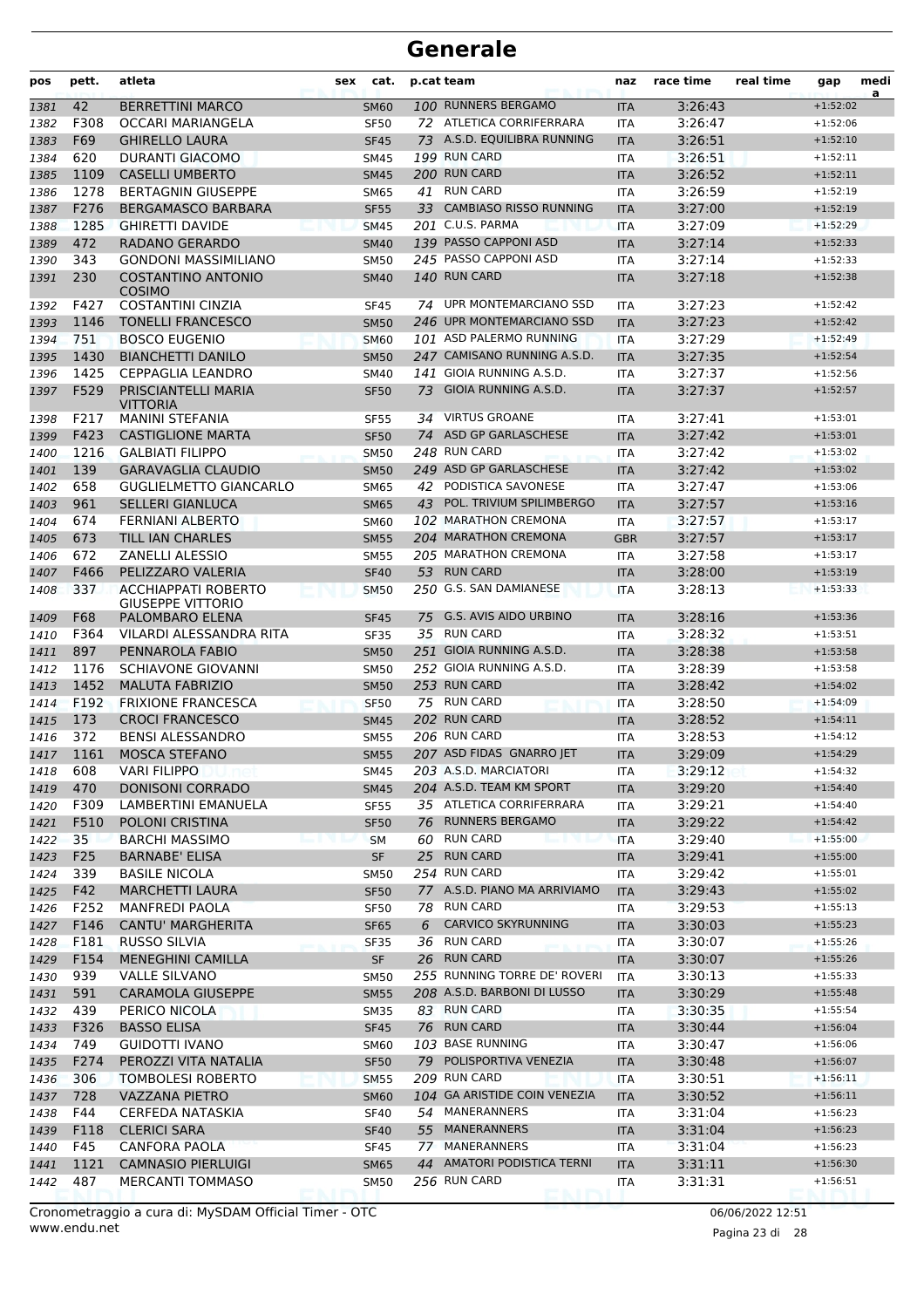| pos  | pett. | atleta                                                 | sex | cat.        |    | p.cat team                    | naz        | race time | real time | gap        | medi<br>a |
|------|-------|--------------------------------------------------------|-----|-------------|----|-------------------------------|------------|-----------|-----------|------------|-----------|
| 1381 | 42    | <b>BERRETTINI MARCO</b>                                |     | <b>SM60</b> |    | 100 RUNNERS BERGAMO           | <b>ITA</b> | 3:26:43   |           | $+1:52:02$ |           |
| 1382 | F308  | OCCARI MARIANGELA                                      |     | <b>SF50</b> |    | 72 ATLETICA CORRIFERRARA      | <b>ITA</b> | 3:26:47   |           | $+1:52:06$ |           |
| 1383 | F69   | <b>GHIRELLO LAURA</b>                                  |     | <b>SF45</b> |    | 73 A.S.D. EQUILIBRA RUNNING   | <b>ITA</b> | 3:26:51   |           | $+1:52:10$ |           |
| 1384 | 620   | <b>DURANTI GIACOMO</b>                                 |     | <b>SM45</b> |    | 199 RUN CARD                  | <b>ITA</b> | 3:26:51   |           | $+1:52:11$ |           |
| 1385 | 1109  | <b>CASELLI UMBERTO</b>                                 |     | <b>SM45</b> |    | 200 RUN CARD                  | <b>ITA</b> | 3:26:52   |           | $+1:52:11$ |           |
| 1386 | 1278  | <b>BERTAGNIN GIUSEPPE</b>                              |     | <b>SM65</b> | 41 | <b>RUN CARD</b>               | <b>ITA</b> | 3:26:59   |           | $+1:52:19$ |           |
| 1387 | F276  | <b>BERGAMASCO BARBARA</b>                              |     | <b>SF55</b> | 33 | <b>CAMBIASO RISSO RUNNING</b> | <b>ITA</b> | 3:27:00   |           | $+1:52:19$ |           |
| 1388 | 1285  | <b>GHIRETTI DAVIDE</b>                                 |     | <b>SM45</b> |    | 201 C.U.S. PARMA              | <b>ITA</b> | 3:27:09   |           | $+1:52:29$ |           |
| 1389 | 472   | <b>RADANO GERARDO</b>                                  |     | <b>SM40</b> |    | 139 PASSO CAPPONI ASD         | <b>ITA</b> | 3:27:14   |           | $+1:52:33$ |           |
| 1390 | 343   | <b>GONDONI MASSIMILIANO</b>                            |     | <b>SM50</b> |    | 245 PASSO CAPPONI ASD         | <b>ITA</b> | 3:27:14   |           | $+1:52:33$ |           |
| 1391 | 230   | <b>COSTANTINO ANTONIO</b><br><b>COSIMO</b>             |     | <b>SM40</b> |    | 140 RUN CARD                  | <b>ITA</b> | 3:27:18   |           | $+1:52:38$ |           |
| 1392 | F427  | <b>COSTANTINI CINZIA</b>                               |     | <b>SF45</b> | 74 | UPR MONTEMARCIANO SSD         | <b>ITA</b> | 3:27:23   |           | $+1:52:42$ |           |
| 1393 | 1146  | <b>TONELLI FRANCESCO</b>                               |     | <b>SM50</b> |    | 246 UPR MONTEMARCIANO SSD     | <b>ITA</b> | 3:27:23   |           | $+1:52:42$ |           |
| 1394 | 751   | <b>BOSCO EUGENIO</b>                                   |     | <b>SM60</b> |    | 101 ASD PALERMO RUNNING       | <b>ITA</b> | 3:27:29   |           | $+1:52:49$ |           |
| 1395 | 1430  | <b>BIANCHETTI DANILO</b>                               |     | <b>SM50</b> |    | 247 CAMISANO RUNNING A.S.D.   | <b>ITA</b> | 3:27:35   |           | $+1:52:54$ |           |
| 1396 | 1425  | <b>CEPPAGLIA LEANDRO</b>                               |     | <b>SM40</b> |    | 141 GIOIA RUNNING A.S.D.      | <b>ITA</b> | 3:27:37   |           | $+1:52:56$ |           |
| 1397 | F529  | PRISCIANTELLI MARIA<br>VITTORIA                        |     | <b>SF50</b> | 73 | GIOIA RUNNING A.S.D.          | <b>ITA</b> | 3:27:37   |           | $+1:52:57$ |           |
| 1398 | F217  | <b>MANINI STEFANIA</b>                                 |     | <b>SF55</b> | 34 | <b>VIRTUS GROANE</b>          | ITA        | 3:27:41   |           | $+1:53:01$ |           |
| 1399 | F423  | <b>CASTIGLIONE MARTA</b>                               |     | <b>SF50</b> | 74 | ASD GP GARLASCHESE            | <b>ITA</b> | 3:27:42   |           | $+1:53:01$ |           |
| 1400 | 1216  | <b>GALBIATI FILIPPO</b>                                |     | <b>SM50</b> |    | 248 RUN CARD                  | <b>ITA</b> | 3:27:42   |           | $+1:53:02$ |           |
| 1401 | 139   | <b>GARAVAGLIA CLAUDIO</b>                              |     | <b>SM50</b> |    | 249 ASD GP GARLASCHESE        | <b>ITA</b> | 3:27:42   |           | $+1:53:02$ |           |
| 1402 | 658   | <b>GUGLIELMETTO GIANCARLO</b>                          |     | <b>SM65</b> | 42 | PODISTICA SAVONESE            | <b>ITA</b> | 3:27:47   |           | $+1:53:06$ |           |
| 1403 | 961   | <b>SELLERI GIANLUCA</b>                                |     | <b>SM65</b> | 43 | POL. TRIVIUM SPILIMBERGO      | <b>ITA</b> | 3:27:57   |           | $+1:53:16$ |           |
| 1404 | 674   | <b>FERNIANI ALBERTO</b>                                |     | SM60        |    | 102 MARATHON CREMONA          | <b>ITA</b> | 3:27:57   |           | $+1:53:17$ |           |
| 1405 | 673   | TILL IAN CHARLES                                       |     | <b>SM55</b> |    | 204 MARATHON CREMONA          | <b>GBR</b> | 3:27:57   |           | $+1:53:17$ |           |
| 1406 | 672   | ZANELLI ALESSIO                                        |     | <b>SM55</b> |    | 205 MARATHON CREMONA          | <b>ITA</b> | 3:27:58   |           | $+1:53:17$ |           |
| 1407 | F466  | PELIZZARO VALERIA                                      |     | <b>SF40</b> | 53 | <b>RUN CARD</b>               | <b>ITA</b> | 3:28:00   |           | $+1:53:19$ |           |
| 1408 | 337   | <b>ACCHIAPPATI ROBERTO</b><br><b>GIUSEPPE VITTORIO</b> |     | <b>SM50</b> |    | 250 G.S. SAN DAMIANESE        | <b>ITA</b> | 3:28:13   |           | $+1:53:33$ |           |
| 1409 | F68   | PALOMBARO ELENA                                        |     | <b>SF45</b> | 75 | <b>G.S. AVIS AIDO URBINO</b>  | <b>ITA</b> | 3:28:16   |           | $+1:53:36$ |           |
| 1410 | F364  | VILARDI ALESSANDRA RITA                                |     | <b>SF35</b> |    | 35 RUN CARD                   | <b>ITA</b> | 3:28:32   |           | $+1:53:51$ |           |
| 1411 | 897   | PENNAROLA FABIO                                        |     | <b>SM50</b> |    | 251 GIOIA RUNNING A.S.D.      | <b>ITA</b> | 3:28:38   |           | $+1:53:58$ |           |
| 1412 | 1176  | <b>SCHIAVONE GIOVANNI</b>                              |     | <b>SM50</b> |    | 252 GIOIA RUNNING A.S.D.      | <b>ITA</b> | 3:28:39   |           | $+1:53:58$ |           |
| 1413 | 1452  | <b>MALUTA FABRIZIO</b>                                 |     | <b>SM50</b> |    | 253 RUN CARD                  | <b>ITA</b> | 3:28:42   |           | $+1:54:02$ |           |
| 1414 | F192  | <b>FRIXIONE FRANCESCA</b>                              |     | <b>SF50</b> |    | 75 RUN CARD                   | <b>ITA</b> | 3:28:50   |           | $+1:54:09$ |           |
| 1415 | 173   | <b>CROCI FRANCESCO</b>                                 |     | <b>SM45</b> |    | 202 RUN CARD                  | <b>ITA</b> | 3:28:52   |           | $+1:54:11$ |           |
| 1416 | 372   | <b>BENSI ALESSANDRO</b>                                |     | <b>SM55</b> |    | 206 RUN CARD                  | <b>ITA</b> | 3:28:53   |           | $+1:54:12$ |           |
| 1417 | 1161  | <b>MOSCA STEFANO</b>                                   |     | <b>SM55</b> |    | 207 ASD FIDAS GNARRO JET      | <b>ITA</b> | 3:29:09   |           | $+1:54:29$ |           |
| 1418 | 608   | <b>VARI FILIPPO</b>                                    |     | <b>SM45</b> |    | 203 A.S.D. MARCIATORI         | ITA        | 3:29:12   |           | $+1:54:32$ |           |
| 1419 | 470   | <b>DONISONI CORRADO</b>                                |     | <b>SM45</b> |    | 204 A.S.D. TEAM KM SPORT      | <b>ITA</b> | 3:29:20   |           | $+1:54:40$ |           |
| 1420 | F309  | LAMBERTINI EMANUELA                                    |     | <b>SF55</b> |    | 35 ATLETICA CORRIFERRARA      | ITA        | 3:29:21   |           | $+1:54:40$ |           |
| 1421 | F510  | POLONI CRISTINA                                        |     | <b>SF50</b> |    | 76 RUNNERS BERGAMO            | <b>ITA</b> | 3:29:22   |           | $+1:54:42$ |           |
| 1422 | 35    | <b>BARCHI MASSIMO</b>                                  |     | <b>SM</b>   |    | 60 RUN CARD                   | <b>ITA</b> | 3:29:40   |           | $+1:55:00$ |           |
| 1423 | F25   | <b>BARNABE' ELISA</b>                                  |     | <b>SF</b>   |    | 25 RUN CARD                   | <b>ITA</b> | 3:29:41   |           | $+1:55:00$ |           |
| 1424 | 339   | <b>BASILE NICOLA</b>                                   |     | SM50        |    | 254 RUN CARD                  | ITA        | 3:29:42   |           | $+1:55:01$ |           |
| 1425 | F42   | <b>MARCHETTI LAURA</b>                                 |     | <b>SF50</b> |    | 77 A.S.D. PIANO MA ARRIVIAMO  | <b>ITA</b> | 3:29:43   |           | $+1:55:02$ |           |
| 1426 | F252  | <b>MANFREDI PAOLA</b>                                  |     | <b>SF50</b> |    | 78 RUN CARD                   | ITA        | 3:29:53   |           | $+1:55:13$ |           |
| 1427 | F146  | CANTU' MARGHERITA                                      |     | <b>SF65</b> | 6  | <b>CARVICO SKYRUNNING</b>     | <b>ITA</b> | 3:30:03   |           | $+1:55:23$ |           |
| 1428 | F181  | <b>RUSSO SILVIA</b>                                    |     | <b>SF35</b> |    | 36 RUN CARD                   | ITA        | 3:30:07   |           | $+1:55:26$ |           |
| 1429 | F154  | <b>MENEGHINI CAMILLA</b>                               |     | <b>SF</b>   |    | 26 RUN CARD                   | <b>ITA</b> | 3:30:07   |           | $+1:55:26$ |           |
| 1430 | 939   | <b>VALLE SILVANO</b>                                   |     | <b>SM50</b> |    | 255 RUNNING TORRE DE' ROVERI  | ITA        | 3:30:13   |           | $+1:55:33$ |           |
| 1431 | 591   | <b>CARAMOLA GIUSEPPE</b>                               |     | <b>SM55</b> |    | 208 A.S.D. BARBONI DI LUSSO   | <b>ITA</b> | 3:30:29   |           | $+1:55:48$ |           |
| 1432 | 439   | PERICO NICOLA                                          |     | <b>SM35</b> |    | 83 RUN CARD                   | ITA        | 3:30:35   |           | $+1:55:54$ |           |
| 1433 | F326  | <b>BASSO ELISA</b>                                     |     | <b>SF45</b> |    | 76 RUN CARD                   | <b>ITA</b> | 3:30:44   |           | $+1:56:04$ |           |
| 1434 | 749   | <b>GUIDOTTI IVANO</b>                                  |     | <b>SM60</b> |    | 103 BASE RUNNING              | ITA        | 3:30:47   |           | $+1:56:06$ |           |
| 1435 | F274  | PEROZZI VITA NATALIA                                   |     | <b>SF50</b> |    | 79 POLISPORTIVA VENEZIA       | <b>ITA</b> | 3:30:48   |           | $+1:56:07$ |           |
| 1436 | 306   | <b>TOMBOLESI ROBERTO</b>                               |     | <b>SM55</b> |    | 209 RUN CARD                  | ITA        | 3:30:51   |           | $+1:56:11$ |           |
| 1437 | 728   | <b>VAZZANA PIETRO</b>                                  |     | <b>SM60</b> |    | 104 GA ARISTIDE COIN VENEZIA  | <b>ITA</b> | 3:30:52   |           | $+1:56:11$ |           |
| 1438 | F44   | CERFEDA NATASKIA                                       |     | <b>SF40</b> |    | 54 MANERANNERS                | ITA        | 3:31:04   |           | $+1:56:23$ |           |
| 1439 | F118  | <b>CLERICI SARA</b>                                    |     | <b>SF40</b> |    | 55 MANERANNERS                | <b>ITA</b> | 3:31:04   |           | $+1:56:23$ |           |
| 1440 | F45   | CANFORA PAOLA                                          |     | <b>SF45</b> |    | 77 MANERANNERS                | ITA        | 3:31:04   |           | $+1:56:23$ |           |
| 1441 | 1121  | <b>CAMNASIO PIERLUIGI</b>                              |     | <b>SM65</b> |    | 44 AMATORI PODISTICA TERNI    | <b>ITA</b> | 3:31:11   |           | $+1:56:30$ |           |
|      | 487   | MERCANTI TOMMASO                                       |     |             |    | 256 RUN CARD                  |            | 3:31:31   |           | $+1:56:51$ |           |
| 1442 |       |                                                        |     | <b>SM50</b> |    |                               | ITA        |           |           |            |           |

www.endu.net Cronometraggio a cura di: MySDAM Official Timer - OTC 06/06/2022 12:51

Pagina 23 di 28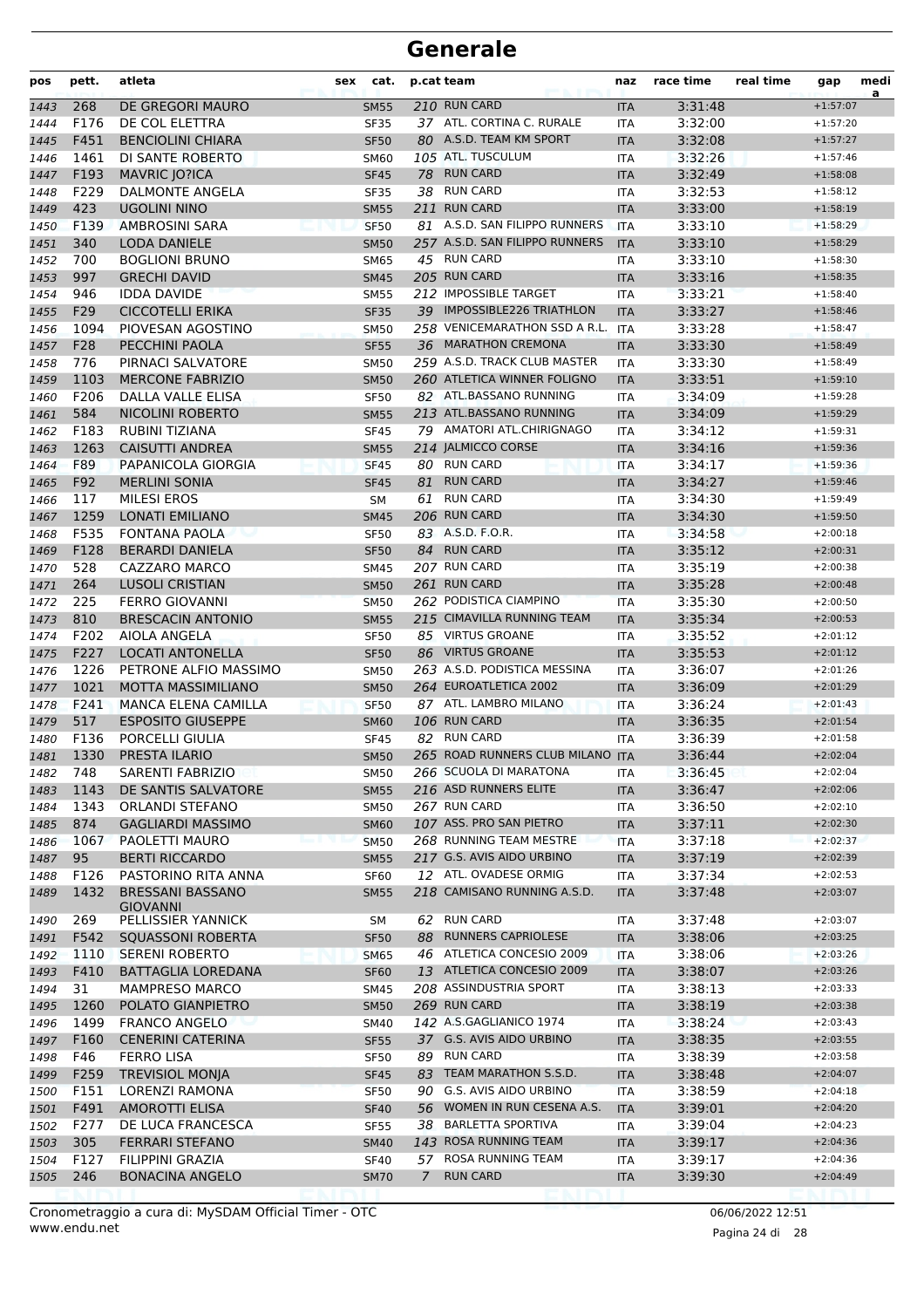| pos  | pett. | atleta                                     | sex | cat.        | p.cat team |                                  | naz        | race time | real time | gap        | medi<br>a |
|------|-------|--------------------------------------------|-----|-------------|------------|----------------------------------|------------|-----------|-----------|------------|-----------|
| 1443 | 268   | DE GREGORI MAURO                           |     | <b>SM55</b> |            | 210 RUN CARD                     | <b>ITA</b> | 3:31:48   |           | $+1:57:07$ |           |
| 1444 | F176  | DE COL ELETTRA                             |     | <b>SF35</b> |            | 37 ATL. CORTINA C. RURALE        | <b>ITA</b> | 3:32:00   |           | $+1:57:20$ |           |
| 1445 | F451  | <b>BENCIOLINI CHIARA</b>                   |     | <b>SF50</b> |            | 80 A.S.D. TEAM KM SPORT          | <b>ITA</b> | 3:32:08   |           | $+1:57:27$ |           |
| 1446 | 1461  | DI SANTE ROBERTO                           |     | <b>SM60</b> |            | 105 ATL. TUSCULUM                | <b>ITA</b> | 3:32:26   |           | $+1:57:46$ |           |
| 1447 | F193  | <b>MAVRIC JO?ICA</b>                       |     | <b>SF45</b> | 78         | <b>RUN CARD</b>                  | <b>ITA</b> | 3:32:49   |           | $+1:58:08$ |           |
| 1448 | F229  | DALMONTE ANGELA                            |     | <b>SF35</b> |            | 38 RUN CARD                      | <b>ITA</b> | 3:32:53   |           | $+1:58:12$ |           |
| 1449 | 423   | <b>UGOLINI NINO</b>                        |     | <b>SM55</b> |            | 211 RUN CARD                     | <b>ITA</b> | 3:33:00   |           | $+1:58:19$ |           |
| 1450 | F139  | <b>AMBROSINI SARA</b>                      |     | <b>SF50</b> |            | 81 A.S.D. SAN FILIPPO RUNNERS    | <b>ITA</b> | 3:33:10   |           | $+1:58:29$ |           |
| 1451 | 340   | <b>LODA DANIELE</b>                        |     | <b>SM50</b> |            | 257 A.S.D. SAN FILIPPO RUNNERS   | <b>ITA</b> | 3:33:10   |           | $+1:58:29$ |           |
| 1452 | 700   | <b>BOGLIONI BRUNO</b>                      |     | <b>SM65</b> |            | 45 RUN CARD                      | ITA        | 3:33:10   |           | $+1:58:30$ |           |
| 1453 | 997   | <b>GRECHI DAVID</b>                        |     | <b>SM45</b> |            | 205 RUN CARD                     | <b>ITA</b> | 3:33:16   |           | $+1:58:35$ |           |
| 1454 | 946   | <b>IDDA DAVIDE</b>                         |     | <b>SM55</b> |            | 212 IMPOSSIBLE TARGET            | <b>ITA</b> | 3:33:21   |           | $+1:58:40$ |           |
| 1455 | F29   | <b>CICCOTELLI ERIKA</b>                    |     | <b>SF35</b> |            | 39 IMPOSSIBLE226 TRIATHLON       | <b>ITA</b> | 3:33:27   |           | $+1:58:46$ |           |
| 1456 | 1094  | PIOVESAN AGOSTINO                          |     | <b>SM50</b> |            | 258 VENICEMARATHON SSD A R.L.    | ITA        | 3:33:28   |           | $+1:58:47$ |           |
| 1457 | F28   | PECCHINI PAOLA                             |     | <b>SF55</b> |            | 36 MARATHON CREMONA              | <b>ITA</b> | 3:33:30   |           | $+1:58:49$ |           |
| 1458 | 776   | PIRNACI SALVATORE                          |     | <b>SM50</b> |            | 259 A.S.D. TRACK CLUB MASTER     | <b>ITA</b> | 3:33:30   |           | $+1:58:49$ |           |
| 1459 | 1103  | <b>MERCONE FABRIZIO</b>                    |     | <b>SM50</b> |            | 260 ATLETICA WINNER FOLIGNO      | <b>ITA</b> | 3:33:51   |           | $+1:59:10$ |           |
| 1460 | F206  | DALLA VALLE ELISA                          |     | <b>SF50</b> |            | 82 ATL.BASSANO RUNNING           | <b>ITA</b> | 3:34:09   |           | $+1:59:28$ |           |
| 1461 | 584   | <b>NICOLINI ROBERTO</b>                    |     | <b>SM55</b> |            | 213 ATL.BASSANO RUNNING          | <b>ITA</b> | 3:34:09   |           | $+1:59:29$ |           |
| 1462 | F183  | RUBINI TIZIANA                             |     | <b>SF45</b> |            | 79 AMATORI ATL.CHIRIGNAGO        | <b>ITA</b> | 3:34:12   |           | $+1:59:31$ |           |
| 1463 | 1263  | <b>CAISUTTI ANDREA</b>                     |     | <b>SM55</b> |            | 214 JALMICCO CORSE               | <b>ITA</b> | 3:34:16   |           | $+1:59:36$ |           |
| 1464 | F89   | PAPANICOLA GIORGIA                         |     | <b>SF45</b> |            | 80 RUN CARD                      | <b>ITA</b> | 3:34:17   |           | $+1:59:36$ |           |
| 1465 | F92   | <b>MERLINI SONIA</b>                       |     | <b>SF45</b> | 81         | <b>RUN CARD</b>                  | <b>ITA</b> | 3:34:27   |           | $+1:59:46$ |           |
| 1466 | 117   | <b>MILESI EROS</b>                         |     | <b>SM</b>   | 61         | <b>RUN CARD</b>                  | <b>ITA</b> | 3:34:30   |           | $+1:59:49$ |           |
| 1467 | 1259  | <b>LONATI EMILIANO</b>                     |     | <b>SM45</b> |            | 206 RUN CARD                     | <b>ITA</b> | 3:34:30   |           | $+1:59:50$ |           |
| 1468 | F535  | <b>FONTANA PAOLA</b>                       |     | <b>SF50</b> |            | 83 A.S.D. F.O.R.                 | <b>ITA</b> | 3:34:58   |           | $+2:00:18$ |           |
| 1469 | F128  | <b>BERARDI DANIELA</b>                     |     | <b>SF50</b> |            | 84 RUN CARD                      | <b>ITA</b> | 3:35:12   |           | $+2:00:31$ |           |
| 1470 | 528   | CAZZARO MARCO                              |     | <b>SM45</b> |            | 207 RUN CARD                     | <b>ITA</b> | 3:35:19   |           | $+2:00:38$ |           |
| 1471 | 264   | <b>LUSOLI CRISTIAN</b>                     |     | <b>SM50</b> |            | 261 RUN CARD                     | <b>ITA</b> | 3:35:28   |           | $+2:00:48$ |           |
| 1472 | 225   | <b>FERRO GIOVANNI</b>                      |     | <b>SM50</b> |            | 262 PODISTICA CIAMPINO           | <b>ITA</b> | 3:35:30   |           | $+2:00:50$ |           |
| 1473 | 810   | <b>BRESCACIN ANTONIO</b>                   |     | <b>SM55</b> |            | 215 CIMAVILLA RUNNING TEAM       | <b>ITA</b> | 3:35:34   |           | $+2:00:53$ |           |
| 1474 | F202  | AIOLA ANGELA                               |     | <b>SF50</b> |            | 85 VIRTUS GROANE                 | <b>ITA</b> | 3:35:52   |           | $+2:01:12$ |           |
| 1475 | F227  | <b>LOCATI ANTONELLA</b>                    |     | <b>SF50</b> |            | 86 VIRTUS GROANE                 | <b>ITA</b> | 3:35:53   |           | $+2:01:12$ |           |
| 1476 | 1226  | PETRONE ALFIO MASSIMO                      |     | <b>SM50</b> |            | 263 A.S.D. PODISTICA MESSINA     | <b>ITA</b> | 3:36:07   |           | $+2:01:26$ |           |
| 1477 | 1021  | <b>MOTTA MASSIMILIANO</b>                  |     | <b>SM50</b> |            | 264 EUROATLETICA 2002            | <b>ITA</b> | 3:36:09   |           | $+2:01:29$ |           |
| 1478 | F241  | <b>MANCA ELENA CAMILLA</b>                 |     | <b>SF50</b> |            | 87 ATL. LAMBRO MILANO            | <b>ITA</b> | 3:36:24   |           | $+2:01:43$ |           |
| 1479 | 517   | <b>ESPOSITO GIUSEPPE</b>                   |     | <b>SM60</b> |            | 106 RUN CARD                     | <b>ITA</b> | 3:36:35   |           | $+2:01:54$ |           |
| 1480 | F136  | PORCELLI GIULIA                            |     | <b>SF45</b> |            | 82 RUN CARD                      | <b>ITA</b> | 3:36:39   |           | $+2:01:58$ |           |
| 1481 | 1330  | PRESTA ILARIO                              |     | <b>SM50</b> |            | 265 ROAD RUNNERS CLUB MILANO ITA |            | 3:36:44   |           | $+2:02:04$ |           |
| 1482 | 748   | SARENTI FABRIZIO                           |     | <b>SM50</b> |            | 266 SCUOLA DI MARATONA           | ITA        | 3:36:45   |           | $+2:02:04$ |           |
| 1483 | 1143  | DE SANTIS SALVATORE                        |     | <b>SM55</b> |            | 216 ASD RUNNERS ELITE            | <b>ITA</b> | 3:36:47   |           | $+2:02:06$ |           |
| 1484 | 1343  | <b>ORLANDI STEFANO</b>                     |     | <b>SM50</b> |            | 267 RUN CARD                     | ITA        | 3:36:50   |           | $+2:02:10$ |           |
| 1485 | 874   | <b>GAGLIARDI MASSIMO</b>                   |     | <b>SM60</b> |            | 107 ASS. PRO SAN PIETRO          | <b>ITA</b> | 3:37:11   |           | $+2:02:30$ |           |
| 1486 | 1067  | PAOLETTI MAURO                             |     | <b>SM50</b> |            | 268 RUNNING TEAM MESTRE          | <b>ITA</b> | 3:37:18   |           | $+2:02:37$ |           |
| 1487 | 95    | <b>BERTI RICCARDO</b>                      |     | <b>SM55</b> |            | 217 G.S. AVIS AIDO URBINO        | <b>ITA</b> | 3:37:19   |           | $+2:02:39$ |           |
| 1488 | F126  | PASTORINO RITA ANNA                        |     | <b>SF60</b> |            | 12 ATL. OVADESE ORMIG            | ITA        | 3:37:34   |           | $+2:02:53$ |           |
| 1489 | 1432  | <b>BRESSANI BASSANO</b><br><b>GIOVANNI</b> |     | <b>SM55</b> |            | 218 CAMISANO RUNNING A.S.D.      | <b>ITA</b> | 3:37:48   |           | $+2:03:07$ |           |
| 1490 | 269   | PELLISSIER YANNICK                         |     | SM          |            | 62 RUN CARD                      | ITA        | 3:37:48   |           | $+2:03:07$ |           |
| 1491 | F542  | <b>SQUASSONI ROBERTA</b>                   |     | <b>SF50</b> | 88         | <b>RUNNERS CAPRIOLESE</b>        | <b>ITA</b> | 3:38:06   |           | $+2:03:25$ |           |
| 1492 | 1110  | <b>SERENI ROBERTO</b>                      |     | <b>SM65</b> |            | 46 ATLETICA CONCESIO 2009        | <b>ITA</b> | 3:38:06   |           | $+2:03:26$ |           |
| 1493 | F410  | BATTAGLIA LOREDANA                         |     | <b>SF60</b> |            | 13 ATLETICA CONCESIO 2009        | <b>ITA</b> | 3:38:07   |           | $+2:03:26$ |           |
| 1494 | 31    | <b>MAMPRESO MARCO</b>                      |     | SM45        |            | 208 ASSINDUSTRIA SPORT           | ITA        | 3:38:13   |           | $+2:03:33$ |           |
| 1495 | 1260  | POLATO GIANPIETRO                          |     | <b>SM50</b> |            | 269 RUN CARD                     | <b>ITA</b> | 3:38:19   |           | $+2:03:38$ |           |
| 1496 | 1499  | <b>FRANCO ANGELO</b>                       |     | SM40        |            | 142 A.S.GAGLIANICO 1974          | ITA        | 3:38:24   |           | $+2:03:43$ |           |
| 1497 | F160  | <b>CENERINI CATERINA</b>                   |     | <b>SF55</b> |            | 37 G.S. AVIS AIDO URBINO         | <b>ITA</b> | 3:38:35   |           | $+2:03:55$ |           |
| 1498 | F46   | <b>FERRO LISA</b>                          |     | <b>SF50</b> |            | 89 RUN CARD                      | ITA        | 3:38:39   |           | $+2:03:58$ |           |
| 1499 | F259  | <b>TREVISIOL MONJA</b>                     |     | <b>SF45</b> |            | 83 TEAM MARATHON S.S.D.          | <b>ITA</b> | 3:38:48   |           | $+2:04:07$ |           |
| 1500 | F151  | LORENZI RAMONA                             |     | <b>SF50</b> |            | 90 G.S. AVIS AIDO URBINO         | <b>ITA</b> | 3:38:59   |           | $+2:04:18$ |           |
| 1501 | F491  | <b>AMOROTTI ELISA</b>                      |     | <b>SF40</b> |            | 56 WOMEN IN RUN CESENA A.S.      | <b>ITA</b> | 3:39:01   |           | $+2:04:20$ |           |
| 1502 | F277  | DE LUCA FRANCESCA                          |     | <b>SF55</b> |            | 38 BARLETTA SPORTIVA             | ITA        | 3:39:04   |           | $+2:04:23$ |           |
| 1503 | 305   | <b>FERRARI STEFANO</b>                     |     | <b>SM40</b> |            | 143 ROSA RUNNING TEAM            | <b>ITA</b> | 3:39:17   |           | $+2:04:36$ |           |
| 1504 | F127  | FILIPPINI GRAZIA                           |     | <b>SF40</b> | 57         | ROSA RUNNING TEAM                | ITA        | 3:39:17   |           | $+2:04:36$ |           |
| 1505 | 246   | <b>BONACINA ANGELO</b>                     |     | <b>SM70</b> | 7          | <b>RUN CARD</b>                  | <b>ITA</b> | 3:39:30   |           | $+2:04:49$ |           |
|      |       |                                            |     |             |            |                                  |            |           |           |            |           |

www.endu.net Cronometraggio a cura di: MySDAM Official Timer - OTC 06/06/2022 12:51

Pagina 24 di 28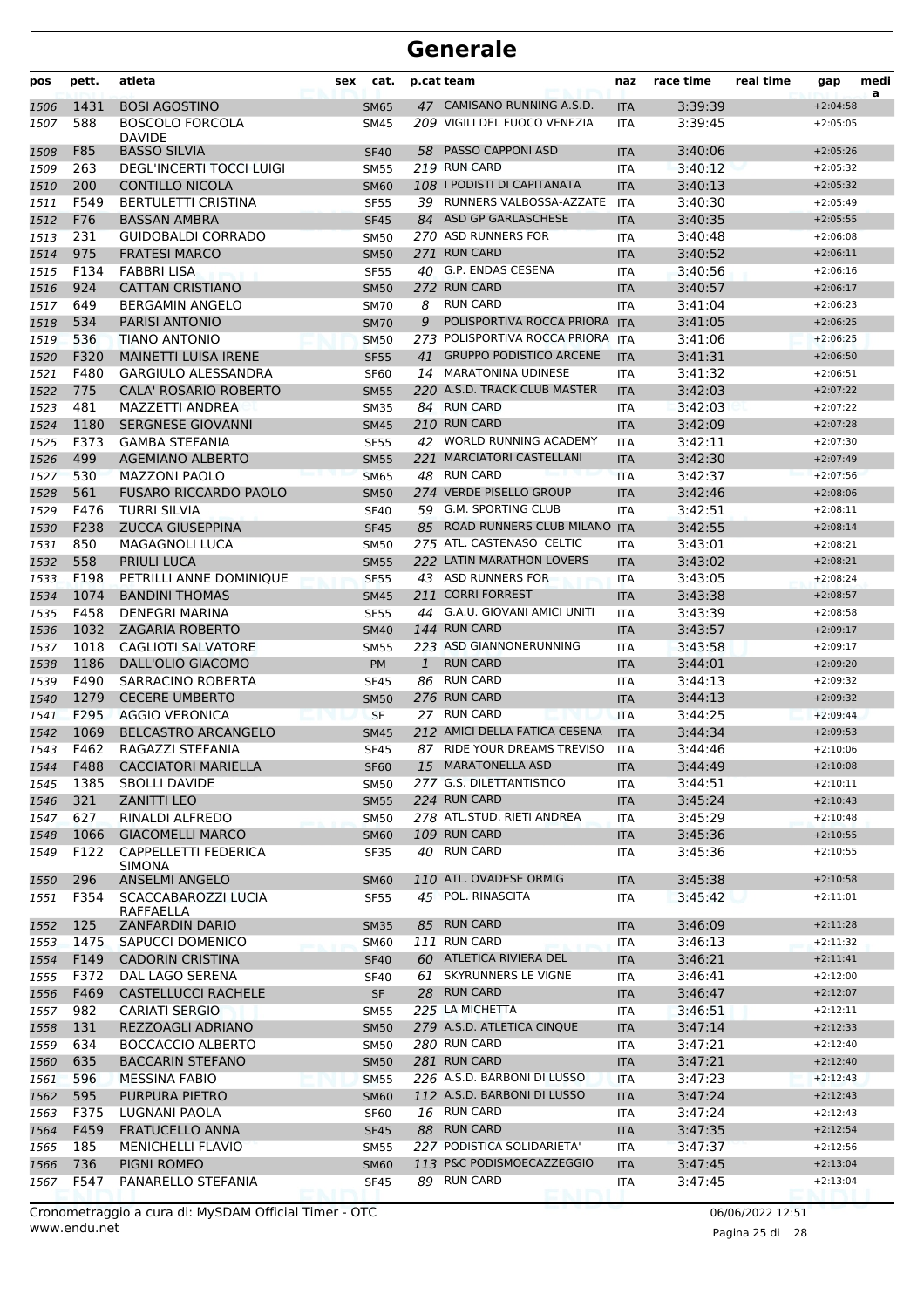| pos          | pett.        | atleta                                                 | sex | cat.                       |      | p.cat team                                                 | naz                      | race time          | real time | gap                      | medi<br>a |
|--------------|--------------|--------------------------------------------------------|-----|----------------------------|------|------------------------------------------------------------|--------------------------|--------------------|-----------|--------------------------|-----------|
| 1506         | 1431         | <b>BOSI AGOSTINO</b>                                   |     | <b>SM65</b>                |      | 47 CAMISANO RUNNING A.S.D.                                 | <b>ITA</b>               | 3:39:39            |           | $+2:04:58$               |           |
| 1507         | 588          | <b>BOSCOLO FORCOLA</b>                                 |     | SM45                       |      | 209 VIGILI DEL FUOCO VENEZIA                               | ITA                      | 3:39:45            |           | $+2:05:05$               |           |
|              |              | <b>DAVIDE</b>                                          |     |                            |      | 58 PASSO CAPPONI ASD                                       |                          |                    |           |                          |           |
| 1508<br>1509 | F85<br>263   | <b>BASSO SILVIA</b><br><b>DEGL'INCERTI TOCCI LUIGI</b> |     | <b>SF40</b><br><b>SM55</b> |      | 219 RUN CARD                                               | <b>ITA</b><br>ITA        | 3:40:06<br>3:40:12 |           | $+2:05:26$<br>$+2:05:32$ |           |
| 1510         | 200          | <b>CONTILLO NICOLA</b>                                 |     | <b>SM60</b>                |      | 108   PODISTI DI CAPITANATA                                | <b>ITA</b>               | 3:40:13            |           | $+2:05:32$               |           |
| 1511         | F549         | <b>BERTULETTI CRISTINA</b>                             |     | <b>SF55</b>                | 39   | RUNNERS VALBOSSA-AZZATE                                    | <b>ITA</b>               | 3:40:30            |           | $+2:05:49$               |           |
| 1512         | F76          | <b>BASSAN AMBRA</b>                                    |     | <b>SF45</b>                |      | 84 ASD GP GARLASCHESE                                      | <b>ITA</b>               | 3:40:35            |           | $+2:05:55$               |           |
| 1513         | 231          | <b>GUIDOBALDI CORRADO</b>                              |     | <b>SM50</b>                |      | 270 ASD RUNNERS FOR                                        | <b>ITA</b>               | 3:40:48            |           | $+2:06:08$               |           |
| 1514         | 975          | <b>FRATESI MARCO</b>                                   |     | <b>SM50</b>                |      | 271 RUN CARD                                               | <b>ITA</b>               | 3:40:52            |           | $+2:06:11$               |           |
| 1515         | F134         | <b>FABBRI LISA</b>                                     |     | <b>SF55</b>                |      | 40 G.P. ENDAS CESENA                                       | <b>ITA</b>               | 3:40:56            |           | $+2:06:16$               |           |
| 1516         | 924          | <b>CATTAN CRISTIANO</b>                                |     | <b>SM50</b>                |      | 272 RUN CARD                                               | <b>ITA</b>               | 3:40:57            |           | $+2:06:17$               |           |
| 1517         | 649          | <b>BERGAMIN ANGELO</b>                                 |     | <b>SM70</b>                | 8    | <b>RUN CARD</b>                                            | ITA                      | 3:41:04            |           | $+2:06:23$               |           |
| 1518         | 534          | <b>PARISI ANTONIO</b>                                  |     | <b>SM70</b>                | 9    | POLISPORTIVA ROCCA PRIORA ITA                              |                          | 3:41:05            |           | $+2:06:25$               |           |
| 1519         | 536          | TIANO ANTONIO                                          |     | <b>SM50</b>                | 273. | POLISPORTIVA ROCCA PRIORA ITA                              |                          | 3:41:06            |           | $+2:06:25$               |           |
| 1520         | F320         | <b>MAINETTI LUISA IRENE</b>                            |     | <b>SF55</b>                | 41   | <b>GRUPPO PODISTICO ARCENE</b>                             | <b>ITA</b>               | 3:41:31            |           | $+2:06:50$               |           |
| 1521         | F480         | <b>GARGIULO ALESSANDRA</b>                             |     | <b>SF60</b>                |      | 14 MARATONINA UDINESE                                      | ITA                      | 3:41:32            |           | $+2:06:51$               |           |
| 1522         | 775          | <b>CALA' ROSARIO ROBERTO</b>                           |     | <b>SM55</b>                |      | 220 A.S.D. TRACK CLUB MASTER                               | <b>ITA</b>               | 3:42:03            |           | $+2:07:22$               |           |
| 1523         | 481          | MAZZETTI ANDREA                                        |     | <b>SM35</b>                |      | 84 RUN CARD                                                | ITA                      | 3:42:03            |           | $+2:07:22$               |           |
| 1524         | 1180         | <b>SERGNESE GIOVANNI</b>                               |     | <b>SM45</b>                |      | 210 RUN CARD                                               | <b>ITA</b>               | 3:42:09            |           | $+2:07:28$               |           |
| 1525         | F373         | <b>GAMBA STEFANIA</b>                                  |     | <b>SF55</b>                |      | 42 WORLD RUNNING ACADEMY                                   | <b>ITA</b>               | 3:42:11            |           | $+2:07:30$               |           |
| 1526         | 499          | <b>AGEMIANO ALBERTO</b>                                |     | <b>SM55</b>                |      | 221 MARCIATORI CASTELLANI                                  | <b>ITA</b>               | 3:42:30            |           | $+2:07:49$               |           |
| 1527         | 530          | <b>MAZZONI PAOLO</b>                                   |     | <b>SM65</b>                |      | 48 RUN CARD                                                | <b>ITA</b>               | 3:42:37            |           | $+2:07:56$               |           |
| 1528         | 561          | <b>FUSARO RICCARDO PAOLO</b>                           |     | <b>SM50</b>                |      | 274 VERDE PISELLO GROUP                                    | <b>ITA</b>               | 3:42:46            |           | $+2:08:06$               |           |
| 1529         | F476         | TURRI SILVIA                                           |     | <b>SF40</b>                | 59   | <b>G.M. SPORTING CLUB</b>                                  | <b>ITA</b>               | 3:42:51            |           | $+2:08:11$               |           |
| 1530         | F238         | <b>ZUCCA GIUSEPPINA</b>                                |     | <b>SF45</b>                | 85   | ROAD RUNNERS CLUB MILANO ITA                               |                          | 3:42:55            |           | $+2:08:14$               |           |
| 1531         | 850          | <b>MAGAGNOLI LUCA</b>                                  |     | <b>SM50</b>                |      | 275 ATL. CASTENASO CELTIC                                  | <b>ITA</b>               | 3:43:01            |           | $+2:08:21$               |           |
| 1532         | 558          | <b>PRIULI LUCA</b>                                     |     | <b>SM55</b>                |      | 222 LATIN MARATHON LOVERS                                  | <b>ITA</b>               | 3:43:02            |           | $+2:08:21$               |           |
| 1533         | F198         | PETRILLI ANNE DOMINIQUE                                |     | <b>SF55</b>                |      | 43 ASD RUNNERS FOR                                         | <b>ITA</b>               | 3:43:05            |           | $+2:08:24$               |           |
| 1534         | 1074         | <b>BANDINI THOMAS</b>                                  |     | <b>SM45</b>                |      | 211 CORRI FORREST                                          | <b>ITA</b>               | 3:43:38            |           | $+2:08:57$               |           |
| 1535         | F458         | <b>DENEGRI MARINA</b>                                  |     | <b>SF55</b>                |      | 44 G.A.U. GIOVANI AMICI UNITI                              | ITA                      | 3:43:39            |           | $+2:08:58$               |           |
| 1536         | 1032         | <b>ZAGARIA ROBERTO</b>                                 |     | <b>SM40</b>                |      | 144 RUN CARD                                               | <b>ITA</b>               | 3:43:57            |           | $+2:09:17$               |           |
| 1537         | 1018         | <b>CAGLIOTI SALVATORE</b>                              |     | <b>SM55</b>                |      | 223 ASD GIANNONERUNNING                                    | <b>ITA</b>               | 3:43:58            |           | $+2:09:17$               |           |
| 1538         | 1186         | DALL'OLIO GIACOMO                                      |     | PM                         | 1    | <b>RUN CARD</b>                                            | <b>ITA</b>               | 3:44:01            |           | $+2:09:20$               |           |
| 1539         | F490         | SARRACINO ROBERTA                                      |     | <b>SF45</b>                | 86   | <b>RUN CARD</b>                                            | <b>ITA</b>               | 3:44:13            |           | $+2:09:32$               |           |
| 1540         | 1279         | <b>CECERE UMBERTO</b>                                  |     | <b>SM50</b>                |      | 276 RUN CARD                                               | <b>ITA</b>               | 3:44:13            |           | $+2:09:32$               |           |
| 1541         | F295         | <b>AGGIO VERONICA</b>                                  |     | <b>SF</b>                  |      | 27 RUN CARD                                                | <b>ITA</b>               | 3:44:25            |           | $+2:09:44$               |           |
| 1542         | 1069         | <b>BELCASTRO ARCANGELO</b>                             |     | <b>SM45</b>                |      | 212 AMICI DELLA FATICA CESENA                              | <b>ITA</b>               | 3:44:34            |           | $+2:09:53$               |           |
| 1543         | F462         | RAGAZZI STEFANIA                                       |     | <b>SF45</b>                |      | 87 RIDE YOUR DREAMS TREVISO                                | <b>ITA</b>               | 3:44:46            |           | $+2:10:06$               |           |
| 1544         | F488         | <b>CACCIATORI MARIELLA</b>                             |     | SF60                       |      | 15 MARATONELLA ASD                                         | ITA                      | 3:44:49            |           | $+2:10:08$               |           |
| 1545         | 1385         | <b>SBOLLI DAVIDE</b>                                   |     | <b>SM50</b>                |      | 277 G.S. DILETTANTISTICO                                   | ITA                      | 3:44:51            |           | $+2:10:11$               |           |
| 1546         | 321          | <b>ZANITTI LEO</b>                                     |     | <b>SM55</b>                |      | 224 RUN CARD                                               | <b>ITA</b>               | 3:45:24            |           | $+2:10:43$               |           |
| 1547         | 627          | RINALDI ALFREDO                                        |     | <b>SM50</b>                |      | 278 ATL.STUD. RIETI ANDREA                                 | <b>ITA</b>               | 3:45:29            |           | $+2:10:48$               |           |
| 1548         | 1066         | <b>GIACOMELLI MARCO</b>                                |     | <b>SM60</b>                |      | 109 RUN CARD                                               | <b>ITA</b>               | 3:45:36            |           | $+2:10:55$               |           |
| 1549         | F122         | CAPPELLETTI FEDERICA<br><b>SIMONA</b>                  |     | <b>SF35</b>                |      | 40 RUN CARD                                                | ITA                      | 3:45:36            |           | $+2:10:55$               |           |
| 1550         | 296          | <b>ANSELMI ANGELO</b>                                  |     | <b>SM60</b>                |      | 110 ATL. OVADESE ORMIG                                     | <b>ITA</b>               | 3:45:38            |           | $+2:10:58$               |           |
| 1551         | F354         | SCACCABAROZZI LUCIA                                    |     | SF55                       |      | 45 POL. RINASCITA                                          | ITA                      | 3:45:42            |           | $+2:11:01$               |           |
|              |              | RAFFAELLA                                              |     |                            |      |                                                            |                          |                    |           |                          |           |
| 1552         | 125          | ZANFARDIN DARIO                                        |     | <b>SM35</b>                |      | 85 RUN CARD                                                | <b>ITA</b>               | 3:46:09            |           | $+2:11:28$               |           |
| 1553         | 1475         | SAPUCCI DOMENICO                                       |     | <b>SM60</b>                |      | 111 RUN CARD                                               | <b>ITA</b>               | 3:46:13            |           | $+2:11:32$               |           |
| 1554         | F149         | <b>CADORIN CRISTINA</b>                                |     | <b>SF40</b>                |      | 60 ATLETICA RIVIERA DEL                                    | <b>ITA</b>               | 3:46:21            |           | $+2:11:41$               |           |
| 1555         | F372         | DAL LAGO SERENA                                        |     | <b>SF40</b>                | 61   | SKYRUNNERS LE VIGNE                                        | ITA                      | 3:46:41            |           | $+2:12:00$               |           |
| 1556         | F469         | <b>CASTELLUCCI RACHELE</b>                             |     | <b>SF</b>                  |      | 28 RUN CARD                                                | <b>ITA</b>               | 3:46:47            |           | $+2:12:07$               |           |
| 1557         | 982          | <b>CARIATI SERGIO</b>                                  |     | <b>SM55</b>                |      | 225 LA MICHETTA                                            | ITA                      | 3:46:51            |           | $+2:12:11$               |           |
| 1558         | 131          | REZZOAGLI ADRIANO                                      |     | <b>SM50</b>                |      | 279 A.S.D. ATLETICA CINQUE                                 | <b>ITA</b>               | 3:47:14            |           | $+2:12:33$               |           |
| 1559         | 634          | <b>BOCCACCIO ALBERTO</b>                               |     | <b>SM50</b>                |      | 280 RUN CARD                                               | <b>ITA</b>               | 3:47:21            |           | $+2:12:40$               |           |
| 1560         | 635          | <b>BACCARIN STEFANO</b>                                |     | <b>SM50</b>                |      | 281 RUN CARD                                               | <b>ITA</b>               | 3:47:21            |           | $+2:12:40$               |           |
| 1561         | 596          | <b>MESSINA FABIO</b>                                   |     | <b>SM55</b>                |      | 226 A.S.D. BARBONI DI LUSSO<br>112 A.S.D. BARBONI DI LUSSO | ITA                      | 3:47:23            |           | $+2:12:43$               |           |
| 1562         | 595          | PURPURA PIETRO                                         |     | <b>SM60</b>                |      | 16 RUN CARD                                                | <b>ITA</b>               | 3:47:24            |           | $+2:12:43$<br>$+2:12:43$ |           |
| 1563         | F375<br>F459 | LUGNANI PAOLA<br><b>FRATUCELLO ANNA</b>                |     | <b>SF60</b>                |      | 88 RUN CARD                                                | ITA                      | 3:47:24<br>3:47:35 |           | $+2:12:54$               |           |
| 1564<br>1565 | 185          | <b>MENICHELLI FLAVIO</b>                               |     | <b>SF45</b><br><b>SM55</b> |      | 227 PODISTICA SOLIDARIETA'                                 | <b>ITA</b><br><b>ITA</b> | 3:47:37            |           | $+2:12:56$               |           |
| 1566         | 736          | PIGNI ROMEO                                            |     | <b>SM60</b>                |      | 113 P&C PODISMOECAZZEGGIO                                  | <b>ITA</b>               | 3:47:45            |           | $+2:13:04$               |           |
| 1567         | F547         | PANARELLO STEFANIA                                     |     | <b>SF45</b>                |      | 89 RUN CARD                                                | ITA                      | 3:47:45            |           | $+2:13:04$               |           |
|              |              |                                                        |     |                            |      |                                                            |                          |                    |           |                          |           |

www.endu.net Cronometraggio a cura di: MySDAM Official Timer - OTC 06/06/2022 12:51

Pagina 25 di 28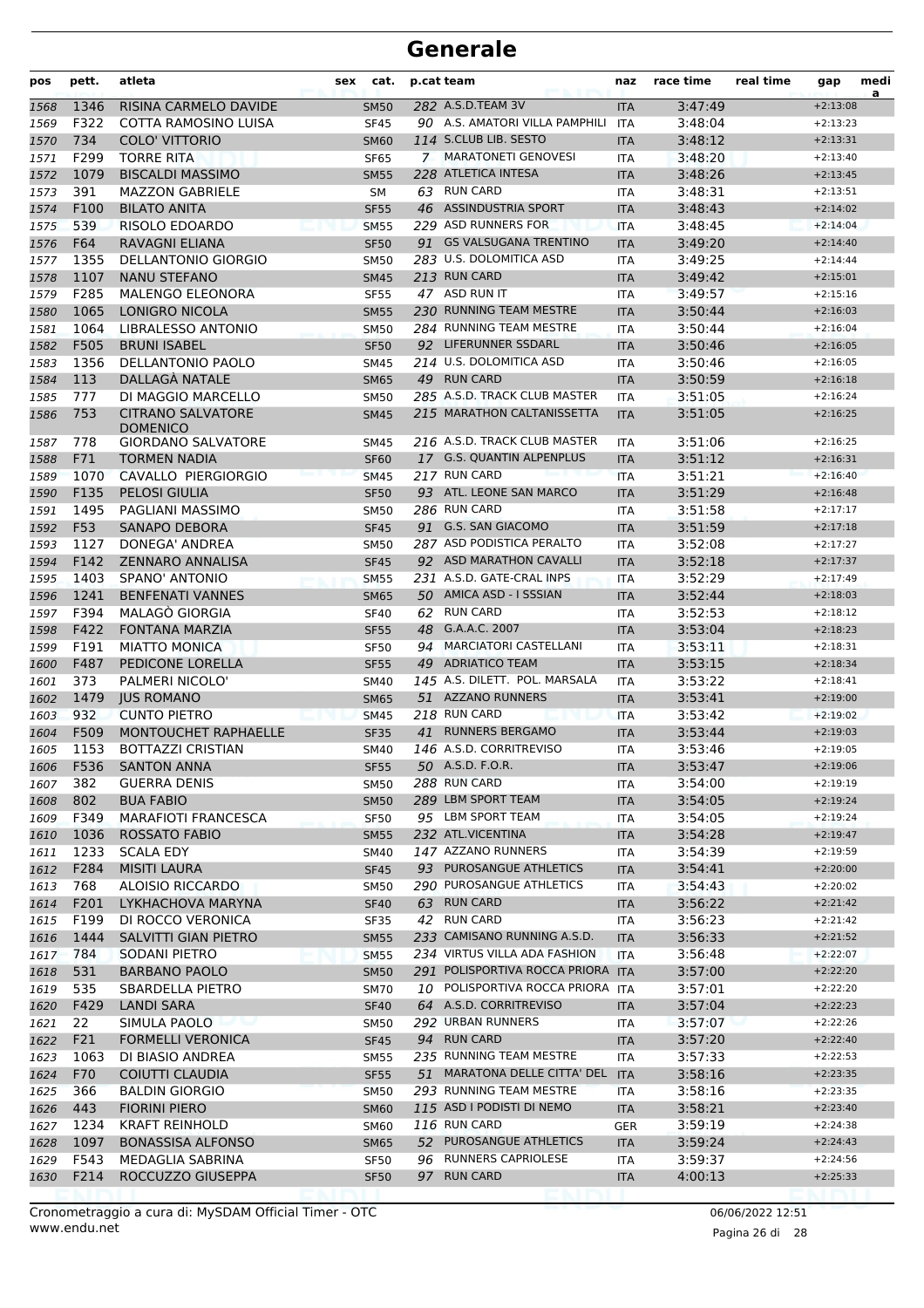| pos  | pett.        | atleta                                      | sex | cat.             |    | p.cat team                        | naz        | race time | real time | gap                      | medi<br>a |
|------|--------------|---------------------------------------------|-----|------------------|----|-----------------------------------|------------|-----------|-----------|--------------------------|-----------|
| 1568 | 1346         | RISINA CARMELO DAVIDE                       |     | <b>SM50</b>      |    | 282 A.S.D.TEAM 3V                 | <b>ITA</b> | 3:47:49   |           | $+2:13:08$               |           |
| 1569 | F322         | COTTA RAMOSINO LUISA                        |     | <b>SF45</b>      |    | 90 A.S. AMATORI VILLA PAMPHILI    | ITA        | 3:48:04   |           | $+2:13:23$               |           |
| 1570 | 734          | <b>COLO' VITTORIO</b>                       |     | <b>SM60</b>      |    | 114 S.CLUB LIB. SESTO             | <b>ITA</b> | 3:48:12   |           | $+2:13:31$               |           |
| 1571 | F299         | <b>TORRE RITA</b>                           |     | <b>SF65</b>      |    | 7 MARATONETI GENOVESI             | <b>ITA</b> | 3:48:20   |           | $+2:13:40$               |           |
| 1572 | 1079         | <b>BISCALDI MASSIMO</b>                     |     | <b>SM55</b>      |    | 228 ATLETICA INTESA               | <b>ITA</b> | 3:48:26   |           | $+2:13:45$               |           |
| 1573 | 391          | <b>MAZZON GABRIELE</b>                      |     | SM               |    | 63 RUN CARD                       | <b>ITA</b> | 3:48:31   |           | $+2:13:51$               |           |
| 1574 | F100         | <b>BILATO ANITA</b>                         |     | <b>SF55</b>      |    | 46 ASSINDUSTRIA SPORT             | <b>ITA</b> | 3:48:43   |           | $+2:14:02$               |           |
| 1575 | 539          | RISOLO EDOARDO                              |     | <b>SM55</b>      |    | 229 ASD RUNNERS FOR               | <b>ITA</b> | 3:48:45   |           | $+2:14:04$               |           |
| 1576 | F64          | <b>RAVAGNI ELIANA</b>                       |     | <b>SF50</b>      |    | 91 GS VALSUGANA TRENTINO          | <b>ITA</b> | 3:49:20   |           | $+2:14:40$               |           |
| 1577 | 1355         | <b>DELLANTONIO GIORGIO</b>                  |     | <b>SM50</b>      |    | 283 U.S. DOLOMITICA ASD           | <b>ITA</b> | 3:49:25   |           | $+2:14:44$               |           |
| 1578 | 1107         | <b>NANU STEFANO</b>                         |     | <b>SM45</b>      |    | 213 RUN CARD                      | <b>ITA</b> | 3:49:42   |           | $+2:15:01$               |           |
| 1579 | F285         | <b>MALENGO ELEONORA</b>                     |     | <b>SF55</b>      |    | 47 ASD RUN IT                     | <b>ITA</b> | 3:49:57   |           | $+2:15:16$               |           |
| 1580 | 1065         | LONIGRO NICOLA                              |     | <b>SM55</b>      |    | 230 RUNNING TEAM MESTRE           | <b>ITA</b> | 3:50:44   |           | $+2:16:03$               |           |
| 1581 | 1064         | LIBRALESSO ANTONIO                          |     | <b>SM50</b>      |    | 284 RUNNING TEAM MESTRE           | <b>ITA</b> | 3:50:44   |           | $+2:16:04$               |           |
| 1582 | F505         | <b>BRUNI ISABEL</b>                         |     | <b>SF50</b>      |    | 92 LIFERUNNER SSDARL              | <b>ITA</b> | 3:50:46   |           | $+2:16:05$               |           |
| 1583 | 1356         | DELLANTONIO PAOLO                           |     | <b>SM45</b>      |    | 214 U.S. DOLOMITICA ASD           | ITA        | 3:50:46   |           | $+2:16:05$               |           |
| 1584 | 113          | DALLAGÀ NATALE                              |     | <b>SM65</b>      |    | 49 RUN CARD                       | <b>ITA</b> | 3:50:59   |           | $+2:16:18$               |           |
| 1585 | 777          | DI MAGGIO MARCELLO                          |     | <b>SM50</b>      |    | 285 A.S.D. TRACK CLUB MASTER      | <b>ITA</b> | 3:51:05   |           | $+2:16:24$               |           |
| 1586 | 753          | <b>CITRANO SALVATORE</b><br><b>DOMENICO</b> |     | <b>SM45</b>      |    | 215 MARATHON CALTANISSETTA        | <b>ITA</b> | 3:51:05   |           | $+2:16:25$               |           |
| 1587 | 778          | <b>GIORDANO SALVATORE</b>                   |     | <b>SM45</b>      |    | 216 A.S.D. TRACK CLUB MASTER      | ITA        | 3:51:06   |           | $+2:16:25$               |           |
| 1588 | F71          | <b>TORMEN NADIA</b>                         |     | <b>SF60</b>      |    | 17 G.S. QUANTIN ALPENPLUS         | <b>ITA</b> | 3:51:12   |           | $+2:16:31$               |           |
| 1589 | 1070         | CAVALLO PIERGIORGIO                         |     | <b>SM45</b>      |    | 217 RUN CARD                      | <b>ITA</b> | 3:51:21   |           | $+2:16:40$               |           |
| 1590 | F135         | <b>PELOSI GIULIA</b>                        |     | <b>SF50</b>      |    | 93 ATL. LEONE SAN MARCO           | <b>ITA</b> | 3:51:29   |           | $+2:16:48$               |           |
| 1591 | 1495         | PAGLIANI MASSIMO                            |     | <b>SM50</b>      |    | 286 RUN CARD                      | ITA        | 3:51:58   |           | $+2:17:17$               |           |
| 1592 | F53          | SANAPO DEBORA                               |     | <b>SF45</b>      |    | 91 G.S. SAN GIACOMO               | <b>ITA</b> | 3:51:59   |           | $+2:17:18$               |           |
| 1593 | 1127         | DONEGA' ANDREA                              |     | <b>SM50</b>      |    | 287 ASD PODISTICA PERALTO         | <b>ITA</b> | 3:52:08   |           | $+2:17:27$               |           |
| 1594 | F142         | <b>ZENNARO ANNALISA</b>                     |     | <b>SF45</b>      |    | 92 ASD MARATHON CAVALLI           | <b>ITA</b> | 3:52:18   |           | $+2:17:37$               |           |
| 1595 | 1403         | SPANO' ANTONIO                              |     | <b>SM55</b>      |    | 231 A.S.D. GATE-CRAL INPS         | <b>ITA</b> | 3:52:29   |           | $+2:17:49$               |           |
| 1596 | 1241         | <b>BENFENATI VANNES</b>                     |     | <b>SM65</b>      |    | 50 AMICA ASD - I SSSIAN           | <b>ITA</b> | 3:52:44   |           | $+2:18:03$               |           |
| 1597 | F394         | <b>MALAGO GIORGIA</b>                       |     | <b>SF40</b>      | 62 | <b>RUN CARD</b>                   | ITA        | 3:52:53   |           | $+2:18:12$               |           |
| 1598 | F422         | <b>FONTANA MARZIA</b>                       |     | <b>SF55</b>      | 48 | G.A.A.C. 2007                     | <b>ITA</b> | 3:53:04   |           | $+2:18:23$               |           |
| 1599 | F191         | <b>MIATTO MONICA</b>                        |     | <b>SF50</b>      | 94 | <b>MARCIATORI CASTELLANI</b>      | ITA        | 3:53:11   |           | $+2:18:31$               |           |
| 1600 | F487         | PEDICONE LORELLA                            |     | <b>SF55</b>      |    | 49 ADRIATICO TEAM                 | <b>ITA</b> | 3:53:15   |           | $+2:18:34$               |           |
| 1601 | 373          | PALMERI NICOLO'                             |     | <b>SM40</b>      |    | 145 A.S. DILETT. POL. MARSALA     | <b>ITA</b> | 3:53:22   |           | $+2:18:41$               |           |
| 1602 | 1479         | <b>JUS ROMANO</b>                           |     | <b>SM65</b>      |    | 51 AZZANO RUNNERS                 | <b>ITA</b> | 3:53:41   |           | $+2:19:00$               |           |
| 1603 | 932          | <b>CUNTO PIETRO</b>                         |     | <b>SM45</b>      |    | 218 RUN CARD                      | <b>ITA</b> | 3:53:42   |           | $+2:19:02$               |           |
| 1604 | F509         | <b>MONTOUCHET RAPHAELLE</b>                 |     | <b>SF35</b>      | 41 | <b>RUNNERS BERGAMO</b>            | <b>ITA</b> | 3:53:44   |           | $+2:19:03$               |           |
| 1605 | 1153         | <b>BOTTAZZI CRISTIAN</b>                    |     | <b>SM40</b>      |    | 146 A.S.D. CORRITREVISO           | ITA        | 3:53:46   |           | $+2:19:05$               |           |
| 1606 | F536         | <b>SANTON ANNA</b>                          |     | SF <sub>55</sub> |    | 50 A.S.D. F.O.R.                  | ITA        | 3:53:47   |           | $+2:19:06$               |           |
| 1607 | 382          | <b>GUERRA DENIS</b>                         |     | <b>SM50</b>      |    | 288 RUN CARD                      | ITA        | 3:54:00   |           | $+2:19:19$               |           |
| 1608 | 802          | <b>BUA FABIO</b>                            |     | <b>SM50</b>      |    | 289 LBM SPORT TEAM                | <b>ITA</b> | 3:54:05   |           | $+2:19:24$               |           |
| 1609 | F349         | <b>MARAFIOTI FRANCESCA</b>                  |     | <b>SF50</b>      |    | 95 LBM SPORT TEAM                 | ITA        | 3:54:05   |           | $+2:19:24$               |           |
| 1610 | 1036         | <b>ROSSATO FABIO</b>                        |     | <b>SM55</b>      |    | 232 ATL.VICENTINA                 | <b>ITA</b> | 3:54:28   |           | $+2:19:47$               |           |
| 1611 | 1233         | <b>SCALA EDY</b>                            |     | <b>SM40</b>      |    | 147 AZZANO RUNNERS                | ITA        | 3:54:39   |           | $+2:19:59$               |           |
| 1612 | F284         | MISITI LAURA                                |     | <b>SF45</b>      |    | 93 PUROSANGUE ATHLETICS           | <b>ITA</b> | 3:54:41   |           | $+2:20:00$               |           |
| 1613 | 768          | ALOISIO RICCARDO                            |     | <b>SM50</b>      |    | 290 PUROSANGUE ATHLETICS          | ITA        | 3:54:43   |           | $+2:20:02$               |           |
| 1614 | F201         | LYKHACHOVA MARYNA                           |     | <b>SF40</b>      |    | 63 RUN CARD                       | <b>ITA</b> | 3:56:22   |           | $+2:21:42$               |           |
| 1615 | F199         | DI ROCCO VERONICA                           |     | SF35             |    | 42 RUN CARD                       | ITA        | 3:56:23   |           | $+2:21:42$               |           |
| 1616 | 1444         | SALVITTI GIAN PIETRO                        |     | <b>SM55</b>      |    | 233 CAMISANO RUNNING A.S.D.       | <b>ITA</b> | 3:56:33   |           | $+2:21:52$               |           |
| 1617 | 784          | SODANI PIETRO                               |     | <b>SM55</b>      |    | 234 VIRTUS VILLA ADA FASHION      | <b>ITA</b> | 3:56:48   |           | $+2:22:07$               |           |
| 1618 | 531          | <b>BARBANO PAOLO</b>                        |     | <b>SM50</b>      |    | 291 POLISPORTIVA ROCCA PRIORA ITA |            | 3:57:00   |           | $+2:22:20$               |           |
| 1619 | 535          | SBARDELLA PIETRO                            |     | <b>SM70</b>      |    | 10 POLISPORTIVA ROCCA PRIORA ITA  |            | 3:57:01   |           | $+2:22:20$               |           |
| 1620 | F429         | <b>LANDI SARA</b>                           |     | <b>SF40</b>      |    | 64 A.S.D. CORRITREVISO            | <b>ITA</b> | 3:57:04   |           | $+2:22:23$               |           |
| 1621 | 22           | SIMULA PAOLO                                |     | <b>SM50</b>      |    | 292 URBAN RUNNERS                 | ITA        | 3:57:07   |           | $+2:22:26$               |           |
| 1622 | F21          | <b>FORMELLI VERONICA</b>                    |     | <b>SF45</b>      |    | 94 RUN CARD                       | <b>ITA</b> | 3:57:20   |           | $+2:22:40$               |           |
| 1623 | 1063         | DI BIASIO ANDREA                            |     | <b>SM55</b>      |    | 235 RUNNING TEAM MESTRE           | ITA        | 3:57:33   |           | $+2:22:53$               |           |
| 1624 | F70          | COIUTTI CLAUDIA                             |     | <b>SF55</b>      |    | 51 MARATONA DELLE CITTA' DEL      | <b>ITA</b> | 3:58:16   |           | $+2:23:35$               |           |
|      | 366          | <b>BALDIN GIORGIO</b>                       |     |                  |    | 293 RUNNING TEAM MESTRE           |            | 3:58:16   |           | $+2:23:35$               |           |
| 1625 | 443          | <b>FIORINI PIERO</b>                        |     | <b>SM50</b>      |    | 115 ASD I PODISTI DI NEMO         | ITA        | 3:58:21   |           | $+2:23:40$               |           |
| 1626 | 1234         |                                             |     | <b>SM60</b>      |    | 116 RUN CARD                      | <b>ITA</b> |           |           | $+2:24:38$               |           |
| 1627 |              | <b>KRAFT REINHOLD</b>                       |     | <b>SM60</b>      |    | 52 PUROSANGUE ATHLETICS           | <b>GER</b> | 3:59:19   |           | $+2:24:43$               |           |
| 1628 | 1097         | <b>BONASSISA ALFONSO</b>                    |     | <b>SM65</b>      |    | 96 RUNNERS CAPRIOLESE             | <b>ITA</b> | 3:59:24   |           |                          |           |
| 1629 | F543<br>F214 | MEDAGLIA SABRINA<br>ROCCUZZO GIUSEPPA       |     | <b>SF50</b>      | 97 | <b>RUN CARD</b>                   | ITA        | 3:59:37   |           | $+2:24:56$<br>$+2:25:33$ |           |
| 1630 |              |                                             |     | <b>SF50</b>      |    |                                   | <b>ITA</b> | 4:00:13   |           |                          |           |

www.endu.net Cronometraggio a cura di: MySDAM Official Timer - OTC 06/06/2022 12:51

Pagina 26 di 28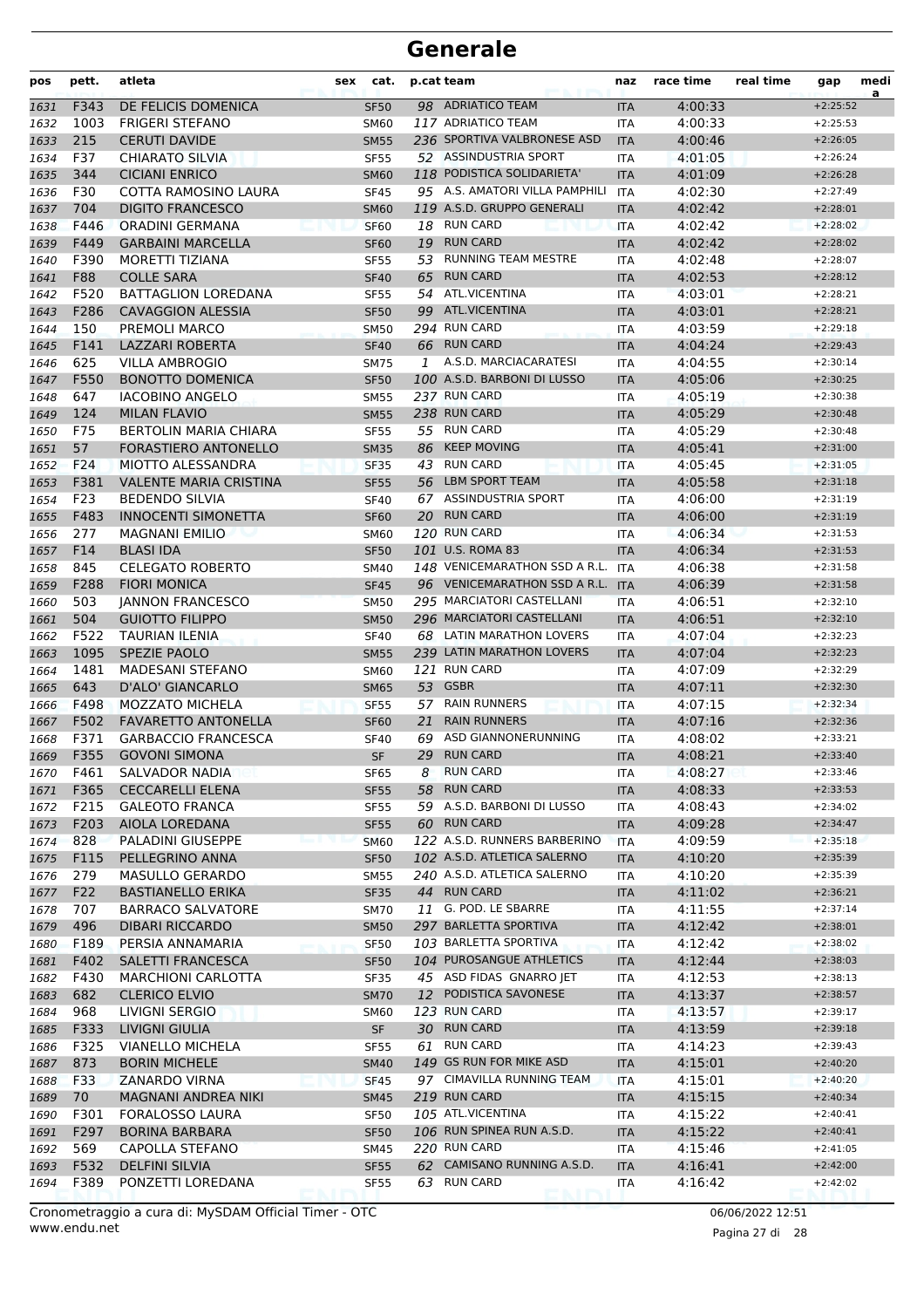| pos          | pett.       | atleta                                       | sex         | cat.              | p.cat team                     | naz               | race time          | real time | gap                      | medi<br>a |
|--------------|-------------|----------------------------------------------|-------------|-------------------|--------------------------------|-------------------|--------------------|-----------|--------------------------|-----------|
| 1631         | F343        | DE FELICIS DOMENICA                          |             | <b>SF50</b>       | 98 ADRIATICO TEAM              | <b>ITA</b>        | 4:00:33            |           | $+2:25:52$               |           |
| 1632         | 1003        | <b>FRIGERI STEFANO</b>                       | <b>SM60</b> |                   | 117 ADRIATICO TEAM             | <b>ITA</b>        | 4:00:33            |           | $+2:25:53$               |           |
| 1633         | 215         | <b>CERUTI DAVIDE</b>                         | <b>SM55</b> |                   | 236 SPORTIVA VALBRONESE ASD    | <b>ITA</b>        | 4:00:46            |           | $+2:26:05$               |           |
| 1634         | F37         | <b>CHIARATO SILVIA</b>                       |             | <b>SF55</b>       | 52 ASSINDUSTRIA SPORT          | <b>ITA</b>        | 4:01:05            |           | $+2:26:24$               |           |
| 1635         | 344         | <b>CICIANI ENRICO</b>                        |             | <b>SM60</b>       | 118 PODISTICA SOLIDARIETA'     | <b>ITA</b>        | 4:01:09            |           | $+2:26:28$               |           |
| 1636         | F30         | COTTA RAMOSINO LAURA                         |             | <b>SF45</b>       | 95 A.S. AMATORI VILLA PAMPHILI | <b>ITA</b>        | 4:02:30            |           | $+2:27:49$               |           |
| 1637         | 704         | <b>DIGITO FRANCESCO</b>                      |             | <b>SM60</b>       | 119 A.S.D. GRUPPO GENERALI     | <b>ITA</b>        | 4:02:42            |           | $+2:28:01$               |           |
| 1638         | F446        | <b>ORADINI GERMANA</b>                       |             | <b>SF60</b>       | 18 RUN CARD                    | <b>ITA</b>        | 4:02:42            |           | $+2:28:02$               |           |
| 1639         | F449        | <b>GARBAINI MARCELLA</b>                     |             | <b>SF60</b>       | 19 RUN CARD                    | <b>ITA</b>        | 4:02:42            |           | $+2:28:02$               |           |
| 1640         | F390        | <b>MORETTI TIZIANA</b>                       |             | <b>SF55</b><br>53 | <b>RUNNING TEAM MESTRE</b>     | <b>ITA</b>        | 4:02:48            |           | $+2:28:07$               |           |
| 1641         | <b>F88</b>  | <b>COLLE SARA</b>                            |             | 65<br><b>SF40</b> | <b>RUN CARD</b>                | <b>ITA</b>        | 4:02:53            |           | $+2:28:12$               |           |
| 1642         | F520        | <b>BATTAGLION LOREDANA</b>                   |             | <b>SF55</b>       | 54 ATL.VICENTINA               | <b>ITA</b>        | 4:03:01            |           | $+2:28:21$               |           |
| 1643         | F286<br>150 | <b>CAVAGGION ALESSIA</b>                     |             | 99<br><b>SF50</b> | ATL.VICENTINA<br>294 RUN CARD  | <b>ITA</b>        | 4:03:01            |           | $+2:28:21$               |           |
| 1644         | F141        | PREMOLI MARCO<br>LAZZARI ROBERTA             | <b>SM50</b> |                   | 66 RUN CARD                    | <b>ITA</b>        | 4:03:59<br>4:04:24 |           | $+2:29:18$<br>$+2:29:43$ |           |
| 1645         | 625         | <b>VILLA AMBROGIO</b>                        | <b>SM75</b> | <b>SF40</b><br>1  | A.S.D. MARCIACARATESI          | <b>ITA</b><br>ITA | 4:04:55            |           | $+2:30:14$               |           |
| 1646<br>1647 | F550        | <b>BONOTTO DOMENICA</b>                      |             | <b>SF50</b>       | 100 A.S.D. BARBONI DI LUSSO    | <b>ITA</b>        | 4:05:06            |           | $+2:30:25$               |           |
| 1648         | 647         | <b>IACOBINO ANGELO</b>                       | <b>SM55</b> |                   | 237 RUN CARD                   | <b>ITA</b>        | 4:05:19            |           | $+2:30:38$               |           |
| 1649         | 124         | <b>MILAN FLAVIO</b>                          | <b>SM55</b> |                   | 238 RUN CARD                   | <b>ITA</b>        | 4:05:29            |           | $+2:30:48$               |           |
| 1650         | F75         | <b>BERTOLIN MARIA CHIARA</b>                 |             | <b>SF55</b>       | 55 RUN CARD                    | <b>ITA</b>        | 4:05:29            |           | $+2:30:48$               |           |
| 1651         | 57          | FORASTIERO ANTONELLO                         | <b>SM35</b> | 86                | <b>KEEP MOVING</b>             | <b>ITA</b>        | 4:05:41            |           | $+2:31:00$               |           |
| 1652         | F24         | MIOTTO ALESSANDRA                            |             | 43<br><b>SF35</b> | <b>RUN CARD</b>                | <b>ITA</b>        | 4:05:45            |           | $+2:31:05$               |           |
| 1653         | F381        | <b>VALENTE MARIA CRISTINA</b>                |             | <b>SF55</b><br>56 | <b>LBM SPORT TEAM</b>          | <b>ITA</b>        | 4:05:58            |           | $+2:31:18$               |           |
| 1654         | F23         | <b>BEDENDO SILVIA</b>                        |             | <b>SF40</b>       | 67 ASSINDUSTRIA SPORT          | <b>ITA</b>        | 4:06:00            |           | $+2:31:19$               |           |
| 1655         | F483        | <b>INNOCENTI SIMONETTA</b>                   |             | <b>SF60</b>       | 20 RUN CARD                    | <b>ITA</b>        | 4:06:00            |           | $+2:31:19$               |           |
| 1656         | 277         | <b>MAGNANI EMILIO</b>                        | <b>SM60</b> |                   | 120 RUN CARD                   | <b>ITA</b>        | 4:06:34            |           | $+2:31:53$               |           |
| 1657         | F14         | <b>BLASI IDA</b>                             |             | <b>SF50</b>       | 101 U.S. ROMA 83               | <b>ITA</b>        | 4:06:34            |           | $+2:31:53$               |           |
| 1658         | 845         | <b>CELEGATO ROBERTO</b>                      | SM40        |                   | 148 VENICEMARATHON SSD A R.L.  | <b>ITA</b>        | 4:06:38            |           | $+2:31:58$               |           |
| 1659         | F288        | <b>FIORI MONICA</b>                          | <b>SF45</b> |                   | 96 VENICEMARATHON SSD A R.L.   | <b>ITA</b>        | 4:06:39            |           | $+2:31:58$               |           |
| 1660         | 503         | <b>JANNON FRANCESCO</b>                      | <b>SM50</b> |                   | 295 MARCIATORI CASTELLANI      | <b>ITA</b>        | 4:06:51            |           | $+2:32:10$               |           |
| 1661         | 504         | <b>GUIOTTO FILIPPO</b>                       | <b>SM50</b> |                   | 296 MARCIATORI CASTELLANI      | <b>ITA</b>        | 4:06:51            |           | $+2:32:10$               |           |
| 1662         | F522        | <b>TAURIAN ILENIA</b>                        |             | <b>SF40</b>       | 68 LATIN MARATHON LOVERS       | <b>ITA</b>        | 4:07:04            |           | $+2:32:23$               |           |
| 1663         | 1095        | SPEZIE PAOLO                                 | <b>SM55</b> |                   | 239 LATIN MARATHON LOVERS      | <b>ITA</b>        | 4:07:04            |           | $+2:32:23$               |           |
| 1664         | 1481        | <b>MADESANI STEFANO</b>                      | <b>SM60</b> |                   | 121 RUN CARD                   | ITA               | 4:07:09            |           | $+2:32:29$               |           |
| 1665         | 643         | <b>D'ALO' GIANCARLO</b>                      | <b>SM65</b> |                   | 53 GSBR                        | <b>ITA</b>        | 4:07:11            |           | $+2:32:30$               |           |
| 1666         | F498        | <b>MOZZATO MICHELA</b>                       |             | 57<br><b>SF55</b> | <b>RAIN RUNNERS</b>            | <b>ITA</b>        | 4:07:15            |           | $+2:32:34$               |           |
| 1667         | F502        | <b>FAVARETTO ANTONELLA</b>                   |             | 21<br><b>SF60</b> | <b>RAIN RUNNERS</b>            | <b>ITA</b>        | 4:07:16            |           | $+2:32:36$               |           |
| 1668         | F371        | <b>GARBACCIO FRANCESCA</b>                   |             | <b>SF40</b><br>69 | ASD GIANNONERUNNING            | <b>ITA</b>        | 4:08:02            |           | $+2:33:21$               |           |
| 1669         | F355        | <b>GOVONI SIMONA</b>                         |             | <b>SF</b>         | 29 RUN CARD                    | <b>ITA</b>        | 4:08:21            |           | $+2:33:40$               |           |
| 1670         | F461        | SALVADOR NADIA                               |             | SF65<br>8         | <b>RUN CARD</b>                | ITA               | 4:08:27            |           | $+2:33:46$               |           |
| 1671         | F365        | <b>CECCARELLI ELENA</b>                      | <b>SF55</b> | 58                | <b>RUN CARD</b>                | <b>ITA</b>        | 4:08:33            |           | $+2:33:53$               |           |
| 1672         | F215        | <b>GALEOTO FRANCA</b>                        |             | <b>SF55</b>       | 59 A.S.D. BARBONI DI LUSSO     | ITA               | 4:08:43            |           | $+2:34:02$               |           |
| 1673         | F203        | AIOLA LOREDANA                               |             | <b>SF55</b>       | 60 RUN CARD                    | <b>ITA</b>        | 4:09:28            |           | $+2:34:47$               |           |
| 1674         | 828         | PALADINI GIUSEPPE                            |             | <b>SM60</b>       | 122 A.S.D. RUNNERS BARBERINO   | <b>ITA</b>        | 4:09:59            |           | $+2:35:18$               |           |
| 1675         | F115        | PELLEGRINO ANNA                              |             | <b>SF50</b>       | 102 A.S.D. ATLETICA SALERNO    | <b>ITA</b>        | 4:10:20            |           | $+2:35:39$               |           |
| 1676         | 279         | MASULLO GERARDO                              |             | SM55              | 240 A.S.D. ATLETICA SALERNO    | ITA               | 4:10:20            |           | $+2:35:39$               |           |
| 1677         | F22         | <b>BASTIANELLO ERIKA</b>                     |             | <b>SF35</b>       | 44 RUN CARD                    | <b>ITA</b>        | 4:11:02            |           | $+2:36:21$               |           |
| 1678         | 707         | <b>BARRACO SALVATORE</b>                     |             | <b>SM70</b>       | 11 G. POD. LE SBARRE           | ITA               | 4:11:55            |           | $+2:37:14$               |           |
| 1679         | 496         | <b>DIBARI RICCARDO</b>                       |             | <b>SM50</b>       | 297 BARLETTA SPORTIVA          | <b>ITA</b>        | 4:12:42            |           | $+2:38:01$               |           |
| 1680         | F189        | PERSIA ANNAMARIA                             | <b>SF50</b> |                   | 103 BARLETTA SPORTIVA          | ITA               | 4:12:42            |           | $+2:38:02$               |           |
| 1681         | F402        | <b>SALETTI FRANCESCA</b>                     |             | <b>SF50</b>       | 104 PUROSANGUE ATHLETICS       | <b>ITA</b>        | 4:12:44            |           | $+2:38:03$               |           |
| 1682         | F430        | <b>MARCHIONI CARLOTTA</b>                    |             | SF35              | 45 ASD FIDAS GNARRO JET        | ITA               | 4:12:53            |           | $+2:38:13$               |           |
| 1683         | 682         | <b>CLERICO ELVIO</b>                         |             | <b>SM70</b>       | 12 PODISTICA SAVONESE          | <b>ITA</b>        | 4:13:37            |           | $+2:38:57$               |           |
| 1684         | 968         | LIVIGNI SERGIO                               |             | <b>SM60</b>       | 123 RUN CARD                   | ITA               | 4:13:57            |           | $+2:39:17$               |           |
| 1685         | F333        | LIVIGNI GIULIA                               |             | SF                | 30 RUN CARD<br>61 RUN CARD     | <b>ITA</b>        | 4:13:59            |           | $+2:39:18$               |           |
| 1686         | F325        | <b>VIANELLO MICHELA</b>                      |             | <b>SF55</b>       | 149 GS RUN FOR MIKE ASD        | ITA               | 4:14:23            |           | $+2:39:43$               |           |
| 1687         | 873<br>F33  | <b>BORIN MICHELE</b><br><b>ZANARDO VIRNA</b> |             | <b>SM40</b>       | 97 CIMAVILLA RUNNING TEAM      | <b>ITA</b>        | 4:15:01            |           | $+2:40:20$<br>$+2:40:20$ |           |
| 1688         | 70          | MAGNANI ANDREA NIKI                          |             | SF45              | 219 RUN CARD                   | ITA               | 4:15:01<br>4:15:15 |           | $+2:40:34$               |           |
| 1689<br>1690 | F301        | FORALOSSO LAURA                              | <b>SM45</b> | <b>SF50</b>       | 105 ATL.VICENTINA              | <b>ITA</b><br>ITA | 4:15:22            |           | $+2:40:41$               |           |
| 1691         | F297        | <b>BORINA BARBARA</b>                        |             | <b>SF50</b>       | 106 RUN SPINEA RUN A.S.D.      | <b>ITA</b>        | 4:15:22            |           | $+2:40:41$               |           |
| 1692         | 569         | CAPOLLA STEFANO                              | <b>SM45</b> |                   | 220 RUN CARD                   | ITA               | 4:15:46            |           | $+2:41:05$               |           |
| 1693         | F532        | <b>DELFINI SILVIA</b>                        |             | <b>SF55</b>       | 62 CAMISANO RUNNING A.S.D.     | <b>ITA</b>        | 4:16:41            |           | $+2:42:00$               |           |
| 1694         | F389        | PONZETTI LOREDANA                            |             | <b>SF55</b>       | 63 RUN CARD                    | ITA               | 4:16:42            |           | $+2:42:02$               |           |
|              |             |                                              |             |                   |                                |                   |                    |           |                          |           |

www.endu.net Cronometraggio a cura di: MySDAM Official Timer - OTC 06/06/2022 12:51

Pagina 27 di 28